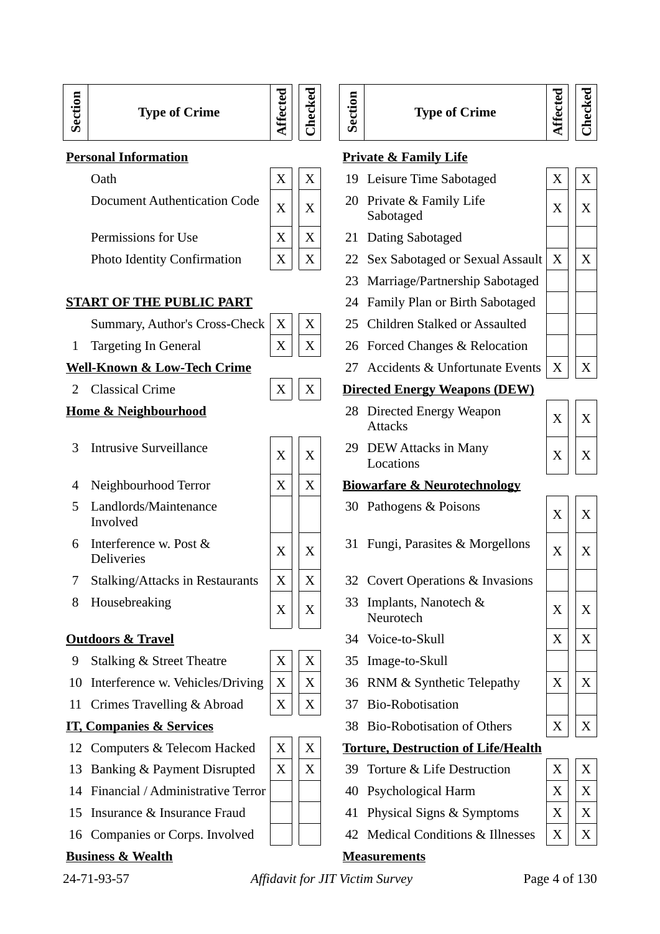24-71-93-57 *Affidavit for JIT Victim Survey* 

| Page 4 of 130 |  |  |
|---------------|--|--|

# **Type of Crime**

**Affe**

**cte d**

**Checked**

**Sectio n**

## **Personal Information**

**Sectio n**

| Oath                                | X | X              | 19 Leisure Time Sab              |
|-------------------------------------|---|----------------|----------------------------------|
| <b>Document Authentication Code</b> |   | $\overline{X}$ | 20 Private & Family<br>Sabotaged |
| Permissions for Use                 |   |                | 21 Dating Sabotaged              |
| <b>Photo Identity Confirmation</b>  |   |                | 22 Sex Sabotaged or              |
|                                     |   |                |                                  |

## **START OF THE PUBLIC PART**

1 Targeting In General  $\begin{array}{c|c} \begin{array}{c|c} \hline \end{array} & X & X \\ \end{array}$ 

## **Well-Known & Low-Tech Crime**

2 Classical Crime  $\begin{array}{c|c}\n\mathbf{Z} & \mathbf{Z} & \mathbf{Z} \\
\hline\n\mathbf{Z} & \mathbf{Z} & \mathbf{Z}\n\end{array}$ 

## **Home & Neighbourhood**

- <sup>3</sup> Intrusive Surveillance <sup>X</sup> <sup>X</sup>
- 4 Neighbourhood Terror  $\begin{bmatrix} X \end{bmatrix} X$
- 5 Landlords/Maintenance Involved
- 6 Interference w. Post & Deliveries  $X \mid X$
- 7 Stalking/Attacks in Restaurants  $\|X\|$  X
- 8 Housebreaking  $\begin{array}{c|c} \begin{array}{c} \times \end{array} & X \end{array}$

## **Outdoors & Travel**

- 9 Stalking & Street Theatre X X 35 Image-to-Skull
- 10 Interference w. Vehicles/Driving  $|X|$  X
- 11 Crimes Travelling & Abroad  $\begin{array}{c|c} | \ X & X \end{array}$

## **IT, Companies & Services**

- 12 Computers & Telecom Hacked  $\|\mathbf{X}\| \|\mathbf{X}\|$
- 13 Banking & Payment Disrupted  $\|X\|$  X
- 14 Financial / Administrative Terror
- 15 Insurance & Insurance Fraud
- 16 Companies or Corps. Involved

## **Business & Wealth**



| <u>onal Information</u>                     |   |   |    | <b>Private &amp; Family Life</b>                |   |   |
|---------------------------------------------|---|---|----|-------------------------------------------------|---|---|
| Oath                                        | X | X | 19 | Leisure Time Sabotaged                          | X | X |
| <b>Document Authentication Code</b>         | X | X |    | 20 Private & Family Life<br>Sabotaged           | X | X |
| Permissions for Use                         | X | X | 21 | Dating Sabotaged                                |   |   |
| <b>Photo Identity Confirmation</b>          | X | X | 22 | Sex Sabotaged or Sexual Assault                 | X | X |
|                                             |   |   | 23 | Marriage/Partnership Sabotaged                  |   |   |
| <u>RT OF THE PUBLIC PART</u>                |   |   | 24 | Family Plan or Birth Sabotaged                  |   |   |
| Summary, Author's Cross-Check               | X | X | 25 | Children Stalked or Assaulted                   |   |   |
| <b>Targeting In General</b>                 | X | X | 26 | Forced Changes & Relocation                     |   |   |
| <u>-Known &amp; Low-Tech Crime</u>          |   |   | 27 | <b>Accidents &amp; Unfortunate Events</b>       | X | X |
| <b>Classical Crime</b>                      | X | X |    | <b>Directed Energy Weapons (DEW)</b>            |   |   |
| <u>ıe &amp; Neighbourhood</u>               |   |   | 28 | <b>Directed Energy Weapon</b><br><b>Attacks</b> | X | X |
| <b>Intrusive Surveillance</b>               | X | X | 29 | DEW Attacks in Many<br>Locations                | X | X |
| Neighbourhood Terror                        | X | X |    | <b>Biowarfare &amp; Neurotechnology</b>         |   |   |
| Landlords/Maintenance<br>Involved           |   |   |    | 30 Pathogens & Poisons                          | X | X |
| Interference w. Post &<br><b>Deliveries</b> | X | X | 31 | Fungi, Parasites & Morgellons                   | X | X |
| <b>Stalking/Attacks in Restaurants</b>      | X | X |    | 32 Covert Operations & Invasions                |   |   |
| Housebreaking                               | X | X | 33 | Implants, Nanotech &<br>Neurotech               | X | X |
| <u>doors &amp; Travel</u>                   |   |   |    | 34 Voice-to-Skull                               | X | X |
| <b>Stalking &amp; Street Theatre</b>        | X | Χ | 35 | Image-to-Skull                                  |   |   |
| Interference w. Vehicles/Driving            | X | X | 36 | RNM & Synthetic Telepathy                       | X | X |
| Crimes Travelling & Abroad                  | X | X | 37 | <b>Bio-Robotisation</b>                         |   |   |
| <u><b>Companies &amp; Services</b></u>      |   |   | 38 | <b>Bio-Robotisation of Others</b>               | X | X |
| Computers & Telecom Hacked                  | X | X |    | <b>Torture, Destruction of Life/Health</b>      |   |   |
| Banking & Payment Disrupted                 | X | X | 39 | Torture & Life Destruction                      | X | X |
| Financial / Administrative Terror           |   |   | 40 | Psychological Harm                              | X | X |
| Insurance & Insurance Fraud                 |   |   | 41 | Physical Signs & Symptoms                       | X | X |
| Companies or Corps. Involved                |   |   | 42 | <b>Medical Conditions &amp; Illnesses</b>       | X | X |
| ness & Wealth                               |   |   |    | Measurements                                    |   |   |

**Type of Crime**



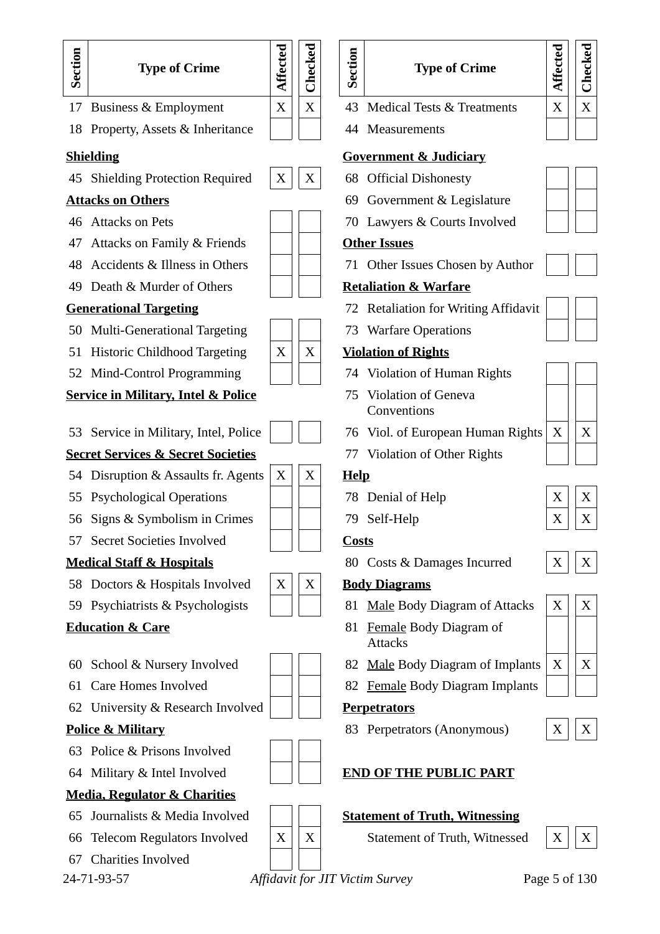

67 Charities Involved

| <u>vernment &amp; Judiciary</u>           |               |               |
|-------------------------------------------|---------------|---------------|
| <b>Official Dishonesty</b>                |               |               |
| Government & Legislature                  |               |               |
| Lawyers & Courts Involved                 |               |               |
| <u>ıer Issues</u>                         |               |               |
| Other Issues Chosen by Author             |               |               |
| <u>aliation &amp; Warfare</u>             |               |               |
| <b>Retaliation for Writing Affidavit</b>  |               |               |
| <b>Warfare Operations</b>                 |               |               |
| <u>lation of Rights</u>                   |               |               |
| Violation of Human Rights                 |               |               |
| <b>Violation of Geneva</b><br>Conventions |               |               |
| Viol. of European Human Rights            | X             | X             |
| <b>Violation of Other Rights</b>          |               |               |
| p                                         |               |               |
| Denial of Help                            | X             | X             |
| Self-Help                                 | X             | X             |
| <u>sts</u>                                |               |               |
| Costs & Damages Incurred                  | Χ             | X             |
| <u>ly Diagrams</u>                        |               |               |
| <b>Male Body Diagram of Attacks</b>       | X             | X             |
| Female Body Diagram of<br><b>Attacks</b>  |               |               |
| <b>Male Body Diagram of Implants</b>      | X             | X             |
| <b>Female Body Diagram Implants</b>       |               |               |
| <u>petrators</u>                          |               |               |
| Perpetrators (Anonymous)                  | $\mid X \mid$ | $\mid X \mid$ |
| <u>D OF THE PUBLIC PART</u>               |               |               |
| <u>tement of Truth, Witnessing</u>        |               |               |
| Statement of Truth, Witnessed             | $\mathbf X$   |               |
|                                           |               |               |

**Type of Crime**

**Affe**

**cte d**

**Checked**

24-71-93-57 *Affidavit for JIT Victim Survey* Page 5 of 130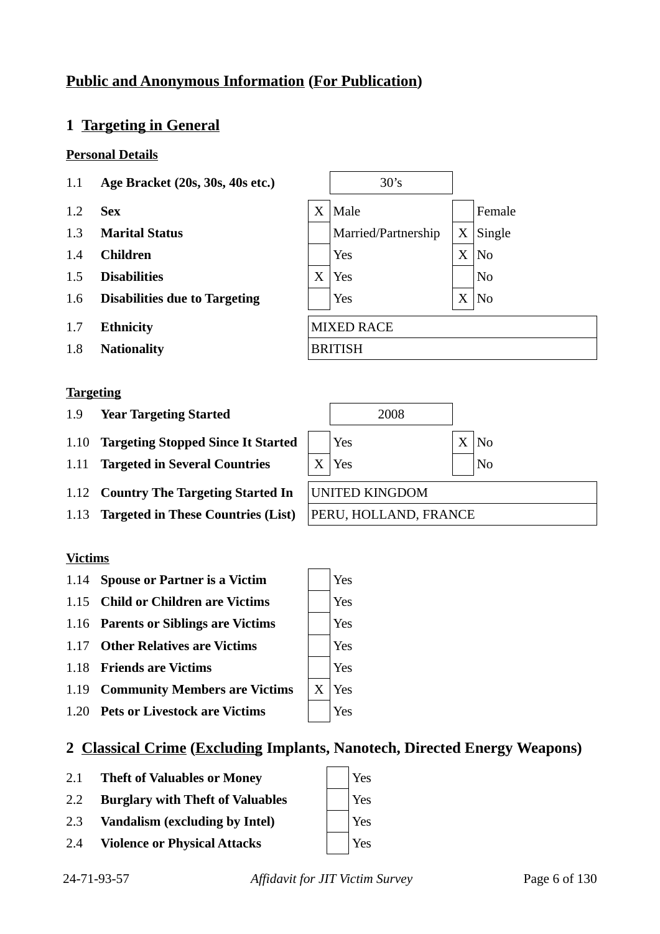## **Public and Anonymous Information (For Publication)**

## **1 Targeting in General**

#### **Personal Details**

- 1.1 **Age Bracket (20s, 30s, 40s etc.)** 30's
- 
- 
- 
- 
- 
- 
- 1.8 **Nationality** BRITISH

#### **Targeting**

- 1.9 **Year Targeting Started**
- 1.10 **Targeting Stopped Since It Started**
- 1.11 **Targeted in Several Countries**
- 1.12 **Country The Targeting Started In**
- 1.13 **Targeted in These Countries (List)** PERU, HOLLAND, FRANCE

#### **Victims**

- 1.14 **Spouse or Partner is a Victim**  $|$  | Yes
- 1.15 **Child or Children are Victims**  $|$  | Yes
- 1.16 **Parents or Siblings are Victims** | Yes
- 1.17 **Other Relatives are Victims**  $|$  | Yes
- 1.18 **Friends are Victims** X 7 Yes
- 1.19 **Community Members are Victims** | X | Yes
- 1.20 **Pets or Livestock are Victims**  $|$  | Yes

## **2 Classical Crime (Excluding Implants, Nanotech, Directed Energy Weapons)**

- 2.1 **Theft of Valuables or Money** Yes
- 2.2 **Burglary with Theft of Valuables** | Yes
- 2.3 **Vandalism (excluding by Intel)** Yes
- 2.4 **Violence or Physical Attacks**  $|$  | Yes







| 2008                         |                |
|------------------------------|----------------|
| Yes                          | $X \mid No$    |
| $X \vert Y$ es               | N <sub>0</sub> |
| <b>UNITED KINGDOM</b>        |                |
| <b>DEDIL HOLL AND FRANCE</b> |                |

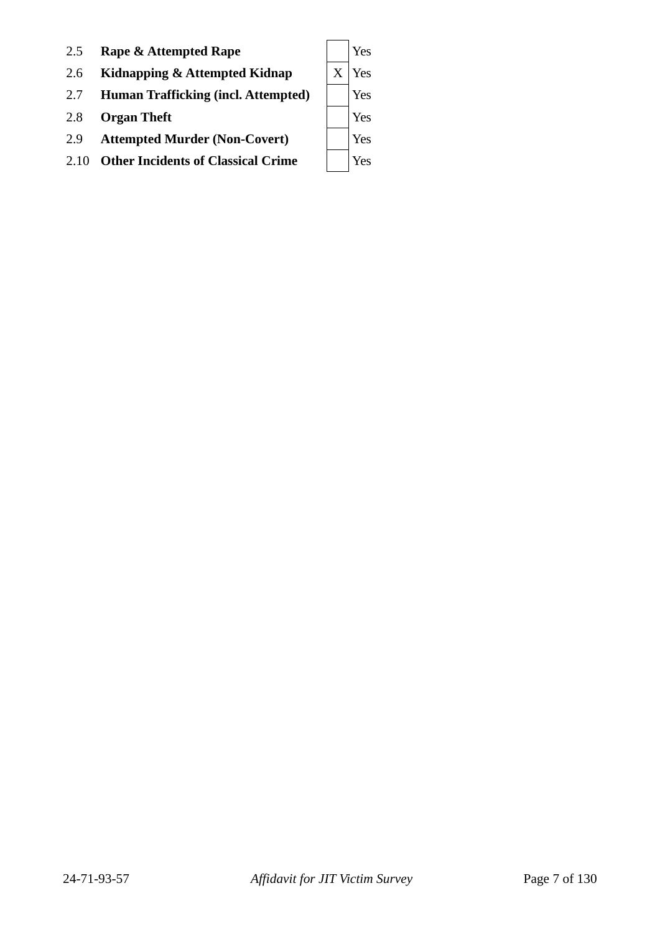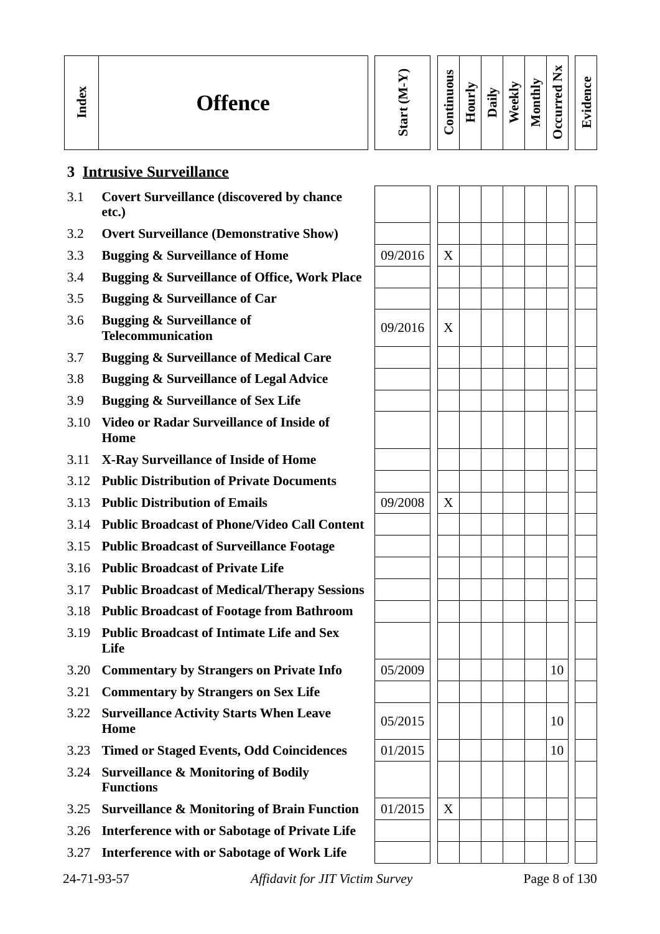| Index | <b>Offence</b>                                                                                 | Ù. | S<br>$\overline{5}$<br>$\tilde{a}$<br>Ē | ┯<br>═<br>▀<br>c<br>E | 福<br>τ | ⋗<br>⊽<br>$\overline{\bullet}$<br>௳ | $\mathbf{d}\mathbf{h}$<br>Ē<br>$\blacksquare$<br>உ | ×<br>⇁<br>⊷<br>ᇰ<br>تە<br>┶<br>≒<br>◡<br>ں | ڡ<br>5<br>с<br>$\cdot$ $\,$<br>ш |
|-------|------------------------------------------------------------------------------------------------|----|-----------------------------------------|-----------------------|--------|-------------------------------------|----------------------------------------------------|--------------------------------------------|----------------------------------|
|       | $\mathbf{P}$ . The state of the state $\mathbf{P}$ and $\mathbf{P}$ are stated in $\mathbf{P}$ |    |                                         |                       |        |                                     |                                                    |                                            |                                  |

#### **3 Intrusive Surveillance**

- 3.1 **Covert Surveillance (discovered by chance etc.)**
- 3.2 **Overt Surveillance (Demonstrative Show)**
- 3.3 **Bugging & Surveillance of Home** 09/2016 X
- 3.4 **Bugging & Surveillance of Office, Work Place**
- 3.5 **Bugging & Surveillance of Car**
- 3.6 **Bugging & Surveillance of Telecommunication**<br> **Telecommunication**
- 3.7 **Bugging & Surveillance of Medical Care**
- 3.8 **Bugging & Surveillance of Legal Advice**
- 3.9 **Bugging & Surveillance of Sex Life**
- 3.10 **Video or Radar Surveillance of Inside of Home**
- 3.11 **X-Ray Surveillance of Inside of Home**
- 3.12 **Public Distribution of Private Documents**
- 3.13 **Public Distribution of Emails**  $\vert$  09/2008  $\vert$  X
- 3.14 **Public Broadcast of Phone/Video Call Content**
- 3.15 **Public Broadcast of Surveillance Footage**
- 3.16 **Public Broadcast of Private Life**
- 3.17 **Public Broadcast of Medical/Therapy Sessions**
- 3.18 **Public Broadcast of Footage from Bathroom**
- 3.19 **Public Broadcast of Intimate Life and Sex Life**
- 3.20 **Commentary by Strangers on Private Info**  $\begin{array}{|c|c|c|c|c|c|} \hline 05/2009 & 1 & 1 & 10 \ \hline \end{array}$
- 3.21 **Commentary by Strangers on Sex Life**
- 3.22 **Surveillance Activity Starts When Leave**  $\begin{array}{|c|c|c|c|c|c|c|c|c|} \hline 05/2015 & & & 10 \ \hline \end{array}$
- 3.23 **Timed or Staged Events, Odd Coincidences** | 01/2015 | | | | | | | | | 10
- 3.24 **Surveillance & Monitoring of Bodily Functions**
- 3.25 **Surveillance & Monitoring of Brain Function** | 01/2015 | | X
- 3.26 **Interference with or Sabotage of Private Life**
- 3.27 **Interference with or Sabotage of Work Life**

| 4-71-93-57 |  |
|------------|--|
|            |  |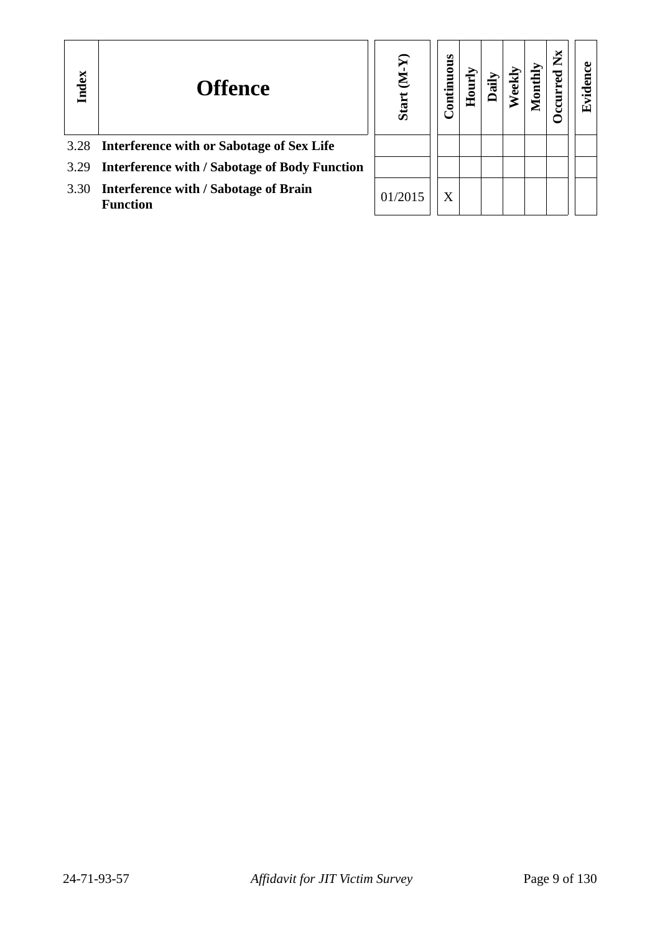| Index | <b>Offence</b>                                                  | ନ<br>Σ<br><b>Start</b> | ontinuous |  |  | ž |  |
|-------|-----------------------------------------------------------------|------------------------|-----------|--|--|---|--|
|       | 3.28 Interference with or Sabotage of Sex Life                  |                        |           |  |  |   |  |
|       | 3.29 Interference with / Sabotage of Body Function              |                        |           |  |  |   |  |
| 3.30  | <b>Interference with / Sabotage of Brain</b><br><b>Function</b> | 01/2015                | X         |  |  |   |  |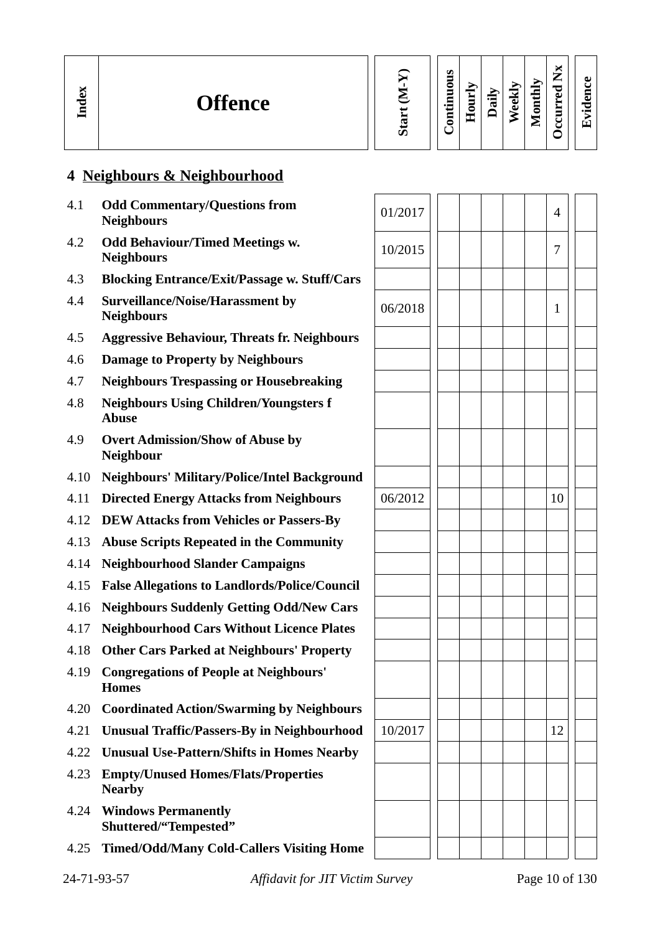| к.<br>ω<br><b>Offence</b><br>╼<br>ę | m<br>۰,<br>-<br>∼<br>_<br>Ξ<br>∼<br>0<br><u>та</u><br>5<br>$\overline{\mathbf{v}}$<br>O)<br>≻<br>⋍<br>$\mathbf{r}$<br>੶ਫ਼<br>5<br>نه<br>$\cdot$ $-$<br>ω<br>c<br>0<br>−<br>=<br>-<br>ā<br>ᅩ<br>_<br>ທ |
|-------------------------------------|-------------------------------------------------------------------------------------------------------------------------------------------------------------------------------------------------------|
|-------------------------------------|-------------------------------------------------------------------------------------------------------------------------------------------------------------------------------------------------------|

## **4 Neighbours & Neighbourhood**

| 4.1  | <b>Odd Commentary/Questions from</b><br><b>Neighbours</b>     | 01/2017 |  | $\overline{\mathcal{A}}$ |
|------|---------------------------------------------------------------|---------|--|--------------------------|
| 4.2  | <b>Odd Behaviour/Timed Meetings w.</b><br><b>Neighbours</b>   | 10/2015 |  | 7                        |
| 4.3  | <b>Blocking Entrance/Exit/Passage w. Stuff/Cars</b>           |         |  |                          |
| 4.4  | Surveillance/Noise/Harassment by<br><b>Neighbours</b>         | 06/2018 |  | 1                        |
| 4.5  | <b>Aggressive Behaviour, Threats fr. Neighbours</b>           |         |  |                          |
| 4.6  | <b>Damage to Property by Neighbours</b>                       |         |  |                          |
| 4.7  | <b>Neighbours Trespassing or Housebreaking</b>                |         |  |                          |
| 4.8  | <b>Neighbours Using Children/Youngsters f</b><br><b>Abuse</b> |         |  |                          |
| 4.9  | <b>Overt Admission/Show of Abuse by</b><br><b>Neighbour</b>   |         |  |                          |
| 4.10 | <b>Neighbours' Military/Police/Intel Background</b>           |         |  |                          |
| 4.11 | <b>Directed Energy Attacks from Neighbours</b>                | 06/2012 |  | 10                       |
| 4.12 | <b>DEW Attacks from Vehicles or Passers-By</b>                |         |  |                          |
| 4.13 | <b>Abuse Scripts Repeated in the Community</b>                |         |  |                          |
| 4.14 | <b>Neighbourhood Slander Campaigns</b>                        |         |  |                          |
| 4.15 | <b>False Allegations to Landlords/Police/Council</b>          |         |  |                          |
| 4.16 | <b>Neighbours Suddenly Getting Odd/New Cars</b>               |         |  |                          |
| 4.17 | <b>Neighbourhood Cars Without Licence Plates</b>              |         |  |                          |
| 4.18 | <b>Other Cars Parked at Neighbours' Property</b>              |         |  |                          |
| 4.19 | <b>Congregations of People at Neighbours'</b><br><b>Homes</b> |         |  |                          |
| 4.20 | <b>Coordinated Action/Swarming by Neighbours</b>              |         |  |                          |
| 4.21 | <b>Unusual Traffic/Passers-By in Neighbourhood</b>            | 10/2017 |  | 12                       |
| 4.22 | <b>Unusual Use-Pattern/Shifts in Homes Nearby</b>             |         |  |                          |
| 4.23 | <b>Empty/Unused Homes/Flats/Properties</b><br><b>Nearby</b>   |         |  |                          |
| 4.24 | <b>Windows Permanently</b><br>Shuttered/"Tempested"           |         |  |                          |
| 4.25 | <b>Timed/Odd/Many Cold-Callers Visiting Home</b>              |         |  |                          |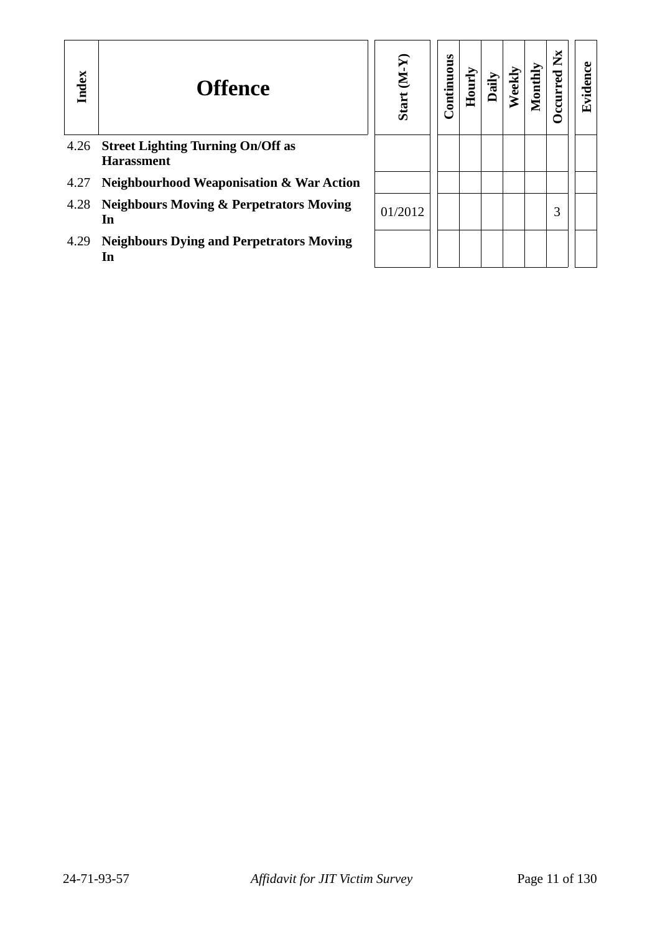| Index | <b>Offence</b>                                                | $(N-N)$<br><b>Start</b> | Continuous | Hourly | Dail | $_{\rm eekl}$ | 10nth | $\mathbf{X}$<br>c<br>ccurr | ں<br>viden<br>ш |
|-------|---------------------------------------------------------------|-------------------------|------------|--------|------|---------------|-------|----------------------------|-----------------|
| 4.26  | <b>Street Lighting Turning On/Off as</b><br><b>Harassment</b> |                         |            |        |      |               |       |                            |                 |
| 4.27  | <b>Neighbourhood Weaponisation &amp; War Action</b>           |                         |            |        |      |               |       |                            |                 |
| 4.28  | <b>Neighbours Moving &amp; Perpetrators Moving</b><br>In      | 01/2012                 |            |        |      |               |       | З                          |                 |
| 4.29  | <b>Neighbours Dying and Perpetrators Moving</b><br>In         |                         |            |        |      |               |       |                            |                 |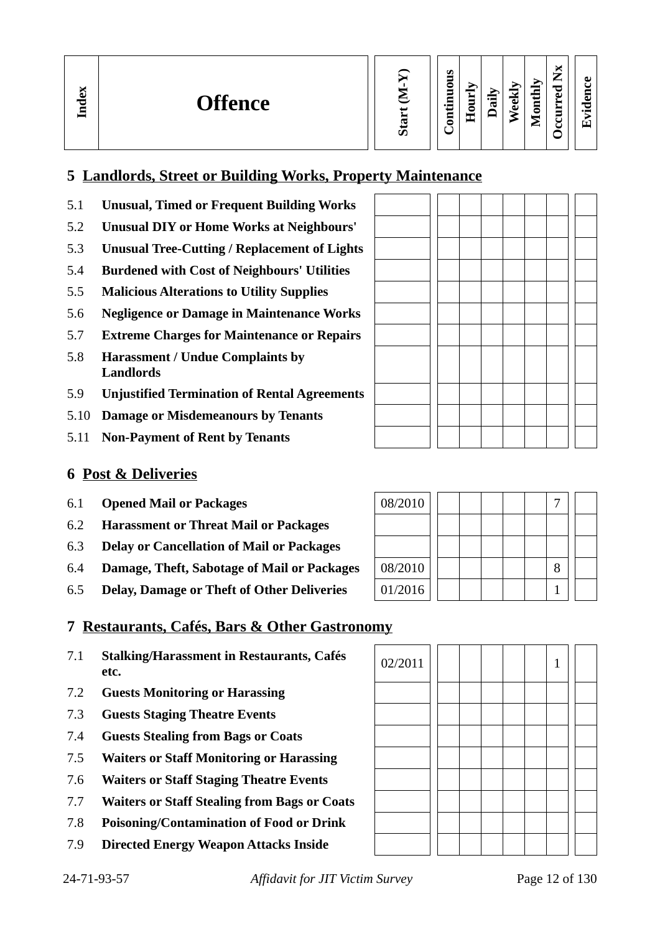#### **5 Landlords, Street or Building Works, Property Maintenance**

- 5.1 **Unusual, Timed or Frequent Building Works**
- 5.2 **Unusual DIY or Home Works at Neighbours'**
- 5.3 **Unusual Tree-Cutting / Replacement of Lights**
- 5.4 **Burdened with Cost of Neighbours' Utilities**
- 5.5 **Malicious Alterations to Utility Supplies**
- 5.6 **Negligence or Damage in Maintenance Works**
- 5.7 **Extreme Charges for Maintenance or Repairs**
- 5.8 **Harassment / Undue Complaints by Landlords**
- 5.9 **Unjustified Termination of Rental Agreements**
- 5.10 **Damage or Misdemeanours by Tenants**
- 5.11 **Non-Payment of Rent by Tenants**

#### **6 Post & Deliveries**

**In dex**

- 6.1 **Opened Mail or Packages**
- 6.2 **Harassment or Threat Mail or Packages**
- 6.3 **Delay or Cancellation of Mail or Packages**
- 6.4 **Damage, Theft, Sabotage of Mail or Packages**
- 6.5 **Delay, Damage or Theft of Other Deliveries**

## **7 Restaurants, Cafés, Bars & Other Gastronomy**

- 7.1 **Stalking/Harassment in Restaurants, Cafés etc.**
- 7.2 **Guests Monitoring or Harassing**
- 7.3 **Guests Staging Theatre Events**
- 7.4 **Guests Stealing from Bags or Coats**
- 7.5 **Waiters or Staff Monitoring or Harassing**
- 7.6 **Waiters or Staff Staging Theatre Events**
- 7.7 **Waiters or Staff Stealing from Bags or Coats**
- 7.8 **Poisoning/Contamination of Food or Drink**
- 7.9 **Directed Energy Weapon Attacks Inside**

**Occurred**

**Evid ence**

**Nx**

| 08/2010 |  |  |   |  |
|---------|--|--|---|--|
|         |  |  |   |  |
|         |  |  |   |  |
| 08/2010 |  |  | 8 |  |
| 01/2016 |  |  |   |  |

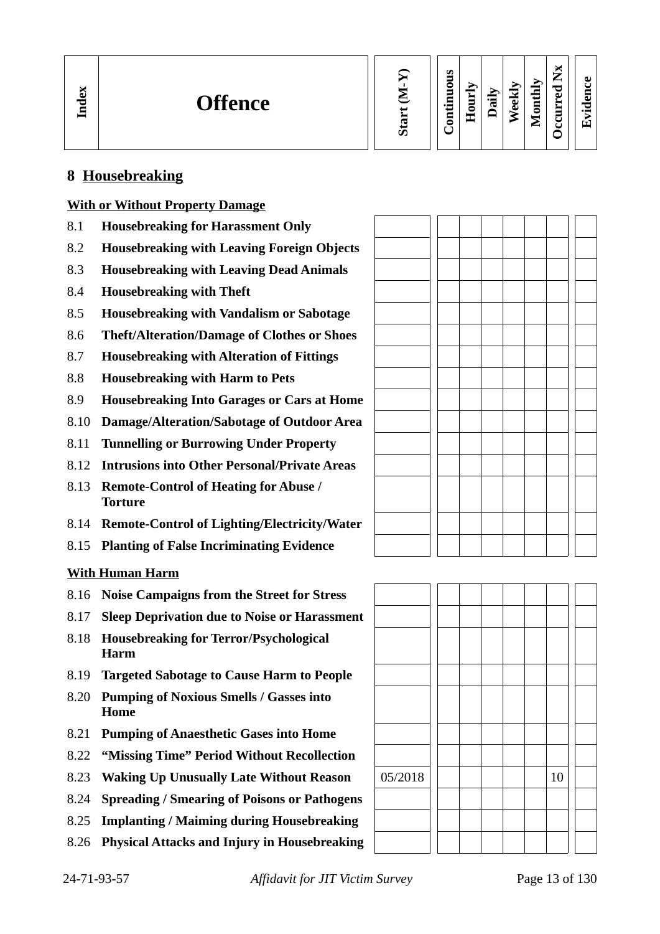| Index | <b>Offence</b> |  | s<br>0<br>0 | -<br>$\blacksquare$<br>-<br>−<br>— | ⊶<br>œ | نه<br>ω | Ξ<br>٥<br>∼ | ∼<br>−<br>⊷<br>P<br>ω<br>_ | മ<br>α.<br>P<br>$\bullet$ $\blacksquare$<br>Гт, |  |
|-------|----------------|--|-------------|------------------------------------|--------|---------|-------------|----------------------------|-------------------------------------------------|--|
|-------|----------------|--|-------------|------------------------------------|--------|---------|-------------|----------------------------|-------------------------------------------------|--|

#### **8 Housebreaking**

#### **With or Without Property Damage**

- 8.1 **Housebreaking for Harassment Only**
- 8.2 **Housebreaking with Leaving Foreign Objects**
- 8.3 **Housebreaking with Leaving Dead Animals**
- 8.4 **Housebreaking with Theft**
- 8.5 **Housebreaking with Vandalism or Sabotage**
- 8.6 **Theft/Alteration/Damage of Clothes or Shoes**
- 8.7 **Housebreaking with Alteration of Fittings**
- 8.8 **Housebreaking with Harm to Pets**
- 8.9 **Housebreaking Into Garages or Cars at Home**
- 8.10 **Damage/Alteration/Sabotage of Outdoor Area**
- 8.11 **Tunnelling or Burrowing Under Property**
- 8.12 **Intrusions into Other Personal/Private Areas**
- 8.13 **Remote-Control of Heating for Abuse / Torture**
- 8.14 **Remote-Control of Lighting/Electricity/Water**
- 8.15 **Planting of False Incriminating Evidence**

#### **With Human Harm**

- 8.16 **Noise Campaigns from the Street for Stress**
- 8.17 **Sleep Deprivation due to Noise or Harassment**
- 8.18 **Housebreaking for Terror/Psychological Harm**
- 8.19 **Targeted Sabotage to Cause Harm to People**
- 8.20 **Pumping of Noxious Smells / Gasses into Home**
- 8.21 **Pumping of Anaesthetic Gases into Home**
- 8.22 **"Missing Time" Period Without Recollection**
- 8.23 **Waking Up Unusually Late Without Reason** | 05/2018 | | | | | | | | | 10
- 8.24 **Spreading / Smearing of Poisons or Pathogens**
- 8.25 **Implanting / Maiming during Housebreaking**
- 8.26 **Physical Attacks and Injury in Housebreaking**

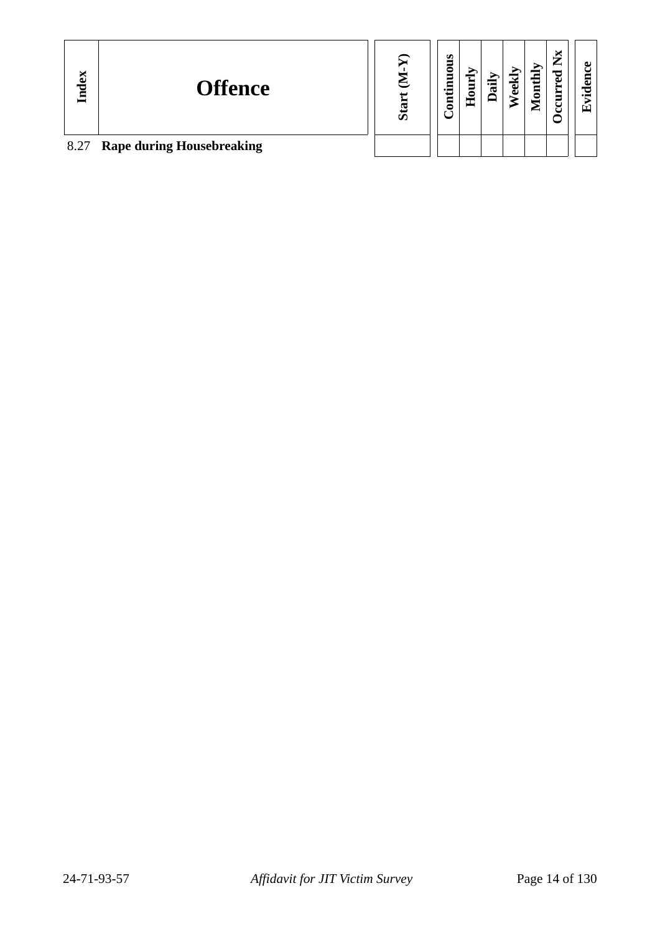| Index | <b>Offence</b>                   | ഗ | s<br>0<br>등 | ш | œ | မြ | ≻<br>∊<br>$_{\rm out}$<br>∼ | ×<br>۰,<br>ىە<br>ٮ | ച<br>6<br>$\bullet$ $\blacksquare$<br>Fт |  |
|-------|----------------------------------|---|-------------|---|---|----|-----------------------------|--------------------|------------------------------------------|--|
| 8.27  | <b>Rape during Housebreaking</b> |   |             |   |   |    |                             |                    |                                          |  |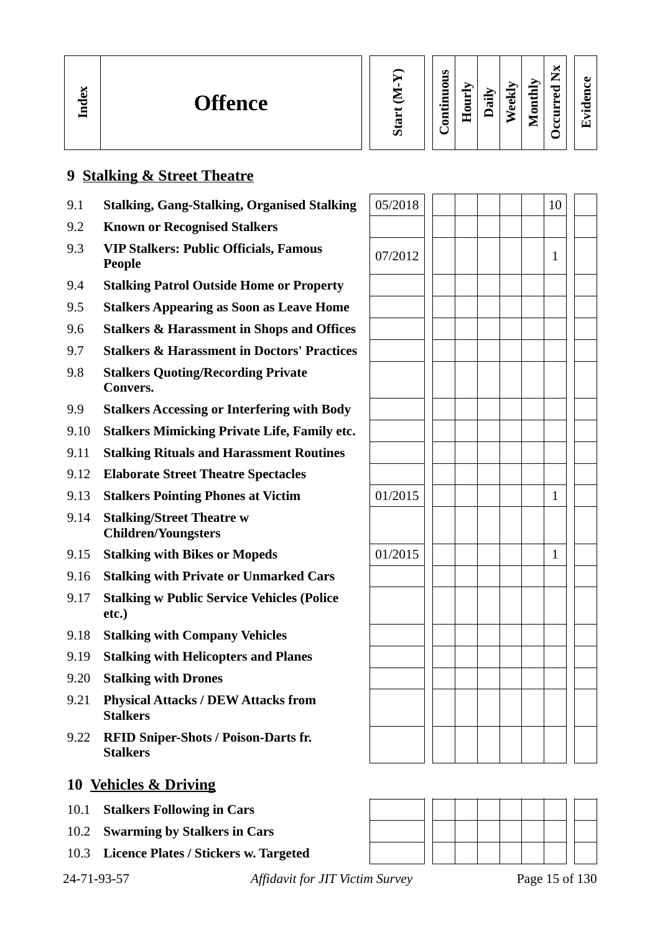| ×<br>௳<br>− | <b>Offence</b> |  | ω | ဖာ<br>õ<br>Ξ<br>Ξ<br>$\cdot$ $-$<br>$\overline{\mathbf{s}}$ | ÷<br>Ξ<br>ē<br>重 | ∽<br>⊶<br>τ | نه<br>ىق | 콤<br>۳<br>▀<br>c<br>⋍ | ×<br>—<br>⊷<br>P<br>്<br>−<br>− | А.<br>$\bullet$ $\blacksquare$ |  |
|-------------|----------------|--|---|-------------------------------------------------------------|------------------|-------------|----------|-----------------------|---------------------------------|--------------------------------|--|
|-------------|----------------|--|---|-------------------------------------------------------------|------------------|-------------|----------|-----------------------|---------------------------------|--------------------------------|--|

#### **9 Stalking & Street Theatre**

- 9.1 **Stalking, Gang-Stalking, Organised Stalking**
- 9.2 **Known or Recognised Stalkers**
- 9.3 **VIP Stalkers: Public Officials, Famous People** 1 **People** 1 **People** 1 **People** 1 **People** 1 **People** 1 **People** 1 **People** 1 **People** 1 **People** 1 **People** 1 **People** 1 **People** 1 **People** 1 **People** 1 **People** 1 **People** 1 **People** 1 **People** 1 **People** 1 **P**
- 9.4 **Stalking Patrol Outside Home or Property**
- 9.5 **Stalkers Appearing as Soon as Leave Home**
- 9.6 **Stalkers & Harassment in Shops and Offices**
- 9.7 **Stalkers & Harassment in Doctors' Practices**
- 9.8 **Stalkers Quoting/Recording Private Convers.**
- 9.9 **Stalkers Accessing or Interfering with Body**
- 9.10 **Stalkers Mimicking Private Life, Family etc.**
- 9.11 **Stalking Rituals and Harassment Routines**
- 9.12 **Elaborate Street Theatre Spectacles**
- **9.13 Stalkers Pointing Phones at Victim**
- 9.14 **Stalking/Street Theatre w Children/Youngsters**
- 9.15 **Stalking with Bikes or Mopeds**
- 9.16 **Stalking with Private or Unmarked Cars**
- 9.17 **Stalking w Public Service Vehicles (Police etc.)**
- 9.18 **Stalking with Company Vehicles**
- 9.19 **Stalking with Helicopters and Planes**
- 9.20 **Stalking with Drones**
- 9.21 **Physical Attacks / DEW Attacks from Stalkers**
- 9.22 **RFID Sniper-Shots / Poison-Darts fr. Stalkers**

- 10.1 **Stalkers Following in Cars**
- 10.2 **Swarming by Stalkers in Cars**
- 10.3 **Licence Plates / Stickers w. Targeted**

| 05/2018 |  |  | 10           |  |
|---------|--|--|--------------|--|
|         |  |  |              |  |
| 07/2012 |  |  | $\mathbf{1}$ |  |
|         |  |  |              |  |
|         |  |  |              |  |
|         |  |  |              |  |
|         |  |  |              |  |
|         |  |  |              |  |
|         |  |  |              |  |
|         |  |  |              |  |
|         |  |  |              |  |
|         |  |  |              |  |
| 01/2015 |  |  | $\mathbf{1}$ |  |
|         |  |  |              |  |
| 01/2015 |  |  | $\mathbf{1}$ |  |
|         |  |  |              |  |
|         |  |  |              |  |
|         |  |  |              |  |
|         |  |  |              |  |
|         |  |  |              |  |
|         |  |  |              |  |
|         |  |  |              |  |



24-71-93-57 *Affidavit for JIT Victim Survey* Page 15 of 130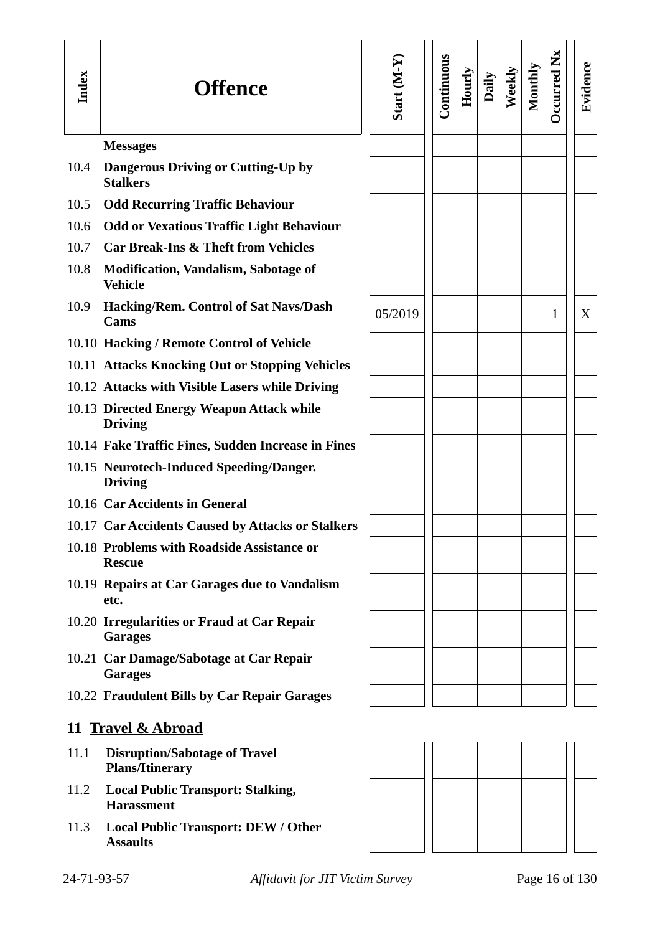| Index | <b>Offence</b>                                                 | Start (M-Y) | Continuous | Hourly | Daily | Weekly | Monthly | <b>Decurred Nx</b> | Evidence |
|-------|----------------------------------------------------------------|-------------|------------|--------|-------|--------|---------|--------------------|----------|
|       | <b>Messages</b>                                                |             |            |        |       |        |         |                    |          |
| 10.4  | <b>Dangerous Driving or Cutting-Up by</b><br><b>Stalkers</b>   |             |            |        |       |        |         |                    |          |
| 10.5  | <b>Odd Recurring Traffic Behaviour</b>                         |             |            |        |       |        |         |                    |          |
| 10.6  | <b>Odd or Vexatious Traffic Light Behaviour</b>                |             |            |        |       |        |         |                    |          |
| 10.7  | <b>Car Break-Ins &amp; Theft from Vehicles</b>                 |             |            |        |       |        |         |                    |          |
| 10.8  | <b>Modification, Vandalism, Sabotage of</b><br><b>Vehicle</b>  |             |            |        |       |        |         |                    |          |
| 10.9  | <b>Hacking/Rem. Control of Sat Navs/Dash</b><br>Cams           | 05/2019     |            |        |       |        |         | 1                  | X        |
|       | 10.10 Hacking / Remote Control of Vehicle                      |             |            |        |       |        |         |                    |          |
|       | 10.11 Attacks Knocking Out or Stopping Vehicles                |             |            |        |       |        |         |                    |          |
|       | 10.12 Attacks with Visible Lasers while Driving                |             |            |        |       |        |         |                    |          |
|       | 10.13 Directed Energy Weapon Attack while<br><b>Driving</b>    |             |            |        |       |        |         |                    |          |
|       | 10.14 Fake Traffic Fines, Sudden Increase in Fines             |             |            |        |       |        |         |                    |          |
|       | 10.15 Neurotech-Induced Speeding/Danger.<br><b>Driving</b>     |             |            |        |       |        |         |                    |          |
|       | 10.16 Car Accidents in General                                 |             |            |        |       |        |         |                    |          |
|       | 10.17 Car Accidents Caused by Attacks or Stalkers              |             |            |        |       |        |         |                    |          |
|       | 10.18 Problems with Roadside Assistance or<br><b>Rescue</b>    |             |            |        |       |        |         |                    |          |
|       | 10.19 Repairs at Car Garages due to Vandalism<br>etc.          |             |            |        |       |        |         |                    |          |
|       | 10.20 Irregularities or Fraud at Car Repair<br><b>Garages</b>  |             |            |        |       |        |         |                    |          |
|       | 10.21 Car Damage/Sabotage at Car Repair<br><b>Garages</b>      |             |            |        |       |        |         |                    |          |
|       | 10.22 Fraudulent Bills by Car Repair Garages                   |             |            |        |       |        |         |                    |          |
|       | 11 Travel & Abroad                                             |             |            |        |       |        |         |                    |          |
| 11.1  | <b>Disruption/Sabotage of Travel</b><br><b>Plans/Itinerary</b> |             |            |        |       |        |         |                    |          |
| 11.2  | <b>Local Public Transport: Stalking,</b><br><b>Harassment</b>  |             |            |        |       |        |         |                    |          |
| 11.3  | <b>Local Public Transport: DEW / Other</b><br><b>Assaults</b>  |             |            |        |       |        |         |                    |          |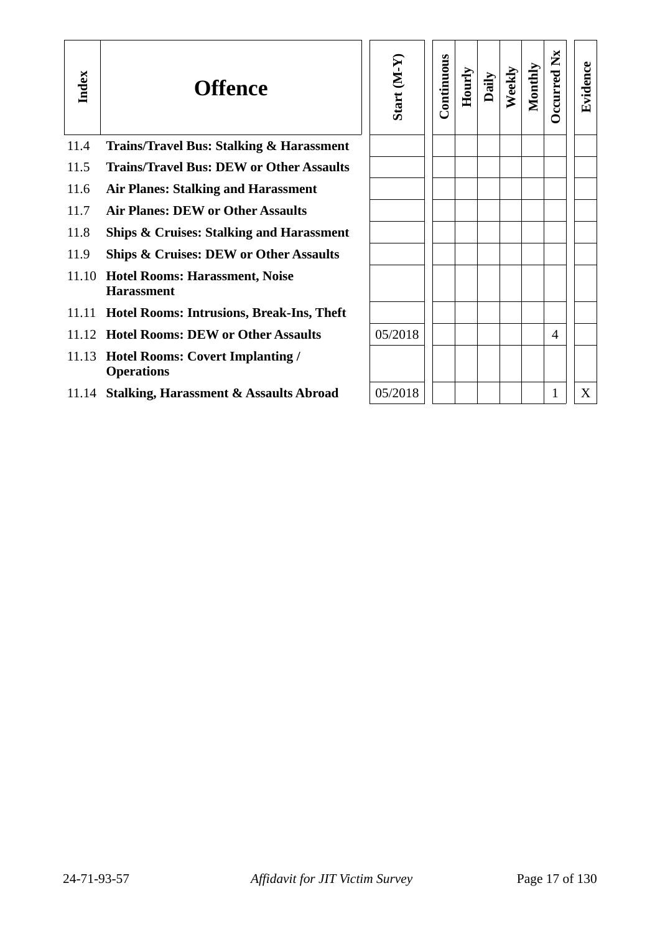| Index | <b>Offence</b>                                              | Start (M-Y | Continuous | Hourly | Daily | Weekly | Monthly | $\mathbf{X}$<br><b>D</b> ccurred | Evidence |
|-------|-------------------------------------------------------------|------------|------------|--------|-------|--------|---------|----------------------------------|----------|
| 11.4  | <b>Trains/Travel Bus: Stalking &amp; Harassment</b>         |            |            |        |       |        |         |                                  |          |
| 11.5  | <b>Trains/Travel Bus: DEW or Other Assaults</b>             |            |            |        |       |        |         |                                  |          |
| 11.6  | <b>Air Planes: Stalking and Harassment</b>                  |            |            |        |       |        |         |                                  |          |
| 11.7  | <b>Air Planes: DEW or Other Assaults</b>                    |            |            |        |       |        |         |                                  |          |
| 11.8  | <b>Ships &amp; Cruises: Stalking and Harassment</b>         |            |            |        |       |        |         |                                  |          |
| 11.9  | <b>Ships &amp; Cruises: DEW or Other Assaults</b>           |            |            |        |       |        |         |                                  |          |
| 11.10 | <b>Hotel Rooms: Harassment, Noise</b><br><b>Harassment</b>  |            |            |        |       |        |         |                                  |          |
|       | 11.11 Hotel Rooms: Intrusions, Break-Ins, Theft             |            |            |        |       |        |         |                                  |          |
|       | 11.12 Hotel Rooms: DEW or Other Assaults                    | 05/2018    |            |        |       |        |         | 4                                |          |
|       | 11.13 Hotel Rooms: Covert Implanting /<br><b>Operations</b> |            |            |        |       |        |         |                                  |          |
|       | 11.14 Stalking, Harassment & Assaults Abroad                | 05/2018    |            |        |       |        |         | 1                                | X        |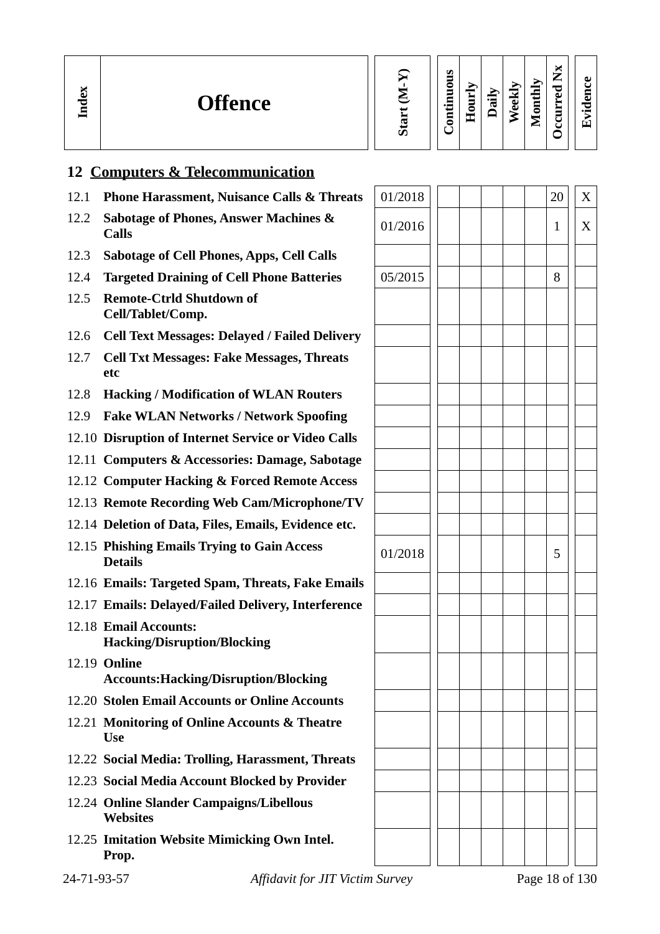| ă<br><b>Offence</b><br>≂<br>ᆯ | U. | Ø<br> | ⇁<br>Ē<br>— | ੌਰ | ළ | МL<br>┍<br>-<br>c<br>∼ | ×<br>–<br>P<br>ച<br>≻<br>$\overline{\phantom{0}}$ | w<br>a<br>᠊ᡄ<br>$\bullet$ $\blacksquare$<br>Гт` |
|-------------------------------|----|-------|-------------|----|---|------------------------|---------------------------------------------------|-------------------------------------------------|
|-------------------------------|----|-------|-------------|----|---|------------------------|---------------------------------------------------|-------------------------------------------------|

## 12.1 **Phone Harassment, Nuisance Calls & Threats**  $\begin{bmatrix} 01/2018 \end{bmatrix}$  | | | | 20 || X 12.2 **Sabotage of Phones, Answer Machines & Calls** 01/2016 <sup>1</sup> <sup>X</sup> 12.3 **Sabotage of Cell Phones, Apps, Cell Calls** 12.4 **Targeted Draining of Cell Phone Batteries**  $\begin{array}{|c|c|c|c|c|c|c|c|} \hline 05/2015 & 1 & 1 & 8 \ \hline \end{array}$ 12.5 **Remote-Ctrld Shutdown of Cell/Tablet/Comp.** 12.6 **Cell Text Messages: Delayed / Failed Delivery** 12.7 **Cell Txt Messages: Fake Messages, Threats etc** 12.8 **Hacking / Modification of WLAN Routers** 12.9 **Fake WLAN Networks / Network Spoofing** 12.10 **Disruption of Internet Service or Video Calls** 12.11 **Computers & Accessories: Damage, Sabotage** 12.12 **Computer Hacking & Forced Remote Access** 12.13 **Remote Recording Web Cam/Microphone/TV** 12.14 **Deletion of Data, Files, Emails, Evidence etc.** 12.15 **Phishing Emails Trying to Gain**

**12 Computers & Telecommunication** 

- 12.16 **Emails: Targeted Spam, Threats**
- 12.17 **Emails: Delayed/Failed Delivery**
- 12.18 **Email Accounts: Hacking/Disruption/Blocking**
- 12.19 **Online Accounts: Hacking/Disruption/B**
- **12.20 Stolen Email Accounts or Onlin**
- **12.21 Monitoring of Online Accounts Use**
- 12.22 **Social Media: Trolling, Harassn**
- 12.23 **Social Media Account Blocked by**
- 12.24 Online Slander Campaigns/Libe **Websites**
- 12.25 **Imitation Website Mimicking O Prop.**

|             | 12.15 Phishing Emails Trying to Gain Access<br><b>Details</b>       | 01/2018 |  |  | 5 |                |
|-------------|---------------------------------------------------------------------|---------|--|--|---|----------------|
|             | 12.16 Emails: Targeted Spam, Threats, Fake Emails                   |         |  |  |   |                |
|             | 12.17 Emails: Delayed/Failed Delivery, Interference                 |         |  |  |   |                |
|             | 12.18 Email Accounts:<br><b>Hacking/Disruption/Blocking</b>         |         |  |  |   |                |
|             | 12.19 <b>Online</b><br><b>Accounts: Hacking/Disruption/Blocking</b> |         |  |  |   |                |
|             | 12.20 Stolen Email Accounts or Online Accounts                      |         |  |  |   |                |
|             | 12.21 Monitoring of Online Accounts & Theatre<br><b>Use</b>         |         |  |  |   |                |
|             | 12.22 Social Media: Trolling, Harassment, Threats                   |         |  |  |   |                |
|             | 12.23 Social Media Account Blocked by Provider                      |         |  |  |   |                |
|             | 12.24 Online Slander Campaigns/Libellous<br><b>Websites</b>         |         |  |  |   |                |
|             | 12.25 Imitation Website Mimicking Own Intel.<br>Prop.               |         |  |  |   |                |
| 24-71-93-57 | <b>Affidavit for JIT Victim Survey</b>                              |         |  |  |   | Page 18 of 130 |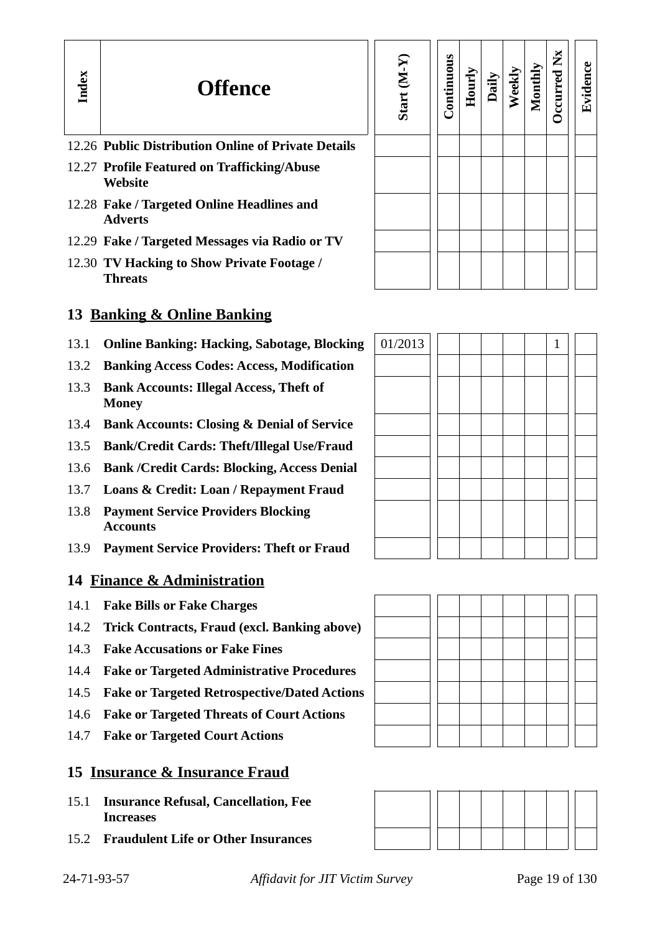## **Offence**

- 12.26 **Public Distribution Online of Private Details**
- 12.27 **Profile Featured on Trafficking/Abuse Website**

**In dex**

- 12.28 **Fake / Targeted Online Headlines and Adverts**
- 12.29 **Fake / Targeted Messages via Radio or TV**
- 12.30 **TV Hacking to Show Private Footage / Threats**

## **13 Banking & Online Banking**

- 13.1 **Online Banking: Hacking, Sabotage, Blocking**
- 13.2 **Banking Access Codes: Access, Modification**
- 13.3 **Bank Accounts: Illegal Access, Theft of Money**
- 13.4 **Bank Accounts: Closing & Denial of Service**
- 13.5 **Bank/Credit Cards: Theft/Illegal Use/Fraud**
- 13.6 **Bank /Credit Cards: Blocking, Access Denial**
- 13.7 **Loans & Credit: Loan / Repayment Fraud**
- 13.8 **Payment Service Providers Blocking Accounts**
- 13.9 **Payment Service Providers: Theft or Fraud**

#### **14 Finance & Administration**

- 14.1 **Fake Bills or Fake Charges**
- 14.2 **Trick Contracts, Fraud (excl. Banking above)**
- 14.3 **Fake Accusations or Fake Fines**
- 14.4 **Fake or Targeted Administrative Procedures**
- 14.5 **Fake or Targeted Retrospective/Dated Actions**
- 14.6 **Fake or Targeted Threats of Court Actions**
- 14.7 **Fake or Targeted Court Actions**

#### **15 Insurance & Insurance Fraud**

- 15.1 **Insurance Refusal, Cancellation, Fee Increases**
- 15.2 **Fraudulent Life or Other Insurances**

| Start (M-Y) | Continuous | Hourly | Daily | Weekly | Monthly | Occurred Nx | Evidence |
|-------------|------------|--------|-------|--------|---------|-------------|----------|
|             |            |        |       |        |         |             |          |
|             |            |        |       |        |         |             |          |
|             |            |        |       |        |         |             |          |
|             |            |        |       |        |         |             |          |
|             |            |        |       |        |         |             |          |

| 01/2013 |  |  |  | $\mathbf{1}$ |  |
|---------|--|--|--|--------------|--|
|         |  |  |  |              |  |
|         |  |  |  |              |  |
|         |  |  |  |              |  |
|         |  |  |  |              |  |
|         |  |  |  |              |  |
|         |  |  |  |              |  |
|         |  |  |  |              |  |
|         |  |  |  |              |  |



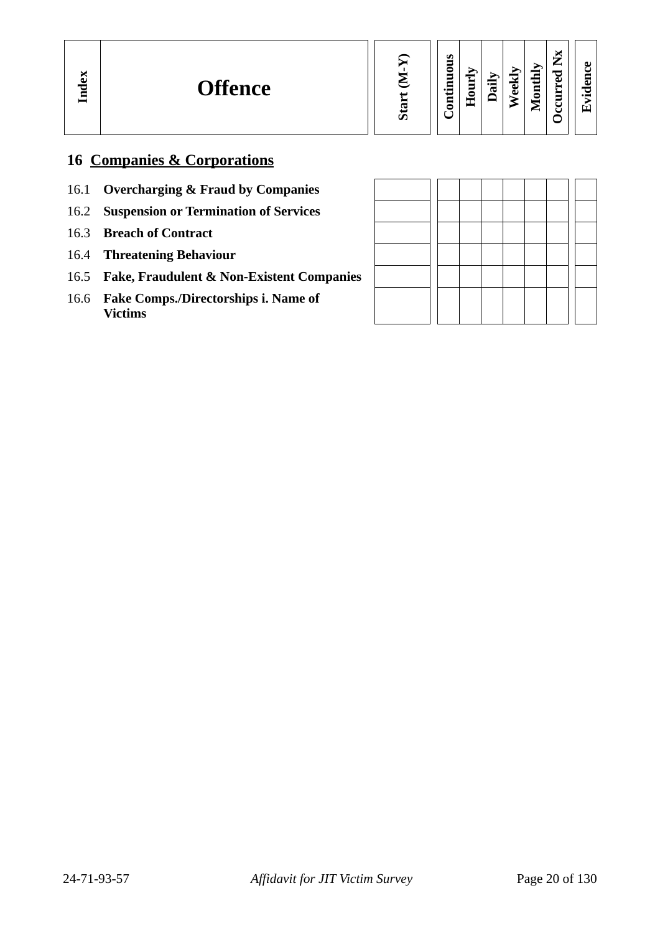| Start (M-Y)<br>Continuous<br>Hourly | Weekly<br>Daily | <b>Dccurred Nx</b><br>Monthly |  |
|-------------------------------------|-----------------|-------------------------------|--|
|-------------------------------------|-----------------|-------------------------------|--|

**Evid ence**

## **16 Companies & Corporations**

- 16.1 **Overcharging & Fraud by Companies**
- 16.2 **Suspension or Termination of Services**
- 16.3 **Breach of Contract**
- 16.4 **Threatening Behaviour**
- 16.5 **Fake, Fraudulent & Non-Existent Companies**
- 16.6 **Fake Comps./Directorships i. Name of Victims**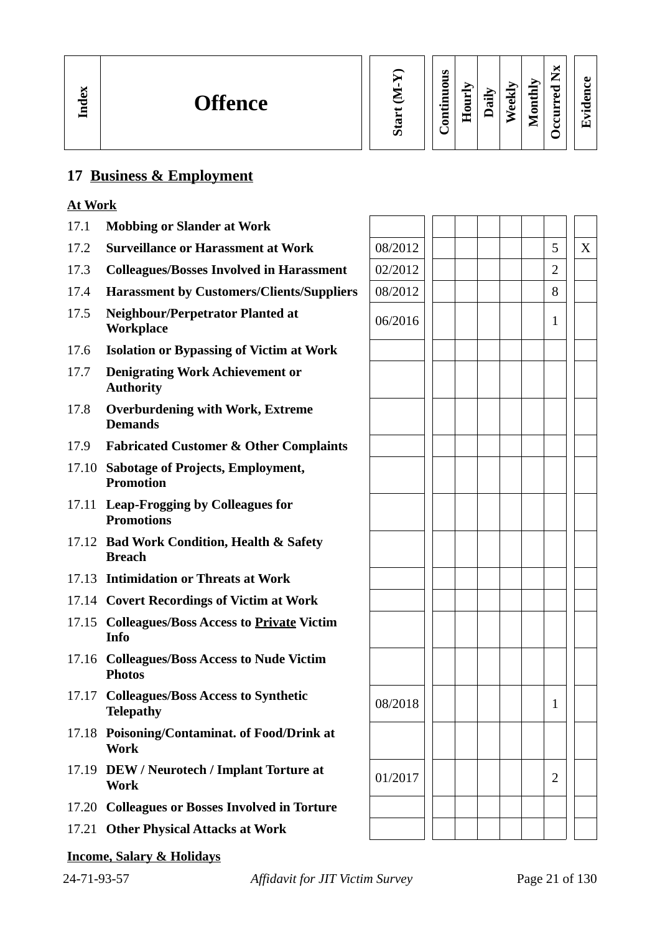#### **17 Business & Employment**

#### **At Work**

- 17.1 **Mobbing or Slander at Work**
- 17.2 **Surveillance or Harassment at Work** 08/2012 5 X
- 17.3 **Colleagues/Bosses Involved in Harassment** 02/2012 2
- 17.4 **Harassment by Customers/Clients/Suppliers**  $\begin{array}{|c|c|c|c|c|c|} \hline 1 & 1 & 8 \ \hline \end{array}$
- 17.5 **Neighbour/Perpetrator Planted at Workplace** 06/2016 <sup>1</sup>
- 17.6 **Isolation or Bypassing of Victim at Work**
- 17.7 **Denigrating Work Achievement or Authority**
- 17.8 **Overburdening with Work, Extreme Demands**
- 17.9 **Fabricated Customer & Other Complaints**
- 17.10 **Sabotage of Projects, Employment, Promotion**
- 17.11 **Leap-Frogging by Colleagues for Promotions**
- 17.12 **Bad Work Condition, Health & Safety Breach**
- 17.13 **Intimidation or Threats at Work**
- 17.14 **Covert Recordings of Victim at Work**
- 17.15 **Colleagues/Boss Access to Private Victim Info**
- 17.16 **Colleagues/Boss Access to Nude Victim Photos**
- 17.17 **Colleagues/Boss Access to Synthetic Telepathy** 1 **Telepathy** 1 **1**
- 17.18 **Poisoning/Contaminat. of Food/Drink at Work**
- 17.19 **DEW / Neurotech / Implant Torture at**  $\begin{array}{|c|c|c|c|c|} \hline 01/2017 & & & 2 \ \hline \end{array}$
- 17.20 **Colleagues or Bosses Involved in Torture**
- 17.21 **Other Physical Attacks at Work**
- **Income, Salary & Holidays**

|  |  | $\mathbf{1}$   |                |  |
|--|--|----------------|----------------|--|
|  |  |                |                |  |
|  |  |                |                |  |
|  |  | $\overline{c}$ |                |  |
|  |  |                |                |  |
|  |  |                |                |  |
|  |  |                | Page 21 of 130 |  |
|  |  |                |                |  |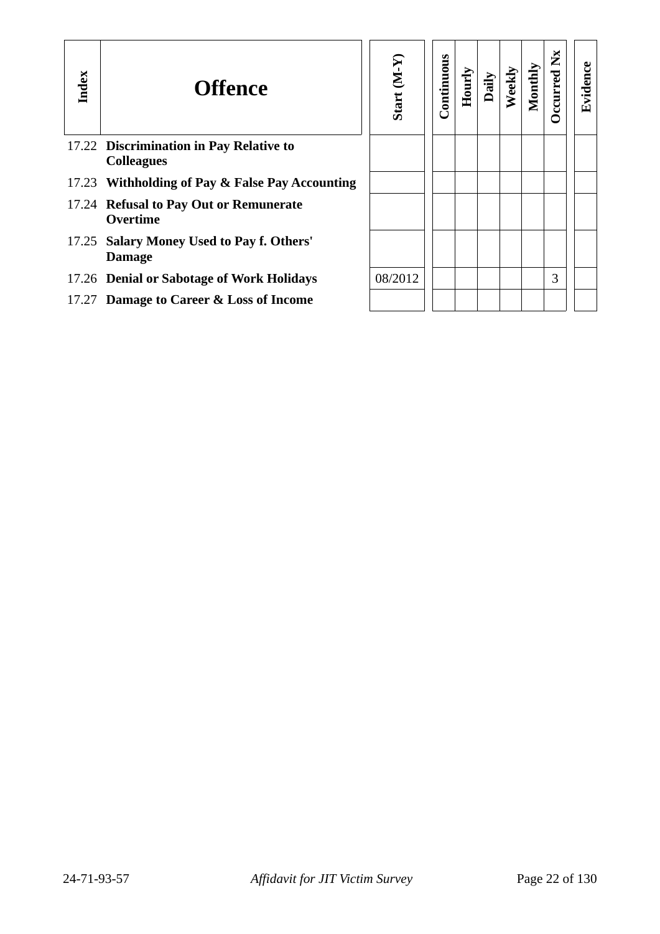| Index | <b>Offence</b>                                               | Start (M-Y) | Continuous | Hourly | Daily | Weekly | Monthl | ž<br>ccurred | Evidence |
|-------|--------------------------------------------------------------|-------------|------------|--------|-------|--------|--------|--------------|----------|
|       | 17.22 Discrimination in Pay Relative to<br><b>Colleagues</b> |             |            |        |       |        |        |              |          |
|       | 17.23 Withholding of Pay & False Pay Accounting              |             |            |        |       |        |        |              |          |
|       | 17.24 Refusal to Pay Out or Remunerate<br><b>Overtime</b>    |             |            |        |       |        |        |              |          |
| 17.25 | <b>Salary Money Used to Pay f. Others'</b><br><b>Damage</b>  |             |            |        |       |        |        |              |          |
|       | 17.26 Denial or Sabotage of Work Holidays                    | 08/2012     |            |        |       |        |        | 3            |          |
|       | 17.27 Damage to Career & Loss of Income                      |             |            |        |       |        |        |              |          |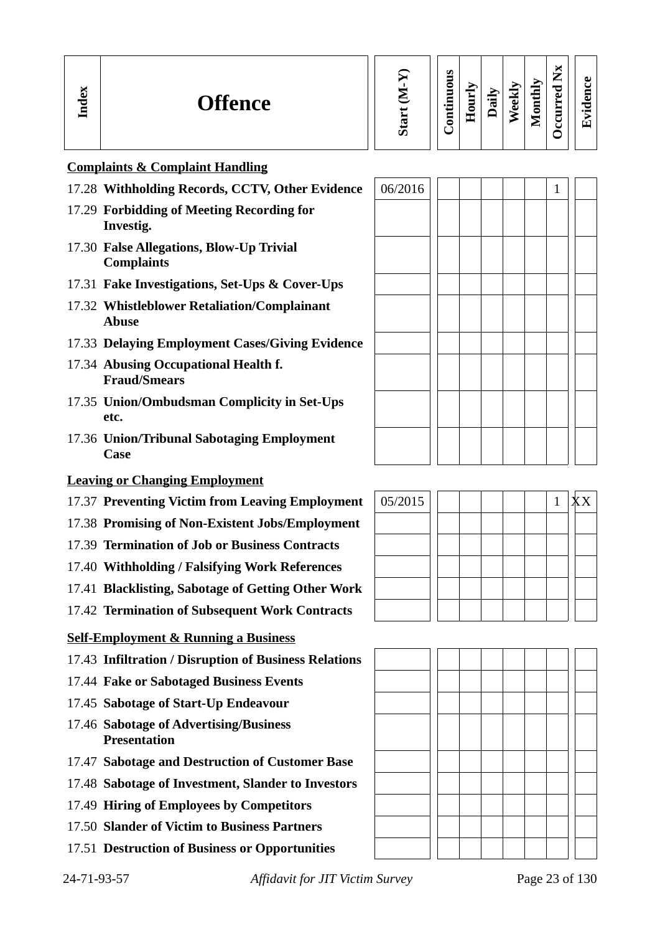| Index | <b>Offence</b>                                         | 邑<br>ဖြ | ous<br>Ξ<br>ontin | $_{\rm{Hout}}$ | äİ | $N$ eekl | Monthly | $\mathbf{X}$<br><b>D</b> ccurred | Evidence |
|-------|--------------------------------------------------------|---------|-------------------|----------------|----|----------|---------|----------------------------------|----------|
|       | <b>Complaints &amp; Complaint Handling</b>             |         |                   |                |    |          |         |                                  |          |
|       | 17.28 Withholding Records, CCTV, Other Evidence        | 06/2016 |                   |                |    |          |         | -1                               |          |
|       | 17.29 Forbidding of Meeting Recording for<br>Investig. |         |                   |                |    |          |         |                                  |          |

- 17.30 **False Allegations, Blow-Up Trivial Complaints**
- 17.31 **Fake Investigations, Set-Ups & Cover-Ups**
- 17.32 **Whistleblower Retaliation/Complainant Abuse**
- 17.33 **Delaying Employment Cases/Giving Evidence**
- 17.34 **Abusing Occupational Health f. Fraud/Smears**
- 17.35 **Union/Ombudsman Complicity in Set-Ups etc.**
- 17.36 **Union/Tribunal Sabotaging Employment Case**

#### **Leaving or Changing Employment**

- 17.37 Preventing Victim from Leaving Employment
- 17.38 **Promising of Non-Existent Jobs/Employment**
- 17.39 **Termination of Job or Business Contracts**
- 17.40 **Withholding / Falsifying Work References**
- 17.41 **Blacklisting, Sabotage of Getting Other Work**
- 17.42 **Termination of Subsequent Work Contracts**

#### **Self-Employment & Running a Business**

- 17.43 **Infiltration / Disruption of Business Relations**
- 17.44 **Fake or Sabotaged Business Events**
- 17.45 **Sabotage of Start-Up Endeavour**
- 17.46 **Sabotage of Advertising/Business Presentation**
- 17.47 **Sabotage and Destruction of Customer Base**
- 17.48 **Sabotage of Investment, Slander to Investors**
- 17.49 **Hiring of Employees by Competitors**
- 17.50 **Slander of Victim to Business Partners**
- 17.51 **Destruction of Business or Opportunities**

| 05/2015 |  |  |  | 1 | XX |  |
|---------|--|--|--|---|----|--|
|         |  |  |  |   |    |  |
|         |  |  |  |   |    |  |
|         |  |  |  |   |    |  |
|         |  |  |  |   |    |  |
|         |  |  |  |   |    |  |



24-71-93-57 *Affidavit for JIT Victim Survey* Page 23 of 130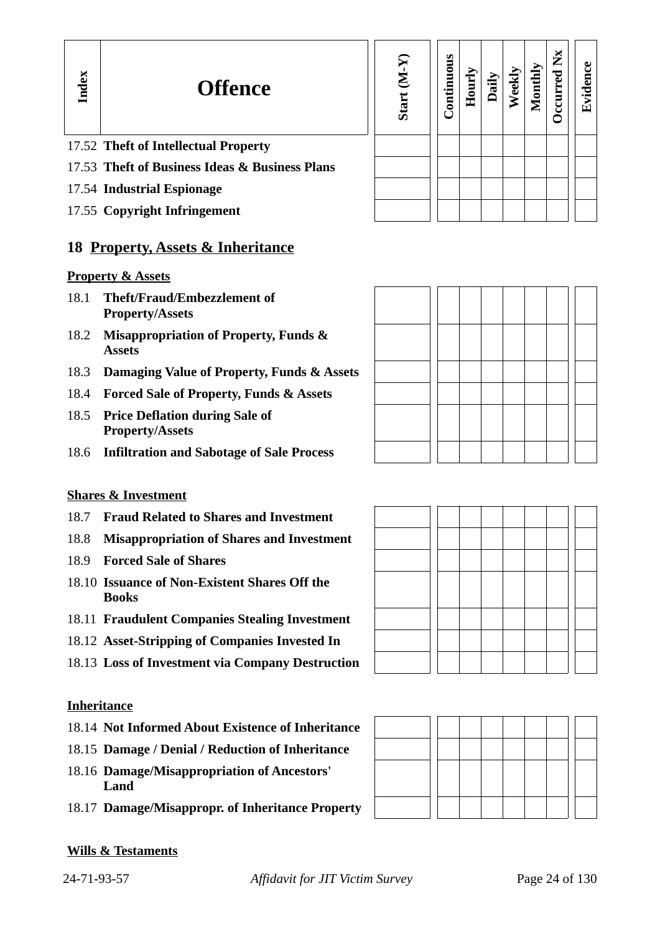#### 17.52 **Theft of Intellectual Property**

- 17.53 **Theft of Business Ideas & Business Plans**
- 17.54 **Industrial Espionage**
- 17.55 **Copyright Infringement**

#### **18 Property, Assets & Inheritance**

#### **Property & Assets**

**In dex**

- 18.1 **Theft/Fraud/Embezzlement of Property/Assets**
- 18.2 **Misappropriation of Property, Funds & Assets**
- 18.3 **Damaging Value of Property, Funds & Assets**
- 18.4 **Forced Sale of Property, Funds & Assets**
- 18.5 **Price Deflation during Sale of Property/Assets**
- 18.6 **Infiltration and Sabotage of Sale Process**

#### **Shares & Investment**

- 18.7 **Fraud Related to Shares and Investment**
- 18.8 **Misappropriation of Shares and Investment**
- 18.9 **Forced Sale of Shares**
- 18.10 **Issuance of Non-Existent Shares Off the Books**
- 18.11 **Fraudulent Companies Stealing Investment**
- 18.12 **Asset-Stripping of Companies Invested In**
- 18.13 **Loss of Investment via Company Destruction**

#### **Inheritance**

- 18.14 **Not Informed About Existence of Inheritance**
- 18.15 **Damage / Denial / Reduction of Inheritance**
- 18.16 **Damage/Misappropriation of Ancestors' Land**
- 18.17 **Damage/Misappropr. of Inheritance Property**

#### **Wills & Testaments**

| Start (M-Y) | Continuous | Hourly | Daily | Weekly | Monthly | Occurred Nx | Evidence |
|-------------|------------|--------|-------|--------|---------|-------------|----------|
|             |            |        |       |        |         |             |          |
|             |            |        |       |        |         |             |          |
|             |            |        |       |        |         |             |          |
|             |            |        |       |        |         |             |          |



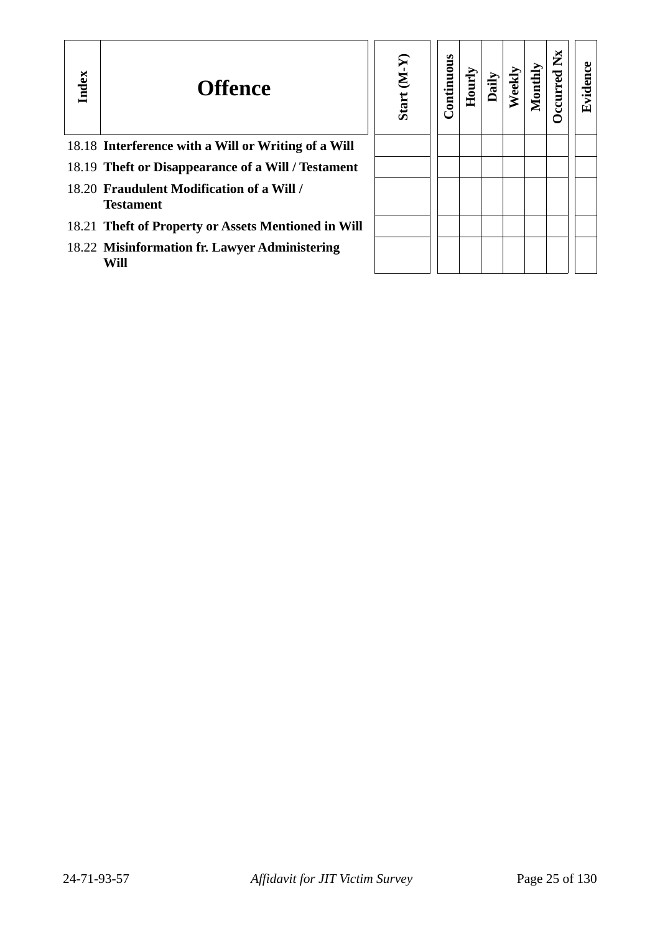| Index | <b>Offence</b>                                                | $(N-N)$<br><b>Start</b> | Continuous | Hourly | Dail | Weekl | Monthly | ž | ဗ<br>Eviden |
|-------|---------------------------------------------------------------|-------------------------|------------|--------|------|-------|---------|---|-------------|
|       | 18.18 Interference with a Will or Writing of a Will           |                         |            |        |      |       |         |   |             |
|       | 18.19 Theft or Disappearance of a Will / Testament            |                         |            |        |      |       |         |   |             |
|       | 18.20 Fraudulent Modification of a Will /<br><b>Testament</b> |                         |            |        |      |       |         |   |             |
|       | 18.21 Theft of Property or Assets Mentioned in Will           |                         |            |        |      |       |         |   |             |
|       | 18.22 Misinformation fr. Lawyer Administering<br>Will         |                         |            |        |      |       |         |   |             |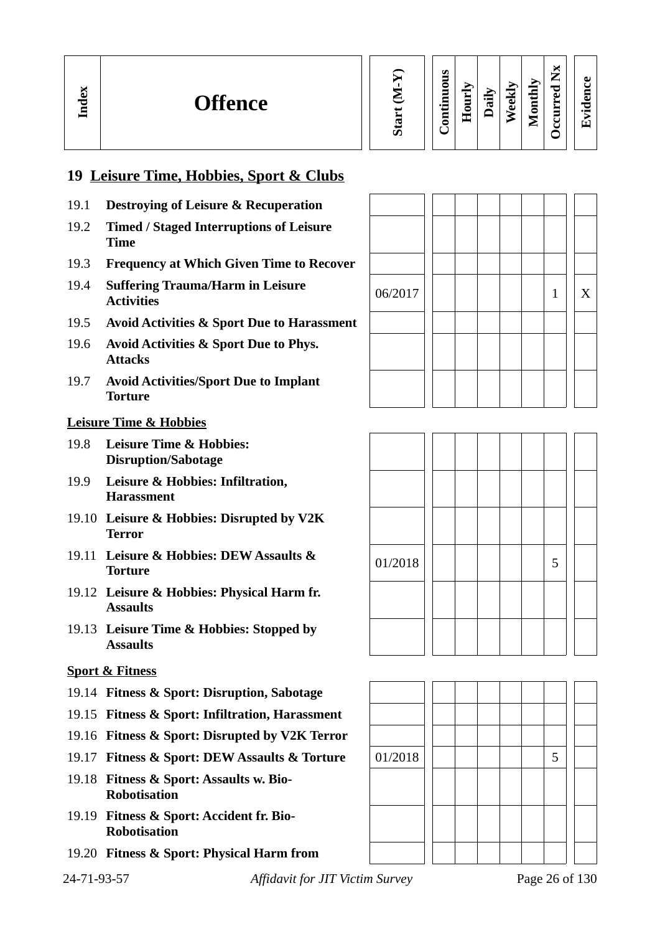| Start |
|-------|

#### **Contin uous Hourly D We ekly aily Monthly OccurredNx**

**Evid ence**

## **19 Leisure Time, Hobbies, Sport & Clubs**

- 19.1 **Destroying of Leisure & Recuperation**
- 19.2 **Timed / Staged Interruptions of Leisure Time**
- 19.3 **Frequency at Which Given Time to Recover**
- 19.4 **Suffering Trauma/Harm in Leisure**
- 19.5 **Avoid Activities & Sport Due to Harassment**
- 19.6 **Avoid Activities & Sport Due to Phys. Attacks**
- 19.7 **Avoid Activities/Sport Due to Implant Torture**

#### **Leisure Time & Hobbies**

**In dex**

- 19.8 **Leisure Time & Hobbies: Disruption/Sabotage**
- 19.9 **Leisure & Hobbies: Infiltration, Harassment**
- 19.10 **Leisure & Hobbies: Disrupted by V2K Terror**
- 19.11 **Leisure & Hobbies: DEW Assaults & Torture 1.000.es.** DEW Assaurs &  $\begin{array}{|c|c|c|c|c|c|} \hline 01/2018 & & & 5 \end{array}$
- 19.12 **Leisure & Hobbies: Physical Harm fr. Assaults**
- 19.13 **Leisure Time & Hobbies: Stopped by Assaults**

#### **Sport & Fitness**

- 19.14 **Fitness & Sport: Disruption, Sabotage**
- 19.15 **Fitness & Sport: Infiltration, Harassment**
- 19.16 **Fitness & Sport: Disrupted by V2K Terror**
- 19.17 **Fitness & Sport: DEW Assaults & Torture** | 01/2018 | | | | | | | 5
- 19.18 **Fitness & Sport: Assaults w. Bio-Robotisation**
- 19.19 **Fitness & Sport: Accident fr. Bio-Robotisation**
- 19.20 **Fitness & Sport: Physical Harm from**

24-71-93-57 *Affidavit for JIT Victim Survey* Page 26 of 130





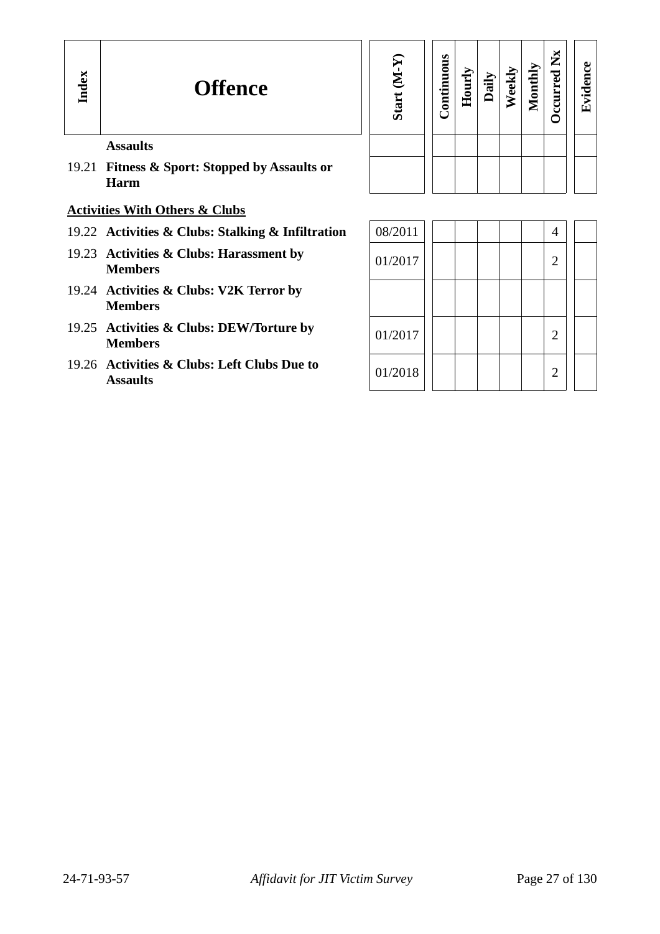## **Offence**

| Start (M-Y) | Continuous | Hourly | Daily | Weekly | Monthly | Occurred Nx | Evidence |
|-------------|------------|--------|-------|--------|---------|-------------|----------|
|             |            |        |       |        |         |             |          |
|             |            |        |       |        |         |             |          |

#### **Assaults**

19.21 **Fitness & Sport: Stopped by Assaults or Harm**

#### **Activities With Others & Clubs**

- 19.22 Activities & Clubs: Stalking & Infiltration
- 19.23 Activities & Clubs: Harassment by  $\begin{array}{|c|c|c|c|c|c|c|c|c|} \hline 01/2017 & & & 2 \ \hline \end{array}$
- 19.24 **Activities & Clubs: V2K Terror by Members**
- 19.25 Activities & Clubs: DEW/Torture by  $\begin{array}{|c|c|c|c|c|c|c|c|c|} \hline 01/2017 & 01/2017 & 01/2017 & 01/2017 & 01/2017 & 01/2017 & 01/2017 & 01/2017 & 01/2017 & 01/2017 & 01/2017 & 01/2017 & 01/2017 & 01/2017 & 01/2017 & 01/2017 & 01/2017$
- 19.26 **Activities & Clubs: Left Clubs Due to**  Assaults **CALUM** 2

| 08/2011 |  |  |                |  |
|---------|--|--|----------------|--|
| 01/2017 |  |  | $\overline{2}$ |  |
|         |  |  |                |  |
| 01/2017 |  |  | $\overline{2}$ |  |
| 01/2018 |  |  | $\overline{2}$ |  |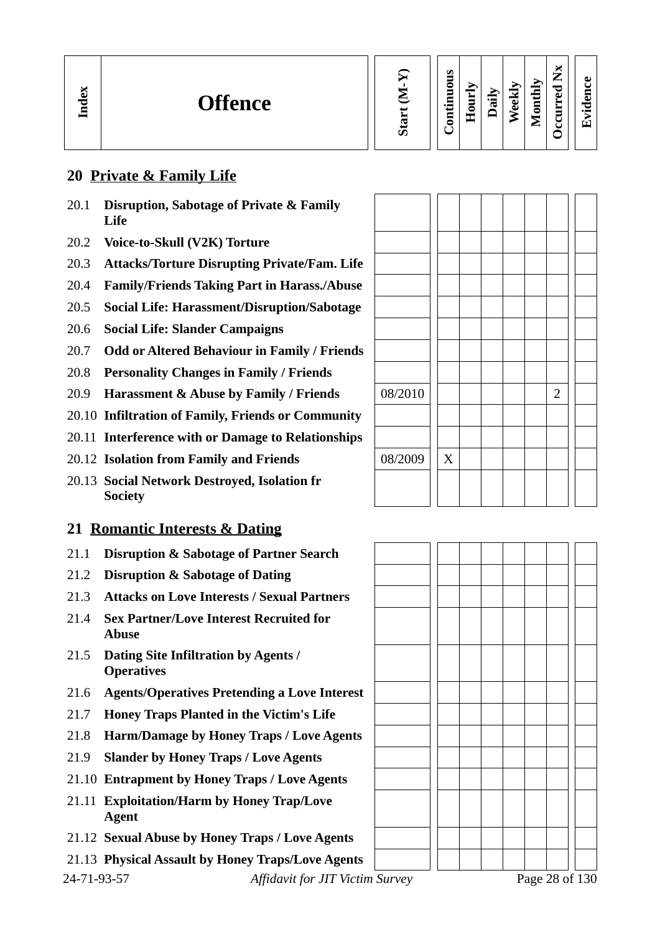| м<br>نە<br><b>Offence</b><br>τ<br>르. |  | Ø<br>∊<br>$\bullet$<br>− | -<br>-<br>-<br>Ξ | ⊶<br>℡ | мi<br>-<br>نه<br>Õ | Ыy<br>▬<br>Ē<br>-<br>− | м<br>—<br>⊷<br>ᇰ<br>ω<br>≻<br>−<br>ں<br>u | a.<br>$\bullet$<br>Ί |
|--------------------------------------|--|--------------------------|------------------|--------|--------------------|------------------------|-------------------------------------------|----------------------|
|--------------------------------------|--|--------------------------|------------------|--------|--------------------|------------------------|-------------------------------------------|----------------------|

#### **20 Private & Family Life**

- 20.1 **Disruption, Sabotage of Private & Family Life**
- 20.2 **Voice-to-Skull (V2K) Torture**
- 20.3 **Attacks/Torture Disrupting Private/Fam. Life**
- 20.4 **Family/Friends Taking Part in Harass./Abuse**
- 20.5 **Social Life: Harassment/Disruption/Sabotage**
- 20.6 **Social Life: Slander Campaigns**
- 20.7 **Odd or Altered Behaviour in Family / Friends**
- 20.8 **Personality Changes in Family / Friends**
- 20.9 **Harassment & Abuse by Family / Friends**
- 20.10 **Infiltration of Family, Friends or Community**
- 20.11 **Interference with or Damage to Relationships**
- **20.12 Isolation from Family and Friends**
- 20.13 **Social Network Destroyed, Isolation fr Society**

## **21 Romantic Interests & Dating**

- 21.1 **Disruption & Sabotage of Partner Search**
- 21.2 **Disruption & Sabotage of Dating**
- 21.3 **Attacks on Love Interests / Sexual Partners**
- 21.4 **Sex Partner/Love Interest Recruited for Abuse**
- 21.5 **Dating Site Infiltration by Agents / Operatives**
- 21.6 **Agents/Operatives Pretending a Love Interest**
- 21.7 **Honey Traps Planted in the Victim's Life**
- 21.8 **Harm/Damage by Honey Traps / Love Agents**
- 21.9 **Slander by Honey Traps / Love Agents**
- 21.10 **Entrapment by Honey Traps / Love Agents**
- 21.11 **Exploitation/Harm by Honey Trap/Love Agent**
- 21.12 **Sexual Abuse by Honey Traps / Love Agents**
- 21.13 **Physical Assault by Honey Traps/Love Agents**

| 08/2010 |             |  |  | $\overline{2}$ |  |
|---------|-------------|--|--|----------------|--|
|         |             |  |  |                |  |
|         |             |  |  |                |  |
| 08/2009 | $\mathbf X$ |  |  |                |  |
|         |             |  |  |                |  |
|         |             |  |  |                |  |

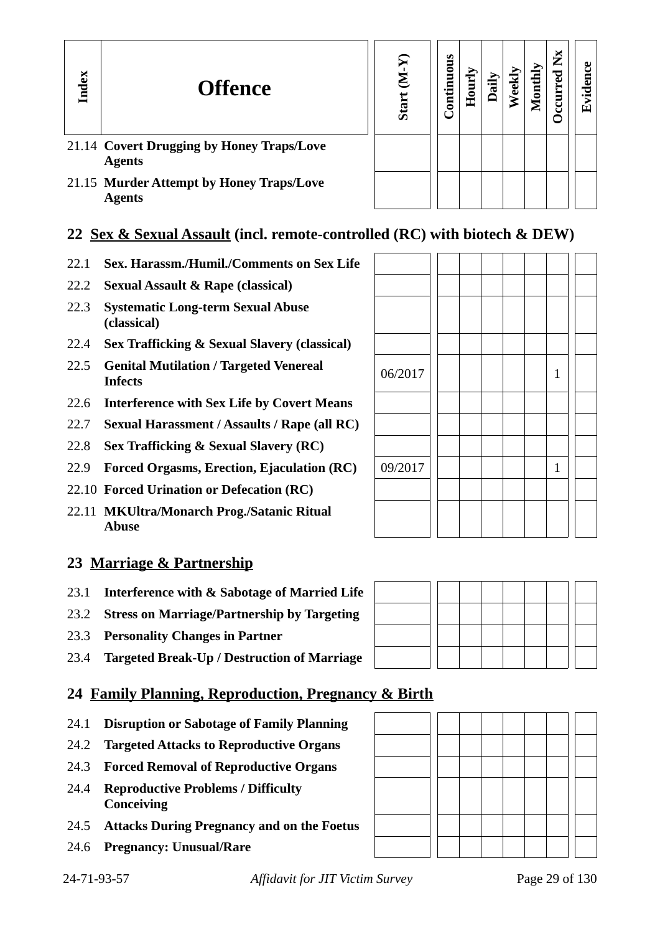| Index | <b>Offence</b>                                             | 로<br>ō | s<br>ontinuou | ourl<br>Ě | ۵ii | ≧ | Ž | ಕಿ<br>с<br>゚゙゙゙゙゙゙<br>囟 |
|-------|------------------------------------------------------------|--------|---------------|-----------|-----|---|---|-------------------------|
|       | 21.14 Covert Drugging by Honey Traps/Love<br><b>Agents</b> |        |               |           |     |   |   |                         |
|       | 21.15 Murder Attempt by Honey Traps/Love<br><b>Agents</b>  |        |               |           |     |   |   |                         |

## **22 Sex & Sexual Assault (incl. remote-controlled (RC) with biotech & DEW)**

- 22.1 **Sex. Harassm./Humil./Comments on Sex Life**
- 22.2 **Sexual Assault & Rape (classical)**
- 22.3 **Systematic Long-term Sexual Abuse (classical)**
- 22.4 **Sex Trafficking & Sexual Slavery (classical)**
- 22.5 **Genital Mutilation / Targeted Venereal**  $\left\vert 06/2017 \right\vert \left\vert \left\vert \right\vert \left\vert \right\vert \left\vert \right\vert \right\vert \left\vert 1 \right\vert$
- 22.6 **Interference with Sex Life by Covert Means**
- 22.7 **Sexual Harassment / Assaults / Rape (all RC)**
- 22.8 **Sex Trafficking & Sexual Slavery (RC)**
- 22.9 **Forced Orgasms, Erection, Ejaculation (RC)** 09/2017 | | | | | | 1
- 22.10 **Forced Urination or Defecation (RC)**
- 22.11 **MKUltra/Monarch Prog./Satanic Ritual Abuse**

#### **23 Marriage & Partnership**

- 23.1 **Interference with & Sabotage of Married Life**
- 23.2 **Stress on Marriage/Partnership by Targeting**
- 23.3 **Personality Changes in Partner**
- 23.4 **Targeted Break-Up / Destruction of Marriage**

#### **24 Family Planning, Reproduction, Pregnancy & Birth**

- 24.1 **Disruption or Sabotage of Family Planning**
- 24.2 **Targeted Attacks to Reproductive Organs**
- 24.3 **Forced Removal of Reproductive Organs**
- 24.4 **Reproductive Problems / Difficulty Conceiving**
- 24.5 **Attacks During Pregnancy and on the Foetus**
- 24.6 **Pregnancy: Unusual/Rare**



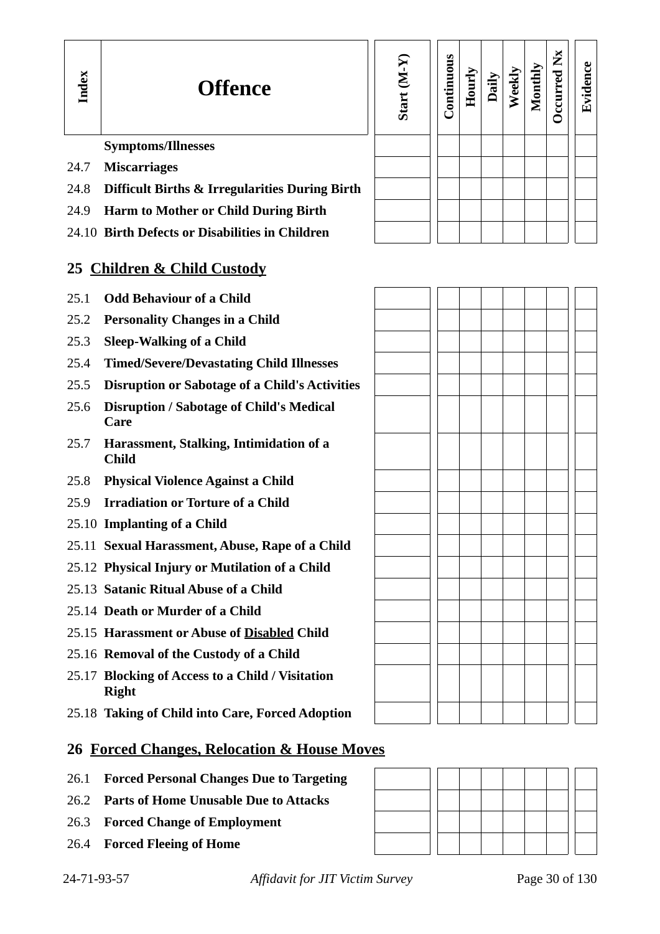

| Start (M-Y) | Continuous | Hourly | Daily | Weekly | Monthly | Occurred Nx | Evidence |
|-------------|------------|--------|-------|--------|---------|-------------|----------|
|             |            |        |       |        |         |             |          |
|             |            |        |       |        |         |             |          |
|             |            |        |       |        |         |             |          |
|             |            |        |       |        |         |             |          |
|             |            |        |       |        |         |             |          |

#### **Symptoms/Illnesses**

- 24.7 **Miscarriages**
- 24.8 **Difficult Births & Irregularities During Birth**
- 24.9 **Harm to Mother or Child During Birth**
- 24.10 **Birth Defects or Disabilities in Children**

#### **25 Children & Child Custody**

- 25.1 **Odd Behaviour of a Child**
- 25.2 **Personality Changes in a Child**
- 25.3 **Sleep-Walking of a Child**
- 25.4 **Timed/Severe/Devastating Child Illnesses**
- 25.5 **Disruption or Sabotage of a Child's Activities**
- 25.6 **Disruption / Sabotage of Child's Medical Care**
- 25.7 **Harassment, Stalking, Intimidation of a Child**
- 25.8 **Physical Violence Against a Child**
- 25.9 **Irradiation or Torture of a Child**
- 25.10 **Implanting of a Child**
- 25.11 **Sexual Harassment, Abuse, Rape of a Child**
- 25.12 **Physical Injury or Mutilation of a Child**
- 25.13 **Satanic Ritual Abuse of a Child**
- 25.14 **Death or Murder of a Child**
- 25.15 **Harassment or Abuse of Disabled Child**
- 25.16 **Removal of the Custody of a Child**
- 25.17 **Blocking of Access to a Child / Visitation Right**
- 25.18 **Taking of Child into Care, Forced Adoption**

#### **26 Forced Changes, Relocation & House Moves**

- 26.1 **Forced Personal Changes Due to Targeting**
- 26.2 **Parts of Home Unusable Due to Attacks**
- 26.3 **Forced Change of Employment**
- 26.4 **Forced Fleeing of Home**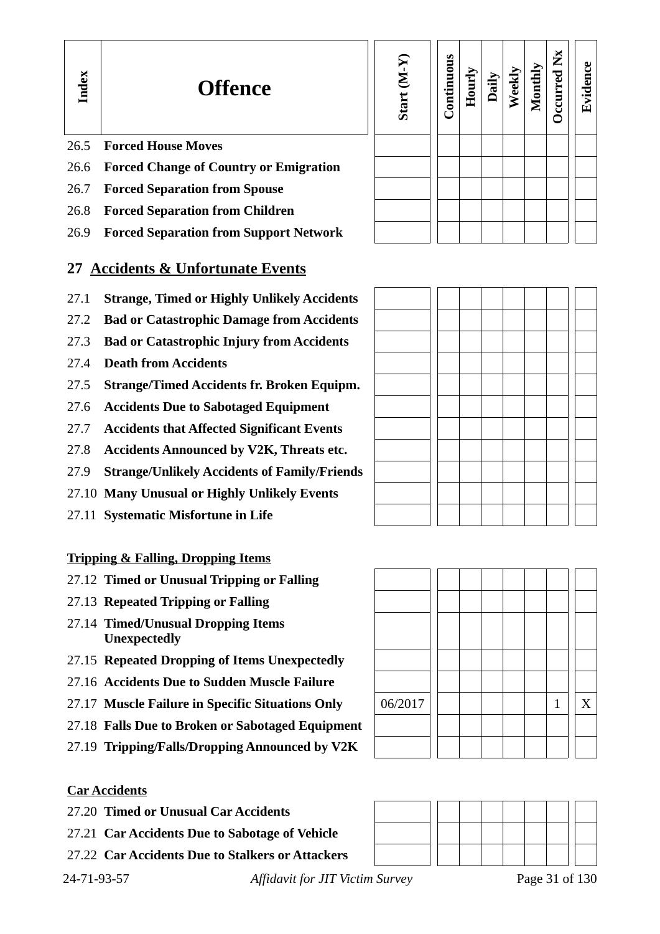| Start (M-Y) | Continuous | Hourly | Daily | Weekly | Monthly | Occurred Nx | Evidence |
|-------------|------------|--------|-------|--------|---------|-------------|----------|
|             |            |        |       |        |         |             |          |
|             |            |        |       |        |         |             |          |
|             |            |        |       |        |         |             |          |
|             |            |        |       |        |         |             |          |
|             |            |        |       |        |         |             |          |

#### 26.5 **Forced House Moves**

**In dex**

- 26.6 **Forced Change of Country or Emigration**
- 26.7 **Forced Separation from Spouse**
- 26.8 **Forced Separation from Children**
- 26.9 **Forced Separation from Support Network**

#### **27 Accidents & Unfortunate Events**

- 27.1 **Strange, Timed or Highly Unlikely Accidents**
- 27.2 **Bad or Catastrophic Damage from Accidents**
- 27.3 **Bad or Catastrophic Injury from Accidents**
- 27.4 **Death from Accidents**
- 27.5 **Strange/Timed Accidents fr. Broken Equipm.**
- 27.6 **Accidents Due to Sabotaged Equipment**
- 27.7 **Accidents that Affected Significant Events**
- 27.8 **Accidents Announced by V2K, Threats etc.**
- 27.9 **Strange/Unlikely Accidents of Family/Friends**
- 27.10 **Many Unusual or Highly Unlikely Events**
- 27.11 **Systematic Misfortune in Life**

#### **Tripping & Falling, Dropping Items**

- 27.12 **Timed or Unusual Tripping or Falling**
- 27.13 **Repeated Tripping or Falling**
- 27.14 **Timed/Unusual Dropping Items Unexpectedly**
- 27.15 **Repeated Dropping of Items Unexpectedly**
- 27.16 **Accidents Due to Sudden Muscle Failure**
- 27.17 **Muscle Failure in Specific Situations Only** 06/2017 1 X
- 27.18 **Falls Due to Broken or Sabotaged Equipment**
- 27.19 **Tripping/Falls/Dropping Announced by V2K**

#### **Car Accidents**

- 27.20 **Timed or Unusual Car Accidents**
- 27.21 **Car Accidents Due to Sabotage of Vehicle**
- 27.22 **Car Accidents Due to Stalkers or Attackers**

24-71-93-57 *Affidavit for JIT Victim Survey* Page 31 of 130



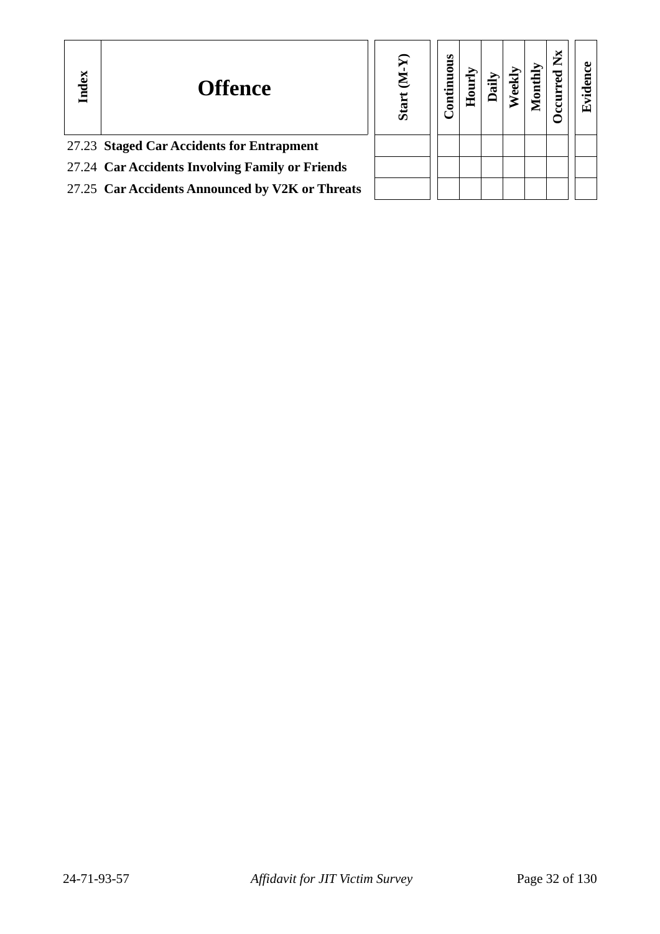| Index | <b>Offence</b>                                  | ନ<br>Σ<br>Start | tinuous<br>Ē |  |  | ×<br>► | L. |
|-------|-------------------------------------------------|-----------------|--------------|--|--|--------|----|
|       | 27.23 Staged Car Accidents for Entrapment       |                 |              |  |  |        |    |
|       | 27.24 Car Accidents Involving Family or Friends |                 |              |  |  |        |    |
|       | 27.25 Car Accidents Announced by V2K or Threats |                 |              |  |  |        |    |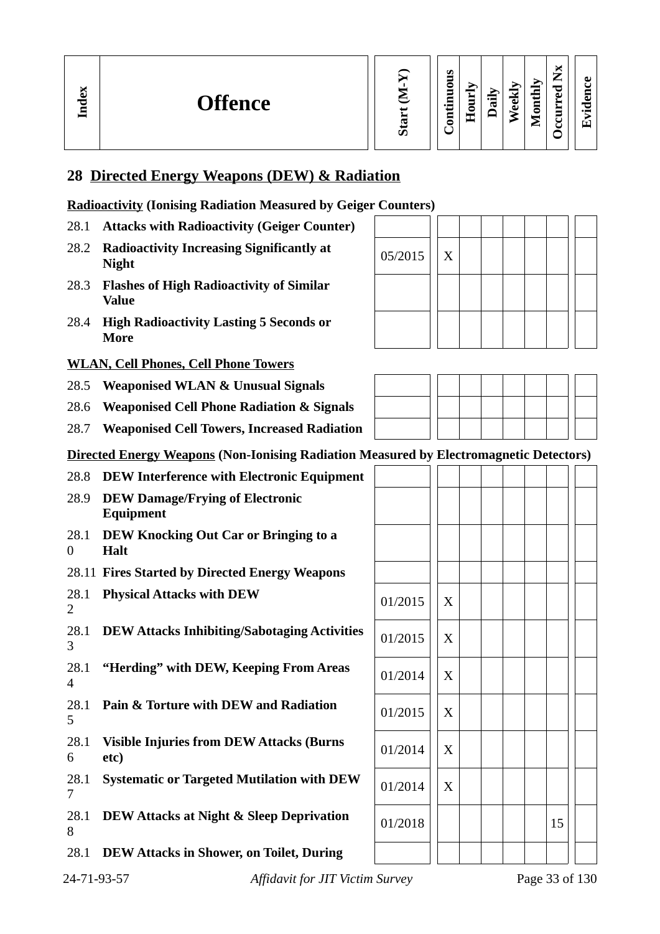#### **28 Directed Energy Weapons (DEW) & Radiation**

#### **Radioactivity (Ionising Radiation Measured by Geiger Counters)**

- 28.1 **Attacks with Radioactivity (Geiger Counter)**
- 28.2 **Radioactivity Increasing Significantly at**  $\begin{bmatrix} 05/2015 \end{bmatrix}$  X
- 28.3 **Flashes of High Radioactivity of Similar Value**
- 28.4 **High Radioactivity Lasting 5 Seconds or More**

#### **WLAN, Cell Phones, Cell Phone Towers**

- 28.5 **Weaponised WLAN & Unusual Signals**
- 28.6 **Weaponised Cell Phone Radiation & Signals**
- 28.7 **Weaponised Cell Towers, Increased Radiation**
- **Directed Energy Weapons (Non-Ionising Radiation Measured by Electromagnetic Detectors)**
- 28.8 **DEW Interference with Electronic Equipment**
- 28.9 **DEW Damage/Frying of Electronic Equipment**
- 28.1 **DEW Knocking Out Car or Bringing to a**   $\Omega$ **Halt**
- 28.11 **Fires Started by Directed Energy Weapons**
- 28.1 **Physical Attacks with DEW**  $\begin{array}{|c|c|c|c|}\hline \text{28.1} & \text{Physical Attacks with DEW} \ \hline \end{array}$
- 28.1 **DEW Attacks Inhibiting/Sabotaging Activities**  $\begin{array}{|l|l|} \hline 01/2015 & X \end{array}$ 3
- 28.1 4 "Herding" with DEW, Keeping From Areas
- 28.1 **Pain & Torture with DEW and Radiation** 01/2015 <sup>X</sup> 5
- 28.1 Visible Injuries from DEW Attacks (Burns  $\Bigg\vert 01/2014 \Bigg\vert \Bigg\vert$  X 6
- 28.1 7 **Systematic or Targeted Mutilation with DEW**
- 28.1 **DEW Attacks at Night & Sleep Deprivation** 01/2018 <sup>15</sup> 8

28.1 **DEW Attacks in Shower, on Toilet, During** 





| J       |                | --0 |  |    | 7 |
|---------|----------------|-----|--|----|---|
|         |                |     |  |    |   |
|         |                |     |  |    |   |
|         |                |     |  |    |   |
|         |                |     |  |    |   |
| 01/2015 | $\mathbf X$    |     |  |    |   |
| 01/2015 | $\overline{X}$ |     |  |    |   |
| 01/2014 | $\mathbf X$    |     |  |    |   |
| 01/2015 | $\mathbf X$    |     |  |    |   |
| 01/2014 | $\mathbf X$    |     |  |    |   |
| 01/2014 | X              |     |  |    |   |
| 01/2018 |                |     |  | 15 |   |
|         |                |     |  |    |   |

2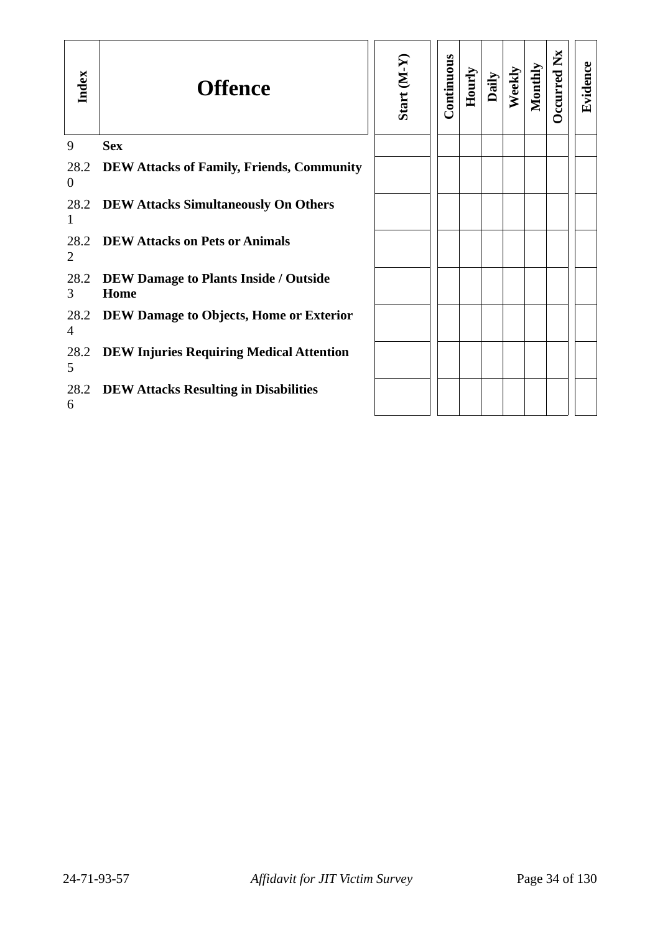| Index                  | <b>Offence</b>                                       | Start (M-Y) | Continuous | Hourly | Daily | Weekly | Monthly | $\mathbf{X}$<br><b>D</b> ccurred | Evidence |
|------------------------|------------------------------------------------------|-------------|------------|--------|-------|--------|---------|----------------------------------|----------|
| 9                      | <b>Sex</b>                                           |             |            |        |       |        |         |                                  |          |
| 28.2<br>$\overline{0}$ | <b>DEW Attacks of Family, Friends, Community</b>     |             |            |        |       |        |         |                                  |          |
| 28.2<br>$\mathbf{1}$   | <b>DEW Attacks Simultaneously On Others</b>          |             |            |        |       |        |         |                                  |          |
| $\overline{2}$         | 28.2 DEW Attacks on Pets or Animals                  |             |            |        |       |        |         |                                  |          |
| 28.2<br>3              | <b>DEW Damage to Plants Inside / Outside</b><br>Home |             |            |        |       |        |         |                                  |          |
| 28.2<br>4              | <b>DEW Damage to Objects, Home or Exterior</b>       |             |            |        |       |        |         |                                  |          |
| 28.2<br>5              | <b>DEW Injuries Requiring Medical Attention</b>      |             |            |        |       |        |         |                                  |          |
| 6                      | 28.2 DEW Attacks Resulting in Disabilities           |             |            |        |       |        |         |                                  |          |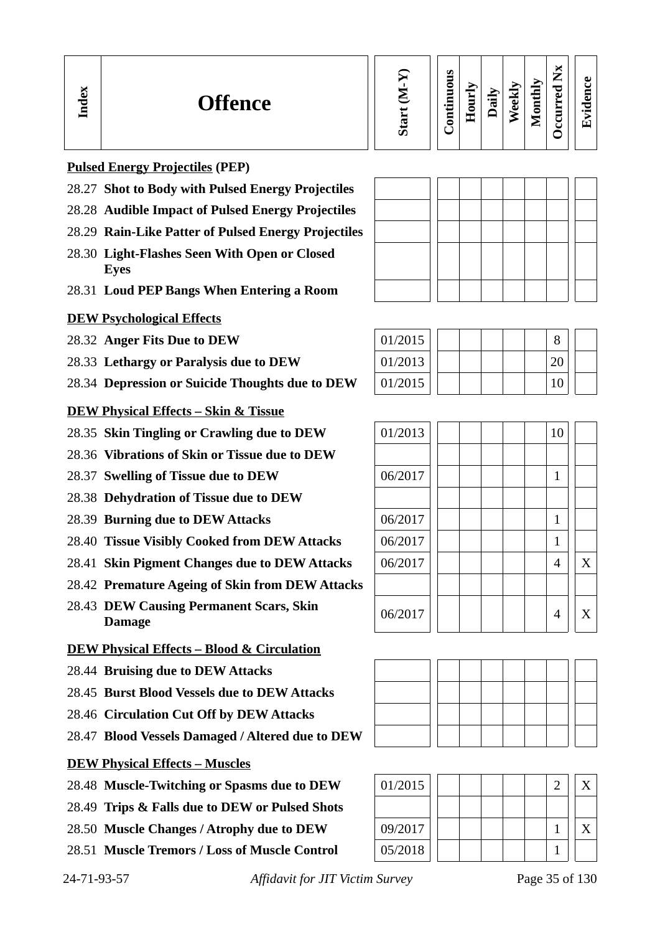| Continuous | Hourly | Daily | Weekly | Monthly | <b>Occurred Nx</b> | Evidence |
|------------|--------|-------|--------|---------|--------------------|----------|
|------------|--------|-------|--------|---------|--------------------|----------|

#### **Pulsed Energy Projectiles (PEP)**

**In dex**

- 28.27 **Shot to Body with Pulsed Energy Projectiles**
- 28.28 **Audible Impact of Pulsed Energy Projectiles**
- 28.29 **Rain-Like Patter of Pulsed Energy Projectiles**
- 28.30 **Light-Flashes Seen With Open or Closed Eyes**
- 28.31 **Loud PEP Bangs When Entering a Room**

#### **DEW Psychological Effects**

28.32 Anger Fits Due to DEW

- 28.33 Lethargy or Paralysis due to DEW
- 28.34 **Depression or Suicide Thoughts due to DEW**
- **DEW Physical Effects Skin & Tissue**
- 28.35 **Skin Tingling or Crawling due to DEW** 01/2013 | | | | | | | | 10
- 28.36 **Vibrations of Skin or Tissue due to DEW**
- 28.37 **Swelling of Tissue due to DEW** 06/2017 | | | | | | 1
- 28.38 **Dehydration of Tissue due to DEW**
- 28.39 **Burning due to DEW Attacks** 06/2017 1
- 28.40 **Tissue Visibly Cooked from DEW Attacks**  $\begin{array}{c|c} | & 06/2017 & | & | & | & | & | & | \end{array}$
- 28.41 **Skin Pigment Changes due to DEW Attacks** 06/2017 | | | | | | 4 || X
- 28.42 **Premature Ageing of Skin from DEW Attacks**
- 28.43 **DEW Causing Permanent Scars, Skin**

#### **DEW Physical Effects – Blood & Circulation**

- 28.44 **Bruising due to DEW Attacks**
- 28.45 **Burst Blood Vessels due to DEW Attacks**
- 28.46 **Circulation Cut Off by DEW Attacks**
- 28.47 **Blood Vessels Damaged / Altered due to DEW**



- 28.48 Muscle-Twitching or Spasms due to DEW
- 28.49 **Trips & Falls due to DEW or Pulsed Shots**
- 28.50 Muscle Changes / Atrophy due to DEW
- 28.51 **Muscle Tremors / Loss of Muscle Control**

24-71-93-57 *Affidavit for JIT Victim Survey* Page 35 of 130

| 01/2015 |  |  | 8  |  |
|---------|--|--|----|--|
| 01/2013 |  |  | 20 |  |
| 01/2015 |  |  | 10 |  |





| 01/2015 |  |  |  |  |  |
|---------|--|--|--|--|--|
|         |  |  |  |  |  |
| 09/2017 |  |  |  |  |  |
| 05/2018 |  |  |  |  |  |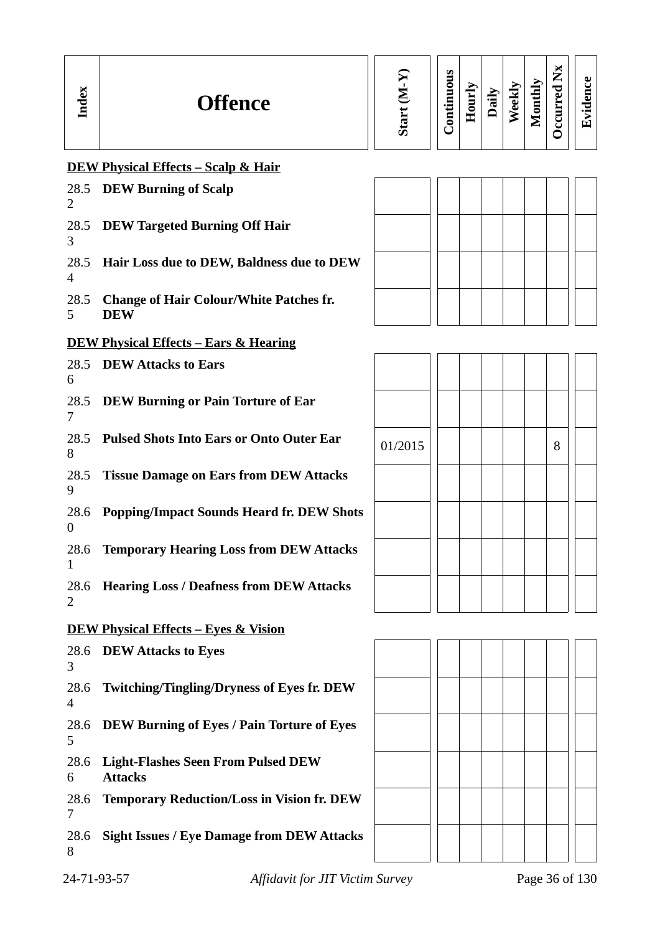| ដ<br>Ĕ<br>− | <b>Offence</b> | U) | Ø<br>۰<br>0<br>−<br>₹<br>0 | -<br>_<br>$\blacksquare$<br>≏<br>-- | $\overline{\phantom{0}}$<br>Φ | نه<br>ته | ⋗<br>Ξ<br>≖<br>5<br>╸<br>► | м<br>╺<br>⊷<br>╺<br>ω<br>_<br>►<br>▬<br>◡ | د ہ<br>_<br>п.<br>᠇<br>$\bullet$ $\blacksquare$<br>∼. |  |
|-------------|----------------|----|----------------------------|-------------------------------------|-------------------------------|----------|----------------------------|-------------------------------------------|-------------------------------------------------------|--|
|-------------|----------------|----|----------------------------|-------------------------------------|-------------------------------|----------|----------------------------|-------------------------------------------|-------------------------------------------------------|--|

## **DEW Physical Effects – Scalp & Hair**

| 2                      | 28.5 DEW Burning of Scalp                                    |         |  |  |   |
|------------------------|--------------------------------------------------------------|---------|--|--|---|
| 3                      | 28.5 DEW Targeted Burning Off Hair                           |         |  |  |   |
| 28.5<br>$\overline{4}$ | Hair Loss due to DEW, Baldness due to DEW                    |         |  |  |   |
| 28.5<br>5              | <b>Change of Hair Colour/White Patches fr.</b><br><b>DEW</b> |         |  |  |   |
|                        | <b>DEW Physical Effects - Ears &amp; Hearing</b>             |         |  |  |   |
| 6                      | 28.5 DEW Attacks to Ears                                     |         |  |  |   |
| 28.5<br>7              | <b>DEW Burning or Pain Torture of Ear</b>                    |         |  |  |   |
| 28.5<br>8              | <b>Pulsed Shots Into Ears or Onto Outer Ear</b>              | 01/2015 |  |  | 8 |
| 28.5<br>9              | <b>Tissue Damage on Ears from DEW Attacks</b>                |         |  |  |   |
| 28.6<br>$\overline{0}$ | <b>Popping/Impact Sounds Heard fr. DEW Shots</b>             |         |  |  |   |
| 28.6<br>1              | <b>Temporary Hearing Loss from DEW Attacks</b>               |         |  |  |   |
| 28.6<br>2              | <b>Hearing Loss / Deafness from DEW Attacks</b>              |         |  |  |   |
|                        | <b>DEW Physical Effects - Eyes &amp; Vision</b>              |         |  |  |   |
| 3                      | 28.6 DEW Attacks to Eyes                                     |         |  |  |   |
| 28.6<br>$\overline{4}$ | <b>Twitching/Tingling/Dryness of Eyes fr. DEW</b>            |         |  |  |   |
| 28.6<br>5              | <b>DEW Burning of Eyes / Pain Torture of Eyes</b>            |         |  |  |   |
| 28.6<br>6              | <b>Light-Flashes Seen From Pulsed DEW</b><br><b>Attacks</b>  |         |  |  |   |
| 28.6<br>7              | <b>Temporary Reduction/Loss in Vision fr. DEW</b>            |         |  |  |   |
| 28.6<br>8              | <b>Sight Issues / Eye Damage from DEW Attacks</b>            |         |  |  |   |

| 01/2015 |  |  |  | 8 |  |
|---------|--|--|--|---|--|
|         |  |  |  |   |  |
|         |  |  |  |   |  |
|         |  |  |  |   |  |
|         |  |  |  |   |  |

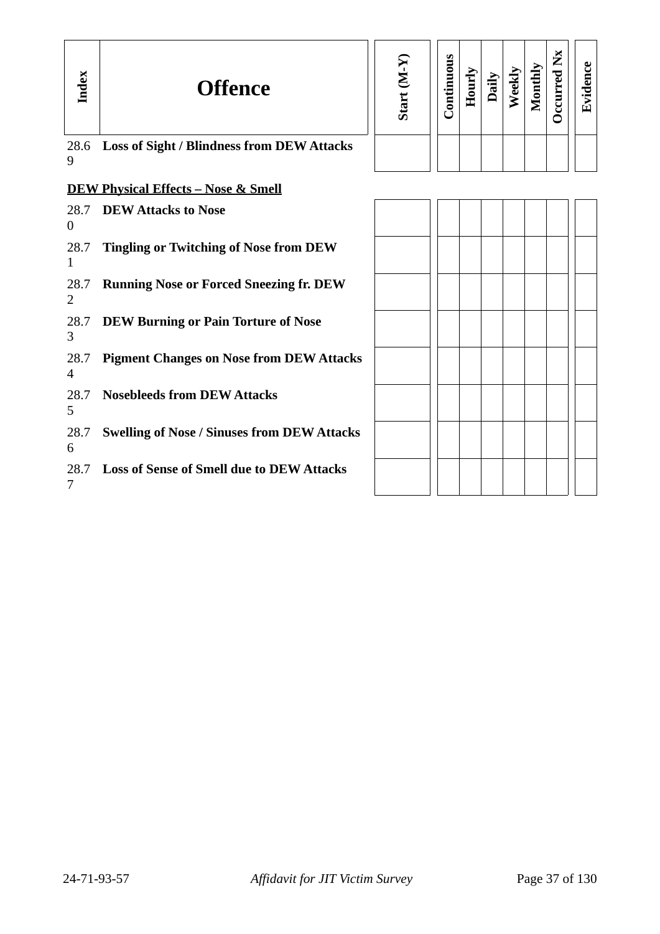| Index                  | <b>Offence</b>                                     | Start (M-Y) | Continuous | Hourly | Daily | Weekly | Monthly | Occurred Nx | Evidence |
|------------------------|----------------------------------------------------|-------------|------------|--------|-------|--------|---------|-------------|----------|
| 28.6<br>9              | <b>Loss of Sight / Blindness from DEW Attacks</b>  |             |            |        |       |        |         |             |          |
|                        | <b>DEW Physical Effects - Nose &amp; Smell</b>     |             |            |        |       |        |         |             |          |
| 28.7<br>$\theta$       | <b>DEW Attacks to Nose</b>                         |             |            |        |       |        |         |             |          |
| 28.7<br>1              | <b>Tingling or Twitching of Nose from DEW</b>      |             |            |        |       |        |         |             |          |
| 28.7<br>2              | <b>Running Nose or Forced Sneezing fr. DEW</b>     |             |            |        |       |        |         |             |          |
| 28.7<br>3              | <b>DEW Burning or Pain Torture of Nose</b>         |             |            |        |       |        |         |             |          |
| 28.7<br>$\overline{4}$ | <b>Pigment Changes on Nose from DEW Attacks</b>    |             |            |        |       |        |         |             |          |
| 28.7<br>5              | <b>Nosebleeds from DEW Attacks</b>                 |             |            |        |       |        |         |             |          |
| 28.7<br>6              | <b>Swelling of Nose / Sinuses from DEW Attacks</b> |             |            |        |       |        |         |             |          |
| 28.7<br>7              | <b>Loss of Sense of Smell due to DEW Attacks</b>   |             |            |        |       |        |         |             |          |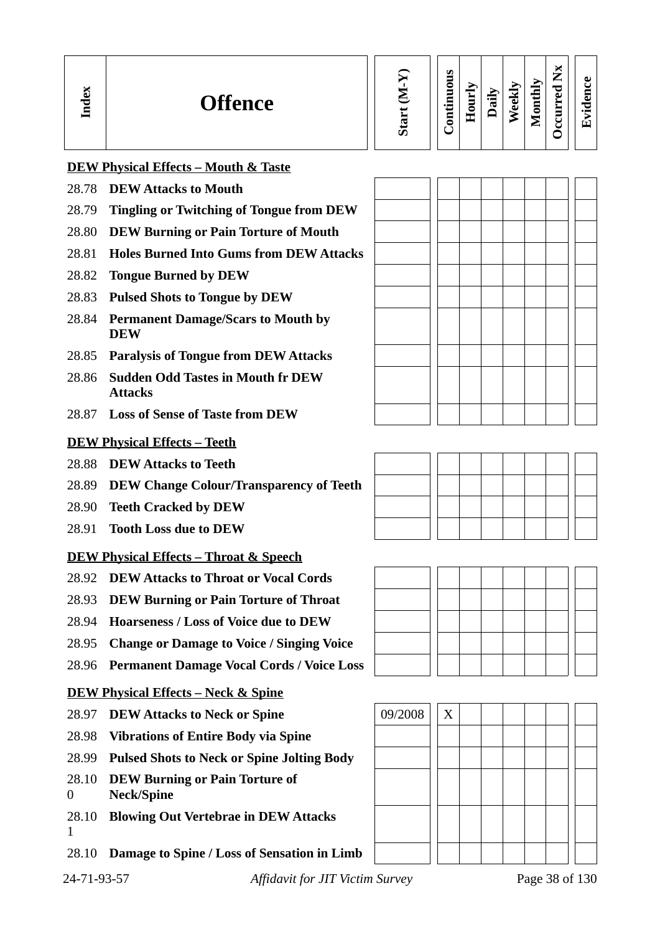| Index                                             | <b>Offence</b>                                             | Start (M-Y) | Continuous | Hourly | Daily | Weekly | Monthly | Occurred Nx | Evidence |
|---------------------------------------------------|------------------------------------------------------------|-------------|------------|--------|-------|--------|---------|-------------|----------|
|                                                   | <b>DEW Physical Effects - Mouth &amp; Taste</b>            |             |            |        |       |        |         |             |          |
| 28.78                                             | <b>DEW Attacks to Mouth</b>                                |             |            |        |       |        |         |             |          |
| 28.79                                             | <b>Tingling or Twitching of Tongue from DEW</b>            |             |            |        |       |        |         |             |          |
| 28.80                                             | <b>DEW Burning or Pain Torture of Mouth</b>                |             |            |        |       |        |         |             |          |
| 28.81                                             | <b>Holes Burned Into Gums from DEW Attacks</b>             |             |            |        |       |        |         |             |          |
| 28.82                                             | <b>Tongue Burned by DEW</b>                                |             |            |        |       |        |         |             |          |
| 28.83                                             | <b>Pulsed Shots to Tongue by DEW</b>                       |             |            |        |       |        |         |             |          |
| 28.84                                             | <b>Permanent Damage/Scars to Mouth by</b><br><b>DEW</b>    |             |            |        |       |        |         |             |          |
| 28.85                                             | <b>Paralysis of Tongue from DEW Attacks</b>                |             |            |        |       |        |         |             |          |
| 28.86                                             | <b>Sudden Odd Tastes in Mouth fr DEW</b><br><b>Attacks</b> |             |            |        |       |        |         |             |          |
|                                                   | 28.87 Loss of Sense of Taste from DEW                      |             |            |        |       |        |         |             |          |
|                                                   | <b>DEW Physical Effects - Teeth</b>                        |             |            |        |       |        |         |             |          |
| 28.88                                             | <b>DEW Attacks to Teeth</b>                                |             |            |        |       |        |         |             |          |
| 28.89                                             | <b>DEW Change Colour/Transparency of Teeth</b>             |             |            |        |       |        |         |             |          |
| 28.90                                             | <b>Teeth Cracked by DEW</b>                                |             |            |        |       |        |         |             |          |
| 28.91                                             | <b>Tooth Loss due to DEW</b>                               |             |            |        |       |        |         |             |          |
| <b>DEW Physical Effects - Throat &amp; Speech</b> |                                                            |             |            |        |       |        |         |             |          |
| 28.92                                             | <b>DEW Attacks to Throat or Vocal Cords</b>                |             |            |        |       |        |         |             |          |
| 28.93                                             | <b>DEW Burning or Pain Torture of Throat</b>               |             |            |        |       |        |         |             |          |
| 28.94                                             | <b>Hoarseness / Loss of Voice due to DEW</b>               |             |            |        |       |        |         |             |          |
| 28.95                                             | <b>Change or Damage to Voice / Singing Voice</b>           |             |            |        |       |        |         |             |          |
| 28.96                                             | <b>Permanent Damage Vocal Cords / Voice Loss</b>           |             |            |        |       |        |         |             |          |

#### **DEW Physical Effects – Neck & Spine**

- 28.97 **DEW Attacks to Neck or Spine** | 09/2008 | | X
- 28.98 **Vibrations of Entire Body via Spine**
- 28.99 **Pulsed Shots to Neck or Spine Jolting Body**
- 28.10 **DEW Burning or Pain Torture of**  0 **Neck/Spine**
- 28.10 **Blowing Out Vertebrae in DEW Attacks** 1
- 28.10 **Damage to Spine / Loss of Sensation in Limb**

24-71-93-57 *Affidavit for JIT Victim Survey* Page 38 of 130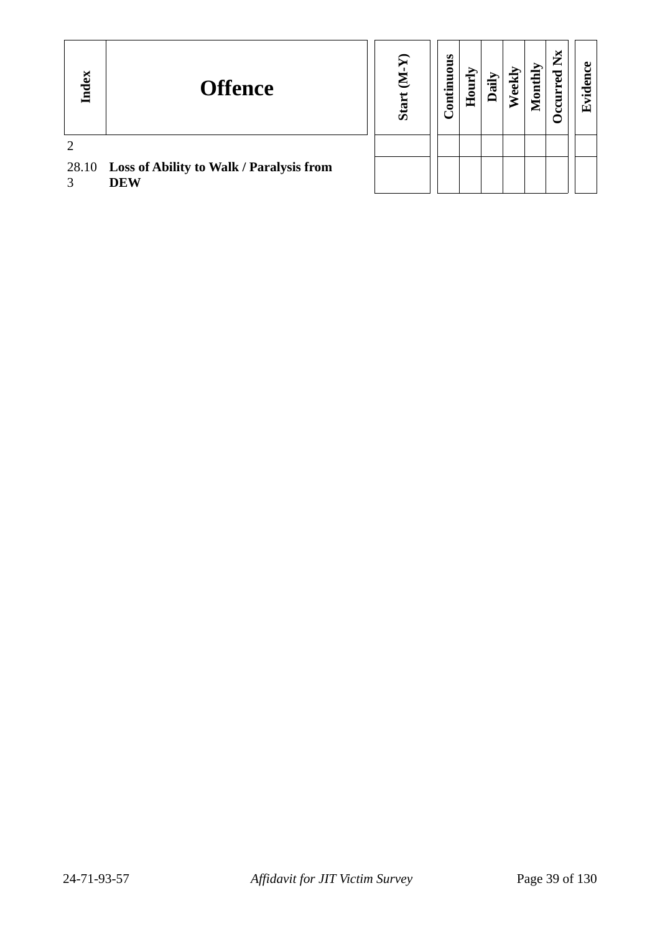| Lex<br>$\mathbf{F}$ | <b>Offence</b>                                               | $\boldsymbol{\mathsf{\Omega}}$<br>Star | uous<br>ontim | È<br>Е<br>По | 局<br>≏ | еk | onthly<br>ē | ×<br>► | $\mathbf{F}$ |
|---------------------|--------------------------------------------------------------|----------------------------------------|---------------|--------------|--------|----|-------------|--------|--------------|
|                     |                                                              |                                        |               |              |        |    |             |        |              |
|                     | 28.10 Loss of Ability to Walk / Paralysis from<br><b>DEW</b> |                                        |               |              |        |    |             |        |              |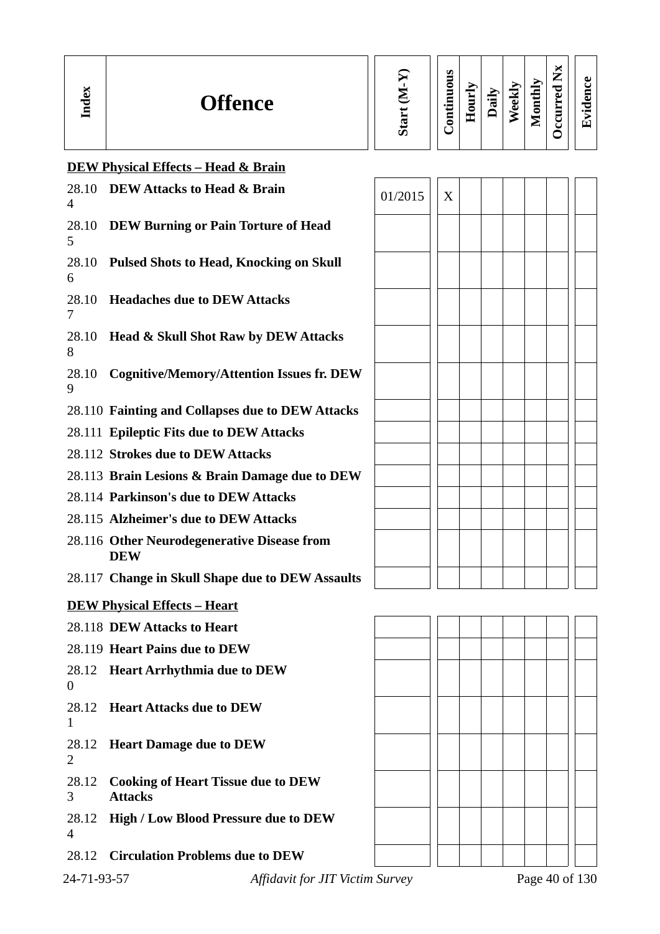| ╺ | <b>Offence</b> | ທ | S<br>⊏<br>ā<br>5<br>$\bullet$ $\blacksquare$<br>⊟<br>┍ | −<br>_<br>-<br>- | $\mathbf{H}$<br>, | ≂<br>نه<br>Ã) | $\mathbf{v}$<br>. .<br>5<br>-<br>∼ | $\sim$<br>∽<br>–<br>⊷<br>P<br>ω<br>➤<br>∼<br>-<br>ں | $\omega$<br>ω<br>ᆷ<br>$\bullet$ $\blacksquare$<br>T |
|---|----------------|---|--------------------------------------------------------|------------------|-------------------|---------------|------------------------------------|-----------------------------------------------------|-----------------------------------------------------|
|---|----------------|---|--------------------------------------------------------|------------------|-------------------|---------------|------------------------------------|-----------------------------------------------------|-----------------------------------------------------|

# **DEW Physical Effects – Head & Brain**

| 28.10<br>4       | <b>DEW Attacks to Head &amp; Brain</b>                      | 01/2015 | X |  |  |                |
|------------------|-------------------------------------------------------------|---------|---|--|--|----------------|
| 28.10<br>5       | <b>DEW Burning or Pain Torture of Head</b>                  |         |   |  |  |                |
| 28.10<br>6       | <b>Pulsed Shots to Head, Knocking on Skull</b>              |         |   |  |  |                |
| 28.10<br>7       | <b>Headaches due to DEW Attacks</b>                         |         |   |  |  |                |
| 28.10<br>8       | Head & Skull Shot Raw by DEW Attacks                        |         |   |  |  |                |
| 28.10<br>9       | <b>Cognitive/Memory/Attention Issues fr. DEW</b>            |         |   |  |  |                |
|                  | 28.110 Fainting and Collapses due to DEW Attacks            |         |   |  |  |                |
|                  | 28.111 Epileptic Fits due to DEW Attacks                    |         |   |  |  |                |
|                  | 28.112 Strokes due to DEW Attacks                           |         |   |  |  |                |
|                  | 28.113 Brain Lesions & Brain Damage due to DEW              |         |   |  |  |                |
|                  | 28.114 Parkinson's due to DEW Attacks                       |         |   |  |  |                |
|                  | 28.115 Alzheimer's due to DEW Attacks                       |         |   |  |  |                |
|                  | 28.116 Other Neurodegenerative Disease from<br><b>DEW</b>   |         |   |  |  |                |
|                  | 28.117 Change in Skull Shape due to DEW Assaults            |         |   |  |  |                |
|                  | <b>DEW Physical Effects - Heart</b>                         |         |   |  |  |                |
|                  | 28.118 DEW Attacks to Heart                                 |         |   |  |  |                |
|                  | 28.119 Heart Pains due to DEW                               |         |   |  |  |                |
| $\boldsymbol{0}$ | 28.12 Heart Arrhythmia due to DEW                           |         |   |  |  |                |
| 28.12<br>1       | <b>Heart Attacks due to DEW</b>                             |         |   |  |  |                |
| 28.12<br>2       | <b>Heart Damage due to DEW</b>                              |         |   |  |  |                |
| 28.12<br>3       | <b>Cooking of Heart Tissue due to DEW</b><br><b>Attacks</b> |         |   |  |  |                |
| 4                | 28.12 High / Low Blood Pressure due to DEW                  |         |   |  |  |                |
| 28.12            | <b>Circulation Problems due to DEW</b>                      |         |   |  |  |                |
| 24-71-93-57      | Affidavit for JIT Victim Survey                             |         |   |  |  | Page 40 of 130 |

| 01/2015 | $\overline{\text{X}}$ |  |  |  |  |
|---------|-----------------------|--|--|--|--|
|         |                       |  |  |  |  |
|         |                       |  |  |  |  |
|         |                       |  |  |  |  |
|         |                       |  |  |  |  |
|         |                       |  |  |  |  |
|         |                       |  |  |  |  |
|         |                       |  |  |  |  |
|         |                       |  |  |  |  |
|         |                       |  |  |  |  |
|         |                       |  |  |  |  |
|         |                       |  |  |  |  |
|         |                       |  |  |  |  |
|         |                       |  |  |  |  |

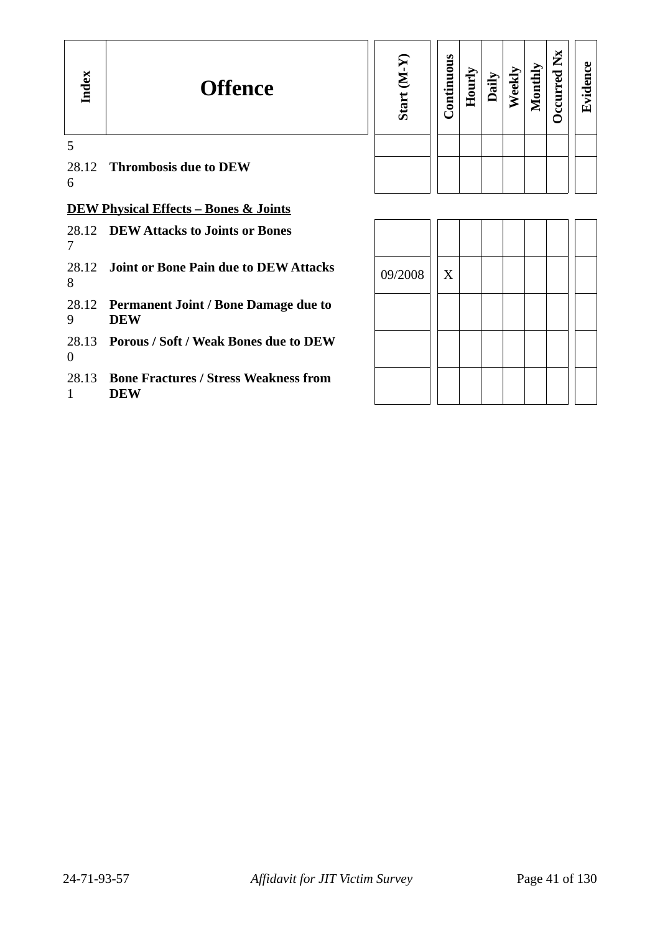| Index          | <b>Offence</b>                                             | Start (M-Y | Continuous | Hourly | Daily | Weekly | Monthly | ž<br><b>Decurred</b> | Evidence |
|----------------|------------------------------------------------------------|------------|------------|--------|-------|--------|---------|----------------------|----------|
| 5<br>6         | 28.12 Thrombosis due to DEW                                |            |            |        |       |        |         |                      |          |
|                | <b>DEW Physical Effects - Bones &amp; Joints</b>           |            |            |        |       |        |         |                      |          |
| 7              | 28.12 DEW Attacks to Joints or Bones                       |            |            |        |       |        |         |                      |          |
| 28.12<br>8     | Joint or Bone Pain due to DEW Attacks                      | 09/2008    | X          |        |       |        |         |                      |          |
| 9              | 28.12 Permanent Joint / Bone Damage due to<br><b>DEW</b>   |            |            |        |       |        |         |                      |          |
| $\overline{0}$ | 28.13 Porous / Soft / Weak Bones due to DEW                |            |            |        |       |        |         |                      |          |
| 28.13<br>1     | <b>Bone Fractures / Stress Weakness from</b><br><b>DEW</b> |            |            |        |       |        |         |                      |          |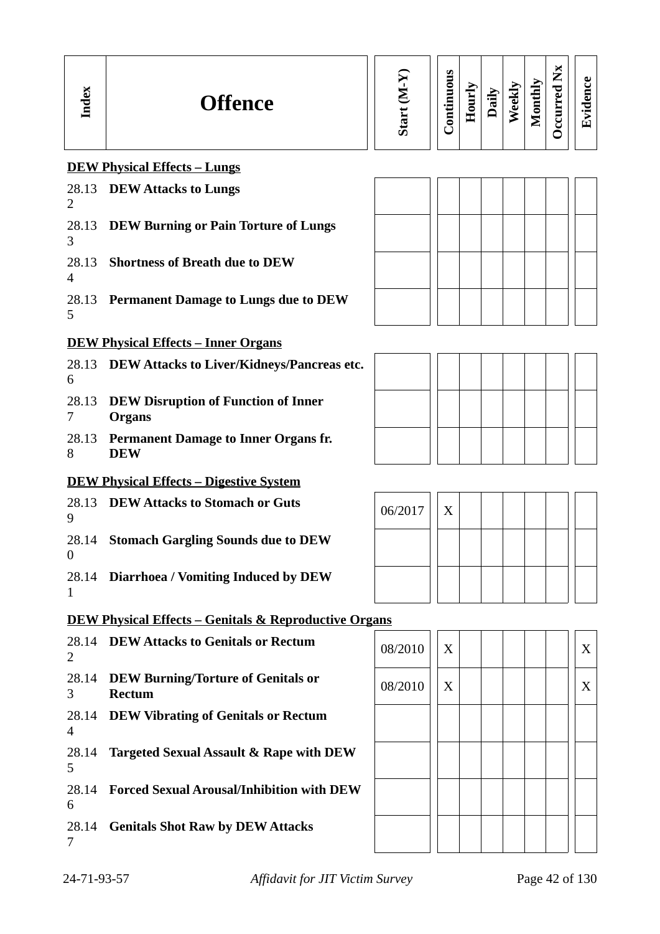| Index                   | <b>Offence</b>                                                   | Start (M-Y) | Continuous | Hourly | Daily | Weekly | Monthly | <b>Occurred Nx</b> | Evidence |
|-------------------------|------------------------------------------------------------------|-------------|------------|--------|-------|--------|---------|--------------------|----------|
|                         | <b>DEW Physical Effects - Lungs</b>                              |             |            |        |       |        |         |                    |          |
| 2                       | 28.13 DEW Attacks to Lungs                                       |             |            |        |       |        |         |                    |          |
| 3                       | 28.13 DEW Burning or Pain Torture of Lungs                       |             |            |        |       |        |         |                    |          |
| 28.13<br>$\overline{4}$ | <b>Shortness of Breath due to DEW</b>                            |             |            |        |       |        |         |                    |          |
| 5                       | 28.13 Permanent Damage to Lungs due to DEW                       |             |            |        |       |        |         |                    |          |
|                         | <b>DEW Physical Effects - Inner Organs</b>                       |             |            |        |       |        |         |                    |          |
| 6                       | 28.13 DEW Attacks to Liver/Kidneys/Pancreas etc.                 |             |            |        |       |        |         |                    |          |
| 28.13<br>$\overline{7}$ | <b>DEW Disruption of Function of Inner</b><br><b>Organs</b>      |             |            |        |       |        |         |                    |          |
| 28.13<br>8              | <b>Permanent Damage to Inner Organs fr.</b><br><b>DEW</b>        |             |            |        |       |        |         |                    |          |
|                         | <b>DEW Physical Effects - Digestive System</b>                   |             |            |        |       |        |         |                    |          |
| 28.13<br>9              | <b>DEW Attacks to Stomach or Guts</b>                            | 06/2017     | X          |        |       |        |         |                    |          |
| $\overline{0}$          | 28.14 Stomach Gargling Sounds due to DEW                         |             |            |        |       |        |         |                    |          |
| 28.14<br>1              | <b>Diarrhoea / Vomiting Induced by DEW</b>                       |             |            |        |       |        |         |                    |          |
|                         | <b>DEW Physical Effects – Genitals &amp; Reproductive Organs</b> |             |            |        |       |        |         |                    |          |
| 28.14<br>2              | <b>DEW Attacks to Genitals or Rectum</b>                         | 08/2010     | X          |        |       |        |         |                    | X        |
| 28.14<br>3              | <b>DEW Burning/Torture of Genitals or</b><br><b>Rectum</b>       | 08/2010     | X          |        |       |        |         |                    | X        |
| 4                       | 28.14 DEW Vibrating of Genitals or Rectum                        |             |            |        |       |        |         |                    |          |
| 28.14<br>5              | <b>Targeted Sexual Assault &amp; Rape with DEW</b>               |             |            |        |       |        |         |                    |          |
| 28.14<br>6              | <b>Forced Sexual Arousal/Inhibition with DEW</b>                 |             |            |        |       |        |         |                    |          |
| 7                       | 28.14 Genitals Shot Raw by DEW Attacks                           |             |            |        |       |        |         |                    |          |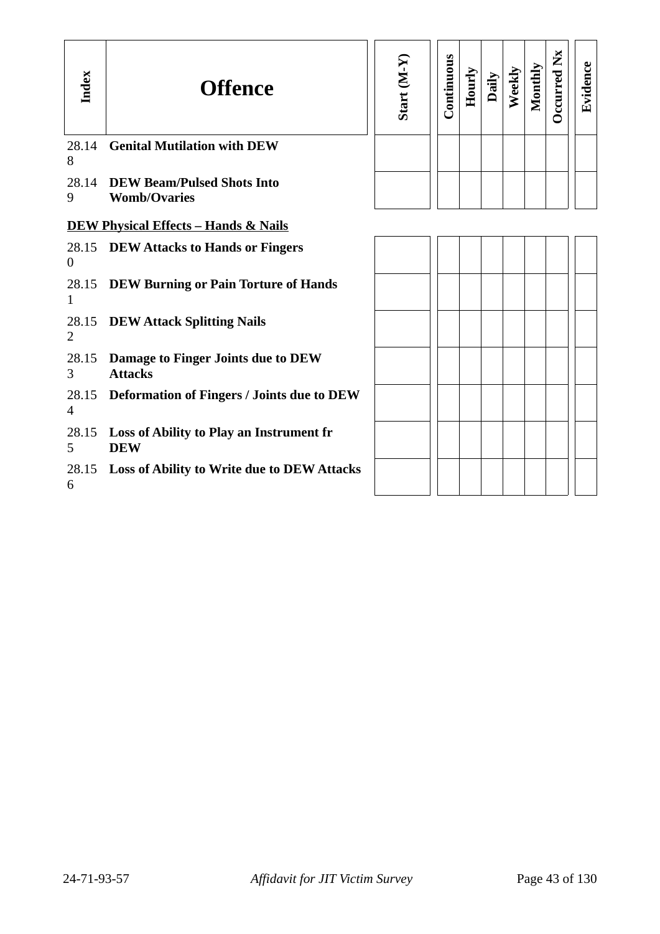| Index          | <b>Offence</b>                                               | Start (M-Y | Continuous | Hourly | Daily | Weekly | Monthly | <b>Dccurred Nx</b> | Evidence |
|----------------|--------------------------------------------------------------|------------|------------|--------|-------|--------|---------|--------------------|----------|
| 28.14<br>8     | <b>Genital Mutilation with DEW</b>                           |            |            |        |       |        |         |                    |          |
| 9              | 28.14 DEW Beam/Pulsed Shots Into<br><b>Womb/Ovaries</b>      |            |            |        |       |        |         |                    |          |
|                | <b>DEW Physical Effects - Hands &amp; Nails</b>              |            |            |        |       |        |         |                    |          |
| $\overline{0}$ | 28.15 DEW Attacks to Hands or Fingers                        |            |            |        |       |        |         |                    |          |
| 1              | 28.15 DEW Burning or Pain Torture of Hands                   |            |            |        |       |        |         |                    |          |
| $\overline{2}$ | 28.15 DEW Attack Splitting Nails                             |            |            |        |       |        |         |                    |          |
| 28.15<br>3     | Damage to Finger Joints due to DEW<br><b>Attacks</b>         |            |            |        |       |        |         |                    |          |
| $\overline{4}$ | 28.15 Deformation of Fingers / Joints due to DEW             |            |            |        |       |        |         |                    |          |
| 5              | 28.15 Loss of Ability to Play an Instrument fr<br><b>DEW</b> |            |            |        |       |        |         |                    |          |
| 6              | 28.15 Loss of Ability to Write due to DEW Attacks            |            |            |        |       |        |         |                    |          |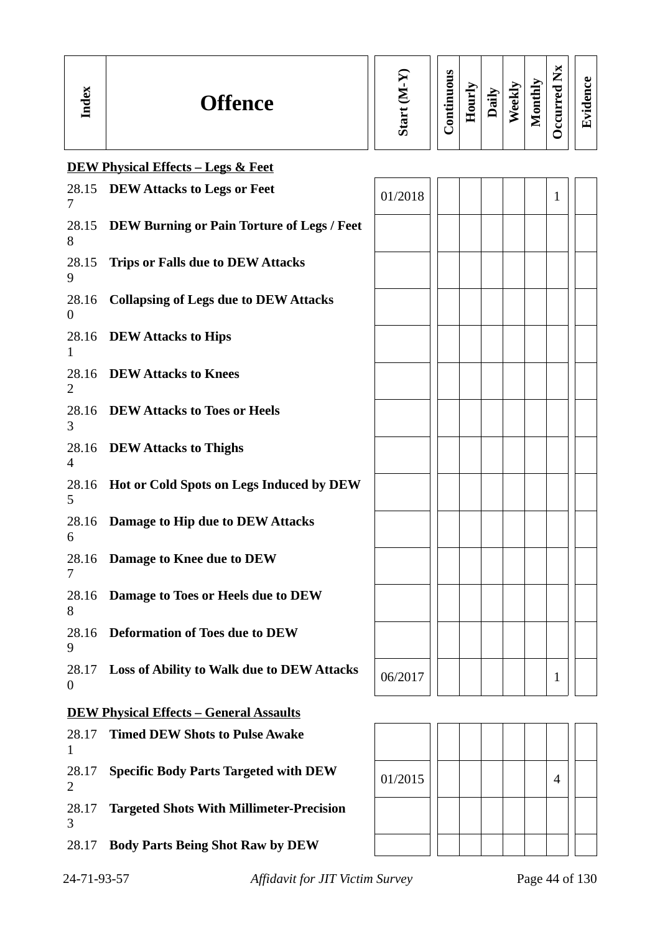| α.<br><b>Offence</b><br>⊟ | ပာ | S<br>▀<br>ō<br>5<br>Ξ<br>$\overline{\phantom{0}}$<br>د<br>Ē | ⋡<br>Ĕ<br>0<br>重 | $\oplus$<br>ᡦ<br>⊒ | Ð<br>ಕ<br>ω | ➤<br>÷<br>写<br>o<br>▀<br>_ | M<br>۰,<br>_<br>╺╺<br>A)<br>_ | συ<br>п.<br>$\overline{\phantom{0}}$ |
|---------------------------|----|-------------------------------------------------------------|------------------|--------------------|-------------|----------------------------|-------------------------------|--------------------------------------|
|---------------------------|----|-------------------------------------------------------------|------------------|--------------------|-------------|----------------------------|-------------------------------|--------------------------------------|

|                                                | <b>DEW Physical Effects - Legs &amp; Feet</b>     |         |  |  |  |  |  |              |  |
|------------------------------------------------|---------------------------------------------------|---------|--|--|--|--|--|--------------|--|
| 7                                              | 28.15 DEW Attacks to Legs or Feet                 | 01/2018 |  |  |  |  |  | $\mathbf{1}$ |  |
| 28.15<br>8                                     | <b>DEW Burning or Pain Torture of Legs / Feet</b> |         |  |  |  |  |  |              |  |
| 28.15<br>9                                     | <b>Trips or Falls due to DEW Attacks</b>          |         |  |  |  |  |  |              |  |
| 28.16<br>$\boldsymbol{0}$                      | <b>Collapsing of Legs due to DEW Attacks</b>      |         |  |  |  |  |  |              |  |
| 28.16<br>1                                     | <b>DEW Attacks to Hips</b>                        |         |  |  |  |  |  |              |  |
| 2                                              | 28.16 DEW Attacks to Knees                        |         |  |  |  |  |  |              |  |
| 3                                              | 28.16 DEW Attacks to Toes or Heels                |         |  |  |  |  |  |              |  |
| $\overline{4}$                                 | 28.16 DEW Attacks to Thighs                       |         |  |  |  |  |  |              |  |
| 28.16<br>5                                     | <b>Hot or Cold Spots on Legs Induced by DEW</b>   |         |  |  |  |  |  |              |  |
| 28.16<br>6                                     | Damage to Hip due to DEW Attacks                  |         |  |  |  |  |  |              |  |
| 28.16<br>7                                     | Damage to Knee due to DEW                         |         |  |  |  |  |  |              |  |
| 28.16<br>8                                     | Damage to Toes or Heels due to DEW                |         |  |  |  |  |  |              |  |
| 28.16<br>9                                     | <b>Deformation of Toes due to DEW</b>             |         |  |  |  |  |  |              |  |
| 28.17<br>$\boldsymbol{0}$                      | <b>Loss of Ability to Walk due to DEW Attacks</b> | 06/2017 |  |  |  |  |  | 1            |  |
| <b>DEW Physical Effects - General Assaults</b> |                                                   |         |  |  |  |  |  |              |  |
| 28.17<br>$\mathbf{1}$                          | <b>Timed DEW Shots to Pulse Awake</b>             |         |  |  |  |  |  |              |  |
| 28.17<br>2                                     | <b>Specific Body Parts Targeted with DEW</b>      | 01/2015 |  |  |  |  |  | 4            |  |

28.17 **Targeted Shots With Millimeter-Precision** 3

28.17 **Body Parts Being Shot Raw by DEW** 

24-71-93-57 *Affidavit for JIT Victim Survey* Page 44 of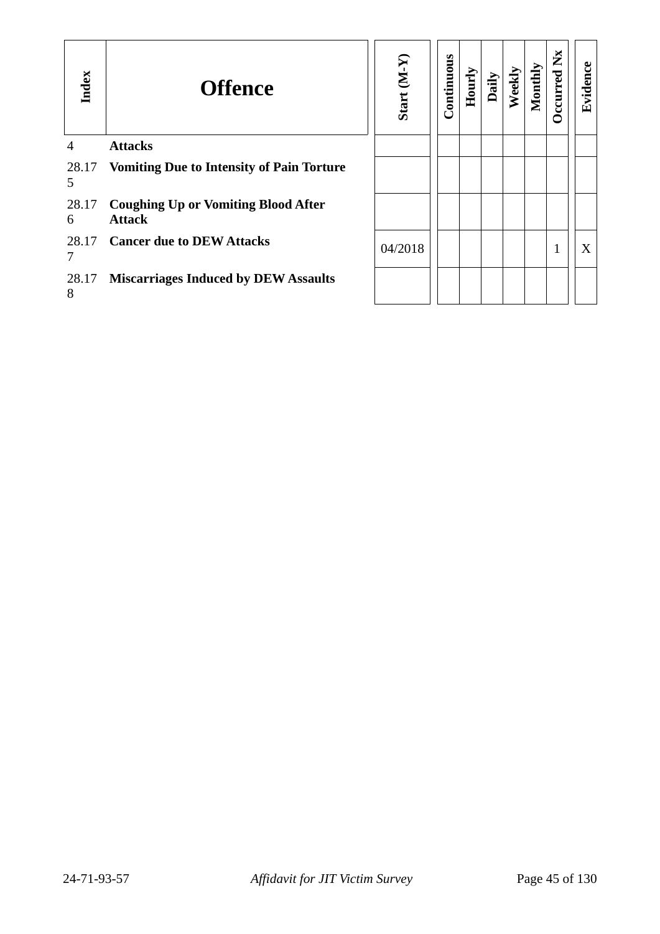| Index          | <b>Offence</b>                                              | Start (M-Y) | Continuous | Hourly | Daily | Weekly | Monthly | $\mathbf{X}$<br>ccurred | Evidence |
|----------------|-------------------------------------------------------------|-------------|------------|--------|-------|--------|---------|-------------------------|----------|
| $\overline{4}$ | <b>Attacks</b>                                              |             |            |        |       |        |         |                         |          |
| 5              | 28.17 Vomiting Due to Intensity of Pain Torture             |             |            |        |       |        |         |                         |          |
| 28.17<br>6     | <b>Coughing Up or Vomiting Blood After</b><br><b>Attack</b> |             |            |        |       |        |         |                         |          |
| 7              | 28.17 Cancer due to DEW Attacks                             | 04/2018     |            |        |       |        |         |                         | X        |
| 28.17<br>8     | <b>Miscarriages Induced by DEW Assaults</b>                 |             |            |        |       |        |         |                         |          |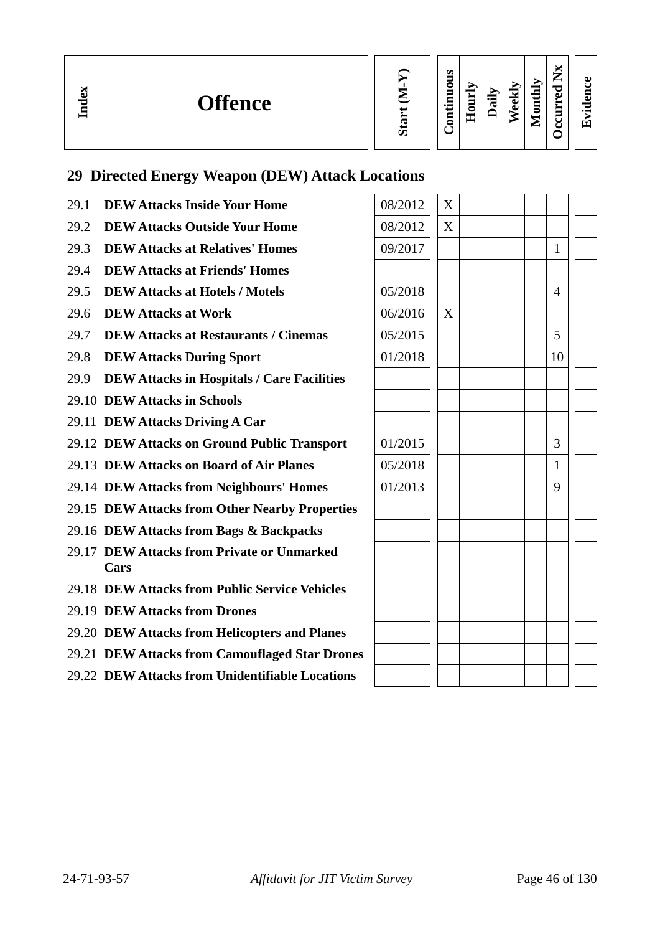| <b>Start</b> |
|--------------|

| ᇢ<br>ம் |
|---------|
|---------|

**Occurred**

**Nx**

# **29 Directed Energy Weapon (DEW) Attack Locations**

- 29.1 **DEW Attacks Inside Your Home**
- 29.2 **DEW Attacks Outside Your Home**
- 29.3 **DEW Attacks at Relatives' Homes**
- 29.4 **DEW Attacks at Friends' Homes**
- 29.5 **DEW Attacks at Hotels / Motels**
- 29.6 **DEW Attacks at Work**

**In dex**

- 29.7 **DEW Attacks at Restaurants / Cinemas**
- 29.8 **DEW Attacks During Sport**
- 29.9 **DEW Attacks in Hospitals / Care Facilities**
- 29.10 **DEW Attacks in Schools**
- 29.11 **DEW Attacks Driving A Car**
- 29.12 **DEW Attacks on Ground Public Transport**
- 29.13 **DEW Attacks on Board of Air Planes**
- 29.14 **DEW Attacks from Neighbours' Homes**
- 29.15 **DEW Attacks from Other Nearby Properties**
- 29.16 **DEW Attacks from Bags & Backpacks**
- 29.17 **DEW Attacks from Private or Unmarked Cars**
- 29.18 **DEW Attacks from Public Service Vehicles**
- 29.19 **DEW Attacks from Drones**
- 29.20 **DEW Attacks from Helicopters and Planes**
- 29.21 **DEW Attacks from Camouflaged Star Drones**
- 29.22 **DEW Attacks from Unidentifiable Locations**

| 08/2012 | X |  |  |                |  |
|---------|---|--|--|----------------|--|
| 08/2012 | X |  |  |                |  |
| 09/2017 |   |  |  | $\mathbf{1}$   |  |
|         |   |  |  |                |  |
| 05/2018 |   |  |  | $\overline{4}$ |  |
| 06/2016 | X |  |  |                |  |
| 05/2015 |   |  |  | 5              |  |
| 01/2018 |   |  |  | 10             |  |
|         |   |  |  |                |  |
|         |   |  |  |                |  |
|         |   |  |  |                |  |
| 01/2015 |   |  |  | 3              |  |
| 05/2018 |   |  |  | $\mathbf{1}$   |  |
| 01/2013 |   |  |  | 9              |  |
|         |   |  |  |                |  |
|         |   |  |  |                |  |
|         |   |  |  |                |  |
|         |   |  |  |                |  |
|         |   |  |  |                |  |
|         |   |  |  |                |  |
|         |   |  |  |                |  |
|         |   |  |  |                |  |
|         |   |  |  |                |  |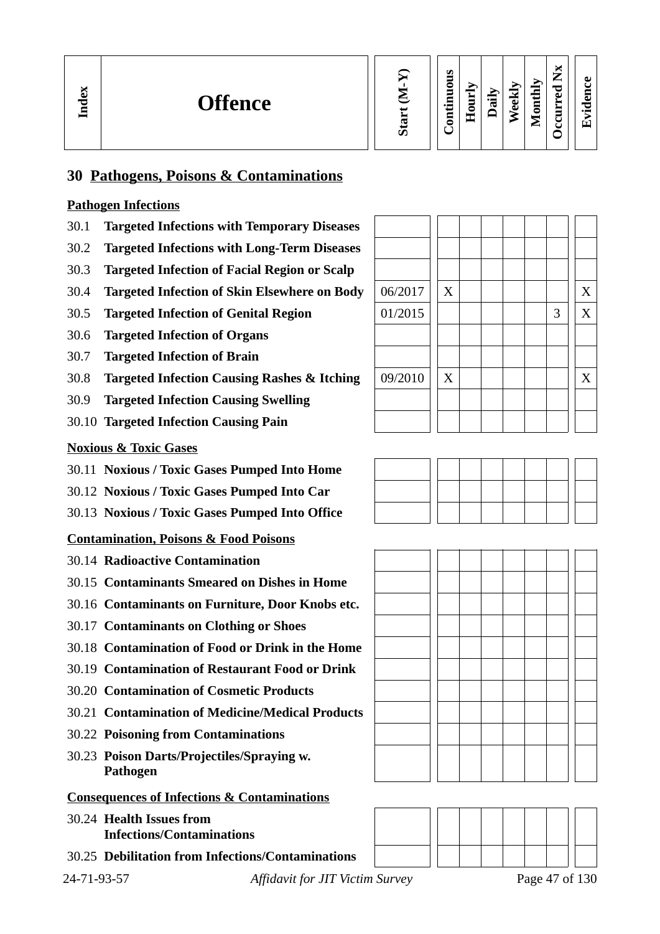

#### **Contin uous Hourly D We ekly aily Monthly OccurredNx**

**Evid ence**

# **30 Pathogens, Poisons & Contaminations**

# **Pathogen Infections**

- 30.1 **Targeted Infections with Temporary Diseases**
- 30.2 **Targeted Infections with Long-Term Diseases**
- 30.3 **Targeted Infection of Facial Region or Scalp**
- 30.4 **Targeted Infection of Skin Elsewhere on Body**
- 30.5 **Targeted Infection of Genital Region**
- 30.6 **Targeted Infection of Organs**
- 30.7 **Targeted Infection of Brain**
- 30.8 **Targeted Infection Causing Rashes & Itching**
- 30.9 **Targeted Infection Causing Swelling**
- 30.10 **Targeted Infection Causing Pain**

# **Noxious & Toxic Gases**

- 30.11 **Noxious / Toxic Gases Pumped Into Home**
- 30.12 **Noxious / Toxic Gases Pumped Into Car**
- 30.13 **Noxious / Toxic Gases Pumped Into Office**

# **Contamination, Poisons & Food Poisons**

- 30.14 **Radioactive Contamination**
- 30.15 **Contaminants Smeared on Dishes in Home**
- 30.16 **Contaminants on Furniture, Door Knobs etc.**
- 30.17 **Contaminants on Clothing or Shoes**
- 30.18 **Contamination of Food or Drink in the Home**
- 30.19 **Contamination of Restaurant Food or Drink**
- 30.20 **Contamination of Cosmetic Products**
- 30.21 **Contamination of Medicine/Medical Products**
- 30.22 **Poisoning from Contaminations**
- 30.23 **Poison Darts/Projectiles/Spraying w. Pathogen**

# **Consequences of Infections & Contaminations**

- 30.24 **Health Issues from Infections/Contaminations**
- 30.25 **Debilitation from Infections/Contaminations**

24-71-93-57 *Affidavit for JIT Victim Survey* Page 47 of 130

| 06/2017 | X |  |  |   | X |
|---------|---|--|--|---|---|
| 01/2015 |   |  |  | 3 | X |
|         |   |  |  |   |   |
|         |   |  |  |   |   |
| 09/2010 | X |  |  |   | X |
|         |   |  |  |   |   |
|         |   |  |  |   |   |





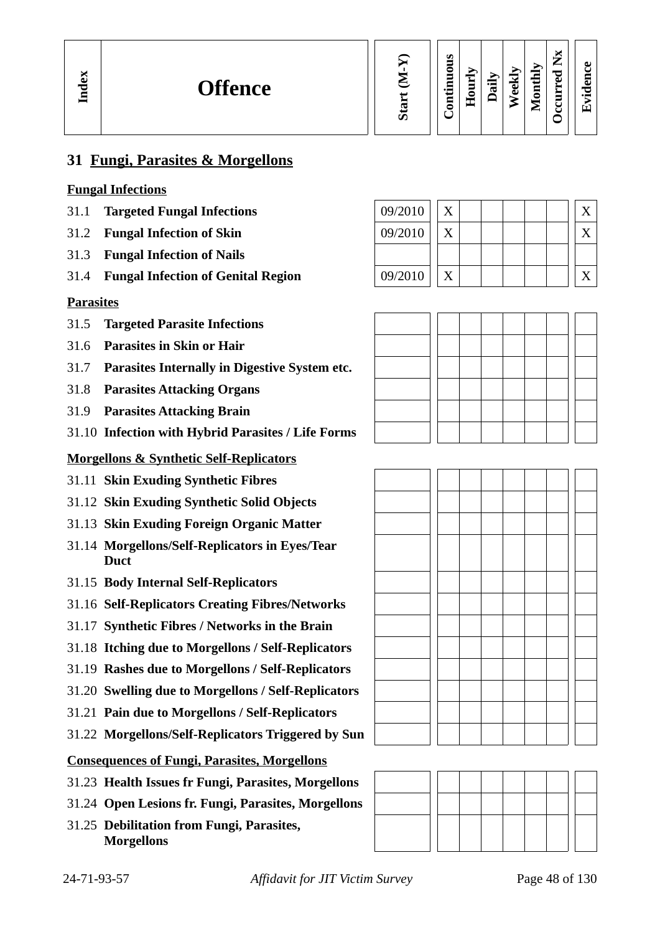| <b>Occurred Nx</b><br>Start (M-Y)<br>Continuous<br>Monthly<br>Weekly<br>Hourly<br>Daily |
|-----------------------------------------------------------------------------------------|
|-----------------------------------------------------------------------------------------|

**Evid ence**

# **31 Fungi, Parasites & Morgellons**

### **Fungal Infections**

- 31.1 **Targeted Fungal Infections**
- 31.2 **Fungal Infection of Skin**
- 31.3 **Fungal Infection of Nails**
- 31.4 **Fungal Infection of Genital Region**

### **Parasites**

- 31.5 **Targeted Parasite Infections**
- 31.6 **Parasites in Skin or Hair**
- 31.7 **Parasites Internally in Digestive System etc.**
- 31.8 **Parasites Attacking Organs**
- 31.9 **Parasites Attacking Brain**
- 31.10 **Infection with Hybrid Parasites / Life Forms**

### **Morgellons & Synthetic Self-Replicators**

- 31.11 **Skin Exuding Synthetic Fibres**
- 31.12 **Skin Exuding Synthetic Solid Objects**
- 31.13 **Skin Exuding Foreign Organic Matter**
- 31.14 **Morgellons/Self-Replicators in Eyes/Tear Duct**
- 31.15 **Body Internal Self-Replicators**
- 31.16 **Self-Replicators Creating Fibres/Networks**
- 31.17 **Synthetic Fibres / Networks in the Brain**
- 31.18 **Itching due to Morgellons / Self-Replicators**
- 31.19 **Rashes due to Morgellons / Self-Replicators**
- 31.20 **Swelling due to Morgellons / Self-Replicators**
- 31.21 **Pain due to Morgellons / Self-Replicators**
- 31.22 **Morgellons/Self-Replicators Triggered by Sun**

### **Consequences of Fungi, Parasites, Morgellons**

- 31.23 **Health Issues fr Fungi, Parasites, Morgellons**
- 31.24 **Open Lesions fr. Fungi, Parasites, Morgellons**
- 31.25 **Debilitation from Fungi, Parasites, Morgellons**

| 09/2010 | Y |  |  |  |  |
|---------|---|--|--|--|--|
| 09/2010 | Y |  |  |  |  |
|         |   |  |  |  |  |
| 09/2010 | v |  |  |  |  |





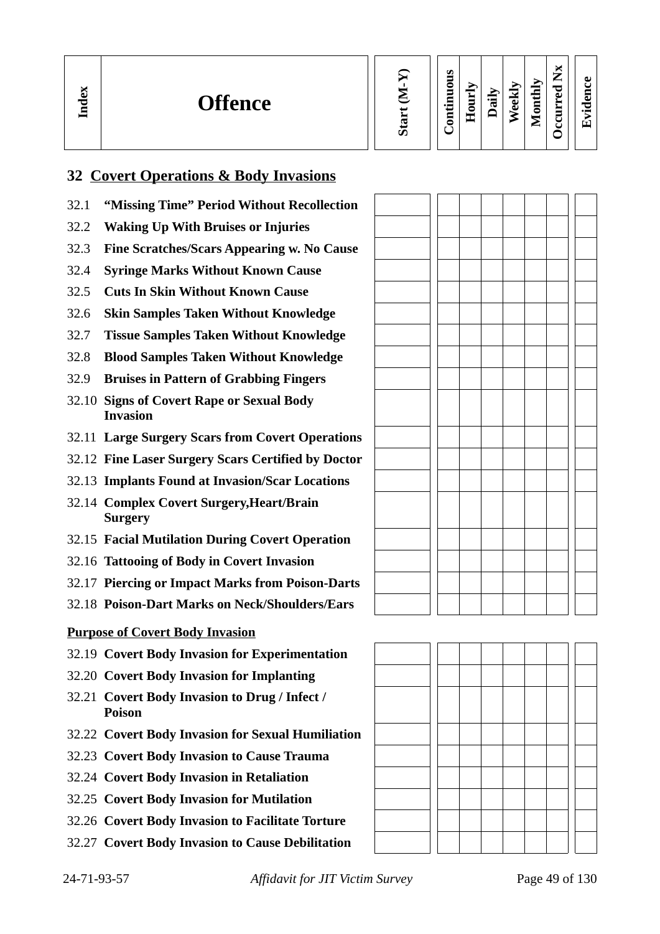| X<br><b>Offence</b><br>っ<br>⊟ |  | s<br>∊<br>-<br>−<br>- | -<br>員<br>-<br>◓<br>H | ੶⊟<br>ದ | ≂<br>ಕ<br>Õ<br>∽ | thly<br>3<br>$\blacksquare$<br>⋍ | $\overline{\phantom{a}}$<br>—<br>−<br>☜<br>$\blacksquare$<br>_<br>− | ω<br>Ξ<br>ᆷ<br>$\bullet$ $\blacksquare$ |
|-------------------------------|--|-----------------------|-----------------------|---------|------------------|----------------------------------|---------------------------------------------------------------------|-----------------------------------------|
|-------------------------------|--|-----------------------|-----------------------|---------|------------------|----------------------------------|---------------------------------------------------------------------|-----------------------------------------|

# **32 Covert Operations & Body Invasions**

- 32.1 **"Missing Time" Period Without Recollection**
- 32.2 **Waking Up With Bruises or Injuries**
- 32.3 **Fine Scratches/Scars Appearing w. No Cause**
- 32.4 **Syringe Marks Without Known Cause**
- 32.5 **Cuts In Skin Without Known Cause**
- 32.6 **Skin Samples Taken Without Knowledge**
- 32.7 **Tissue Samples Taken Without Knowledge**
- 32.8 **Blood Samples Taken Without Knowledge**
- 32.9 **Bruises in Pattern of Grabbing Fingers**
- 32.10 **Signs of Covert Rape or Sexual Body Invasion**
- 32.11 **Large Surgery Scars from Covert Operations**
- 32.12 **Fine Laser Surgery Scars Certified by Doctor**
- 32.13 **Implants Found at Invasion/Scar Locations**
- 32.14 **Complex Covert Surgery,Heart/Brain Surgery**
- 32.15 **Facial Mutilation During Covert Operation**
- 32.16 **Tattooing of Body in Covert Invasion**
- 32.17 **Piercing or Impact Marks from Poison-Darts**
- 32.18 **Poison-Dart Marks on Neck/Shoulders/Ears**

### **Purpose of Covert Body Invasion**

- 32.19 **Covert Body Invasion for Experimentation**
- 32.20 **Covert Body Invasion for Implanting**
- 32.21 **Covert Body Invasion to Drug / Infect / Poison**
- 32.22 **Covert Body Invasion for Sexual Humiliation**
- 32.23 **Covert Body Invasion to Cause Trauma**
- 32.24 **Covert Body Invasion in Retaliation**
- 32.25 **Covert Body Invasion for Mutilation**
- 32.26 **Covert Body Invasion to Facilitate Torture**
- 32.27 **Covert Body Invasion to Cause Debilitation**

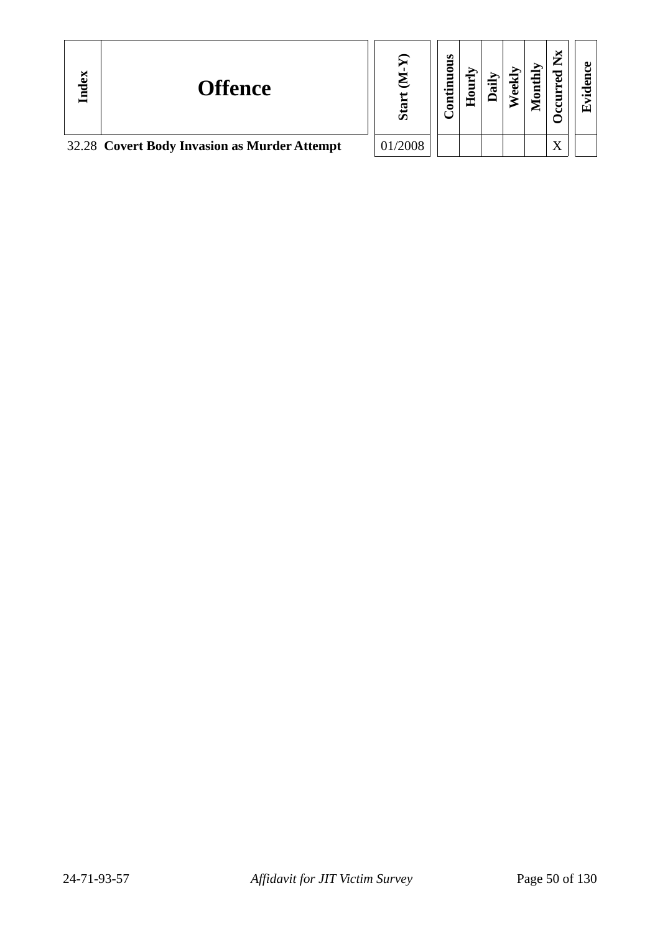| Index | <b>Offence</b>                               |        | s<br>uou<br>5 | 0<br>π | ല<br>ച | - | ►                            | ω<br>$\bullet$ $\blacksquare$<br>Eтì |
|-------|----------------------------------------------|--------|---------------|--------|--------|---|------------------------------|--------------------------------------|
|       | 32.28 Covert Body Invasion as Murder Attempt | 1/2008 |               |        |        |   | $\overline{\mathbf{x}}$<br>Δ |                                      |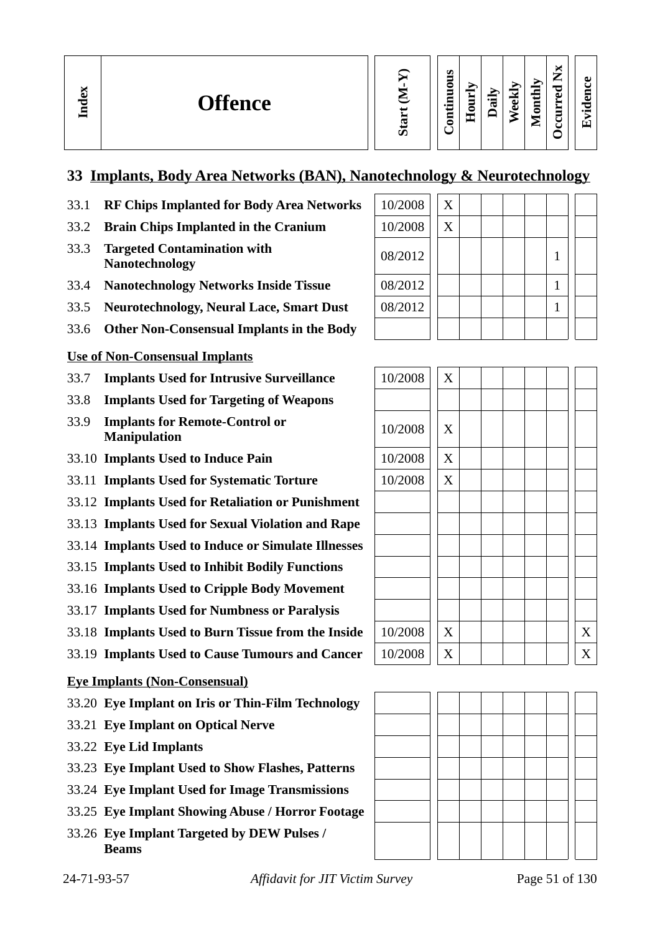# **33 Implants, Body Area Networks (BAN), Nanotechnology & Neurotechnology**

- 33.1 **RF Chips Implanted for Body Area Networks**
- **33.2 Brain Chips Implanted in the Cranium**
- 33.3 **Targeted Contamination with Nanotechnology**
- **33.4 Nanotechnology Networks Inside Tissue**
- **33.5 Neurotechnology, Neural Lace, Smart Dust**
- 33.6 **Other Non-Consensual Implants in the Body**

# **Use of Non-Consensual Implants**

- 33.7 **Implants Used for Intrusive Surveillance**
- 33.8 **Implants Used for Targeting of Weapons**
- 33.9 **Implants for Remote-Control or Manipulation**
- 33.10 **Implants Used to Induce Pain**
- 33.11 **Implants Used for Systematic Torture**
- 33.12 **Implants Used for Retaliation or Punishment**
- 33.13 **Implants Used for Sexual Violation and Rape**
- 33.14 **Implants Used to Induce or Simulate Illnesses**
- 33.15 **Implants Used to Inhibit Bodily Functions**
- 33.16 **Implants Used to Cripple Body Movement**
- 33.17 **Implants Used for Numbness or Paralysis**
- 33.18 **Implants Used to Burn Tissue from the Inside**
- 33.19 **Implants Used to Cause Tumours and Cancer**

# **Eye Implants (Non-Consensual)**

- 33.20 **Eye Implant on Iris or Thin-Film Technology**
- 33.21 **Eye Implant on Optical Nerve**
- 33.22 **Eye Lid Implants**
- 33.23 **Eye Implant Used to Show Flashes, Patterns**
- 33.24 **Eye Implant Used for Image Transmissions**
- 33.25 **Eye Implant Showing Abuse / Horror Footage**
- 33.26 **Eye Implant Targeted by DEW Pulses / Beams**

| 10/2008 | X |  |  |  |  |
|---------|---|--|--|--|--|
| 10/2008 | X |  |  |  |  |
| 08/2012 |   |  |  |  |  |
| 08/2012 |   |  |  |  |  |
| 08/2012 |   |  |  |  |  |
|         |   |  |  |  |  |

| 10/2008 | $\mathbf X$ |  |  |  |                  |
|---------|-------------|--|--|--|------------------|
|         |             |  |  |  |                  |
| 10/2008 | X           |  |  |  |                  |
| 10/2008 | X           |  |  |  |                  |
| 10/2008 | X           |  |  |  |                  |
|         |             |  |  |  |                  |
|         |             |  |  |  |                  |
|         |             |  |  |  |                  |
|         |             |  |  |  |                  |
|         |             |  |  |  |                  |
|         |             |  |  |  |                  |
| 10/2008 | X           |  |  |  | $\boldsymbol{X}$ |
| 10/2008 | X           |  |  |  | X                |

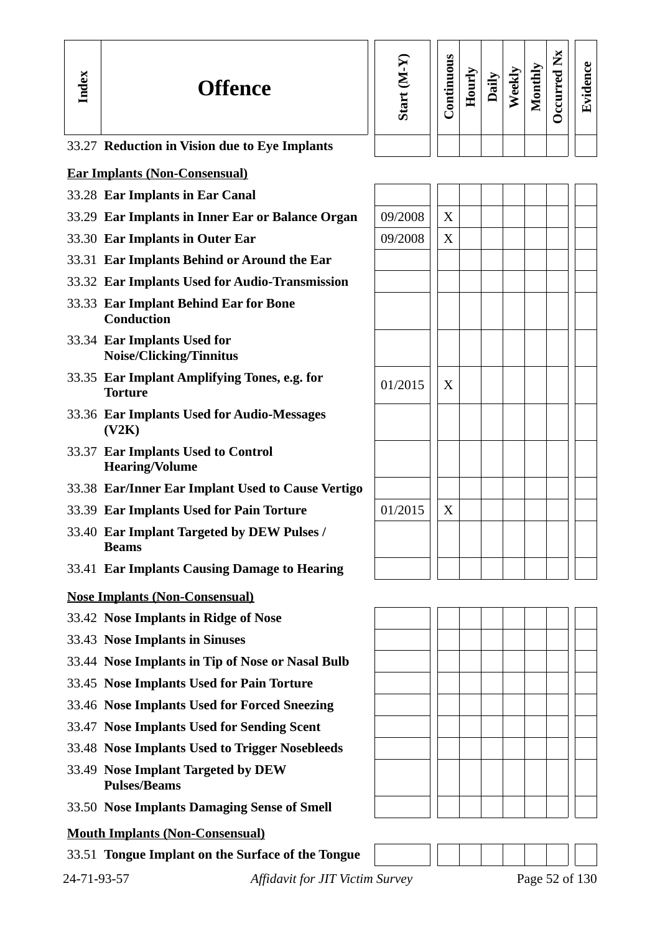| Index       | <b>Offence</b>                                                 | Start (M-Y) | Continuous | Hourly | Daily | Weekly | Monthly | Occurred Nx | Evidence       |
|-------------|----------------------------------------------------------------|-------------|------------|--------|-------|--------|---------|-------------|----------------|
|             | 33.27 Reduction in Vision due to Eye Implants                  |             |            |        |       |        |         |             |                |
|             | <b>Ear Implants (Non-Consensual)</b>                           |             |            |        |       |        |         |             |                |
|             | 33.28 Ear Implants in Ear Canal                                |             |            |        |       |        |         |             |                |
|             | 33.29 Ear Implants in Inner Ear or Balance Organ               | 09/2008     | X          |        |       |        |         |             |                |
|             | 33.30 Ear Implants in Outer Ear                                | 09/2008     | X          |        |       |        |         |             |                |
|             | 33.31 Ear Implants Behind or Around the Ear                    |             |            |        |       |        |         |             |                |
|             | 33.32 Ear Implants Used for Audio-Transmission                 |             |            |        |       |        |         |             |                |
|             | 33.33 Ear Implant Behind Ear for Bone<br><b>Conduction</b>     |             |            |        |       |        |         |             |                |
|             | 33.34 Ear Implants Used for<br><b>Noise/Clicking/Tinnitus</b>  |             |            |        |       |        |         |             |                |
|             | 33.35 Ear Implant Amplifying Tones, e.g. for<br><b>Torture</b> | 01/2015     | X          |        |       |        |         |             |                |
|             | 33.36 Ear Implants Used for Audio-Messages<br>(V2K)            |             |            |        |       |        |         |             |                |
|             | 33.37 Ear Implants Used to Control<br><b>Hearing/Volume</b>    |             |            |        |       |        |         |             |                |
|             | 33.38 Ear/Inner Ear Implant Used to Cause Vertigo              |             |            |        |       |        |         |             |                |
|             | 33.39 Ear Implants Used for Pain Torture                       | 01/2015     | X          |        |       |        |         |             |                |
|             | 33.40 Ear Implant Targeted by DEW Pulses /<br><b>Beams</b>     |             |            |        |       |        |         |             |                |
|             | 33.41 Ear Implants Causing Damage to Hearing                   |             |            |        |       |        |         |             |                |
|             | <b>Nose Implants (Non-Consensual)</b>                          |             |            |        |       |        |         |             |                |
|             | 33.42 Nose Implants in Ridge of Nose                           |             |            |        |       |        |         |             |                |
|             | 33.43 Nose Implants in Sinuses                                 |             |            |        |       |        |         |             |                |
|             | 33.44 Nose Implants in Tip of Nose or Nasal Bulb               |             |            |        |       |        |         |             |                |
|             | 33.45 Nose Implants Used for Pain Torture                      |             |            |        |       |        |         |             |                |
|             | 33.46 Nose Implants Used for Forced Sneezing                   |             |            |        |       |        |         |             |                |
|             | 33.47 Nose Implants Used for Sending Scent                     |             |            |        |       |        |         |             |                |
|             | 33.48 Nose Implants Used to Trigger Nosebleeds                 |             |            |        |       |        |         |             |                |
|             | 33.49 Nose Implant Targeted by DEW<br><b>Pulses/Beams</b>      |             |            |        |       |        |         |             |                |
|             | 33.50 Nose Implants Damaging Sense of Smell                    |             |            |        |       |        |         |             |                |
|             | <b>Mouth Implants (Non-Consensual)</b>                         |             |            |        |       |        |         |             |                |
|             | 33.51 Tongue Implant on the Surface of the Tongue              |             |            |        |       |        |         |             |                |
| 24-71-93-57 | <b>Affidavit for JIT Victim Survey</b>                         |             |            |        |       |        |         |             | Page 52 of 130 |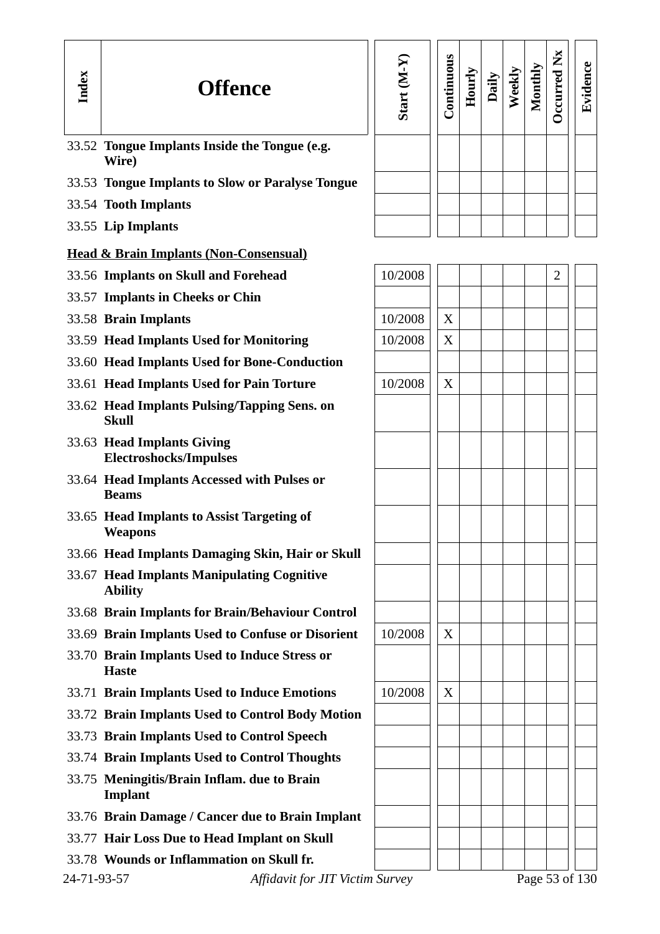| Index       | <b>Offence</b>                                                | Start (M-Y | Continuous | Hourly | Daily | Weekly | Monthly | Occurred Nx | Evidence       |
|-------------|---------------------------------------------------------------|------------|------------|--------|-------|--------|---------|-------------|----------------|
|             | 33.52 Tongue Implants Inside the Tongue (e.g.<br>Wire)        |            |            |        |       |        |         |             |                |
|             | 33.53 Tongue Implants to Slow or Paralyse Tongue              |            |            |        |       |        |         |             |                |
|             | 33.54 Tooth Implants                                          |            |            |        |       |        |         |             |                |
|             | 33.55 Lip Implants                                            |            |            |        |       |        |         |             |                |
|             | <b>Head &amp; Brain Implants (Non-Consensual)</b>             |            |            |        |       |        |         |             |                |
|             | 33.56 Implants on Skull and Forehead                          | 10/2008    |            |        |       |        |         | 2           |                |
|             | 33.57 Implants in Cheeks or Chin                              |            |            |        |       |        |         |             |                |
|             | 33.58 Brain Implants                                          | 10/2008    | X          |        |       |        |         |             |                |
|             | 33.59 Head Implants Used for Monitoring                       | 10/2008    | X          |        |       |        |         |             |                |
|             | 33.60 Head Implants Used for Bone-Conduction                  |            |            |        |       |        |         |             |                |
|             | 33.61 Head Implants Used for Pain Torture                     | 10/2008    | X          |        |       |        |         |             |                |
|             | 33.62 Head Implants Pulsing/Tapping Sens. on<br><b>Skull</b>  |            |            |        |       |        |         |             |                |
|             | 33.63 Head Implants Giving<br><b>Electroshocks/Impulses</b>   |            |            |        |       |        |         |             |                |
|             | 33.64 Head Implants Accessed with Pulses or<br><b>Beams</b>   |            |            |        |       |        |         |             |                |
|             | 33.65 Head Implants to Assist Targeting of<br><b>Weapons</b>  |            |            |        |       |        |         |             |                |
|             | 33.66 Head Implants Damaging Skin, Hair or Skull              |            |            |        |       |        |         |             |                |
|             | 33.67 Head Implants Manipulating Cognitive<br><b>Ability</b>  |            |            |        |       |        |         |             |                |
|             | 33.68 Brain Implants for Brain/Behaviour Control              |            |            |        |       |        |         |             |                |
|             | 33.69 Brain Implants Used to Confuse or Disorient             | 10/2008    | X          |        |       |        |         |             |                |
|             | 33.70 Brain Implants Used to Induce Stress or<br><b>Haste</b> |            |            |        |       |        |         |             |                |
|             | 33.71 Brain Implants Used to Induce Emotions                  | 10/2008    | X          |        |       |        |         |             |                |
|             | 33.72 Brain Implants Used to Control Body Motion              |            |            |        |       |        |         |             |                |
|             | 33.73 Brain Implants Used to Control Speech                   |            |            |        |       |        |         |             |                |
|             | 33.74 Brain Implants Used to Control Thoughts                 |            |            |        |       |        |         |             |                |
|             | 33.75 Meningitis/Brain Inflam. due to Brain<br><b>Implant</b> |            |            |        |       |        |         |             |                |
|             | 33.76 Brain Damage / Cancer due to Brain Implant              |            |            |        |       |        |         |             |                |
|             | 33.77 Hair Loss Due to Head Implant on Skull                  |            |            |        |       |        |         |             |                |
|             | 33.78 Wounds or Inflammation on Skull fr.                     |            |            |        |       |        |         |             |                |
| 24-71-93-57 | Affidavit for JIT Victim Survey                               |            |            |        |       |        |         |             | Page 53 of 130 |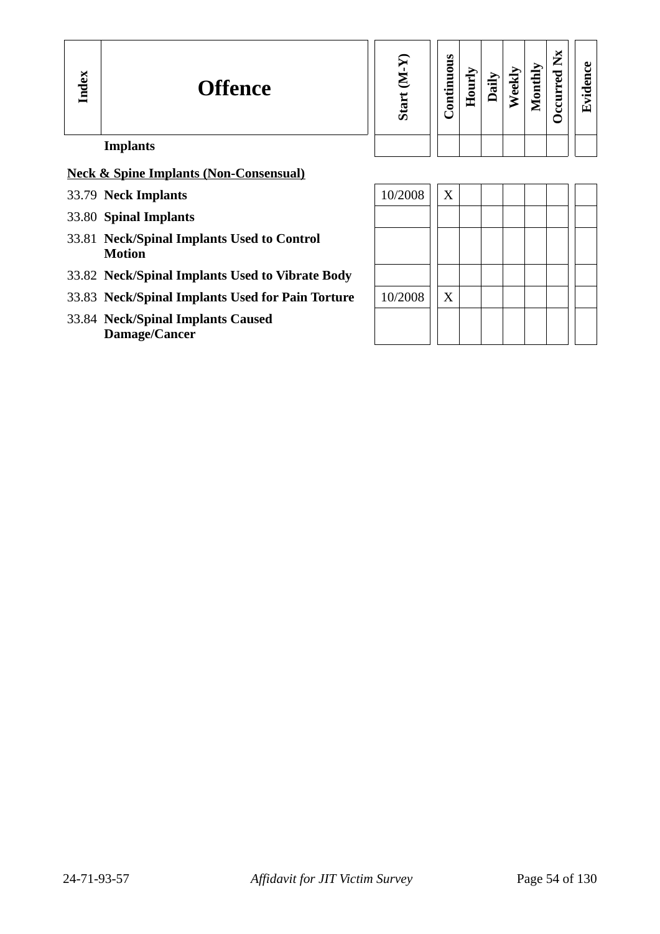| Start (M-Y) | Continuous | Hourly | Daily | Weekly | Monthly | Occurred Nx | Evidence |
|-------------|------------|--------|-------|--------|---------|-------------|----------|
|             |            |        |       |        |         |             |          |

# **Implants**

# **Neck & Spine Implants (Non-Consensual)**

- 33.79 **Neck Implants**
- 33.80 **Spinal Implants**
- 33.81 **Neck/Spinal Implants Used to Control Motion**
- 33.82 **Neck/Spinal Implants Used to Vibrate Body**
- 33.83 Neck/Spinal Implants Used for Pain Torture
- 33.84 **Neck/Spinal Implants Caused Damage/Cancer**

| 10/2008 | X |  |  |  |  |
|---------|---|--|--|--|--|
|         |   |  |  |  |  |
|         |   |  |  |  |  |
|         |   |  |  |  |  |
|         |   |  |  |  |  |
| 10/2008 | X |  |  |  |  |
|         |   |  |  |  |  |
|         |   |  |  |  |  |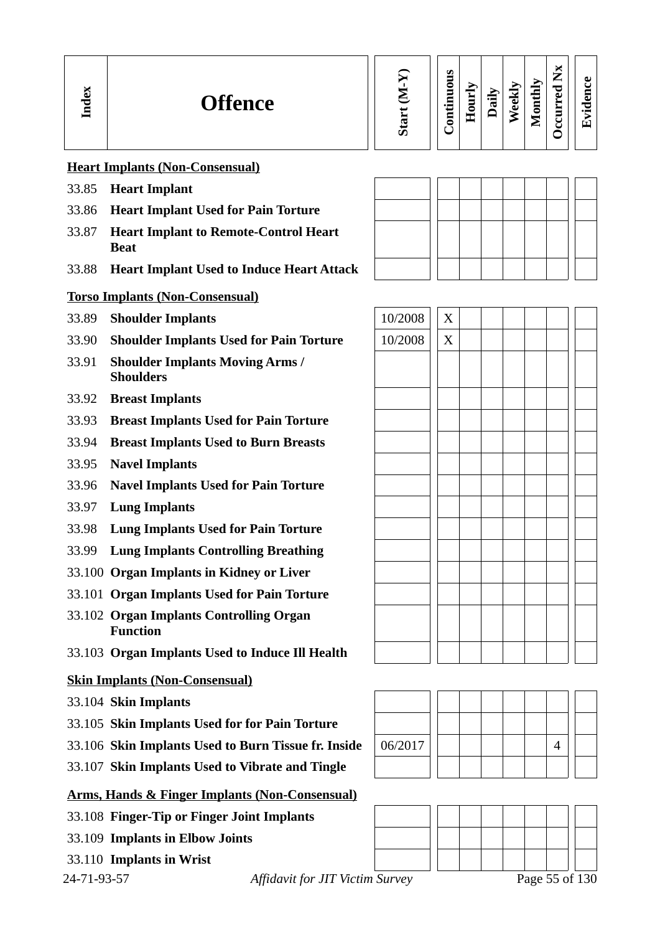| о<br><b>Offence</b><br>っ<br>E | ທ | ဖာ<br>-<br>c<br>▬<br>$\bullet$ $\blacksquare$<br>Ξ<br>◓ | ▀<br>_<br>_<br>c<br>. .<br>┶ | $\Rightarrow$<br>, | ╦<br>نه<br>O) | ⋗<br>_<br>$\blacksquare$<br>. .<br>5<br>-<br>⋍ | ⊶<br>∽<br>–<br>⊷<br>◡<br>Ō<br>▬<br>∼<br>−<br>-<br>ں<br>ں | $\bullet$<br>ں<br>5<br>◡<br>$\overline{\phantom{0}}$<br>΄τ. |
|-------------------------------|---|---------------------------------------------------------|------------------------------|--------------------|---------------|------------------------------------------------|----------------------------------------------------------|-------------------------------------------------------------|
|-------------------------------|---|---------------------------------------------------------|------------------------------|--------------------|---------------|------------------------------------------------|----------------------------------------------------------|-------------------------------------------------------------|

### **Heart Implants (Non-Consensual)**

- 33.85 **Heart Implant**
- 33.86 **Heart Implant Used for Pain Torture**
- 33.87 **Heart Implant to Remote-Control Heart Beat**
- 33.88 **Heart Implant Used to Induce Heart Attack**

### **Torso Implants (Non-Consensual)**

- **33.89 Shoulder Implants** 10/2008 X
- 33.90 **Shoulder Implants Used for Pain Torture** 10/2008 X
- 33.91 **Shoulder Implants Moving Arms / Shoulders**
- 33.92 **Breast Implants**
- 33.93 **Breast Implants Used for Pain Torture**
- 33.94 **Breast Implants Used to Burn Breasts**
- 33.95 **Navel Implants**
- 33.96 **Navel Implants Used for Pain Torture**
- 33.97 **Lung Implants**
- 33.98 **Lung Implants Used for Pain Torture**
- 33.99 **Lung Implants Controlling Breathing**
- 33.100 **Organ Implants in Kidney or Liver**
- 33.101 **Organ Implants Used for Pain Torture**
- 33.102 **Organ Implants Controlling Organ Function**
- 33.103 **Organ Implants Used to Induce Ill Health**

### **Skin Implants (Non-Consensual)**

- 33.104 **Skin Implants**
- 33.105 **Skin Implants Used for for Pain Torture**
- **33.106 Skin Implants Used to Burn Tissue fr. Inside** | 06/2017 | | | | | | | | | 4
- 33.107 **Skin Implants Used to Vibrate and Tingle**

# **Arms, Hands & Finger Implants (Non-Consensual)**

- 33.108 **Finger-Tip or Finger Joint Implants**
- 33.109 **Implants in Elbow Joints**
- 33.110 **Implants in Wrist**

24-71-93-57 *Affidavit for JIT Victim Survey* Page 55 of 130





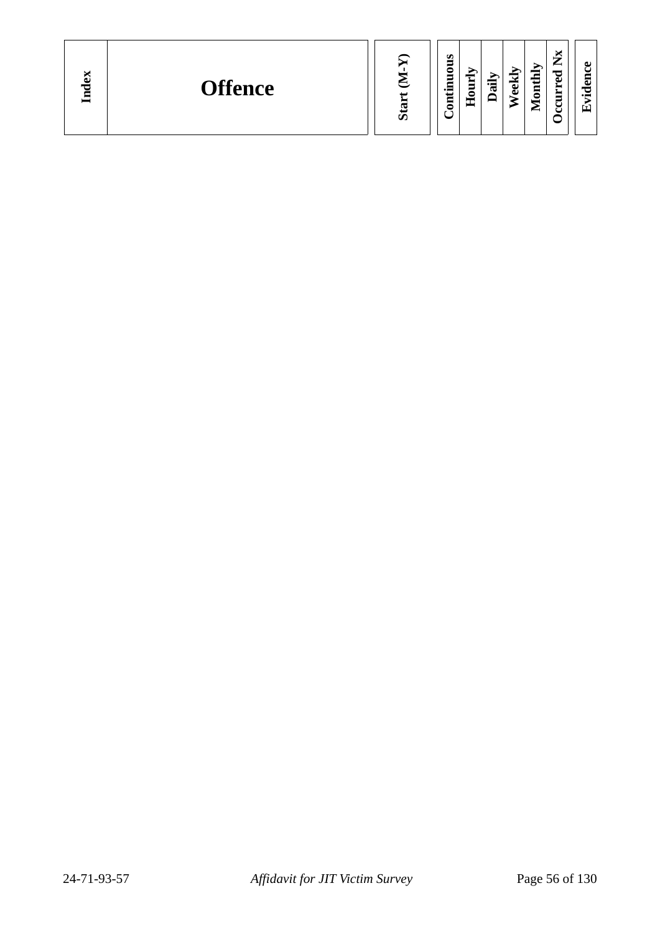|  | <b>Offence</b> |  | u<br>−<br>л.<br>┍<br>⊶<br>$\bullet$ F<br>œ<br>∊<br>$\cdot$ $-$<br>c<br>모<br>┍<br>ᄄ<br>_ |  |
|--|----------------|--|-----------------------------------------------------------------------------------------|--|
|--|----------------|--|-----------------------------------------------------------------------------------------|--|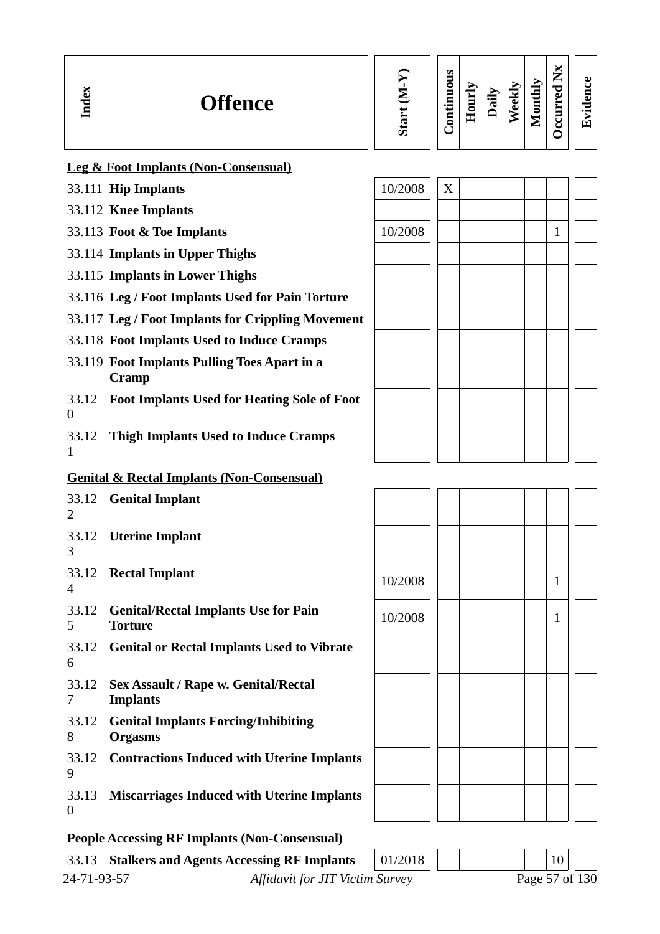| Index | <b>Offence</b>                                  | ନ<br>Ż<br>Start | Continuous | Hourly | Daily | <b>Neekly</b> | Monthly | $\breve{\mathbf{x}}$<br>←<br>ਹ<br>Ū<br>urr<br>ں<br>Ū | ω<br>U<br>Ē<br>Ō<br>$\overline{\phantom{0}}$<br>凹 |
|-------|-------------------------------------------------|-----------------|------------|--------|-------|---------------|---------|------------------------------------------------------|---------------------------------------------------|
|       | <b>Leg &amp; Foot Implants (Non-Consensual)</b> |                 |            |        |       |               |         |                                                      |                                                   |
|       | 33.111 Hip Implants                             | 10/2008         | X          |        |       |               |         |                                                      |                                                   |
|       | 33.112 Knee Implants                            |                 |            |        |       |               |         |                                                      |                                                   |
|       | 33.113 Foot & Toe Implants                      | 10/2008         |            |        |       |               |         |                                                      |                                                   |

- 33.114 **Implants in Upper Thighs**
- 33.115 **Implants in Lower Thighs**
- 33.116 **Leg / Foot Implants Used for Pain Torture**
- 33.117 **Leg / Foot Implants for Crippling Movement**
- 33.118 **Foot Implants Used to Induce Cramps**
- 33.119 **Foot Implants Pulling Toes Apart in a Cramp**
- 33.12 **Foot Implants Used for Heating Sole of Foot** 0
- 33.12 **Thigh Implants Used to Induce Cramps** 1

# **Genital & Rectal Implants (Non-Consensual)**

| 2                       | 33.12 Genital Implant                                          |         |  |  |              |
|-------------------------|----------------------------------------------------------------|---------|--|--|--------------|
| 33.12<br>3              | <b>Uterine Implant</b>                                         |         |  |  |              |
| 4                       | 33.12 Rectal Implant                                           | 10/2008 |  |  | $\mathbf{1}$ |
| 33.12<br>5.             | <b>Genital/Rectal Implants Use for Pain</b><br><b>Torture</b>  | 10/2008 |  |  | 1            |
| 6                       | 33.12 Genital or Rectal Implants Used to Vibrate               |         |  |  |              |
| 33.12<br>7              | <b>Sex Assault / Rape w. Genital/Rectal</b><br><b>Implants</b> |         |  |  |              |
| 33.12<br>8              | <b>Genital Implants Forcing/Inhibiting</b><br><b>Orgasms</b>   |         |  |  |              |
| 33.12<br>9              | <b>Contractions Induced with Uterine Implants</b>              |         |  |  |              |
| 33.13<br>$\overline{0}$ | <b>Miscarriages Induced with Uterine Implants</b>              |         |  |  |              |
|                         |                                                                |         |  |  |              |

# **People Accessing RF Implants (Non-Consensual)**

|             | 33.13 Stalkers and Agents Accessing RF Implants | 01/2018 |  | 10 <sup>1</sup> |  |
|-------------|-------------------------------------------------|---------|--|-----------------|--|
| 24-71-93-57 | <b>Affidavit for JIT Victim Survey</b>          |         |  | Page 57 of 130  |  |

|  | $\mathbf 1$ |  |  | 10/2008 |
|--|-------------|--|--|---------|
|  | $\mathbf 1$ |  |  | 10/2008 |
|  |             |  |  |         |
|  |             |  |  |         |
|  |             |  |  |         |
|  |             |  |  |         |
|  |             |  |  |         |
|  |             |  |  |         |



| 10/2008 |  |  | $\mathbf 1$ |  |  |
|---------|--|--|-------------|--|--|
| 10/2008 |  |  | $\mathbf 1$ |  |  |
|         |  |  |             |  |  |
|         |  |  |             |  |  |
|         |  |  |             |  |  |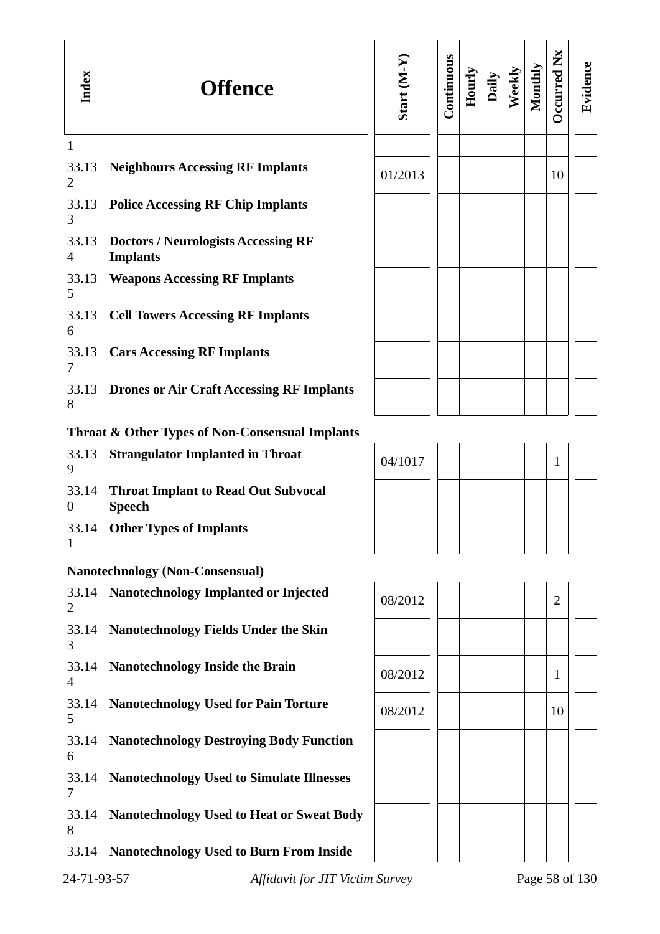| Index                   | <b>Offence</b>                                                | Start (M-Y) | Continuous | Hourly | Daily | Weekly | Monthly | Occurred Nx    | Evidence       |
|-------------------------|---------------------------------------------------------------|-------------|------------|--------|-------|--------|---------|----------------|----------------|
| $\mathbf{1}$            |                                                               |             |            |        |       |        |         |                |                |
| 33.13<br>2              | <b>Neighbours Accessing RF Implants</b>                       | 01/2013     |            |        |       |        |         | 10             |                |
| 3                       | 33.13 Police Accessing RF Chip Implants                       |             |            |        |       |        |         |                |                |
| 33.13<br>4              | <b>Doctors / Neurologists Accessing RF</b><br><b>Implants</b> |             |            |        |       |        |         |                |                |
| 5                       | 33.13 Weapons Accessing RF Implants                           |             |            |        |       |        |         |                |                |
| 6                       | 33.13 Cell Towers Accessing RF Implants                       |             |            |        |       |        |         |                |                |
| 7                       | 33.13 Cars Accessing RF Implants                              |             |            |        |       |        |         |                |                |
| 8                       | 33.13 Drones or Air Craft Accessing RF Implants               |             |            |        |       |        |         |                |                |
|                         | <b>Throat &amp; Other Types of Non-Consensual Implants</b>    |             |            |        |       |        |         |                |                |
| 33.13<br>9              | <b>Strangulator Implanted in Throat</b>                       | 04/1017     |            |        |       |        |         | 1              |                |
| 33.14<br>$\overline{0}$ | <b>Throat Implant to Read Out Subvocal</b><br><b>Speech</b>   |             |            |        |       |        |         |                |                |
| 33.14<br>1              | <b>Other Types of Implants</b>                                |             |            |        |       |        |         |                |                |
|                         | <b>Nanotechnology (Non-Consensual)</b>                        |             |            |        |       |        |         |                |                |
| 2                       | 33.14 Nanotechnology Implanted or Injected                    | 08/2012     |            |        |       |        |         | $\overline{2}$ |                |
| 33.14<br>3              | <b>Nanotechnology Fields Under the Skin</b>                   |             |            |        |       |        |         |                |                |
| 4                       | 33.14 Nanotechnology Inside the Brain                         | 08/2012     |            |        |       |        |         | 1              |                |
| 5                       | 33.14 Nanotechnology Used for Pain Torture                    | 08/2012     |            |        |       |        |         | 10             |                |
| 6                       | 33.14 Nanotechnology Destroying Body Function                 |             |            |        |       |        |         |                |                |
| 7                       | 33.14 Nanotechnology Used to Simulate Illnesses               |             |            |        |       |        |         |                |                |
| 33.14<br>8              | <b>Nanotechnology Used to Heat or Sweat Body</b>              |             |            |        |       |        |         |                |                |
|                         | 33.14 Nanotechnology Used to Burn From Inside                 |             |            |        |       |        |         |                |                |
| 24-71-93-57             | Affidavit for JIT Victim Survey                               |             |            |        |       |        |         |                | Page 58 of 130 |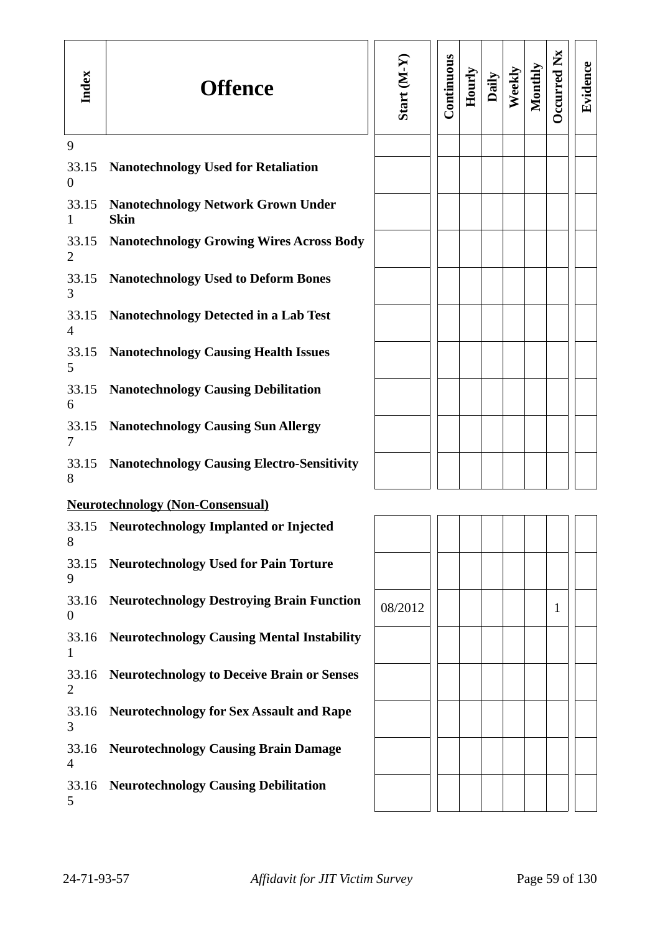| Index                   | <b>Offence</b>                                           | Start (M-Y) | Continuous | Hourly | Daily | Weekly | Monthly | Occurred Nx  | Evidence |
|-------------------------|----------------------------------------------------------|-------------|------------|--------|-------|--------|---------|--------------|----------|
| 9                       |                                                          |             |            |        |       |        |         |              |          |
| 33.15<br>$\overline{0}$ | <b>Nanotechnology Used for Retaliation</b>               |             |            |        |       |        |         |              |          |
| 33.15<br>$\mathbf{1}$   | <b>Nanotechnology Network Grown Under</b><br><b>Skin</b> |             |            |        |       |        |         |              |          |
| 33.15<br>2              | <b>Nanotechnology Growing Wires Across Body</b>          |             |            |        |       |        |         |              |          |
| 33.15<br>3              | <b>Nanotechnology Used to Deform Bones</b>               |             |            |        |       |        |         |              |          |
| 33.15<br>4              | <b>Nanotechnology Detected in a Lab Test</b>             |             |            |        |       |        |         |              |          |
| 33.15<br>5              | <b>Nanotechnology Causing Health Issues</b>              |             |            |        |       |        |         |              |          |
| 33.15<br>6              | <b>Nanotechnology Causing Debilitation</b>               |             |            |        |       |        |         |              |          |
| 33.15<br>7              | <b>Nanotechnology Causing Sun Allergy</b>                |             |            |        |       |        |         |              |          |
| 33.15<br>8              | <b>Nanotechnology Causing Electro-Sensitivity</b>        |             |            |        |       |        |         |              |          |
|                         | <b>Neurotechnology (Non-Consensual)</b>                  |             |            |        |       |        |         |              |          |
| 33.15<br>8              | Neurotechnology Implanted or Injected                    |             |            |        |       |        |         |              |          |
| 33.15<br>9              | <b>Neurotechnology Used for Pain Torture</b>             |             |            |        |       |        |         |              |          |
| 33.16<br>$\overline{0}$ | <b>Neurotechnology Destroying Brain Function</b>         | 08/2012     |            |        |       |        |         | $\mathbf{1}$ |          |
| 33.16<br>1              | <b>Neurotechnology Causing Mental Instability</b>        |             |            |        |       |        |         |              |          |
| 33.16<br>2              | <b>Neurotechnology to Deceive Brain or Senses</b>        |             |            |        |       |        |         |              |          |
| 33.16<br>3              | <b>Neurotechnology for Sex Assault and Rape</b>          |             |            |        |       |        |         |              |          |
| 33.16<br>4              | <b>Neurotechnology Causing Brain Damage</b>              |             |            |        |       |        |         |              |          |
| 33.16<br>5              | <b>Neurotechnology Causing Debilitation</b>              |             |            |        |       |        |         |              |          |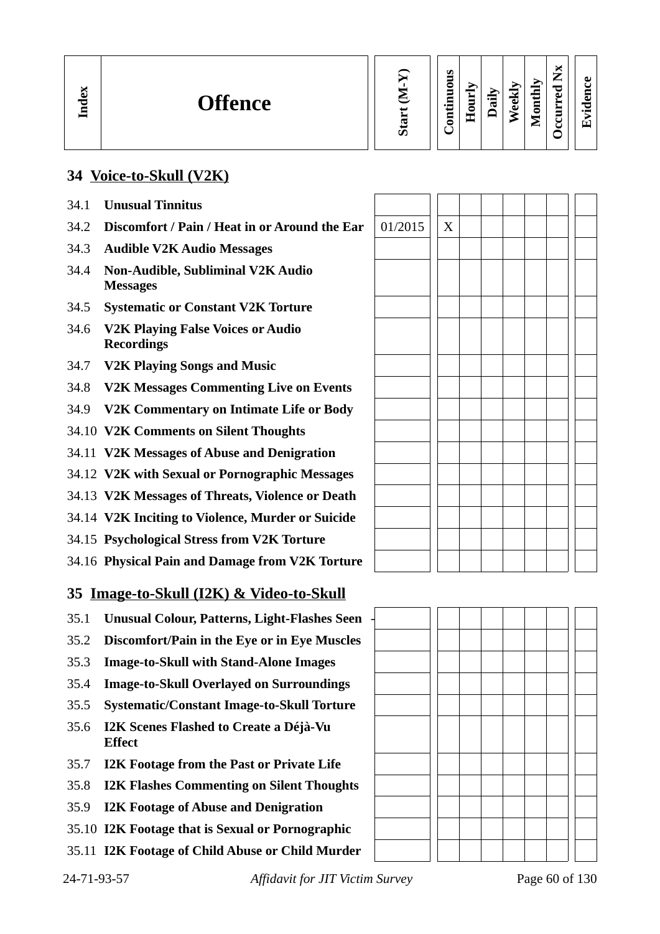| $\overline{\mathbf{M}}$ |  |
|-------------------------|--|
| Start                   |  |

#### **Contin uous Hourly D We ekly aily Monthly OccurredNxEvid ence**

# **34 Voice-to-Skull (V2K)**

34.1 **Unusual Tinnitus**

**In dex**

- 34.2 **Discomfort / Pain / Heat in or Around the Ear**
- 34.3 **Audible V2K Audio Messages**
- 34.4 **Non-Audible, Subliminal V2K Audio Messages**
- 34.5 **Systematic or Constant V2K Torture**
- 34.6 **V2K Playing False Voices or Audio Recordings**
- 34.7 **V2K Playing Songs and Music**
- 34.8 **V2K Messages Commenting Live on Events**
- 34.9 **V2K Commentary on Intimate Life or Body**
- 34.10 **V2K Comments on Silent Thoughts**
- 34.11 **V2K Messages of Abuse and Denigration**
- 34.12 **V2K with Sexual or Pornographic Messages**
- 34.13 **V2K Messages of Threats, Violence or Death**
- 34.14 **V2K Inciting to Violence, Murder or Suicide**
- 34.15 **Psychological Stress from V2K Torture**
- 34.16 **Physical Pain and Damage from V2K Torture**

# **35 Image-to-Skull (I2K) & Video-to-Skull**

- 35.1 **Unusual Colour, Patterns, Light-Flashes Seen** -
- 35.2 **Discomfort/Pain in the Eye or in Eye Muscles**
- 35.3 **Image-to-Skull with Stand-Alone Images**
- 35.4 **Image-to-Skull Overlayed on Surroundings**
- 35.5 **Systematic/Constant Image-to-Skull Torture**
- 35.6 **I2K Scenes Flashed to Create a Déjà-Vu Effect**
- 35.7 **I2K Footage from the Past or Private Life**
- 35.8 **I2K Flashes Commenting on Silent Thoughts**
- 35.9 **I2K Footage of Abuse and Denigration**
- 35.10 **I2K Footage that is Sexual or Pornographic**
- 35.11 **I2K Footage of Child Abuse or Child Murder**

| 01/2015 | $\mathbf X$ |  |  |  |  |
|---------|-------------|--|--|--|--|
|         |             |  |  |  |  |
|         |             |  |  |  |  |
|         |             |  |  |  |  |
|         |             |  |  |  |  |
|         |             |  |  |  |  |
|         |             |  |  |  |  |
|         |             |  |  |  |  |
|         |             |  |  |  |  |
|         |             |  |  |  |  |
|         |             |  |  |  |  |
|         |             |  |  |  |  |
|         |             |  |  |  |  |
|         |             |  |  |  |  |
|         |             |  |  |  |  |
|         |             |  |  |  |  |
|         |             |  |  |  |  |

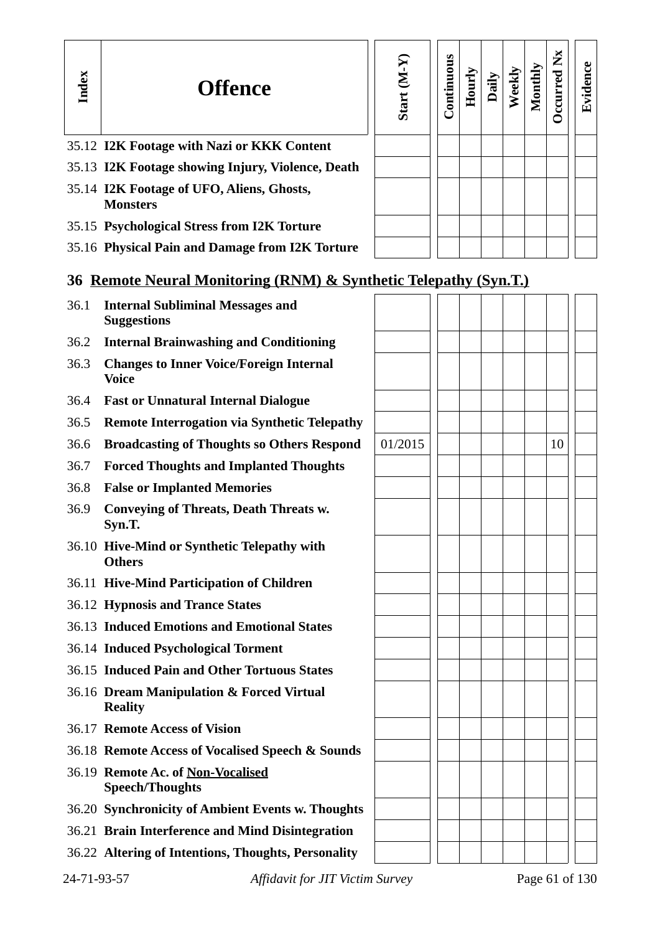| Index | <b>Offence</b>                                                   | Start (M-Y) | Continuous | Hourly | Daily | Weekly | Monthly | Occurred Nx | Evidence |
|-------|------------------------------------------------------------------|-------------|------------|--------|-------|--------|---------|-------------|----------|
|       | 35.12 I2K Footage with Nazi or KKK Content                       |             |            |        |       |        |         |             |          |
|       | 35.13 I2K Footage showing Injury, Violence, Death                |             |            |        |       |        |         |             |          |
|       | 35.14 I2K Footage of UFO, Aliens, Ghosts,<br><b>Monsters</b>     |             |            |        |       |        |         |             |          |
|       | 35.15 Psychological Stress from I2K Torture                      |             |            |        |       |        |         |             |          |
|       | 35.16 Physical Pain and Damage from I2K Torture                  |             |            |        |       |        |         |             |          |
|       | 36 Remote Neural Monitoring (RNM) & Synthetic Telepathy (Syn.T.) |             |            |        |       |        |         |             |          |
| 36.1  | <b>Internal Subliminal Messages and</b><br><b>Suggestions</b>    |             |            |        |       |        |         |             |          |
| 36.2  | <b>Internal Brainwashing and Conditioning</b>                    |             |            |        |       |        |         |             |          |
| 36.3  | <b>Changes to Inner Voice/Foreign Internal</b><br><b>Voice</b>   |             |            |        |       |        |         |             |          |
| 36.4  | <b>Fast or Unnatural Internal Dialogue</b>                       |             |            |        |       |        |         |             |          |
| 36.5  | <b>Remote Interrogation via Synthetic Telepathy</b>              |             |            |        |       |        |         |             |          |
| 36.6  | <b>Broadcasting of Thoughts so Others Respond</b>                | 01/2015     |            |        |       |        |         | 10          |          |
| 36.7  | <b>Forced Thoughts and Implanted Thoughts</b>                    |             |            |        |       |        |         |             |          |
| 36.8  | <b>False or Implanted Memories</b>                               |             |            |        |       |        |         |             |          |
| 36.9  | <b>Conveying of Threats, Death Threats w.</b><br>Syn.T.          |             |            |        |       |        |         |             |          |
|       | 36.10 Hive-Mind or Synthetic Telepathy with<br><b>Others</b>     |             |            |        |       |        |         |             |          |
|       | 36.11 Hive-Mind Participation of Children                        |             |            |        |       |        |         |             |          |
|       | 36.12 Hypnosis and Trance States                                 |             |            |        |       |        |         |             |          |
|       | 36.13 Induced Emotions and Emotional States                      |             |            |        |       |        |         |             |          |
|       | 36.14 Induced Psychological Torment                              |             |            |        |       |        |         |             |          |

- 36.15 **Induced Pain and Other Tortuous States**
- 36.16 **Dream Manipulation & Forced Virtual Reality**
- 36.17 **Remote Access of Vision**
- 36.18 **Remote Access of Vocalised Speech & Sounds**
- 36.19 **Remote Ac. of Non-Vocalised Speech/Thoughts**
- 36.20 **Synchronicity of Ambient Events w. Thoughts**
- 36.21 **Brain Interference and Mind Disintegration**
- 36.22 **Altering of Intentions, Thoughts, Personality**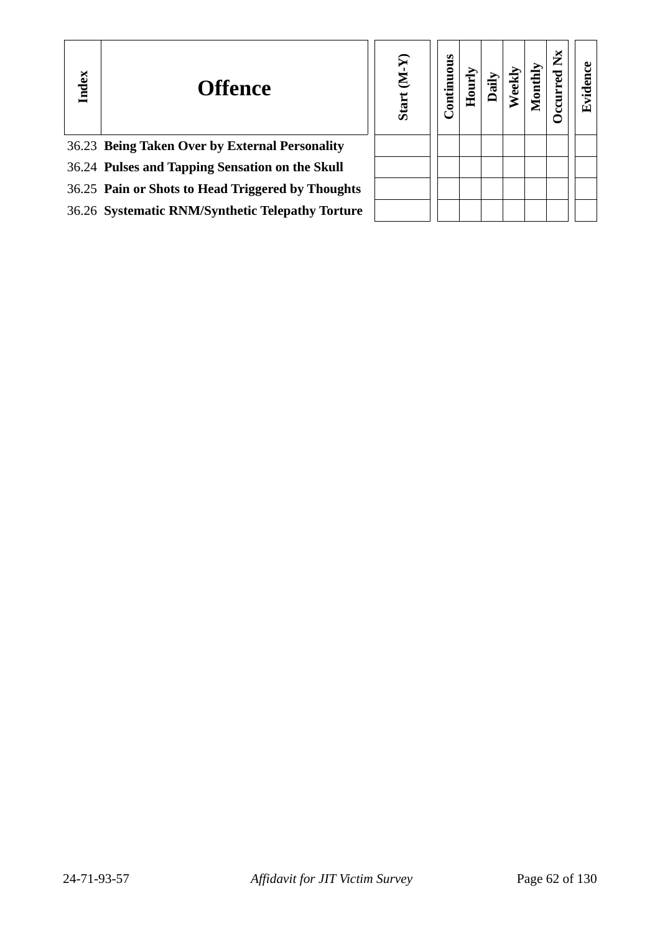| Index | <b>Offence</b>                                    | F<br>É<br><b>Start</b> | Continuous | E |  | ž | <u>F.</u> |
|-------|---------------------------------------------------|------------------------|------------|---|--|---|-----------|
|       | 36.23 Being Taken Over by External Personality    |                        |            |   |  |   |           |
|       | 36.24 Pulses and Tapping Sensation on the Skull   |                        |            |   |  |   |           |
|       | 36.25 Pain or Shots to Head Triggered by Thoughts |                        |            |   |  |   |           |
|       | 36.26 Systematic RNM/Synthetic Telepathy Torture  |                        |            |   |  |   |           |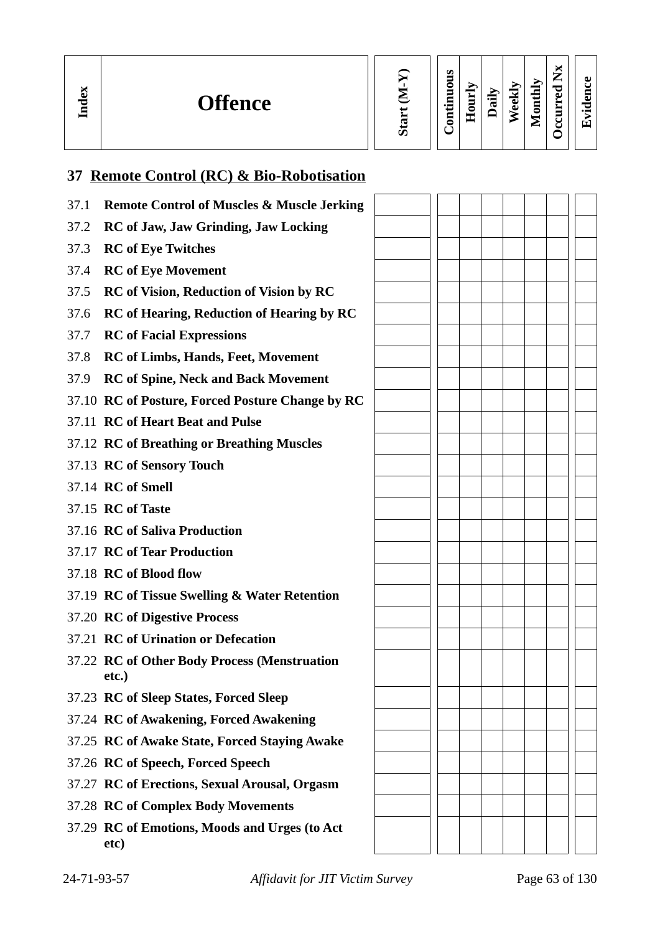| м<br>ᄆ | <b>Offence</b> |  | S<br>0<br>5<br>$\overline{\phantom{0}}$<br>▭<br>_<br>0 | ▀<br>−<br>$\blacksquare$<br>-<br>-- | $\overline{\phantom{0}}$<br>ດ |  | ∽<br>⋍ | J<br>ല<br>▬<br>∼<br>-<br>◡ | ച<br>$\bullet$ $\blacksquare$ |
|--------|----------------|--|--------------------------------------------------------|-------------------------------------|-------------------------------|--|--------|----------------------------|-------------------------------|
|--------|----------------|--|--------------------------------------------------------|-------------------------------------|-------------------------------|--|--------|----------------------------|-------------------------------|

# **37 Remote Control (RC) & Bio-Robotisation**

| 37.1 | <b>Remote Control of Muscles &amp; Muscle Jerking</b> |  |  |  |  |
|------|-------------------------------------------------------|--|--|--|--|
| 37.2 | <b>RC of Jaw, Jaw Grinding, Jaw Locking</b>           |  |  |  |  |
| 37.3 | <b>RC</b> of Eye Twitches                             |  |  |  |  |
| 37.4 | <b>RC</b> of Eye Movement                             |  |  |  |  |
| 37.5 | <b>RC</b> of Vision, Reduction of Vision by RC        |  |  |  |  |
| 37.6 | <b>RC of Hearing, Reduction of Hearing by RC</b>      |  |  |  |  |
| 37.7 | <b>RC</b> of Facial Expressions                       |  |  |  |  |
| 37.8 | <b>RC</b> of Limbs, Hands, Feet, Movement             |  |  |  |  |
| 37.9 | <b>RC of Spine, Neck and Back Movement</b>            |  |  |  |  |
|      | 37.10 RC of Posture, Forced Posture Change by RC      |  |  |  |  |
|      | 37.11 RC of Heart Beat and Pulse                      |  |  |  |  |
|      | 37.12 RC of Breathing or Breathing Muscles            |  |  |  |  |
|      | 37.13 RC of Sensory Touch                             |  |  |  |  |
|      | 37.14 RC of Smell                                     |  |  |  |  |
|      | 37.15 <b>RC</b> of Taste                              |  |  |  |  |
|      | 37.16 RC of Saliva Production                         |  |  |  |  |
|      | 37.17 RC of Tear Production                           |  |  |  |  |
|      | 37.18 RC of Blood flow                                |  |  |  |  |
|      | 37.19 RC of Tissue Swelling & Water Retention         |  |  |  |  |
|      | 37.20 RC of Digestive Process                         |  |  |  |  |
|      | 37.21 RC of Urination or Defecation                   |  |  |  |  |
|      | 37.22 RC of Other Body Process (Menstruation<br>etc.) |  |  |  |  |
|      | 37.23 RC of Sleep States, Forced Sleep                |  |  |  |  |
|      | 37.24 RC of Awakening, Forced Awakening               |  |  |  |  |
|      | 37.25 RC of Awake State, Forced Staying Awake         |  |  |  |  |
|      | 37.26 RC of Speech, Forced Speech                     |  |  |  |  |
|      | 37.27 RC of Erections, Sexual Arousal, Orgasm         |  |  |  |  |
|      | 37.28 RC of Complex Body Movements                    |  |  |  |  |
|      | 37.29 RC of Emotions, Moods and Urges (to Act<br>etc) |  |  |  |  |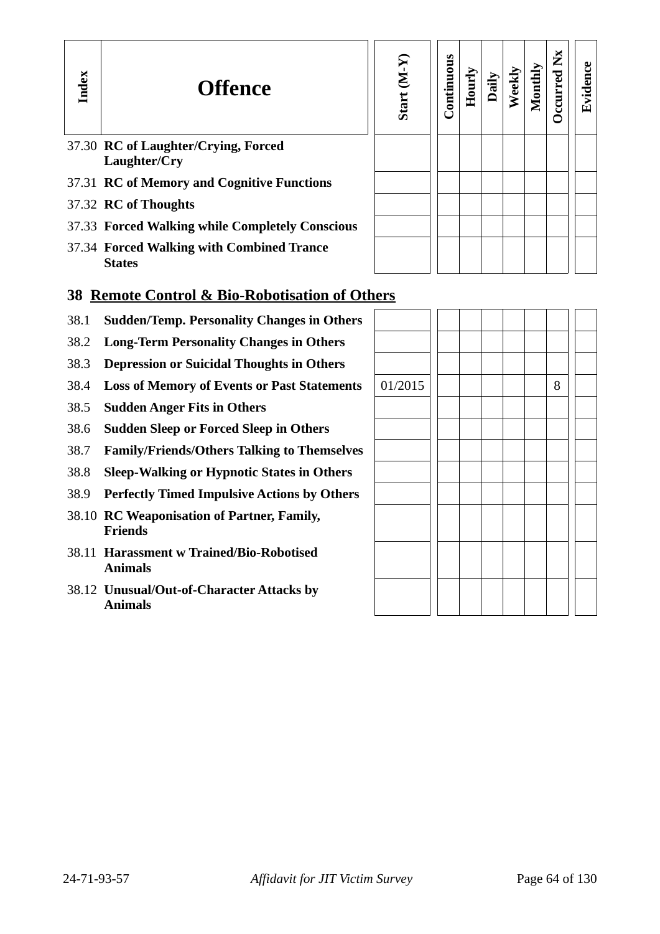| Index                                                     | <b>Offence</b>                                             | Start (M-Y | Continuous | Hourly | Dail | Veekl | Monthly | ž<br>ccurred | Evidence |
|-----------------------------------------------------------|------------------------------------------------------------|------------|------------|--------|------|-------|---------|--------------|----------|
|                                                           | 37.30 RC of Laughter/Crying, Forced<br>Laughter/Cry        |            |            |        |      |       |         |              |          |
|                                                           | 37.31 RC of Memory and Cognitive Functions                 |            |            |        |      |       |         |              |          |
|                                                           | 37.32 RC of Thoughts                                       |            |            |        |      |       |         |              |          |
|                                                           | 37.33 Forced Walking while Completely Conscious            |            |            |        |      |       |         |              |          |
|                                                           | 37.34 Forced Walking with Combined Trance<br><b>States</b> |            |            |        |      |       |         |              |          |
| <b>38 Remote Control &amp; Bio-Robotisation of Others</b> |                                                            |            |            |        |      |       |         |              |          |

- 38.1 **Sudden/Temp. Personality Changes in Others**
- 38.2 **Long-Term Personality Changes in Others**
- 38.3 **Depression or Suicidal Thoughts in Others**
- 38.4 Loss of Memory of Events or Past Statements
- 38.5 **Sudden Anger Fits in Others**
- 38.6 **Sudden Sleep or Forced Sleep in Others**
- 38.7 **Family/Friends/Others Talking to Themselves**
- 38.8 **Sleep-Walking or Hypnotic States in Others**
- 38.9 **Perfectly Timed Impulsive Actions by Others**
- 38.10 **RC Weaponisation of Partner, Family, Friends**
- 38.11 **Harassment w Trained/Bio-Robotised Animals**
- 38.12 **Unusual/Out-of-Character Attacks by Animals**

| 01/2015 |  |  |  | $\, 8$ |  |
|---------|--|--|--|--------|--|
|         |  |  |  |        |  |
|         |  |  |  |        |  |
|         |  |  |  |        |  |
|         |  |  |  |        |  |
|         |  |  |  |        |  |
|         |  |  |  |        |  |
|         |  |  |  |        |  |
|         |  |  |  |        |  |
|         |  |  |  |        |  |
|         |  |  |  |        |  |
|         |  |  |  |        |  |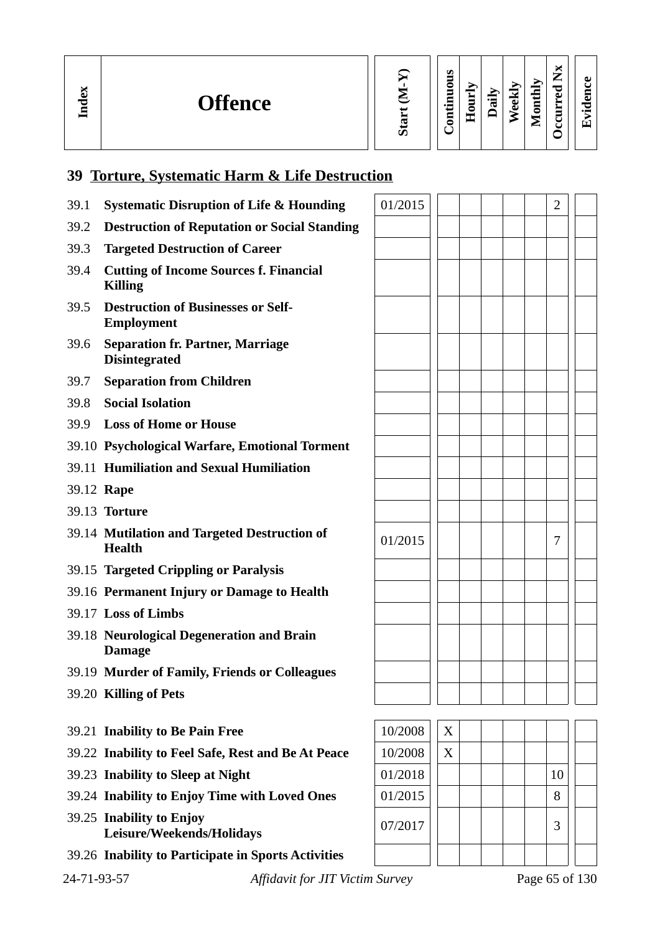| м | <b>Offence</b> | rr | ဖာ<br>0<br>-<br>$\bullet$ $\blacksquare$<br>Г<br>- | -<br>nn<br>O<br>工 | 信<br>℡ | $\overline{\mathbf{c}}$<br>ىق | ∽<br>$\blacksquare$<br>$\blacksquare$<br>▬<br>0 | ы<br>∽<br>۰,<br>▃<br>ਹ<br>ω<br>−<br>$\blacksquare$<br>ں<br>ٮ | ്ധ<br>◡<br>▀<br>്ധ<br>$\bullet$ $\blacksquare$<br>Гт` |  |
|---|----------------|----|----------------------------------------------------|-------------------|--------|-------------------------------|-------------------------------------------------|--------------------------------------------------------------|-------------------------------------------------------|--|
|---|----------------|----|----------------------------------------------------|-------------------|--------|-------------------------------|-------------------------------------------------|--------------------------------------------------------------|-------------------------------------------------------|--|

# **39 Torture, Systematic Harm & Life Destruction**

| 39.1 | <b>Systematic Disruption of Life &amp; Hounding</b>             | 01/2015 |   |  |  | 2  |  |
|------|-----------------------------------------------------------------|---------|---|--|--|----|--|
| 39.2 | <b>Destruction of Reputation or Social Standing</b>             |         |   |  |  |    |  |
| 39.3 | <b>Targeted Destruction of Career</b>                           |         |   |  |  |    |  |
| 39.4 | <b>Cutting of Income Sources f. Financial</b><br><b>Killing</b> |         |   |  |  |    |  |
| 39.5 | <b>Destruction of Businesses or Self-</b><br>Employment         |         |   |  |  |    |  |
| 39.6 | <b>Separation fr. Partner, Marriage</b><br><b>Disintegrated</b> |         |   |  |  |    |  |
| 39.7 | <b>Separation from Children</b>                                 |         |   |  |  |    |  |
| 39.8 | <b>Social Isolation</b>                                         |         |   |  |  |    |  |
| 39.9 | <b>Loss of Home or House</b>                                    |         |   |  |  |    |  |
|      | 39.10 Psychological Warfare, Emotional Torment                  |         |   |  |  |    |  |
|      | 39.11 Humiliation and Sexual Humiliation                        |         |   |  |  |    |  |
|      | 39.12 Rape                                                      |         |   |  |  |    |  |
|      | 39.13 Torture                                                   |         |   |  |  |    |  |
|      | 39.14 Mutilation and Targeted Destruction of<br><b>Health</b>   | 01/2015 |   |  |  | 7  |  |
|      | 39.15 Targeted Crippling or Paralysis                           |         |   |  |  |    |  |
|      | 39.16 Permanent Injury or Damage to Health                      |         |   |  |  |    |  |
|      | 39.17 Loss of Limbs                                             |         |   |  |  |    |  |
|      | 39.18 Neurological Degeneration and Brain<br><b>Damage</b>      |         |   |  |  |    |  |
|      | 39.19 Murder of Family, Friends or Colleagues                   |         |   |  |  |    |  |
|      | 39.20 Killing of Pets                                           |         |   |  |  |    |  |
|      |                                                                 |         |   |  |  |    |  |
|      | 39.21 Inability to Be Pain Free                                 | 10/2008 | X |  |  |    |  |
|      | 39.22 Inability to Feel Safe, Rest and Be At Peace              | 10/2008 | X |  |  |    |  |
|      | 39.23 Inability to Sleep at Night                               | 01/2018 |   |  |  | 10 |  |
|      | 39.24 Inability to Enjoy Time with Loved Ones                   | 01/2015 |   |  |  | 8  |  |
|      | 39.25 Inability to Enjoy<br>Leisure/Weekends/Holidays           | 07/2017 |   |  |  | 3  |  |
|      | 39.26 Inability to Participate in Sports Activities             |         |   |  |  |    |  |

24-71-93-57 *Affidavit for JIT Victim Survey* Page 65 of 130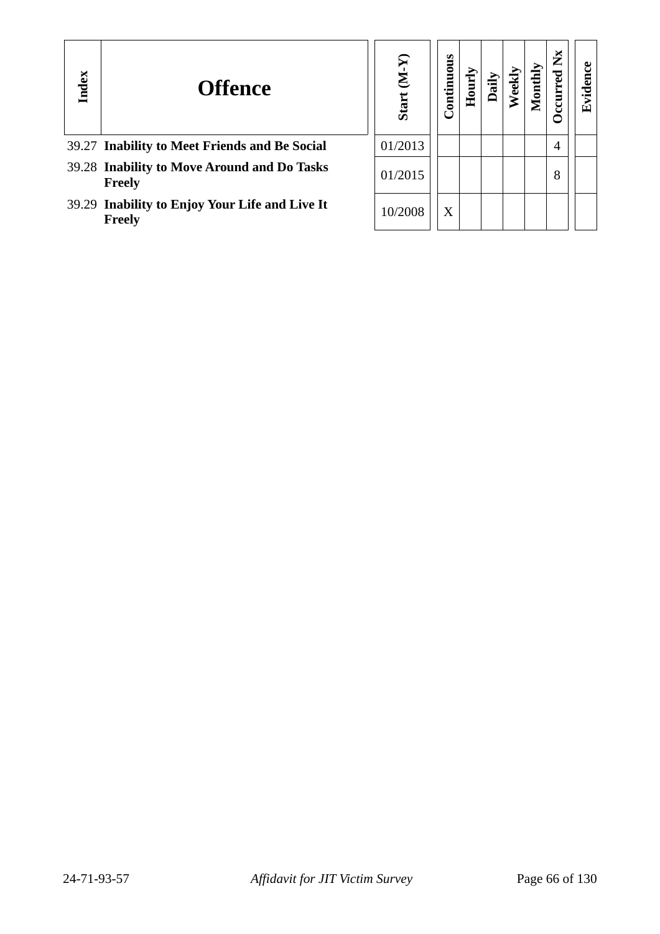| Index | <b>Offence</b>                                                  | ନ<br>É<br><b>Start</b> | Continuous | ē |  | $\mathbf{X}$ | ᄄ |
|-------|-----------------------------------------------------------------|------------------------|------------|---|--|--------------|---|
|       | 39.27 Inability to Meet Friends and Be Social                   | 01/2013                |            |   |  | 4            |   |
|       | 39.28 Inability to Move Around and Do Tasks<br>Freely           | 01/2015                |            |   |  | 8            |   |
|       | 39.29 Inability to Enjoy Your Life and Live It<br><b>Freely</b> | 10/2008                | X          |   |  |              |   |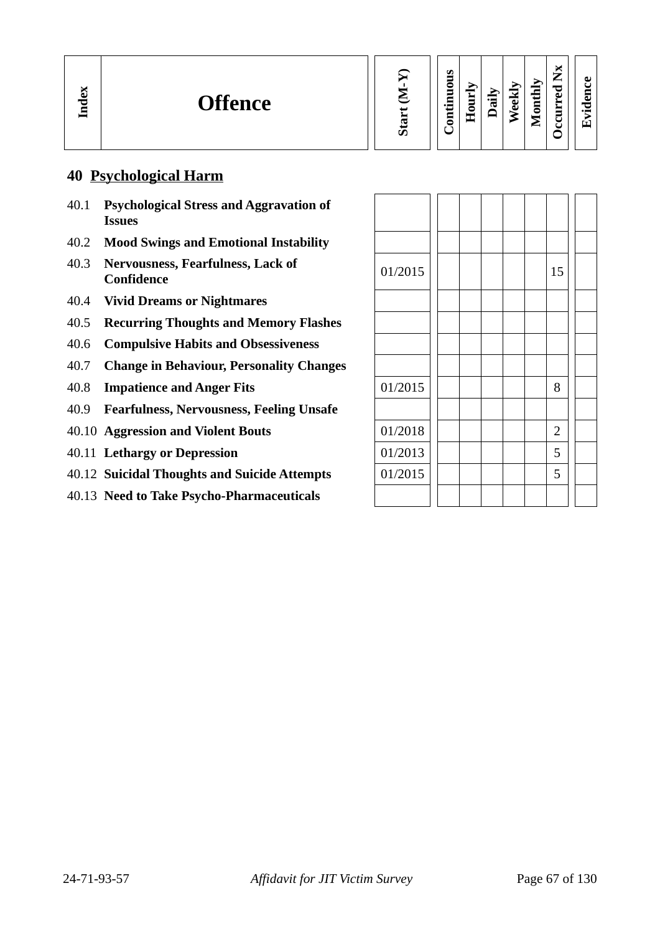| ă<br><b>Offence</b><br>÷<br>딜 | ы<br>Ø<br>—<br>л.<br>thly<br><u>. </u><br>٥<br>℡<br>₩<br><u>_</u><br>ച<br>旨<br>੶⊒<br>ಕ<br>5<br>ᡦ<br>$\cdot$ $-$<br>ω<br>っ<br>$\bullet$<br>-<br>æ<br>0<br>∼<br>$\overline{\phantom{0}}$ |
|-------------------------------|----------------------------------------------------------------------------------------------------------------------------------------------------------------------------------------|
|-------------------------------|----------------------------------------------------------------------------------------------------------------------------------------------------------------------------------------|

# **40 Psychological Harm**

- 40.1 **Psychological Stress and Aggravation of Issues**
- 40.2 **Mood Swings and Emotional Instability**
- 40.3 **Nervousness, Fearfulness, Lack of Confidence** 215
- 40.4 **Vivid Dreams or Nightmares**
- 40.5 **Recurring Thoughts and Memory Flashes**
- 40.6 **Compulsive Habits and Obsessiveness**
- 40.7 **Change in Behaviour, Personality Changes**
- 40.8 **Impatience and Anger Fits**
- 40.9 **Fearfulness, Nervousness, Feeling Unsafe**
- 40.10 **Aggression and Violent Bouts**
- 40.11 Lethargy or Depression
- 40.12 Suicidal Thoughts and Suicide Attempts
- 40.13 **Need to Take Psycho-Pharmaceuticals**

| 01/2015 |  |  | 15             |  |
|---------|--|--|----------------|--|
|         |  |  |                |  |
|         |  |  |                |  |
|         |  |  |                |  |
|         |  |  |                |  |
| 01/2015 |  |  | 8              |  |
|         |  |  |                |  |
| 01/2018 |  |  | $\overline{2}$ |  |
| 01/2013 |  |  | 5              |  |
| 01/2015 |  |  | 5              |  |
|         |  |  |                |  |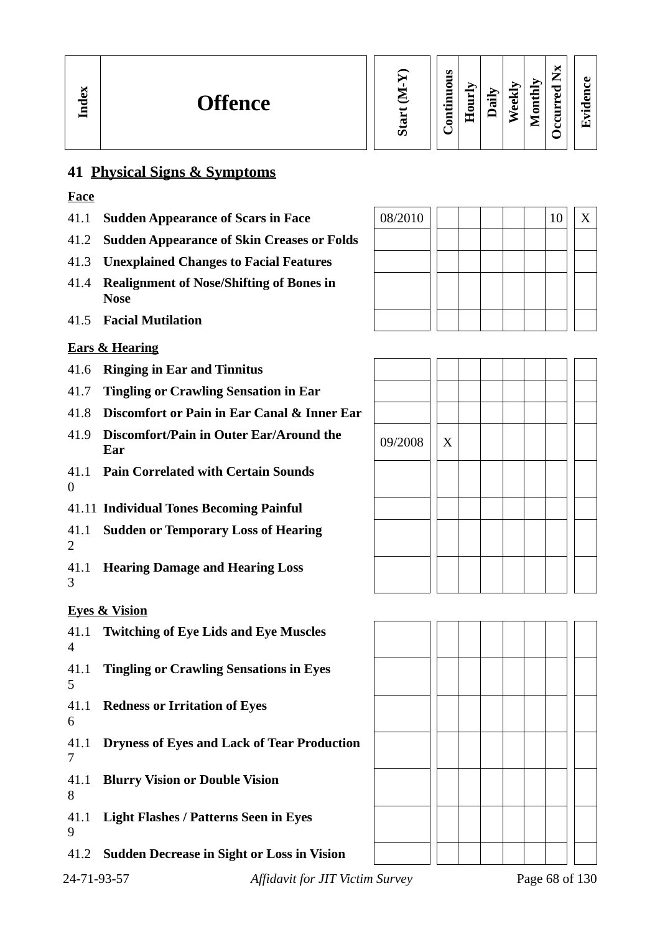

**Evid ence**

# **41 Physical Signs & Symptoms**

# **Face**

**In dex**

- 41.1 **Sudden Appearance of Scars in Face** 08/2010 10 X
- 41.2 **Sudden Appearance of Skin Creases or Folds**
- 41.3 **Unexplained Changes to Facial Features**
- 41.4 **Realignment of Nose/Shifting of Bones in Nose**
- 41.5 **Facial Mutilation**

# **Ears & Hearing**

- 41.6 **Ringing in Ear and Tinnitus**
- 41.7 **Tingling or Crawling Sensation in Ear**
- 41.8 **Discomfort or Pain in Ear Canal & Inner Ear**
- 41.9 **Discomfort/Pain in Outer Ear/Around the Ear** 09/2008 <sup>X</sup>
- 41.1 **Pain Correlated with Certain Sounds**  $\Omega$
- 41.11 **Individual Tones Becoming Painful**
- 41.1 **Sudden or Temporary Loss of Hearing**  $\mathcal{D}$
- 41.1 **Hearing Damage and Hearing Loss** 3

# **Eyes & Vision**

41.1 **Twitching of Eye Lids and Eye Muscles** 4 41.1 **Tingling or Crawling Sensations in Eyes** 5 41.1 **Redness or Irritation of Eyes** 6 41.1 **Dryness of Eyes and Lack of Tear Production** 7 41.1 **Blurry Vision or Double Vision** 8 41.1 **Light Flashes / Patterns Seen in Eyes** 9 41.2 **Sudden Decrease in Sight or Loss in Vision**







24-71-93-57 *Affidavit for JIT Victim Survey* Page 68 of 130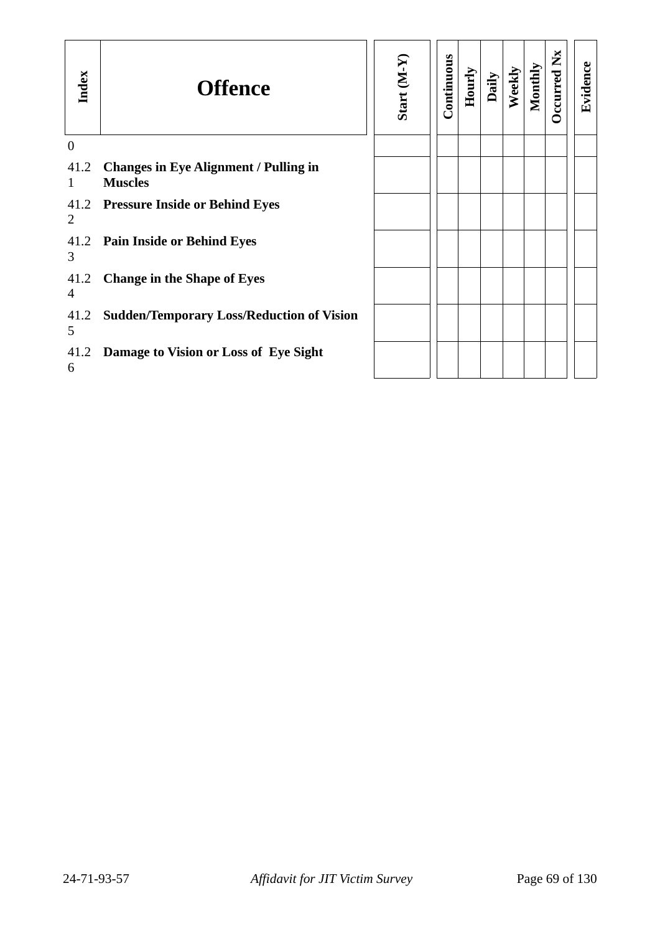| Index                | <b>Offence</b>                                                 | Start (M-Y | Continuous | Hourly | Daily | Weekly | Monthly | ž<br><b>D</b> ccurred | Evidence |
|----------------------|----------------------------------------------------------------|------------|------------|--------|-------|--------|---------|-----------------------|----------|
| $\mathbf{0}$         |                                                                |            |            |        |       |        |         |                       |          |
| 41.2<br>$\mathbf{1}$ | <b>Changes in Eye Alignment / Pulling in</b><br><b>Muscles</b> |            |            |        |       |        |         |                       |          |
| 2                    | 41.2 Pressure Inside or Behind Eyes                            |            |            |        |       |        |         |                       |          |
| 41.2<br>3            | <b>Pain Inside or Behind Eyes</b>                              |            |            |        |       |        |         |                       |          |
| 41.2<br>4            | <b>Change in the Shape of Eyes</b>                             |            |            |        |       |        |         |                       |          |
| 41.2<br>5            | <b>Sudden/Temporary Loss/Reduction of Vision</b>               |            |            |        |       |        |         |                       |          |
| 41.2<br>6            | Damage to Vision or Loss of Eye Sight                          |            |            |        |       |        |         |                       |          |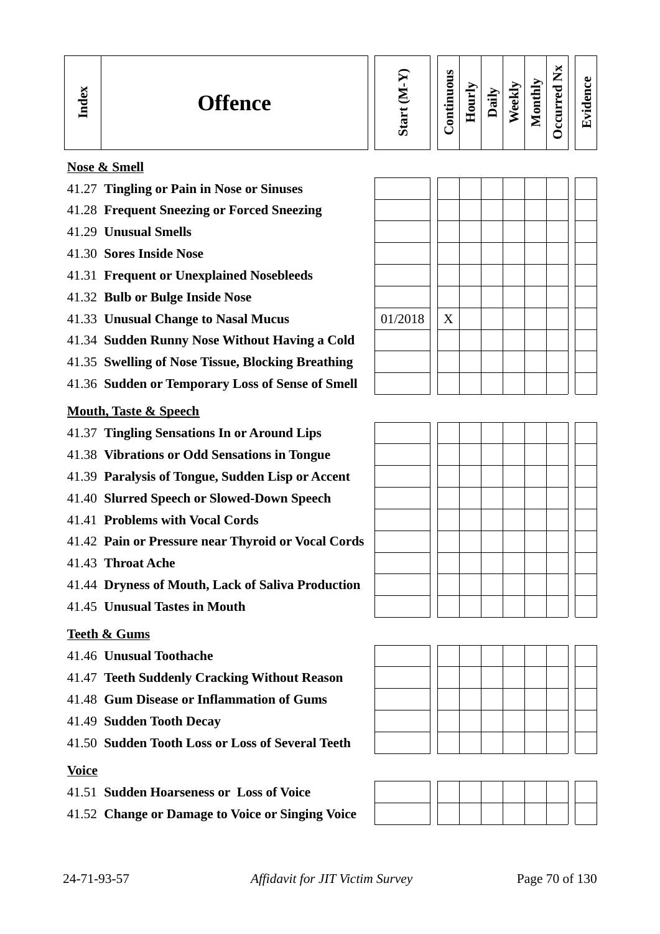| U.<br>−<br>onthly<br>c<br>ă<br>-<br>w<br><b>Offence</b><br>-<br>-<br>نه<br>5<br>ਢ<br>℡<br>$\bullet$ $\blacksquare$<br>Õ<br>0<br>−<br>÷<br>æ<br>▀<br>c<br>⋍<br>U. | ∼<br>∽<br>►<br>$\mathbf{v}$<br>∼<br>ᅮ<br>룹<br>ച<br>_<br>_<br>$\bullet$<br>◡ |
|------------------------------------------------------------------------------------------------------------------------------------------------------------------|-----------------------------------------------------------------------------|
|------------------------------------------------------------------------------------------------------------------------------------------------------------------|-----------------------------------------------------------------------------|

### **Nose & Smell**

- 41.27 **Tingling or Pain in Nose or Sinuses**
- 41.28 **Frequent Sneezing or Forced Sneezing**
- 41.29 **Unusual Smells**
- 41.30 **Sores Inside Nose**
- 41.31 **Frequent or Unexplained Nosebleeds**
- 41.32 **Bulb or Bulge Inside Nose**
- 41.33 **Unusual Change to Nasal Mucus**
- 41.34 **Sudden Runny Nose Without Having a Cold**
- 41.35 **Swelling of Nose Tissue, Blocking Breathing**
- 41.36 **Sudden or Temporary Loss of Sense of Smell**

#### **Mouth, Taste & Speech**

- 41.37 **Tingling Sensations In or Around Lips**
- 41.38 **Vibrations or Odd Sensations in Tongue**
- 41.39 **Paralysis of Tongue, Sudden Lisp or Accent**
- 41.40 **Slurred Speech or Slowed-Down Speech**
- 41.41 **Problems with Vocal Cords**
- 41.42 **Pain or Pressure near Thyroid or Vocal Cords**
- 41.43 **Throat Ache**
- 41.44 **Dryness of Mouth, Lack of Saliva Production**
- 41.45 **Unusual Tastes in Mouth**

#### **Teeth & Gums**

- 41.46 **Unusual Toothache**
- 41.47 **Teeth Suddenly Cracking Without Reason**
- 41.48 **Gum Disease or Inflammation of Gums**
- 41.49 **Sudden Tooth Decay**
- 41.50 **Sudden Tooth Loss or Loss of Several Teeth**

### **Voice**

- 41.51 **Sudden Hoarseness or Loss of Voice**
- 41.52 **Change or Damage to Voice or Singing Voice**

| 01/2018 | $\mathbf X$ |  |  |  |  |
|---------|-------------|--|--|--|--|
|         |             |  |  |  |  |
|         |             |  |  |  |  |
|         |             |  |  |  |  |





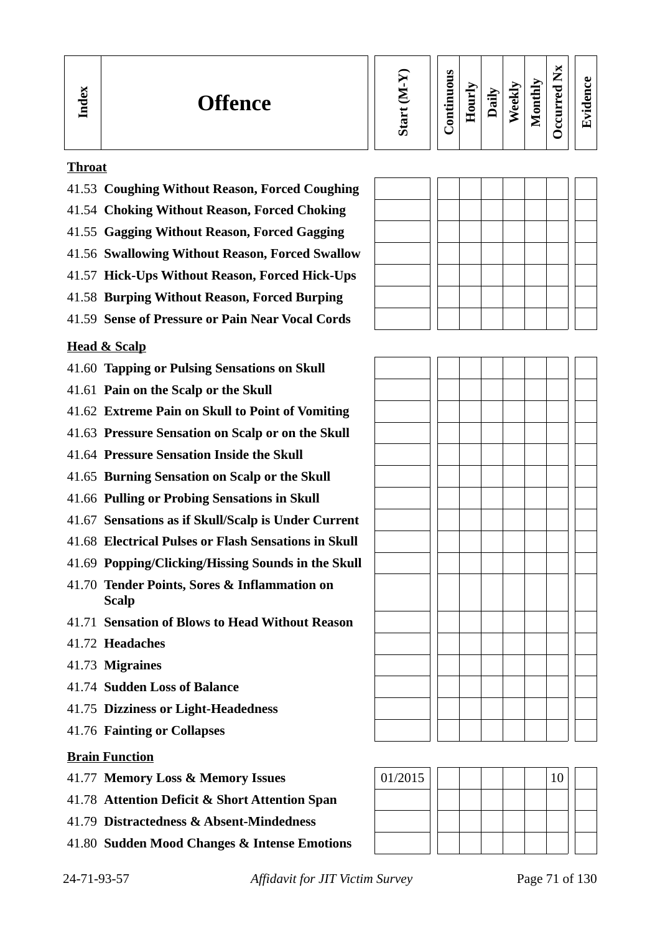| М<br>S<br>—<br>⊷<br>0<br><b>ex</b><br>P<br>┍<br>5<br>-<br>ω<br><b>Offence</b><br>Ĕ<br>≔<br>نه<br>Ξ<br>┳<br>-<br>w<br>. .<br>ā<br>ച<br>۰<br>٥<br>ᄇ<br>_<br>-<br>E<br>Ξ<br>ر<br>◓<br>◡<br>S | A I<br>$\bullet$ $\blacksquare$<br>ŒΤ |
|-------------------------------------------------------------------------------------------------------------------------------------------------------------------------------------------|---------------------------------------|
|-------------------------------------------------------------------------------------------------------------------------------------------------------------------------------------------|---------------------------------------|

### **Throat**

- 41.53 **Coughing Without Reason, Forced Coughing**
- 41.54 **Choking Without Reason, Forced Choking**
- 41.55 **Gagging Without Reason, Forced Gagging**
- 41.56 **Swallowing Without Reason, Forced Swallow**
- 41.57 **Hick-Ups Without Reason, Forced Hick-Ups**
- 41.58 **Burping Without Reason, Forced Burping**
- 41.59 **Sense of Pressure or Pain Near Vocal Cords**

# **Head & Scalp**

- 41.60 **Tapping or Pulsing Sensations on Skull**
- 41.61 **Pain on the Scalp or the Skull**
- 41.62 **Extreme Pain on Skull to Point of Vomiting**
- 41.63 **Pressure Sensation on Scalp or on the Skull**
- 41.64 **Pressure Sensation Inside the Skull**
- 41.65 **Burning Sensation on Scalp or the Skull**
- 41.66 **Pulling or Probing Sensations in Skull**
- 41.67 **Sensations as if Skull/Scalp is Under Current**
- 41.68 **Electrical Pulses or Flash Sensations in Skull**
- 41.69 **Popping/Clicking/Hissing Sounds in the Skull**
- 41.70 **Tender Points, Sores & Inflammation on Scalp**
- 41.71 **Sensation of Blows to Head Without Reason**
- 41.72 **Headaches**
- 41.73 **Migraines**
- 41.74 **Sudden Loss of Balance**
- 41.75 **Dizziness or Light-Headedness**
- 41.76 **Fainting or Collapses**

### **Brain Function**

- 41.77 **Memory Loss & Memory Issues** 01/2015 10 10
- 41.78 **Attention Deficit & Short Attention Span**
- 41.79 **Distractedness & Absent-Mindedness**
- 41.80 **Sudden Mood Changes & Intense Emotions**

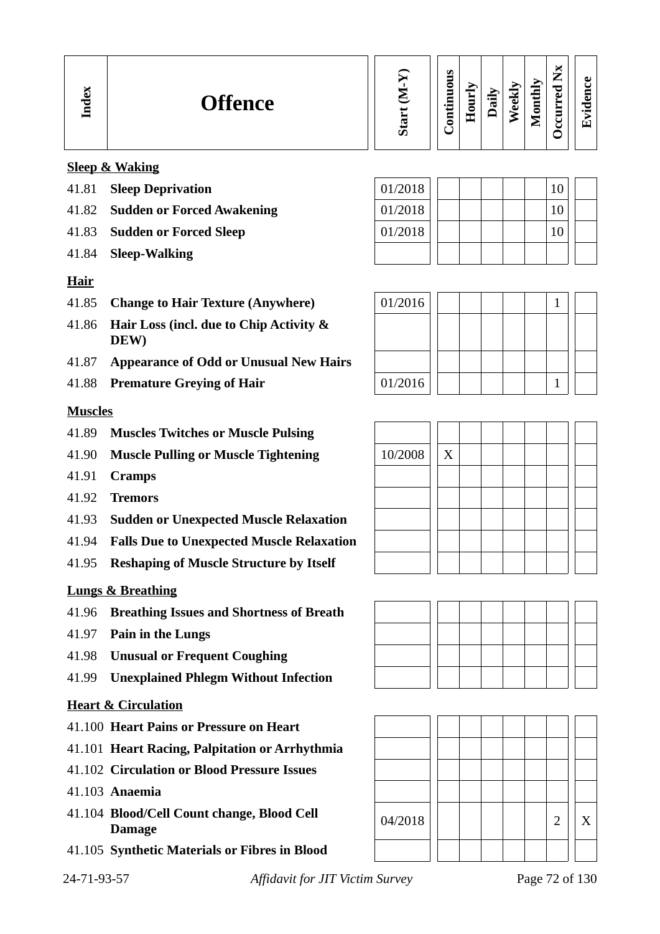| ∼<br>نه<br><b>Offence</b><br>ᇰ<br>=<br>_ | ທ | s<br>Ξ<br>ó<br>Ξ<br>Ξ<br>⊶<br>ىب<br>5 | ≻<br>-<br>c<br>-- | €<br>œ | ∼<br>⊽<br>▬<br>تە<br>تە | $\mathbf{\bar{y}}$<br>2<br>т<br>Ξ<br>0<br>-<br>∼ | $\overline{\phantom{a}}$<br>►<br>−<br>ு<br>ച<br>_ | пı<br>-<br>$\bullet$ |
|------------------------------------------|---|---------------------------------------|-------------------|--------|-------------------------|--------------------------------------------------|---------------------------------------------------|----------------------|
|------------------------------------------|---|---------------------------------------|-------------------|--------|-------------------------|--------------------------------------------------|---------------------------------------------------|----------------------|

# **Sleep & Waking**

- 41.81 **Sleep Deprivation**
- 41.82 **Sudden or Forced Awakening**
- 41.83 **Sudden or Forced Sleep**
- 41.84 **Sleep-Walking**

### **Hair**

- 41.85 **Change to Hair Texture (Anywhere)** 01/2016 1
- 41.86 **Hair Loss (incl. due to Chip Activity & DEW)**
- 41.87 **Appearance of Odd or Unusual New Hairs**
- 

### **Muscles**

- 41.89 **Muscles Twitches or Muscle Pulsing**
- 41.90 **Muscle Pulling or Muscle Tightening** 10/2008 X
- 41.91 **Cramps**
- 41.92 **Tremors**
- 41.93 **Sudden or Unexpected Muscle Relaxation**
- 41.94 **Falls Due to Unexpected Muscle Relaxation**
- 41.95 **Reshaping of Muscle Structure by Itself**

# **Lungs & Breathing**

- 41.96 **Breathing Issues and Shortness of Breath**
- 41.97 **Pain in the Lungs**
- 41.98 **Unusual or Frequent Coughing**
- 41.99 **Unexplained Phlegm Without Infection**

### **Heart & Circulation**

- 41.100 **Heart Pains or Pressure on Heart**
- 41.101 **Heart Racing, Palpitation or Arrhythmia**
- 41.102 **Circulation or Blood Pressure Issues**
- 41.103 **Anaemia**
- 41.104 **Blood/Cell Count change, Blood Cell**
- 41.105 **Synthetic Materials or Fibres in Blood**

24-71-93-57 *Affidavit for JIT Victim Survey* Page 72 of 130

| 01/2018 |  |  | 10 |  |
|---------|--|--|----|--|
| 01/2018 |  |  | 10 |  |
| 01/2018 |  |  | 10 |  |
|         |  |  |    |  |







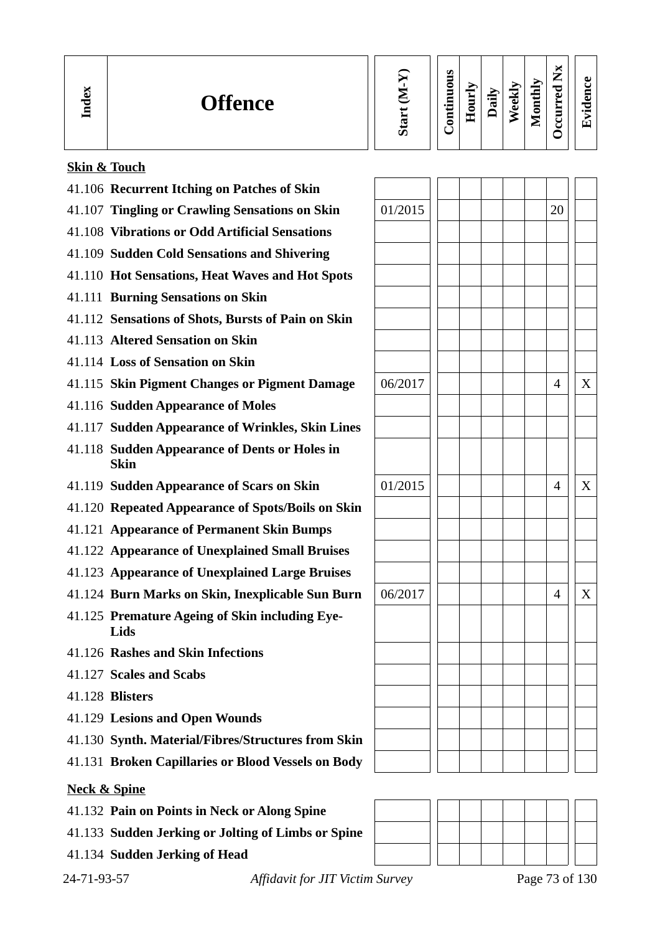| ↽<br>Ξ | <b>Offence</b> | ທ | m<br>c<br>−<br>$\bullet$ $\blacksquare$<br>⋴<br>┍ | _<br>∊<br>$\blacksquare$<br>ىك | نعا<br>$\cdot$ .<br>℡ | نه<br>O) | ⋗<br>금<br>- 7 -<br>_<br>⊟<br>0<br>-<br>∸ | -<br>∸<br>o<br>Ō<br>▬<br>∼<br>−<br>-<br>ں<br>ں | ω<br>$\bullet$<br>π. |
|--------|----------------|---|---------------------------------------------------|--------------------------------|-----------------------|----------|------------------------------------------|------------------------------------------------|----------------------|
|--------|----------------|---|---------------------------------------------------|--------------------------------|-----------------------|----------|------------------------------------------|------------------------------------------------|----------------------|

# **Skin & Touch**

| 41.106 Recurrent Itching on Patches of Skin                  |         |  |    |   |
|--------------------------------------------------------------|---------|--|----|---|
| 41.107 Tingling or Crawling Sensations on Skin               | 01/2015 |  | 20 |   |
| 41.108 Vibrations or Odd Artificial Sensations               |         |  |    |   |
| 41.109 Sudden Cold Sensations and Shivering                  |         |  |    |   |
| 41.110 Hot Sensations, Heat Waves and Hot Spots              |         |  |    |   |
| 41.111 Burning Sensations on Skin                            |         |  |    |   |
| 41.112 Sensations of Shots, Bursts of Pain on Skin           |         |  |    |   |
| 41.113 Altered Sensation on Skin                             |         |  |    |   |
| 41.114 Loss of Sensation on Skin                             |         |  |    |   |
| 41.115 Skin Pigment Changes or Pigment Damage                | 06/2017 |  | 4  | X |
| 41.116 Sudden Appearance of Moles                            |         |  |    |   |
| 41.117 Sudden Appearance of Wrinkles, Skin Lines             |         |  |    |   |
| 41.118 Sudden Appearance of Dents or Holes in<br><b>Skin</b> |         |  |    |   |
| 41.119 Sudden Appearance of Scars on Skin                    | 01/2015 |  | 4  | X |
| 41.120 Repeated Appearance of Spots/Boils on Skin            |         |  |    |   |
| 41.121 Appearance of Permanent Skin Bumps                    |         |  |    |   |
| 41.122 Appearance of Unexplained Small Bruises               |         |  |    |   |
| 41.123 Appearance of Unexplained Large Bruises               |         |  |    |   |
| 41.124 Burn Marks on Skin, Inexplicable Sun Burn             | 06/2017 |  | 4  | X |
| 41.125 Premature Ageing of Skin including Eye-<br>Lids       |         |  |    |   |
| 41.126 Rashes and Skin Infections                            |         |  |    |   |
| 41.127 Scales and Scabs                                      |         |  |    |   |
| 41.128 Blisters                                              |         |  |    |   |
| 41.129 Lesions and Open Wounds                               |         |  |    |   |
| 41.130 Synth. Material/Fibres/Structures from Skin           |         |  |    |   |
| 41.131 Broken Capillaries or Blood Vessels on Body           |         |  |    |   |

# **Neck & Spine**

|  |  |  |  | 41.132 Pain on Points in Neck or Along Spine |  |
|--|--|--|--|----------------------------------------------|--|
|--|--|--|--|----------------------------------------------|--|

41.133 **Sudden Jerking or Jolting of Limbs or Spine**

41.134 **Sudden Jerking of Head**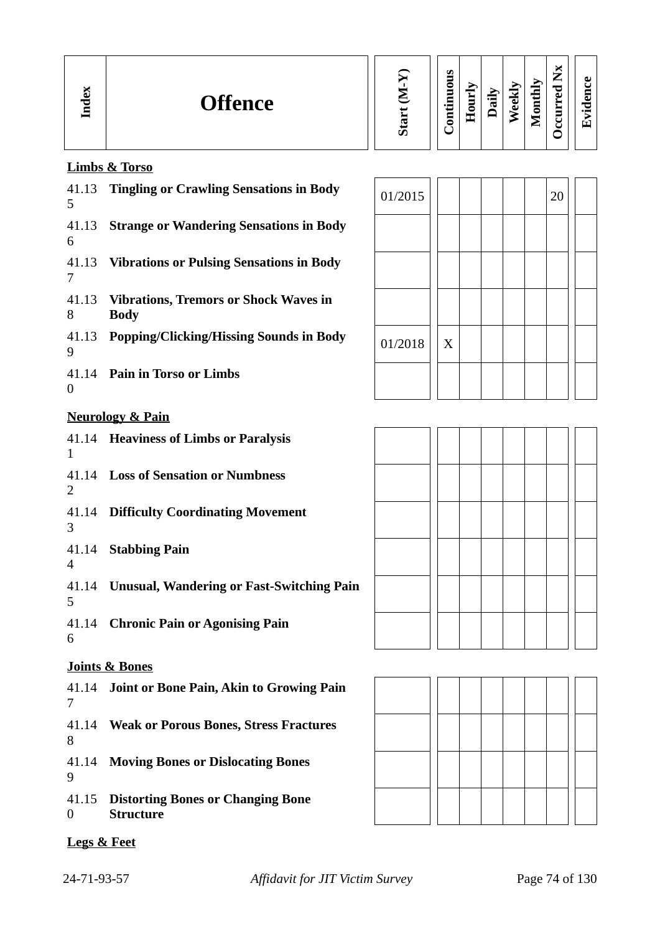# **Limbs & Torso**

| 5                         | 41.13 Tingling or Crawling Sensations in Body                | 01/2015 |   |  | 20 |
|---------------------------|--------------------------------------------------------------|---------|---|--|----|
| 6                         | 41.13 Strange or Wandering Sensations in Body                |         |   |  |    |
| 7                         | 41.13 Vibrations or Pulsing Sensations in Body               |         |   |  |    |
| 41.13<br>8                | <b>Vibrations, Tremors or Shock Waves in</b><br><b>Body</b>  |         |   |  |    |
| 9                         | 41.13 Popping/Clicking/Hissing Sounds in Body                | 01/2018 | X |  |    |
| $\boldsymbol{0}$          | 41.14 Pain in Torso or Limbs                                 |         |   |  |    |
|                           | <b>Neurology &amp; Pain</b>                                  |         |   |  |    |
| 1                         | 41.14 Heaviness of Limbs or Paralysis                        |         |   |  |    |
| 2                         | 41.14 Loss of Sensation or Numbness                          |         |   |  |    |
| 3                         | 41.14 Difficulty Coordinating Movement                       |         |   |  |    |
| 4                         | 41.14 Stabbing Pain                                          |         |   |  |    |
| 5                         | 41.14 Unusual, Wandering or Fast-Switching Pain              |         |   |  |    |
| 6                         | 41.14 Chronic Pain or Agonising Pain                         |         |   |  |    |
|                           | <b>Joints &amp; Bones</b>                                    |         |   |  |    |
| 41.14<br>7                | Joint or Bone Pain, Akin to Growing Pain                     |         |   |  |    |
| 41.14<br>8                | <b>Weak or Porous Bones, Stress Fractures</b>                |         |   |  |    |
| 41.14<br>9                | <b>Moving Bones or Dislocating Bones</b>                     |         |   |  |    |
| 41.15<br>$\boldsymbol{0}$ | <b>Distorting Bones or Changing Bone</b><br><b>Structure</b> |         |   |  |    |

 $|01/2018|$  X





**Legs & Feet**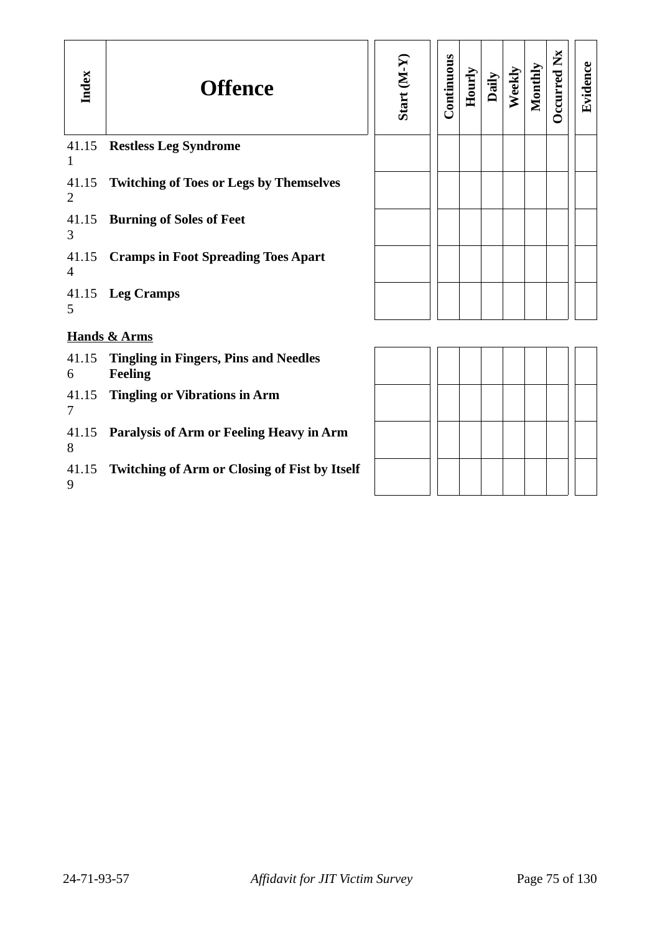| Index        | <b>Offence</b>                                                 | Start (M-Y) | Continuous | Hourly | Daily | Weekly | Monthly | <b>D</b> ccurred Nx | Evidence |
|--------------|----------------------------------------------------------------|-------------|------------|--------|-------|--------|---------|---------------------|----------|
| $\mathbf{1}$ | 41.15 Restless Leg Syndrome                                    |             |            |        |       |        |         |                     |          |
| 2            | 41.15 Twitching of Toes or Legs by Themselves                  |             |            |        |       |        |         |                     |          |
| 3            | 41.15 Burning of Soles of Feet                                 |             |            |        |       |        |         |                     |          |
| 4            | 41.15 Cramps in Foot Spreading Toes Apart                      |             |            |        |       |        |         |                     |          |
| 5            | 41.15 Leg Cramps                                               |             |            |        |       |        |         |                     |          |
|              | <b>Hands &amp; Arms</b>                                        |             |            |        |       |        |         |                     |          |
| 41.15<br>6   | <b>Tingling in Fingers, Pins and Needles</b><br><b>Feeling</b> |             |            |        |       |        |         |                     |          |
| 7            | 41.15 Tingling or Vibrations in Arm                            |             |            |        |       |        |         |                     |          |
| 8            | 41.15 Paralysis of Arm or Feeling Heavy in Arm                 |             |            |        |       |        |         |                     |          |
| 9            | 41.15 Twitching of Arm or Closing of Fist by Itself            |             |            |        |       |        |         |                     |          |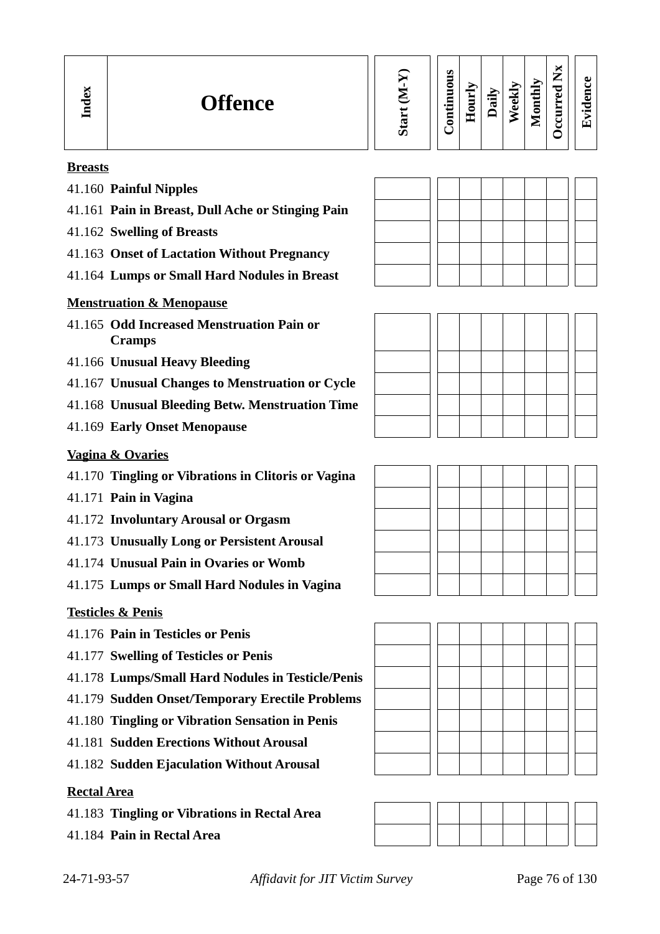| м<br>a<br><b>Offence</b><br>╺<br>E | ທ | ∼<br>ဖာ<br>►<br>ᄛ<br>ω<br>−<br>$\blacktriangle$<br>Т.<br>Ē<br>≂<br>€<br>$\in$<br>-<br>ല<br>F<br>_<br>л.<br>ಕ<br>Ę<br>.≒<br>℡<br>$\tilde{\mathbf{v}}$<br>—<br>د<br>c<br>_<br>0<br>$\cdot$ $\,$<br>5<br>-<br>۰<br>ᄑ<br>-<br>Ί.<br>_ |
|------------------------------------|---|-----------------------------------------------------------------------------------------------------------------------------------------------------------------------------------------------------------------------------------|
|------------------------------------|---|-----------------------------------------------------------------------------------------------------------------------------------------------------------------------------------------------------------------------------------|

#### **Breasts**

- 41.160 **Painful Nipples**
- 41.161 **Pain in Breast, Dull Ache or Stinging Pain**
- 41.162 **Swelling of Breasts**
- 41.163 **Onset of Lactation Without Pregnancy**
- 41.164 **Lumps or Small Hard Nodules in Breast**

#### **Menstruation & Menopause**

- 41.165 **Odd Increased Menstruation Pain or Cramps**
- 41.166 **Unusual Heavy Bleeding**
- 41.167 **Unusual Changes to Menstruation or Cycle**
- 41.168 **Unusual Bleeding Betw. Menstruation Time**
- 41.169 **Early Onset Menopause**

#### **Vagina & Ovaries**

- 41.170 **Tingling or Vibrations in Clitoris or Vagina**
- 41.171 **Pain in Vagina**
- 41.172 **Involuntary Arousal or Orgasm**
- 41.173 **Unusually Long or Persistent Arousal**
- 41.174 **Unusual Pain in Ovaries or Womb**
- 41.175 **Lumps or Small Hard Nodules in Vagina**

#### **Testicles & Penis**

- 41.176 **Pain in Testicles or Penis**
- 41.177 **Swelling of Testicles or Penis**
- 41.178 **Lumps/Small Hard Nodules in Testicle/Penis**
- 41.179 **Sudden Onset/Temporary Erectile Problems**
- 41.180 **Tingling or Vibration Sensation in Penis**
- 41.181 **Sudden Erections Without Arousal**
- 41.182 **Sudden Ejaculation Without Arousal**

#### **Rectal Area**

- 41.183 **Tingling or Vibrations in Rectal Area**
- 41.184 **Pain in Rectal Area**







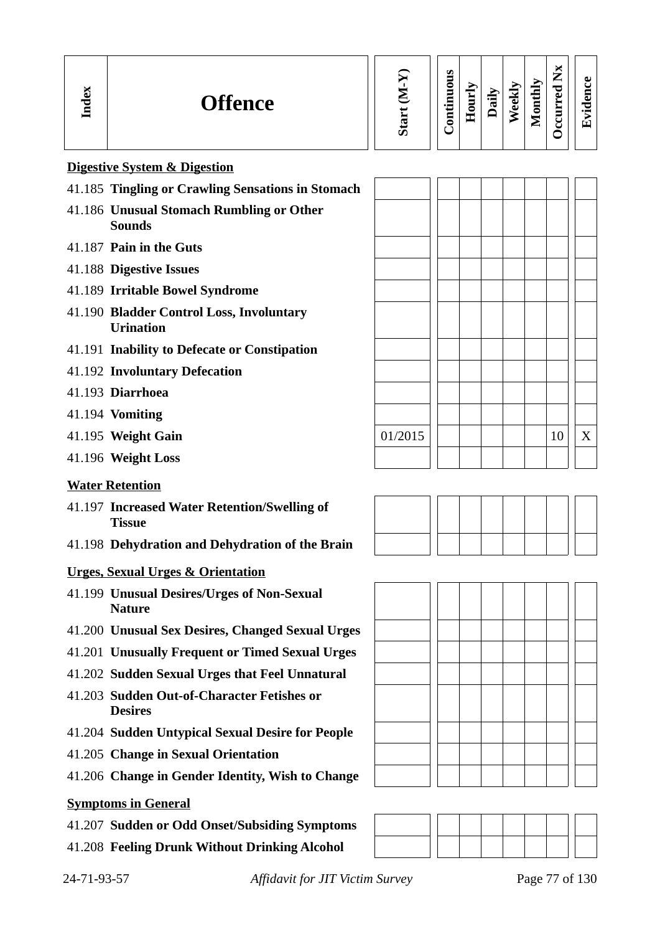| Index | <b>Offence</b>                                                | Start (M-Y) | Continuous | Hourly | Daily | Weekly | Monthly | Occurred Nx | Evidence |
|-------|---------------------------------------------------------------|-------------|------------|--------|-------|--------|---------|-------------|----------|
|       | <b>Digestive System &amp; Digestion</b>                       |             |            |        |       |        |         |             |          |
|       | 41.185 Tingling or Crawling Sensations in Stomach             |             |            |        |       |        |         |             |          |
|       | 41.186 Unusual Stomach Rumbling or Other<br><b>Sounds</b>     |             |            |        |       |        |         |             |          |
|       | 41.187 Pain in the Guts                                       |             |            |        |       |        |         |             |          |
|       | 41.188 Digestive Issues                                       |             |            |        |       |        |         |             |          |
|       | 41.189 Irritable Bowel Syndrome                               |             |            |        |       |        |         |             |          |
|       | 41.190 Bladder Control Loss, Involuntary<br><b>Urination</b>  |             |            |        |       |        |         |             |          |
|       | 41.191 Inability to Defecate or Constipation                  |             |            |        |       |        |         |             |          |
|       | 41.192 Involuntary Defecation                                 |             |            |        |       |        |         |             |          |
|       | 41.193 Diarrhoea                                              |             |            |        |       |        |         |             |          |
|       | 41.194 Vomiting                                               |             |            |        |       |        |         |             |          |
|       | 41.195 Weight Gain                                            | 01/2015     |            |        |       |        |         | 10          | X        |
|       | 41.196 Weight Loss                                            |             |            |        |       |        |         |             |          |
|       | <b>Water Retention</b>                                        |             |            |        |       |        |         |             |          |
|       | 41.197 Increased Water Retention/Swelling of<br><b>Tissue</b> |             |            |        |       |        |         |             |          |

41.198 **Dehydration and Dehydration of the Brain**

# **Urges, Sexual Urges & Orientation**

- 41.199 **Unusual Desires/Urges of Non-Sexual Nature**
- 41.200 **Unusual Sex Desires, Changed Sexual Urges**
- 41.201 **Unusually Frequent or Timed Sexual Urges**
- 41.202 **Sudden Sexual Urges that Feel Unnatural**
- 41.203 **Sudden Out-of-Character Fetishes or Desires**
- 41.204 **Sudden Untypical Sexual Desire for People**
- 41.205 **Change in Sexual Orientation**
- 41.206 **Change in Gender Identity, Wish to Change**

# **Symptoms in General**

- 41.207 **Sudden or Odd Onset/Subsiding Symptoms**
- 41.208 **Feeling Drunk Without Drinking Alcohol**





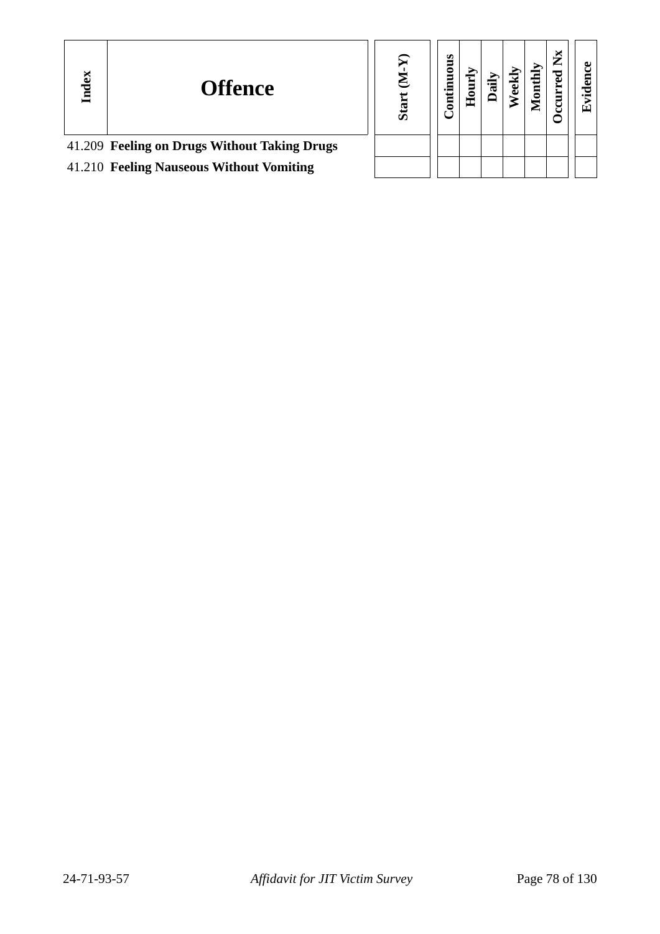| Index | <b>Offence</b>                               | r<br>G<br>ທັ | sno<br>5<br>Ē<br>Ē | Ē<br>重 | ੌਰ | ಪ | onthly | Ř<br>∸ | ω<br>τ<br>с<br>$\bullet$ $\blacksquare$<br>ᄄ |
|-------|----------------------------------------------|--------------|--------------------|--------|----|---|--------|--------|----------------------------------------------|
|       | 41.209 Feeling on Drugs Without Taking Drugs |              |                    |        |    |   |        |        |                                              |
|       | 41.210 Feeling Nauseous Without Vomiting     |              |                    |        |    |   |        |        |                                              |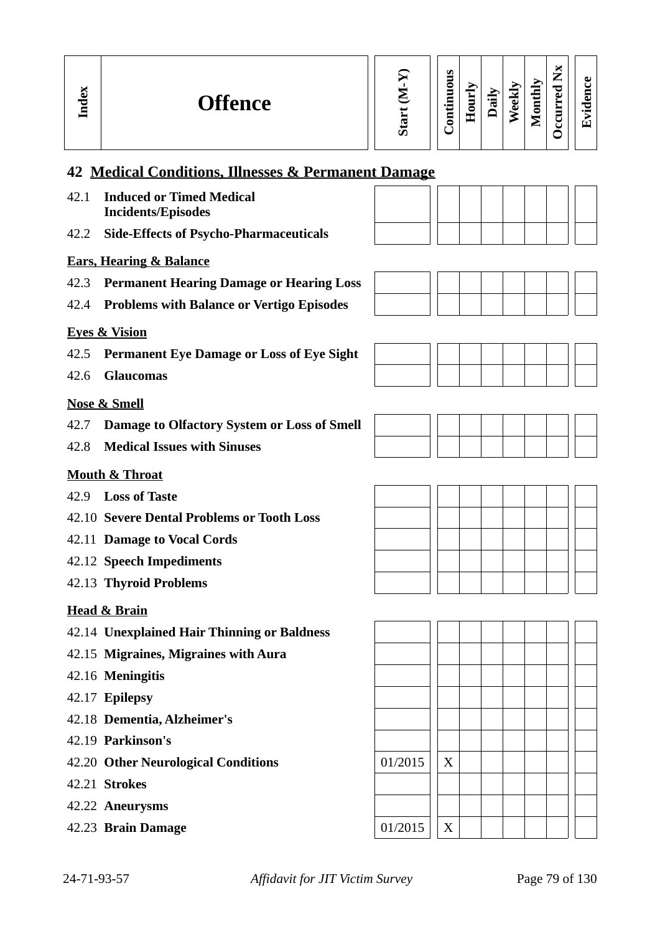**Evid ence**

# **42 Medical Conditions, Illnesses & Permanent Damage**

- 42.1 **Induced or Timed Medical Incidents/Episodes**
- 42.2 **Side-Effects of Psycho-Pharmaceuticals**

#### **Ears, Hearing & Balance**

- 42.3 **Permanent Hearing Damage or Hearing Loss**
- 42.4 **Problems with Balance or Vertigo Episodes**

42.5 **Permanent Eye Damage or Loss of Eye Sight**







42.6 **Glaucomas**

**Eyes & Vision**

**In dex**

- 42.7 **Damage to Olfactory System or Loss of Smell**
- 42.8 **Medical Issues with Sinuses**

#### **Mouth & Throat**

- 42.9 **Loss of Taste**
- 42.10 **Severe Dental Problems or Tooth Loss**
- 42.11 **Damage to Vocal Cords**
- 42.12 **Speech Impediments**
- 42.13 **Thyroid Problems**

#### **Head & Brain**

- 42.14 **Unexplained Hair Thinning or Baldness**
- 42.15 **Migraines, Migraines with Aura**
- 42.16 **Meningitis**
- 42.17 **Epilepsy**
- 42.18 **Dementia, Alzheimer's**
- 42.19 **Parkinson's**
- 42.20 **Other Neurological Conditions** 01/2015 | X
- 42.21 **Strokes**
- 42.22 **Aneurysms**
- 42.23 **Brain Damage** 01/2015 X

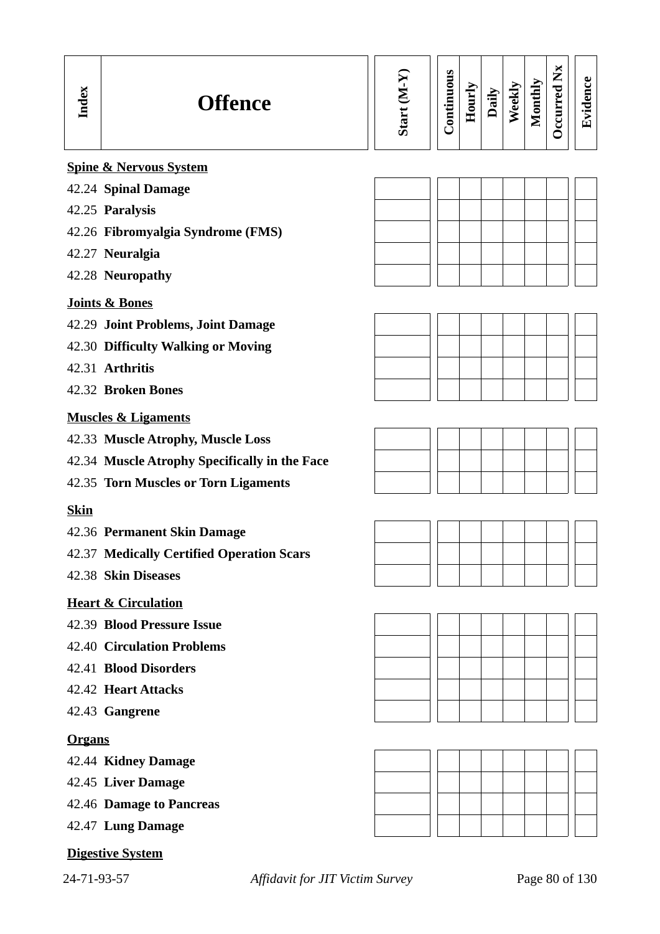| Index         | <b>Offence</b>                                | Start (M-Y) | Continuous | Hourly | Daily | Weekly | Monthly | Occurred Nx | Evidence |
|---------------|-----------------------------------------------|-------------|------------|--------|-------|--------|---------|-------------|----------|
|               | <b>Spine &amp; Nervous System</b>             |             |            |        |       |        |         |             |          |
|               | 42.24 Spinal Damage                           |             |            |        |       |        |         |             |          |
|               | 42.25 Paralysis                               |             |            |        |       |        |         |             |          |
|               | 42.26 Fibromyalgia Syndrome (FMS)             |             |            |        |       |        |         |             |          |
|               | 42.27 Neuralgia                               |             |            |        |       |        |         |             |          |
|               | 42.28 Neuropathy                              |             |            |        |       |        |         |             |          |
|               | <b>Joints &amp; Bones</b>                     |             |            |        |       |        |         |             |          |
|               | 42.29 Joint Problems, Joint Damage            |             |            |        |       |        |         |             |          |
|               | 42.30 Difficulty Walking or Moving            |             |            |        |       |        |         |             |          |
|               | 42.31 Arthritis                               |             |            |        |       |        |         |             |          |
|               | 42.32 Broken Bones                            |             |            |        |       |        |         |             |          |
|               | <b>Muscles &amp; Ligaments</b>                |             |            |        |       |        |         |             |          |
|               | 42.33 Muscle Atrophy, Muscle Loss             |             |            |        |       |        |         |             |          |
|               | 42.34 Muscle Atrophy Specifically in the Face |             |            |        |       |        |         |             |          |
|               | 42.35 Torn Muscles or Torn Ligaments          |             |            |        |       |        |         |             |          |
| <b>Skin</b>   |                                               |             |            |        |       |        |         |             |          |
|               | 42.36 Permanent Skin Damage                   |             |            |        |       |        |         |             |          |
|               | 42.37 Medically Certified Operation Scars     |             |            |        |       |        |         |             |          |
|               | 42.38 Skin Diseases                           |             |            |        |       |        |         |             |          |
|               | <b>Heart &amp; Circulation</b>                |             |            |        |       |        |         |             |          |
|               | 42.39 Blood Pressure Issue                    |             |            |        |       |        |         |             |          |
|               | <b>42.40 Circulation Problems</b>             |             |            |        |       |        |         |             |          |
|               | 42.41 Blood Disorders                         |             |            |        |       |        |         |             |          |
|               | 42.42 Heart Attacks                           |             |            |        |       |        |         |             |          |
|               | 42.43 Gangrene                                |             |            |        |       |        |         |             |          |
| <b>Organs</b> |                                               |             |            |        |       |        |         |             |          |
|               | 42.44 Kidney Damage                           |             |            |        |       |        |         |             |          |
|               | 42.45 Liver Damage                            |             |            |        |       |        |         |             |          |
|               | 42.46 Damage to Pancreas                      |             |            |        |       |        |         |             |          |
|               | 42.47 Lung Damage                             |             |            |        |       |        |         |             |          |
|               | <b>Digestive System</b>                       |             |            |        |       |        |         |             |          |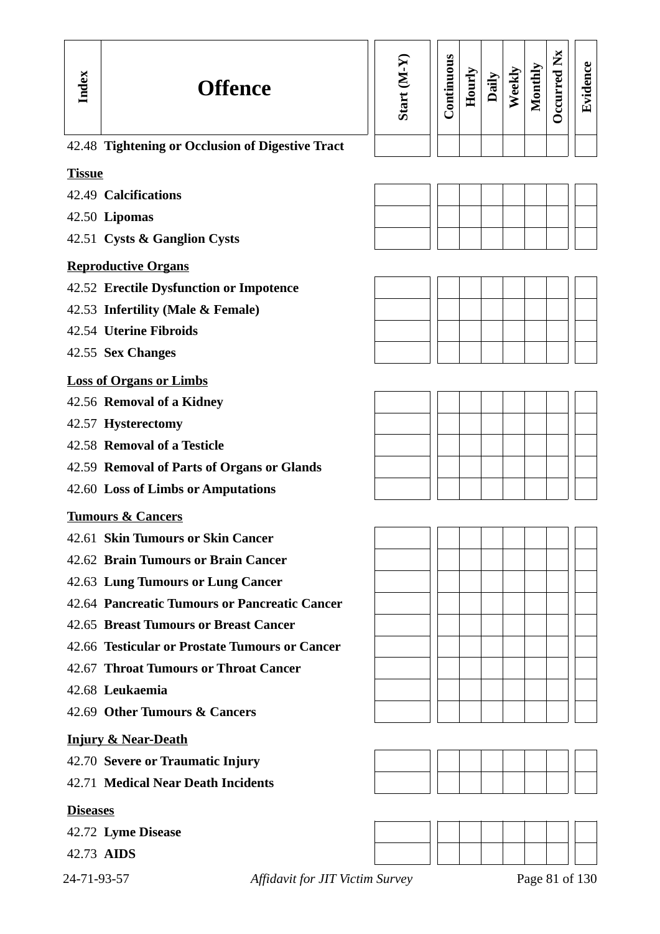| nce                      | Start (M-Y) | Continuous | Hourly | Daily<br>Weekly<br>Monthly | Occurred Nx | Evidence |
|--------------------------|-------------|------------|--------|----------------------------|-------------|----------|
| of Digestive Tract       |             |            |        |                            |             |          |
|                          |             |            |        |                            |             |          |
|                          |             |            |        |                            |             |          |
|                          |             |            |        |                            |             |          |
|                          |             |            |        |                            |             |          |
|                          |             |            |        |                            |             |          |
|                          |             |            |        |                            |             |          |
| <b>Impotence</b>         |             |            |        |                            |             |          |
| ale)                     |             |            |        |                            |             |          |
|                          |             |            |        |                            |             |          |
|                          |             |            |        |                            |             |          |
|                          |             |            |        |                            |             |          |
|                          |             |            |        |                            |             |          |
|                          |             |            |        |                            |             |          |
|                          |             |            |        |                            |             |          |
|                          |             |            |        |                            |             |          |
| gans or Glands           |             |            |        |                            |             |          |
| tations                  |             |            |        |                            |             |          |
|                          |             |            |        |                            |             |          |
| dancer                   |             |            |        |                            |             |          |
| ı Cancer                 |             |            |        |                            |             |          |
| <b>Cancer</b>            |             |            |        |                            |             |          |
| <b>Pancreatic Cancer</b> |             |            |        |                            |             |          |
| st Cancer                |             |            |        |                            |             |          |
| umours or Cancer         |             |            |        |                            |             |          |
| oat Cancer               |             |            |        |                            |             |          |
|                          |             |            |        |                            |             |          |
| ers                      |             |            |        |                            |             |          |
|                          |             |            |        |                            |             |          |
|                          |             |            |        |                            |             |          |
| ury                      |             |            |        |                            |             |          |
| idents                   |             |            |        |                            |             |          |
|                          |             |            |        |                            |             |          |



| 42.48 Tightening or Occlusion of Digestive Tract |  |  |
|--------------------------------------------------|--|--|
|                                                  |  |  |

### **Tissue**

- 42.49 **Calcifications**
- 42.50 **Lipomas**
- 42.51 **Cysts & Ganglion Cysts**

### **Reproductive Organs**

- 42.52 **Erectile Dysfunction or**
- 42.53 **Infertility (Male & Female)**
- 42.54 **Uterine Fibroids**
- 42.55 **Sex Changes**

### **Loss of Organs or Limbs**

- 42.56 **Removal of a Kidney**
- 42.57 **Hysterectomy**
- 42.58 **Removal of a Testicle**
- 42.59 **Removal of Parts of Org**
- 42.60 Loss of Limbs or Amput

# **Tumours & Cancers**

- 42.61 **Skin Tumours or Skin C**
- 42.62 **Brain Tumours or Brain**
- 42.63 Lung Tumours or Lung
- 42.64 **Pancreatic Tumours or I**
- 42.65 **Breast Tumours or Brea**
- 42.66 **Testicular or Prostate Tu**
- 42.67 **Throat Tumours or Throat**
- 42.68 **Leukaemia**
- 42.69 Other Tumours & Cance

#### **Injury & Near-Death**

- 42.70 **Severe or Traumatic Inj**
- 42.71 **Medical Near Death Inc**

# **Diseases**

- 42.72 **Lyme Disease**
- 42.73 **AIDS**
- 

24-71-93-57 *Affidavit for JIT Victim Survey* Page 81 of 130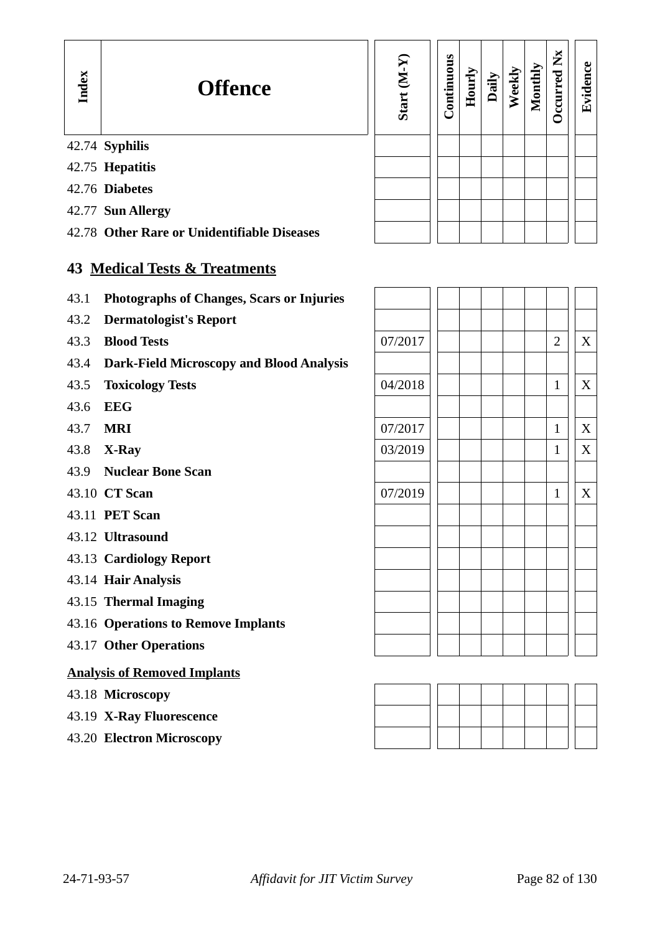# 42.74 **Syphilis**

- 42.75 **Hepatitis**
- 42.76 **Diabetes**
- 42.77 **Sun Allergy**
- 42.78 **Other Rare or Unidentifiable Diseases**

# **43 Medical Tests & Treatments**

- 43.1 **Photographs of Changes, Scars or Injuries**
- 43.2 **Dermatologist's Report**
- 43.3 **Blood Tests**
- 43.4 **Dark-Field Microscopy and Blood Analysis**
- 43.5 **Toxicology Tests**
- 43.6 **EEG**
- 
- 43.8 **X-Ray**
- 43.9 **Nuclear Bone Scan**
- 43.10 CT Scan
- 43.11 **PET Scan**
- 43.12 **Ultrasound**
- 43.13 **Cardiology Report**
- 43.14 **Hair Analysis**
- 43.15 **Thermal Imaging**
- 43.16 **Operations to Remove Implants**
- 43.17 **Other Operations**

#### **Analysis of Removed Implants**

- 43.18 **Microscopy**
- 43.19 **X-Ray Fluorescence**
- 43.20 **Electron Microscopy**

| Start (M-Y) | Continuous | Hourly | Daily | Weekly | Monthly | Occurred Nx | Evidence |
|-------------|------------|--------|-------|--------|---------|-------------|----------|
|             |            |        |       |        |         |             |          |
|             |            |        |       |        |         |             |          |
|             |            |        |       |        |         |             |          |
|             |            |        |       |        |         |             |          |
|             |            |        |       |        |         |             |          |

| 43.1 | <b>Photographs of Changes, Scars or Injuries</b> |         |  |  |                |   |
|------|--------------------------------------------------|---------|--|--|----------------|---|
| 43.2 | <b>Dermatologist's Report</b>                    |         |  |  |                |   |
| 43.3 | <b>Blood Tests</b>                               | 07/2017 |  |  | $\overline{2}$ | X |
| 43.4 | <b>Dark-Field Microscopy and Blood Analysis</b>  |         |  |  |                |   |
| 43.5 | <b>Toxicology Tests</b>                          | 04/2018 |  |  | 1              | X |
| 43.6 | <b>EEG</b>                                       |         |  |  |                |   |
| 43.7 | <b>MRI</b>                                       | 07/2017 |  |  | $\mathbf{1}$   | X |
| 43.8 | X-Ray                                            | 03/2019 |  |  | 1              | X |
|      | 43.9 Nuclear Bone Scan                           |         |  |  |                |   |
|      | 43.10 CT Scan                                    | 07/2019 |  |  | 1              | X |
|      | 43.11 PET Scan                                   |         |  |  |                |   |
|      | 43.12 Ultrasound                                 |         |  |  |                |   |
|      | 43.13 Cardiology Report                          |         |  |  |                |   |
|      | 43.14 Hair Analysis                              |         |  |  |                |   |
|      | 43.15 Thermal Imaging                            |         |  |  |                |   |
|      | 43.16 Operations to Remove Implants              |         |  |  |                |   |
|      | 43.17 Other Operations                           |         |  |  |                |   |
|      |                                                  |         |  |  |                |   |

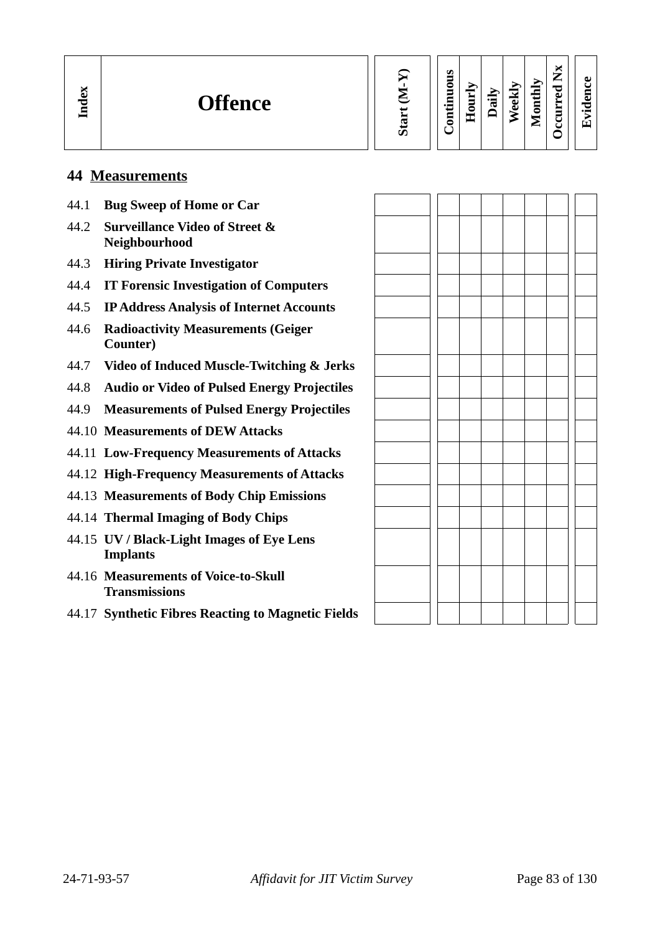| м<br>G<br>ᇰ<br>딜 | <b>Offence</b> |  | S<br>⊣<br>z<br>0 | ÷.<br>J<br>$\blacksquare$ | 긚 | 공<br>D | onthly<br>⋳<br>► | ×<br>►<br>_<br>≂<br>ω<br>_<br>_<br>ں<br>ч | ЛJ<br>$\tau$<br>$\bullet$ m |
|------------------|----------------|--|------------------|---------------------------|---|--------|------------------|-------------------------------------------|-----------------------------|
|------------------|----------------|--|------------------|---------------------------|---|--------|------------------|-------------------------------------------|-----------------------------|

# **44 Measurements**

| 44.1 | <b>Bug Sweep of Home or Car</b>                              |  |  |  |  |
|------|--------------------------------------------------------------|--|--|--|--|
| 44.2 | <b>Surveillance Video of Street &amp;</b><br>Neighbourhood   |  |  |  |  |
| 44.3 | <b>Hiring Private Investigator</b>                           |  |  |  |  |
| 44.4 | <b>IT Forensic Investigation of Computers</b>                |  |  |  |  |
| 44.5 | <b>IP Address Analysis of Internet Accounts</b>              |  |  |  |  |
| 44.6 | <b>Radioactivity Measurements (Geiger</b><br>Counter)        |  |  |  |  |
| 44.7 | <b>Video of Induced Muscle-Twitching &amp; Jerks</b>         |  |  |  |  |
| 44.8 | <b>Audio or Video of Pulsed Energy Projectiles</b>           |  |  |  |  |
| 44.9 | <b>Measurements of Pulsed Energy Projectiles</b>             |  |  |  |  |
|      | 44.10 Measurements of DEW Attacks                            |  |  |  |  |
|      | 44.11 Low-Frequency Measurements of Attacks                  |  |  |  |  |
|      | 44.12 High-Frequency Measurements of Attacks                 |  |  |  |  |
|      | 44.13 Measurements of Body Chip Emissions                    |  |  |  |  |
|      | 44.14 Thermal Imaging of Body Chips                          |  |  |  |  |
|      | 44.15 UV / Black-Light Images of Eye Lens<br><b>Implants</b> |  |  |  |  |
|      | 44.16 Measurements of Voice-to-Skull<br><b>Transmissions</b> |  |  |  |  |
|      | 44.17 Synthetic Fibres Reacting to Magnetic Fields           |  |  |  |  |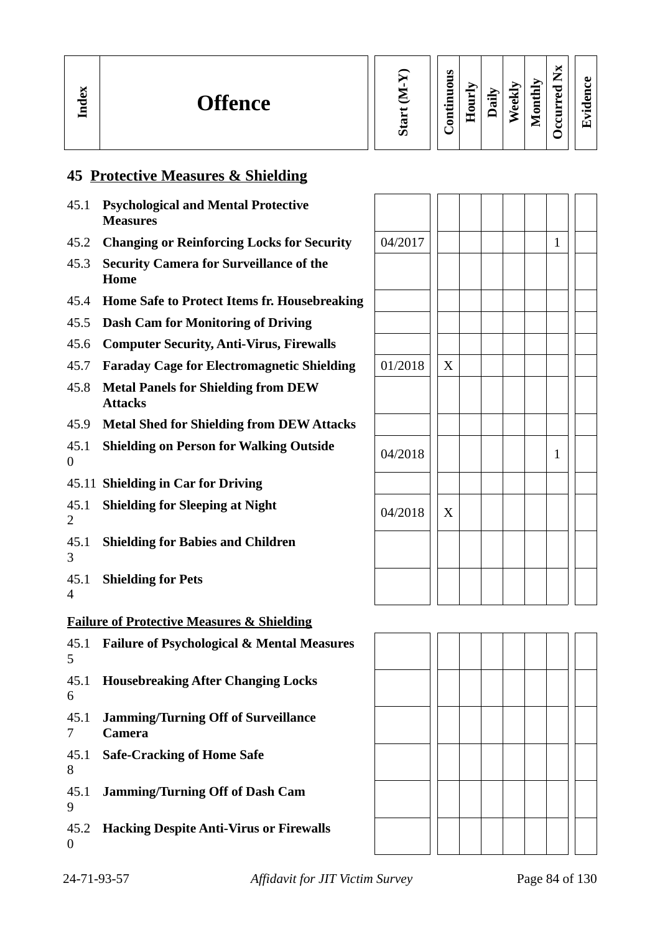# **45 Protective Measures & Shielding**

- 45.1 **Psychological and Mental Protective Measures**
- 45.2 **Changing or Reinforcing Locks for Security**
- 45.3 **Security Camera for Surveillance of the Home**
- 45.4 **Home Safe to Protect Items fr. Housebreaking**
- 45.5 **Dash Cam for Monitoring of Driving**
- 45.6 **Computer Security, Anti-Virus, Firewalls**
- 45.7 **Faraday Cage for Electromagnetic Shielding** 01/2018 X
- 45.8 **Metal Panels for Shielding from DEW Attacks**
- 45.9 **Metal Shed for Shielding from DEW Attacks**
- 45.1 **Shielding on Person for Walking Outside** | <sub>04/2018</sub> | | | | | | | | 1<br>0  $\Omega$
- 45.11 **Shielding in Car for Driving**
- 45.1 **Shielding for Sleeping at Night**  $\begin{array}{|c|c|c|}\hline \text{04/2018} & \text{X}\ \hline \end{array}$  $\mathcal{D}$
- 45.1 **Shielding for Babies and Children** 3
- 45.1 **Shielding for Pets** 4

#### **Failure of Protective Measures & Shielding**

45.1 **Failure of Psychological & Mental Measures** 5 45.1 **Housebreaking After Changing Locks** 6 45.1 **Jamming/Turning Off of Surveillance**  7 **Camera** 45.1 **Safe-Cracking of Home Safe** 8 45.1 **Jamming/Turning Off of Dash Cam** 9 45.2 **Hacking Despite Anti-Virus or Firewalls** 0

| 04/2017 |                |  |  | $\mathbf{1}$ |  |
|---------|----------------|--|--|--------------|--|
|         |                |  |  |              |  |
|         |                |  |  |              |  |
|         |                |  |  |              |  |
|         |                |  |  |              |  |
| 01/2018 | $\overline{X}$ |  |  |              |  |
|         |                |  |  |              |  |
|         |                |  |  |              |  |
| 04/2018 |                |  |  | $\mathbf{1}$ |  |
|         |                |  |  |              |  |
| 04/2018 | $\overline{X}$ |  |  |              |  |
|         |                |  |  |              |  |
|         |                |  |  |              |  |

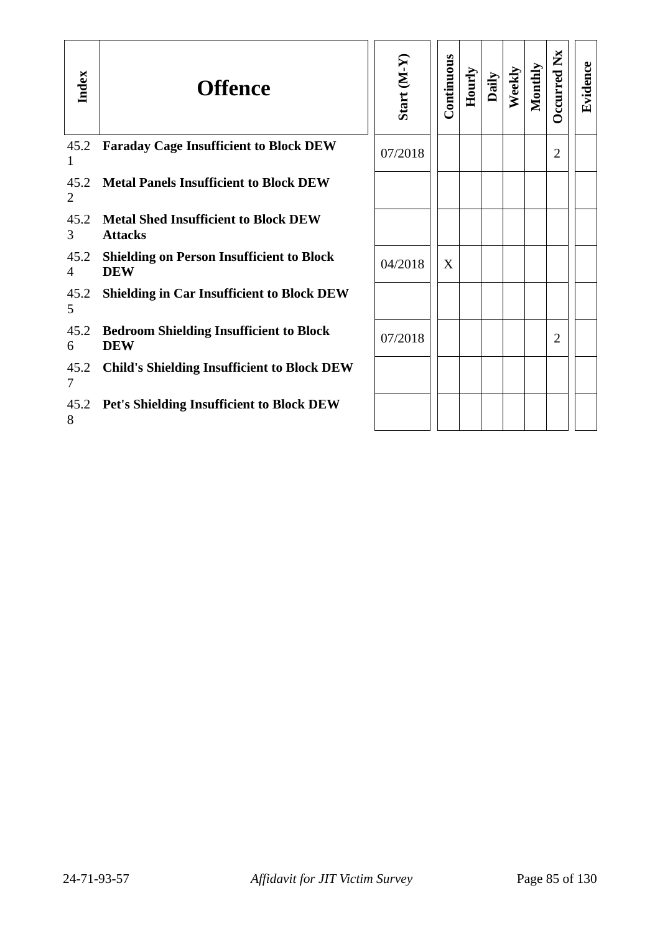| Index                  | <b>Offence</b>                                                 | Start (M-Y) | Continuous | Hourly | Daily | Weekly | Monthly | <b>Dccurred Nx</b> | Evidence |
|------------------------|----------------------------------------------------------------|-------------|------------|--------|-------|--------|---------|--------------------|----------|
| 45.2<br>1              | <b>Faraday Cage Insufficient to Block DEW</b>                  | 07/2018     |            |        |       |        |         | 2                  |          |
| 45.2<br>2              | <b>Metal Panels Insufficient to Block DEW</b>                  |             |            |        |       |        |         |                    |          |
| 45.2<br>3              | <b>Metal Shed Insufficient to Block DEW</b><br><b>Attacks</b>  |             |            |        |       |        |         |                    |          |
| 45.2<br>$\overline{4}$ | <b>Shielding on Person Insufficient to Block</b><br><b>DEW</b> | 04/2018     | X          |        |       |        |         |                    |          |
| 45.2<br>5              | <b>Shielding in Car Insufficient to Block DEW</b>              |             |            |        |       |        |         |                    |          |
| 45.2<br>6              | <b>Bedroom Shielding Insufficient to Block</b><br><b>DEW</b>   | 07/2018     |            |        |       |        |         | 2                  |          |
| 45.2<br>7              | <b>Child's Shielding Insufficient to Block DEW</b>             |             |            |        |       |        |         |                    |          |
| 45.2<br>8              | <b>Pet's Shielding Insufficient to Block DEW</b>               |             |            |        |       |        |         |                    |          |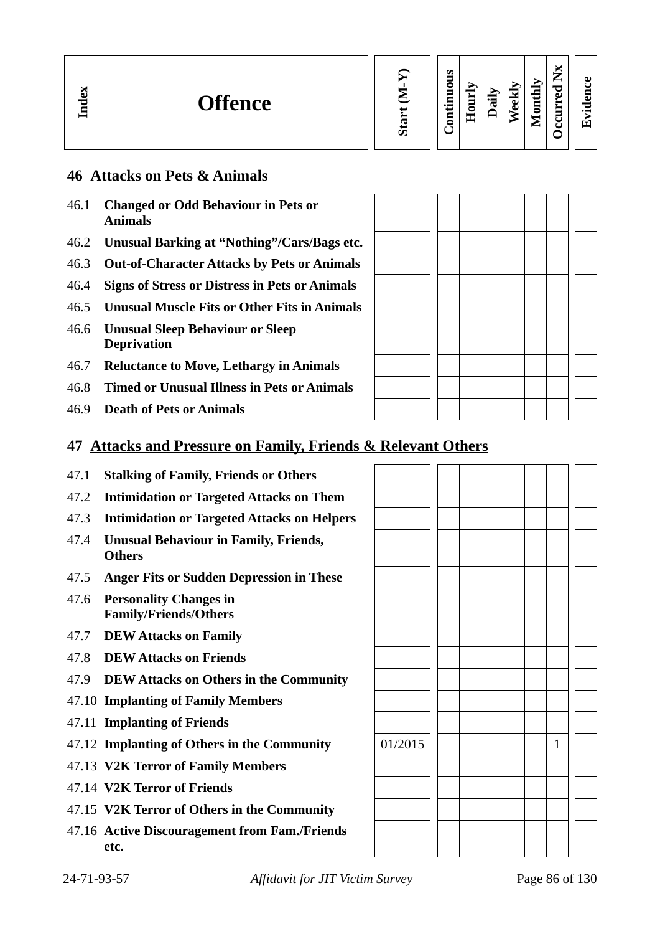# **46 Attacks on Pets & Animals**

- 46.1 **Changed or Odd Behaviour in Pets or Animals**
- 46.2 **Unusual Barking at "Nothing"/Cars/Bags etc.**
- 46.3 **Out-of-Character Attacks by Pets or Animals**
- 46.4 **Signs of Stress or Distress in Pets or Animals**
- 46.5 **Unusual Muscle Fits or Other Fits in Animals**
- 46.6 **Unusual Sleep Behaviour or Sleep Deprivation**
- 46.7 **Reluctance to Move, Lethargy in Animals**
- 46.8 **Timed or Unusual Illness in Pets or Animals**
- 46.9 **Death of Pets or Animals**

# **47 Attacks and Pressure on Family, Friends & Relevant Others**

- 47.1 **Stalking of Family, Friends or Others**
- 47.2 **Intimidation or Targeted Attacks on Them**
- 47.3 **Intimidation or Targeted Attacks on Helpers**
- 47.4 **Unusual Behaviour in Family, Friends, Others**
- 47.5 **Anger Fits or Sudden Depression in These**
- 47.6 **Personality Changes in Family/Friends/Others**
- 47.7 **DEW Attacks on Family**
- 47.8 **DEW Attacks on Friends**
- 47.9 **DEW Attacks on Others in the Community**
- 47.10 **Implanting of Family Members**
- 47.11 **Implanting of Friends**
- 47.12 **Implanting of Others in the Community** 01/2015 1
- 47.13 **V2K Terror of Family Members**
- 47.14 **V2K Terror of Friends**
- 47.15 **V2K Terror of Others in the Community**
- 47.16 **Active Discouragement from Fam./Friends etc.**

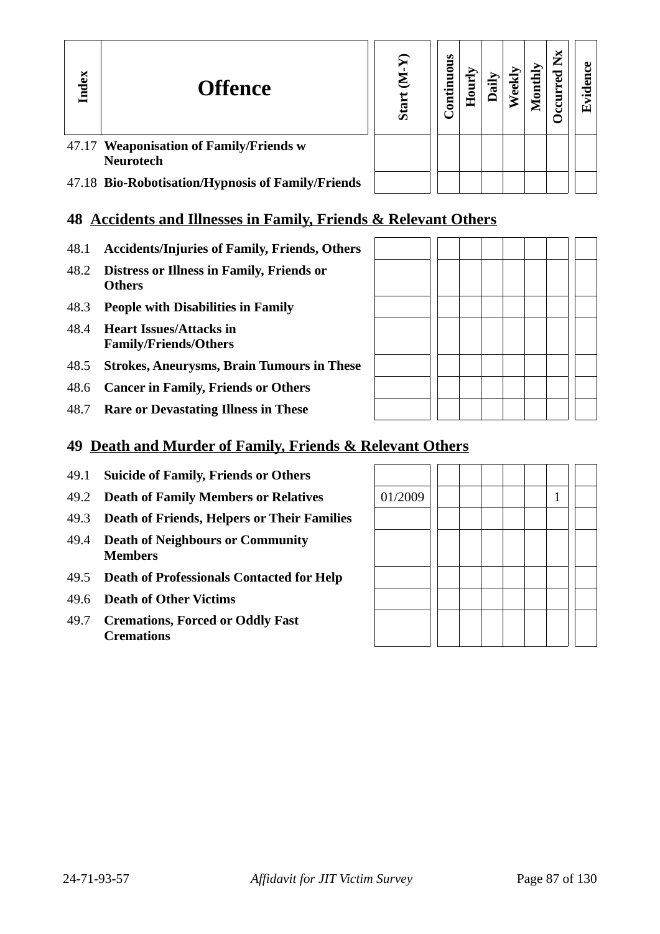| Index | <b>Offence</b>                                              | Ō | s<br>ā<br>등 |  | 0nti | ► | ↽<br>国 |
|-------|-------------------------------------------------------------|---|-------------|--|------|---|--------|
|       | 47.17 Weaponisation of Family/Friends w<br><b>Neurotech</b> |   |             |  |      |   |        |
|       | 47.18 Bio-Robotisation/Hypnosis of Family/Friends           |   |             |  |      |   |        |

# **48 Accidents and Illnesses in Family, Friends & Relevant Others**

- 48.1 **Accidents/Injuries of Family, Friends, Others**
- 48.2 **Distress or Illness in Family, Friends or Others**
- 48.3 **People with Disabilities in Family**
- 48.4 **Heart Issues/Attacks in Family/Friends/Others**
- 48.5 **Strokes, Aneurysms, Brain Tumours in These**
- 48.6 **Cancer in Family, Friends or Others**
- 48.7 **Rare or Devastating Illness in These**

# **49 Death and Murder of Family, Friends & Relevant Others**

- 49.1 **Suicide of Family, Friends or Others**
- 49.2 **Death of Family Members or Relatives**
- 49.3 **Death of Friends, Helpers or Their Families**
- 49.4 **Death of Neighbours or Community Members**
- 49.5 **Death of Professionals Contacted for Help**
- 49.6 **Death of Other Victims**
- 49.7 **Cremations, Forced or Oddly Fast Cremations**

| 01/2009 |  |  | 1 |  |
|---------|--|--|---|--|
|         |  |  |   |  |
|         |  |  |   |  |
|         |  |  |   |  |
|         |  |  |   |  |
|         |  |  |   |  |
|         |  |  |   |  |
|         |  |  |   |  |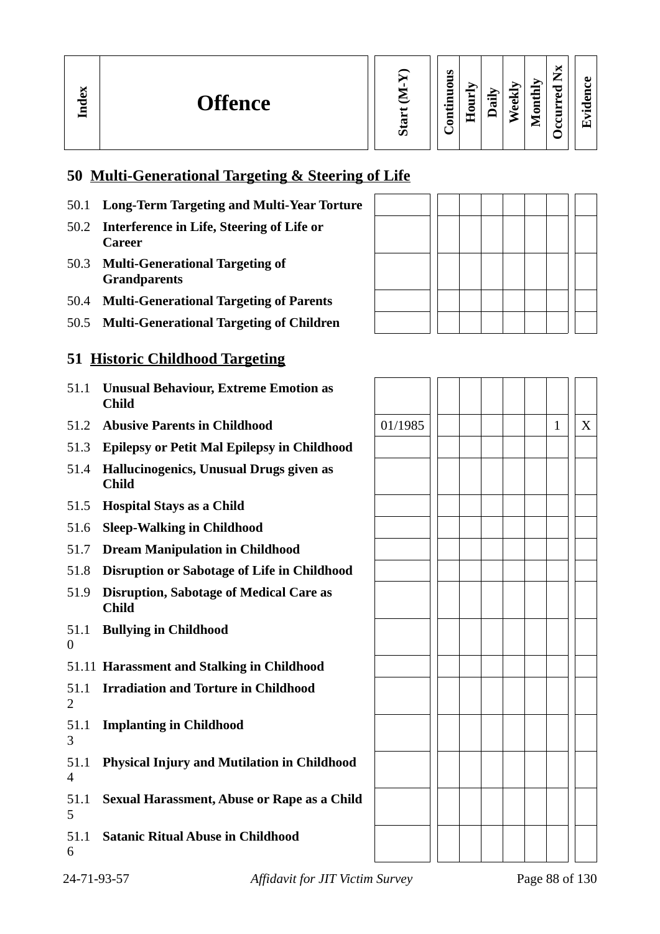| Start |
|-------|
|       |

#### **Contin uous Hourly D We ekly aily Monthly**

**Occurred**

**Evid ence**

**Nx**

# **50 Multi-Generational Targeting & Steering of Life**

- 50.1 **Long-Term Targeting and Multi-Year Torture**
- 50.2 **Interference in Life, Steering of Life or Career**
- 50.3 **Multi-Generational Targeting of Grandparents**

**In dex**

- 50.4 **Multi-Generational Targeting of Parents**
- 50.5 **Multi-Generational Targeting of Children**

# **51 Historic Childhood Targeting**

- 51.1 **Unusual Behaviour, Extreme Emotion as Child**
- 51.2 **Abusive Parents in Childhood**
- 51.3 **Epilepsy or Petit Mal Epilepsy in Childhood**
- 51.4 **Hallucinogenics, Unusual Drugs given as Child**
- 51.5 **Hospital Stays as a Child**
- 51.6 **Sleep-Walking in Childhood**
- 51.7 **Dream Manipulation in Childhood**
- 51.8 **Disruption or Sabotage of Life in Childhood**
- 51.9 **Disruption, Sabotage of Medical Care as Child**
- 51.1 **Bullying in Childhood** 0
- 51.11 **Harassment and Stalking in Childhood**
- 51.1 **Irradiation and Torture in Childhood**  $\overline{2}$
- 51.1 **Implanting in Childhood**
- 51.1 **Physical Injury and Mutilation in Childhood** 4
- 51.1 **Sexual Harassment, Abuse or Rape as a Child** 5
- 51.1 **Satanic Ritual Abuse in Childhood** 6



| 01/1985 |  |  |  | $\mathbf{1}$ | $\overline{\text{X}}$ |
|---------|--|--|--|--------------|-----------------------|
|         |  |  |  |              |                       |
|         |  |  |  |              |                       |
|         |  |  |  |              |                       |
|         |  |  |  |              |                       |
|         |  |  |  |              |                       |
|         |  |  |  |              |                       |
|         |  |  |  |              |                       |
|         |  |  |  |              |                       |
|         |  |  |  |              |                       |
|         |  |  |  |              |                       |
|         |  |  |  |              |                       |
|         |  |  |  |              |                       |
|         |  |  |  |              |                       |
|         |  |  |  |              |                       |
|         |  |  |  |              |                       |
|         |  |  |  |              |                       |
|         |  |  |  |              |                       |
|         |  |  |  |              |                       |
|         |  |  |  |              |                       |
|         |  |  |  |              |                       |

3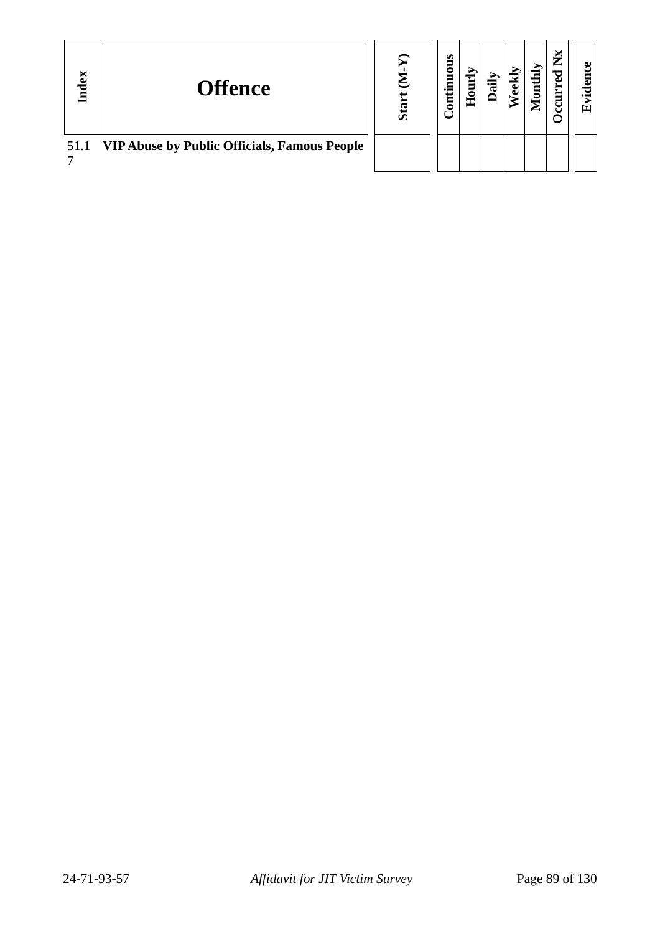| Index | <b>Offence</b>                                    | ഗ | ဖာ<br>ä<br><b>E</b><br>Ē | c<br>I | ਚ | Ŋ<br>0<br>▱ | ► |  |
|-------|---------------------------------------------------|---|--------------------------|--------|---|-------------|---|--|
|       | 51.1 VIP Abuse by Public Officials, Famous People |   |                          |        |   |             |   |  |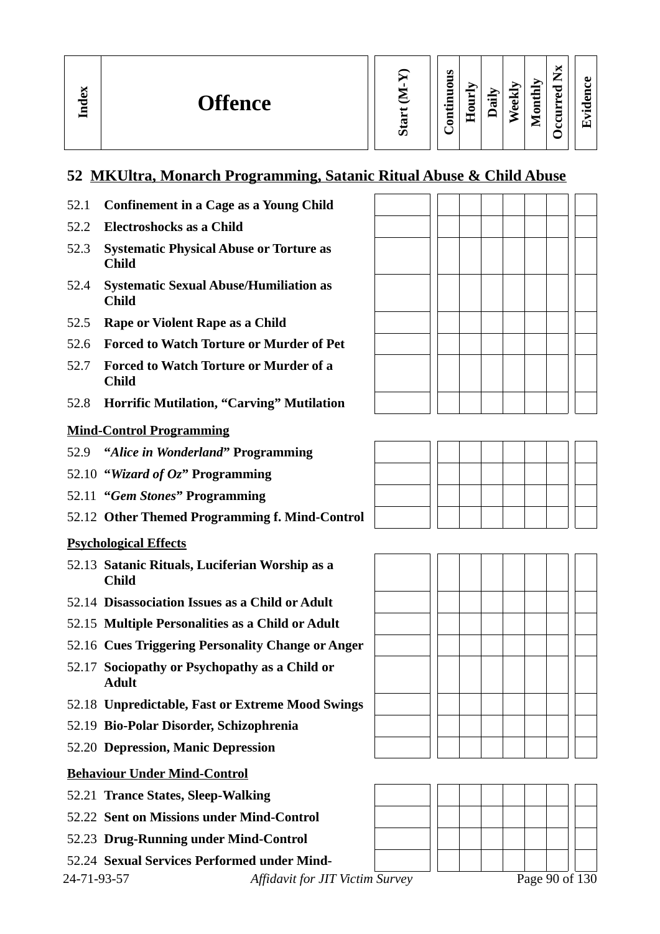# **52 MKUltra, Monarch Programming, Satanic Ritual Abuse & Child Abuse**

- 52.1 **Confinement in a Cage as a Young Child**
- 52.2 **Electroshocks as a Child**
- 52.3 **Systematic Physical Abuse or Torture as Child**
- 52.4 **Systematic Sexual Abuse/Humiliation as Child**
- 52.5 **Rape or Violent Rape as a Child**
- 52.6 **Forced to Watch Torture or Murder of Pet**
- 52.7 **Forced to Watch Torture or Murder of a Child**
- 52.8 **Horrific Mutilation, "Carving" Mutilation**

#### **Mind-Control Programming**

- 52.9 **"***Alice in Wonderland***" Programming**
- 52.10 **"***Wizard of Oz***" Programming**
- 52.11 **"***Gem Stones***" Programming**
- 52.12 **Other Themed Programming f. Mind-Control**

#### **Psychological Effects**

- 52.13 **Satanic Rituals, Luciferian Worship as a Child**
- 52.14 **Disassociation Issues as a Child or Adult**
- 52.15 **Multiple Personalities as a Child or Adult**
- 52.16 **Cues Triggering Personality Change or Anger**
- 52.17 **Sociopathy or Psychopathy as a Child or Adult**
- 52.18 **Unpredictable, Fast or Extreme Mood Swings**
- 52.19 **Bio-Polar Disorder, Schizophrenia**
- 52.20 **Depression, Manic Depression**

#### **Behaviour Under Mind-Control**

- 52.21 **Trance States, Sleep-Walking**
- 52.22 **Sent on Missions under Mind-Control**
- 52.23 **Drug-Running under Mind-Control**
- 52.24 **Sexual Services Performed under Mind-**

24-71-93-57 *Affidavit for JIT Victim Survey* Page 90 of 130







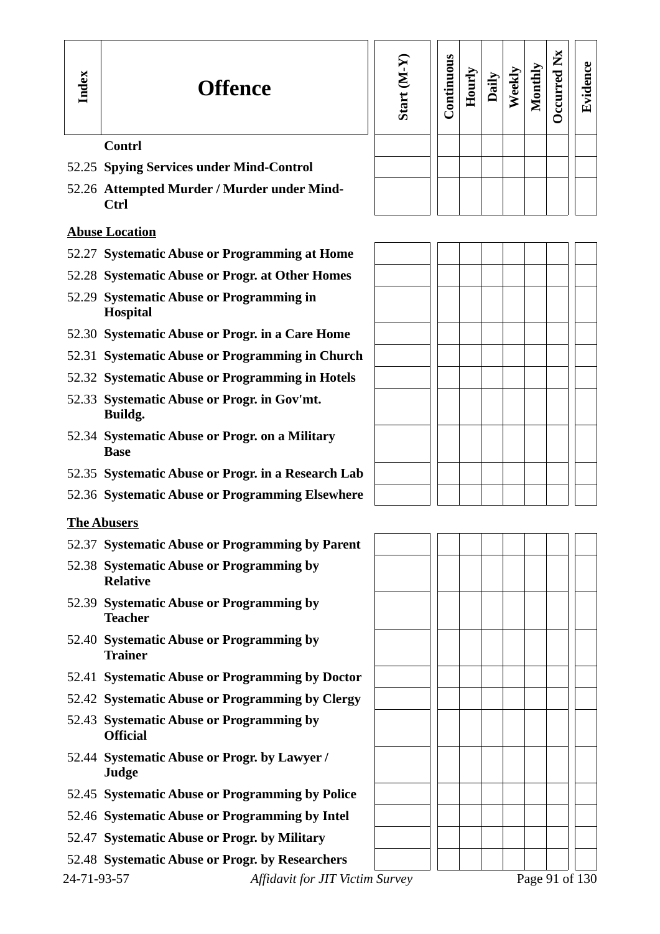#### **Sta rt (M-Y) Contin uous Hourly D We ekly aily Monthly OccurredNxEvid ence**

#### 52.26 **Attempted Murder / Murder under Mind-Ctrl**

**Contrl**

- **Abuse Location**
- 52.27 **Systematic Abuse or Programming at Home**
- 52.28 **Systematic Abuse or Progr. at Other Homes**
- 52.29 **Systematic Abuse or Programming in Hospital**

52.25 **Spying Services under Mind-Control**

- 52.30 **Systematic Abuse or Progr. in a Care Home**
- 52.31 **Systematic Abuse or Programming in Church**
- 52.32 **Systematic Abuse or Programming in Hotels**
- 52.33 **Systematic Abuse or Progr. in Gov'mt. Buildg.**
- 52.34 **Systematic Abuse or Progr. on a Military Base**
- 52.35 **Systematic Abuse or Progr. in a Research Lab**
- 52.36 **Systematic Abuse or Programming Elsewhere**

#### **The Abusers**

- 52.37 **Systematic Abuse or Programming by Parent**
- 52.38 **Systematic Abuse or Programming by Relative**
- 52.39 **Systematic Abuse or Programming by Teacher**
- 52.40 **Systematic Abuse or Programming by Trainer**
- 52.41 **Systematic Abuse or Programming by Doctor**
- 52.42 **Systematic Abuse or Programming by Clergy**
- 52.43 **Systematic Abuse or Programming by Official**
- 52.44 **Systematic Abuse or Progr. by Lawyer / Judge**
- 52.45 **Systematic Abuse or Programming by Police**
- 52.46 **Systematic Abuse or Programming by Intel**
- 52.47 **Systematic Abuse or Progr. by Military**
- 52.48 **Systematic Abuse or Progr. by Researchers**

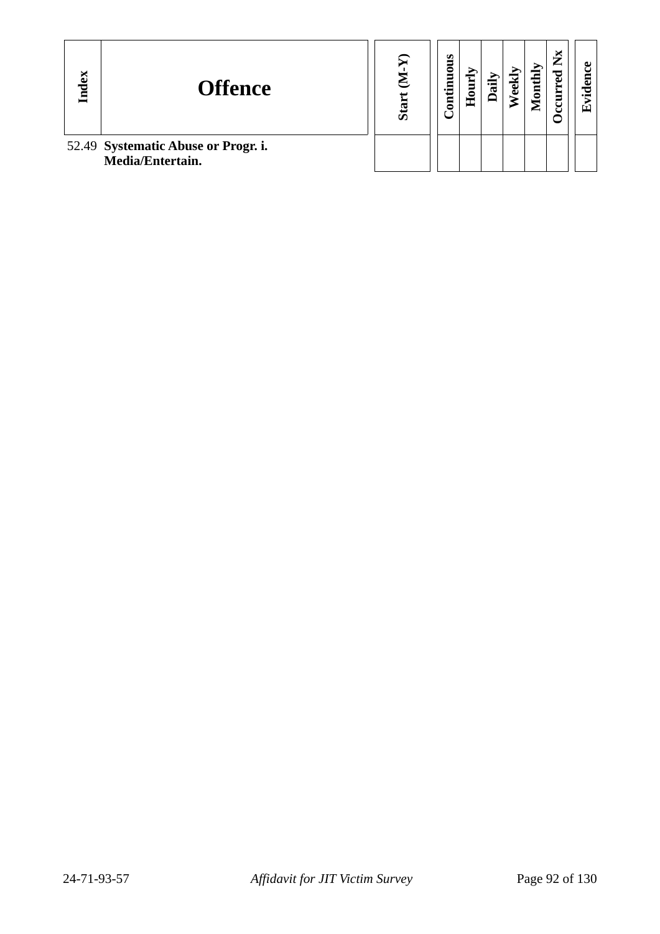| Index | <b>Offence</b>                                          | ဖြ | s<br>tinuou<br>Ē | 5<br>c<br>重 | ਜ਼<br>⊐ | ō | onthly<br>ē | ×<br>► | ω<br>回 |
|-------|---------------------------------------------------------|----|------------------|-------------|---------|---|-------------|--------|--------|
|       | 52.49 Systematic Abuse or Progr. i.<br>Media/Entertain. |    |                  |             |         |   |             |        |        |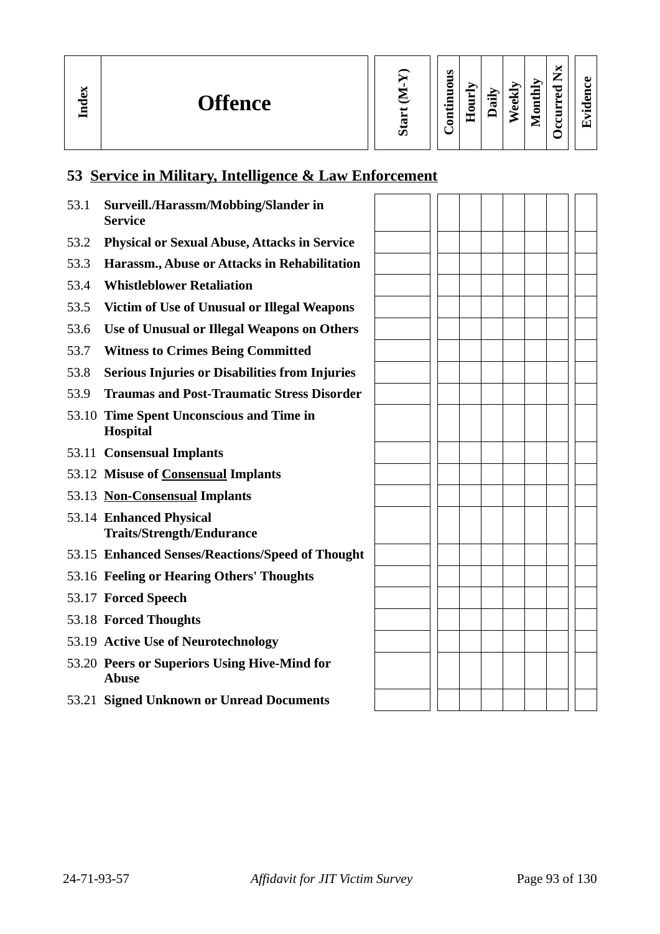**In dex**

**We e kly**

**M**

**o nthly**

| די<br>⊡<br>₹ |
|--------------|
|--------------|

# **53 Service in Military, Intelligence & Law Enforcement**

| 53.1 | Surveill./Harassm/Mobbing/Slander in<br><b>Service</b>       |  |  |  |  |  |
|------|--------------------------------------------------------------|--|--|--|--|--|
| 53.2 | <b>Physical or Sexual Abuse, Attacks in Service</b>          |  |  |  |  |  |
| 53.3 | Harassm., Abuse or Attacks in Rehabilitation                 |  |  |  |  |  |
| 53.4 | <b>Whistleblower Retaliation</b>                             |  |  |  |  |  |
| 53.5 | <b>Victim of Use of Unusual or Illegal Weapons</b>           |  |  |  |  |  |
| 53.6 | Use of Unusual or Illegal Weapons on Others                  |  |  |  |  |  |
| 53.7 | <b>Witness to Crimes Being Committed</b>                     |  |  |  |  |  |
| 53.8 | <b>Serious Injuries or Disabilities from Injuries</b>        |  |  |  |  |  |
| 53.9 | <b>Traumas and Post-Traumatic Stress Disorder</b>            |  |  |  |  |  |
|      | 53.10 Time Spent Unconscious and Time in<br><b>Hospital</b>  |  |  |  |  |  |
|      | 53.11 Consensual Implants                                    |  |  |  |  |  |
|      | 53.12 Misuse of Consensual Implants                          |  |  |  |  |  |
|      | 53.13 Non-Consensual Implants                                |  |  |  |  |  |
|      | 53.14 Enhanced Physical<br><b>Traits/Strength/Endurance</b>  |  |  |  |  |  |
|      | 53.15 Enhanced Senses/Reactions/Speed of Thought             |  |  |  |  |  |
|      | 53.16 Feeling or Hearing Others' Thoughts                    |  |  |  |  |  |
|      | 53.17 Forced Speech                                          |  |  |  |  |  |
|      | 53.18 Forced Thoughts                                        |  |  |  |  |  |
|      | 53.19 Active Use of Neurotechnology                          |  |  |  |  |  |
|      | 53.20 Peers or Superiors Using Hive-Mind for<br><b>Abuse</b> |  |  |  |  |  |
|      | 53.21 Signed Unknown or Unread Documents                     |  |  |  |  |  |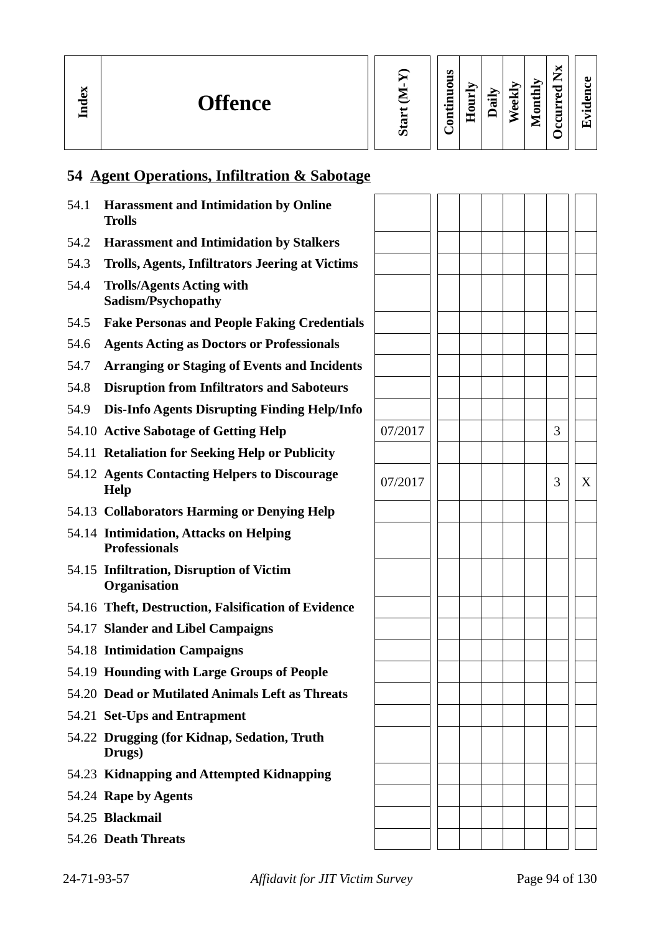| X<br><b>Offence</b><br>÷<br>딜 | ω | Ø<br>٥<br>▭ | −<br>∼<br>Ę<br>-<br>Ξ | iis | ರ<br>−<br>نه<br>Õ | thly<br>5<br>-<br>⋍ | ы<br>—<br>-<br>≂<br>ച<br>ت<br>∽ | 61.<br>-<br>$\bullet$ |  |
|-------------------------------|---|-------------|-----------------------|-----|-------------------|---------------------|---------------------------------|-----------------------|--|
|-------------------------------|---|-------------|-----------------------|-----|-------------------|---------------------|---------------------------------|-----------------------|--|

# **54 Agent Operations, Infiltration & Sabotage**

| 54.1 | <b>Harassment and Intimidation by Online</b><br><b>Trolls</b>   |         |  |  |   |   |
|------|-----------------------------------------------------------------|---------|--|--|---|---|
| 54.2 | <b>Harassment and Intimidation by Stalkers</b>                  |         |  |  |   |   |
| 54.3 | <b>Trolls, Agents, Infiltrators Jeering at Victims</b>          |         |  |  |   |   |
| 54.4 | <b>Trolls/Agents Acting with</b><br>Sadism/Psychopathy          |         |  |  |   |   |
| 54.5 | <b>Fake Personas and People Faking Credentials</b>              |         |  |  |   |   |
| 54.6 | <b>Agents Acting as Doctors or Professionals</b>                |         |  |  |   |   |
| 54.7 | <b>Arranging or Staging of Events and Incidents</b>             |         |  |  |   |   |
| 54.8 | <b>Disruption from Infiltrators and Saboteurs</b>               |         |  |  |   |   |
| 54.9 | <b>Dis-Info Agents Disrupting Finding Help/Info</b>             |         |  |  |   |   |
|      | 54.10 Active Sabotage of Getting Help                           | 07/2017 |  |  | 3 |   |
|      | 54.11 Retaliation for Seeking Help or Publicity                 |         |  |  |   |   |
|      | 54.12 Agents Contacting Helpers to Discourage<br><b>Help</b>    | 07/2017 |  |  | 3 | X |
|      | 54.13 Collaborators Harming or Denying Help                     |         |  |  |   |   |
|      | 54.14 Intimidation, Attacks on Helping<br><b>Professionals</b>  |         |  |  |   |   |
|      | 54.15 Infiltration, Disruption of Victim<br><b>Organisation</b> |         |  |  |   |   |
|      | 54.16 Theft, Destruction, Falsification of Evidence             |         |  |  |   |   |
|      | 54.17 Slander and Libel Campaigns                               |         |  |  |   |   |
|      | 54.18 Intimidation Campaigns                                    |         |  |  |   |   |
|      | 54.19 Hounding with Large Groups of People                      |         |  |  |   |   |
|      | 54.20 Dead or Mutilated Animals Left as Threats                 |         |  |  |   |   |
|      | 54.21 Set-Ups and Entrapment                                    |         |  |  |   |   |
|      | 54.22 Drugging (for Kidnap, Sedation, Truth<br>Drugs)           |         |  |  |   |   |
|      | 54.23 Kidnapping and Attempted Kidnapping                       |         |  |  |   |   |
|      | 54.24 Rape by Agents                                            |         |  |  |   |   |
|      | 54.25 Blackmail                                                 |         |  |  |   |   |
|      | 54.26 Death Threats                                             |         |  |  |   |   |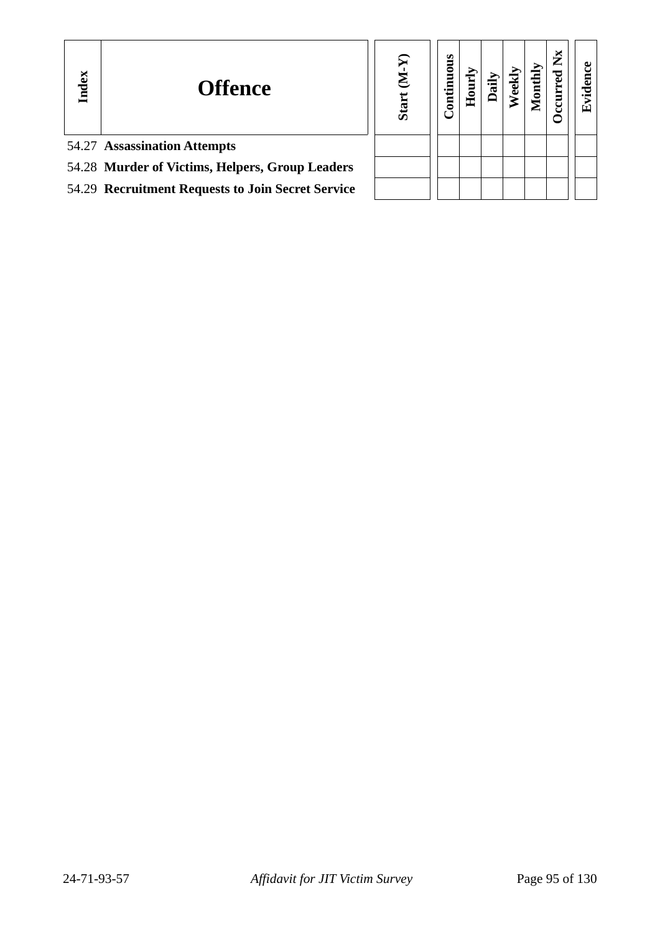| Index | <b>Offence</b>                                    | <b>Start</b> | <b>Continuous</b> | Ê |  | ž | $\mathbf{u}$ |
|-------|---------------------------------------------------|--------------|-------------------|---|--|---|--------------|
|       | 54.27 Assassination Attempts                      |              |                   |   |  |   |              |
|       | 54.28 Murder of Victims, Helpers, Group Leaders   |              |                   |   |  |   |              |
|       | 54.29 Recruitment Requests to Join Secret Service |              |                   |   |  |   |              |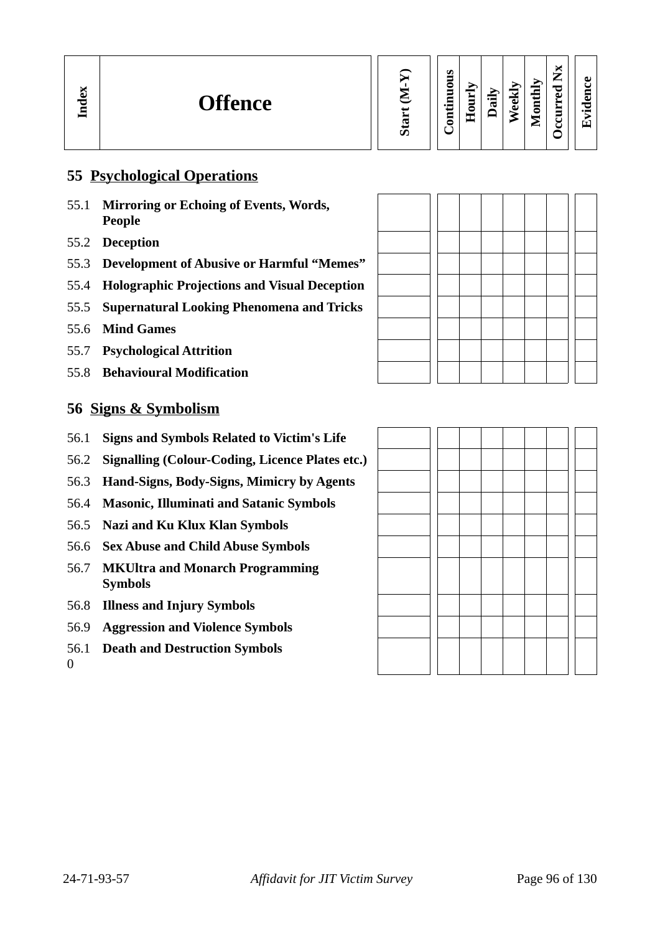### **55 Psychological Operations**

- 55.1 **Mirroring or Echoing of Events, Words, People**
- 55.2 **Deception**
- 55.3 **Development of Abusive or Harmful "Memes"**
- 55.4 **Holographic Projections and Visual Deception**
- 55.5 **Supernatural Looking Phenomena and Tricks**
- 55.6 **Mind Games**
- 55.7 **Psychological Attrition**
- 55.8 **Behavioural Modification**

### **56 Signs & Symbolism**

- 56.1 **Signs and Symbols Related to Victim's Life**
- 56.2 **Signalling (Colour-Coding, Licence Plates etc.)**
- 56.3 **Hand-Signs, Body-Signs, Mimicry by Agents**
- 56.4 **Masonic, Illuminati and Satanic Symbols**
- 56.5 **Nazi and Ku Klux Klan Symbols**
- 56.6 **Sex Abuse and Child Abuse Symbols**
- 56.7 **MKUltra and Monarch Programming Symbols**
- 56.8 **Illness and Injury Symbols**
- 56.9 **Aggression and Violence Symbols**
- 56.1 **Death and Destruction Symbols**

 $\Omega$ 

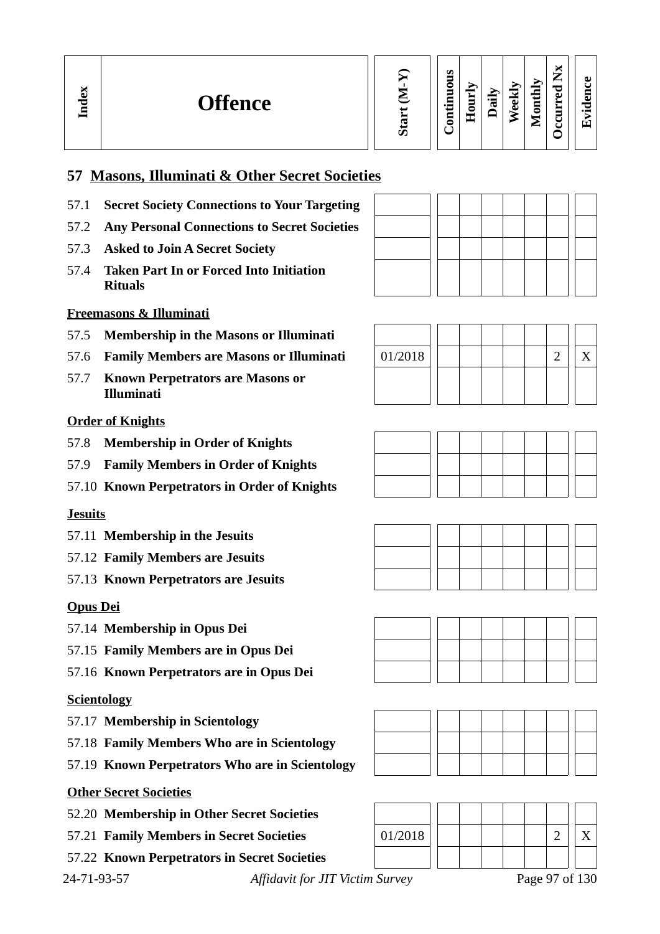# **57 Masons, Illuminati & Other Secret Societies**

- 57.1 **Secret Society Connections to Your Targeting**
- 57.2 **Any Personal Connections to Secret Societies**
- 57.3 **Asked to Join A Secret Society**
- 57.4 **Taken Part In or Forced Into Initiation Rituals**

#### **Freemasons & Illuminati**

- 57.5 **Membership in the Masons or Illuminati**
- 57.6 **Family Members are Masons or Illuminati** 01/2018 2 X
- 57.7 **Known Perpetrators are Masons or Illuminati**

#### **Order of Knights**

- 57.8 **Membership in Order of Knights**
- 57.9 **Family Members in Order of Knights**
- 57.10 **Known Perpetrators in Order of Knights**

#### **Jesuits**

- 57.11 **Membership in the Jesuits**
- 57.12 **Family Members are Jesuits**
- 57.13 **Known Perpetrators are Jesuits**

#### **Opus Dei**

- 57.14 **Membership in Opus Dei**
- 57.15 **Family Members are in Opus Dei**
- 57.16 **Known Perpetrators are in Opus Dei**

#### **Scientology**

- 57.17 **Membership in Scientology**
- 57.18 **Family Members Who are in Scientology**
- 57.19 **Known Perpetrators Who are in Scientology**

#### **Other Secret Societies**

- 52.20 **Membership in Other Secret Societies**
- 
- 57.22 **Known Perpetrators in Secret Societies**

24-71-93-57 *Affidavit for JIT Victim Survey* Page 97 of 130











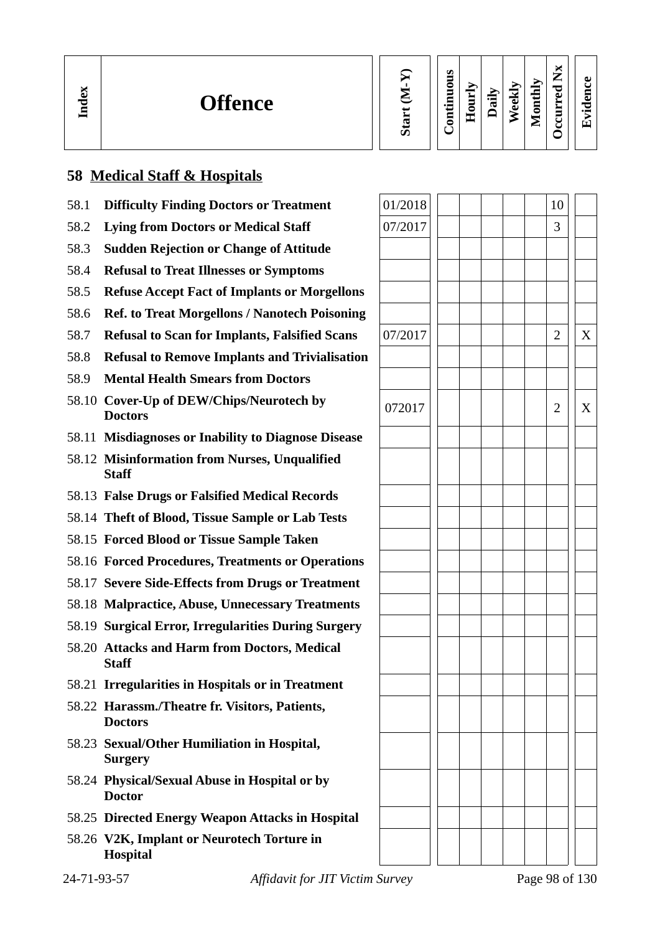| N.<br>Đ<br><b>Offence</b><br>÷<br>┍<br>_ |  | ⌒ | S<br>٥<br>5<br>=<br>∙−<br>ទី | -<br>-<br>Ξ<br>æ | ≔<br>π | <br>نه<br>A) | ∽<br>0<br>_<br>_ | ۰.<br>G) | A ) |
|------------------------------------------|--|---|------------------------------|------------------|--------|--------------|------------------|----------|-----|
|------------------------------------------|--|---|------------------------------|------------------|--------|--------------|------------------|----------|-----|

# **58 Medical Staff & Hospitals**

- 58.1 **Difficulty Finding Doctors or Treatment**
- 58.2 **Lying from Doctors or Medical Staff**
- 58.3 **Sudden Rejection or Change of Attitude**
- 58.4 **Refusal to Treat Illnesses or Symptoms**
- 58.5 **Refuse Accept Fact of Implants or Morgellons**
- 58.6 **Ref. to Treat Morgellons / Nanotech Poisoning**
- 58.7 **Refusal to Scan for Implants, Falsified Scans** 07/2017 2 X
- 58.8 **Refusal to Remove Implants and Trivialisation**
- 58.9 **Mental Health Smears from Doctors**
- 58.10 Cover-Up of DEW/Chips/Neurotech by  $\left| 072017 \right| \left| 1 \right| 2 \right| X$
- 58.11 **Misdiagnoses or Inability to Diagnose Disease**
- 58.12 **Misinformation from Nurses, Unqualified Staff**
- 58.13 **False Drugs or Falsified Medical Records**
- 58.14 **Theft of Blood, Tissue Sample or Lab Tests**
- 58.15 **Forced Blood or Tissue Sample Taken**
- 58.16 **Forced Procedures, Treatments or Operations**
- 58.17 **Severe Side-Effects from Drugs or Treatment**
- 58.18 **Malpractice, Abuse, Unnecessary Treatments**
- 58.19 **Surgical Error, Irregularities During Surgery**
- 58.20 **Attacks and Harm from Doctors, Medical Staff**
- 58.21 **Irregularities in Hospitals or in Treatment**
- 58.22 **Harassm./Theatre fr. Visitors, Patients, Doctors**
- 58.23 **Sexual/Other Humiliation in Hospital, Surgery**
- 58.24 **Physical/Sexual Abuse in Hospital or by Doctor**
- 58.25 **Directed Energy Weapon Attacks in Hospital**
- 58.26 **V2K, Implant or Neurotech Torture in Hospital**

| 01/2018 |  |  | 10                      |   |
|---------|--|--|-------------------------|---|
| 07/2017 |  |  | 3                       |   |
|         |  |  |                         |   |
|         |  |  |                         |   |
|         |  |  |                         |   |
|         |  |  |                         |   |
| 07/2017 |  |  | $\overline{\mathbf{c}}$ | X |
|         |  |  |                         |   |
|         |  |  |                         |   |
|         |  |  |                         |   |
| 072017  |  |  | $\overline{a}$          | X |
|         |  |  |                         |   |
|         |  |  |                         |   |
|         |  |  |                         |   |
|         |  |  |                         |   |
|         |  |  |                         |   |
|         |  |  |                         |   |
|         |  |  |                         |   |
|         |  |  |                         |   |
|         |  |  |                         |   |
|         |  |  |                         |   |
|         |  |  |                         |   |
|         |  |  |                         |   |
|         |  |  |                         |   |
|         |  |  |                         |   |
|         |  |  |                         |   |
|         |  |  |                         |   |
|         |  |  |                         |   |
|         |  |  |                         |   |
|         |  |  |                         |   |
|         |  |  |                         |   |
|         |  |  |                         |   |
|         |  |  |                         |   |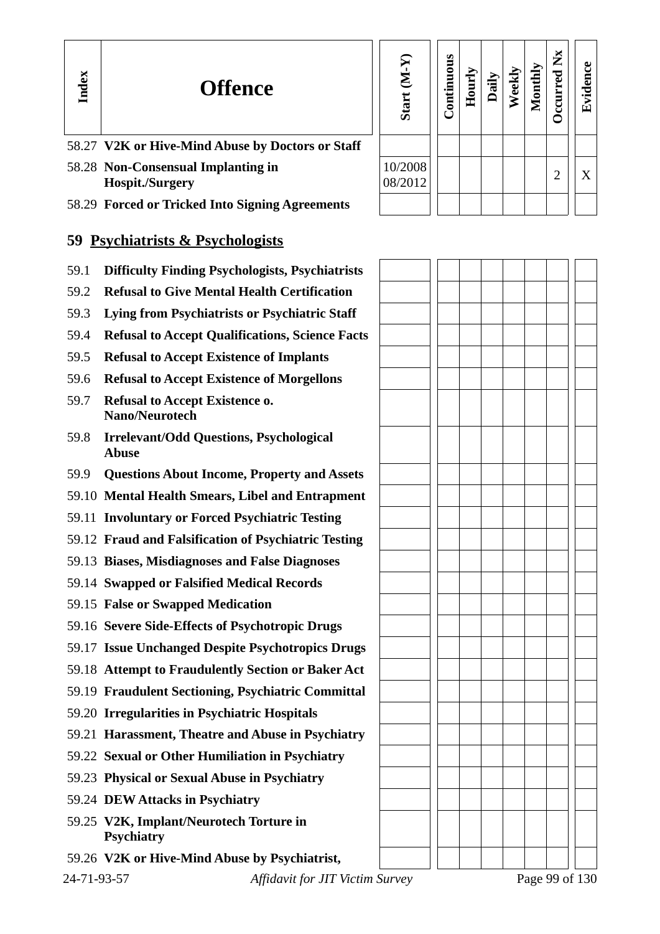|     | Start (M-Y)        | Continuous | Hourly | Daily | Weekly | Monthly | Occurred Nx    | Evidence |  |
|-----|--------------------|------------|--------|-------|--------|---------|----------------|----------|--|
| aff |                    |            |        |       |        |         |                |          |  |
|     | 10/2008<br>08/2012 |            |        |       |        |         | $\overline{2}$ | X        |  |
|     |                    |            |        |       |        |         |                |          |  |

- 58.27 **V2K or Hive-Mind Abuse by Doctors or State**
- 58.28 **Non-Consensual Implanting in Hospit./Surgery**

**In dex**

58.29 **Forced or Tricked Into Signing Agreements**

# **59 Psychiatrists & Psychologists**

- 59.1 **Difficulty Finding Psychologists, Psychiatrists**
- 59.2 **Refusal to Give Mental Health Certification**
- 59.3 **Lying from Psychiatrists or Psychiatric Staff**
- 59.4 **Refusal to Accept Qualifications, Science Facts**
- 59.5 **Refusal to Accept Existence of Implants**
- 59.6 **Refusal to Accept Existence of Morgellons**
- 59.7 **Refusal to Accept Existence o. Nano/Neurotech**
- 59.8 **Irrelevant/Odd Questions, Psychological Abuse**
- 59.9 **Questions About Income, Property and Assets**
- 59.10 **Mental Health Smears, Libel and Entrapment**
- 59.11 **Involuntary or Forced Psychiatric Testing**
- 59.12 **Fraud and Falsification of Psychiatric Testing**
- 59.13 **Biases, Misdiagnoses and False Diagnoses**
- 59.14 **Swapped or Falsified Medical Records**
- 59.15 **False or Swapped Medication**
- 59.16 **Severe Side-Effects of Psychotropic Drugs**
- 59.17 **Issue Unchanged Despite Psychotropics Drugs**
- 59.18 **Attempt to Fraudulently Section or Baker Act**
- 59.19 **Fraudulent Sectioning, Psychiatric Committal**
- 59.20 **Irregularities in Psychiatric Hospitals**
- 59.21 **Harassment, Theatre and Abuse in Psychiatry**
- 59.22 **Sexual or Other Humiliation in Psychiatry**
- 59.23 **Physical or Sexual Abuse in Psychiatry**
- 59.24 **DEW Attacks in Psychiatry**
- 59.25 **V2K, Implant/Neurotech Torture in Psychiatry**
- 59.26 **V2K or Hive-Mind Abuse by Psychiatrist,**

24-71-93-57 *Affidavit for JIT Victim Survey* Page 99 of 130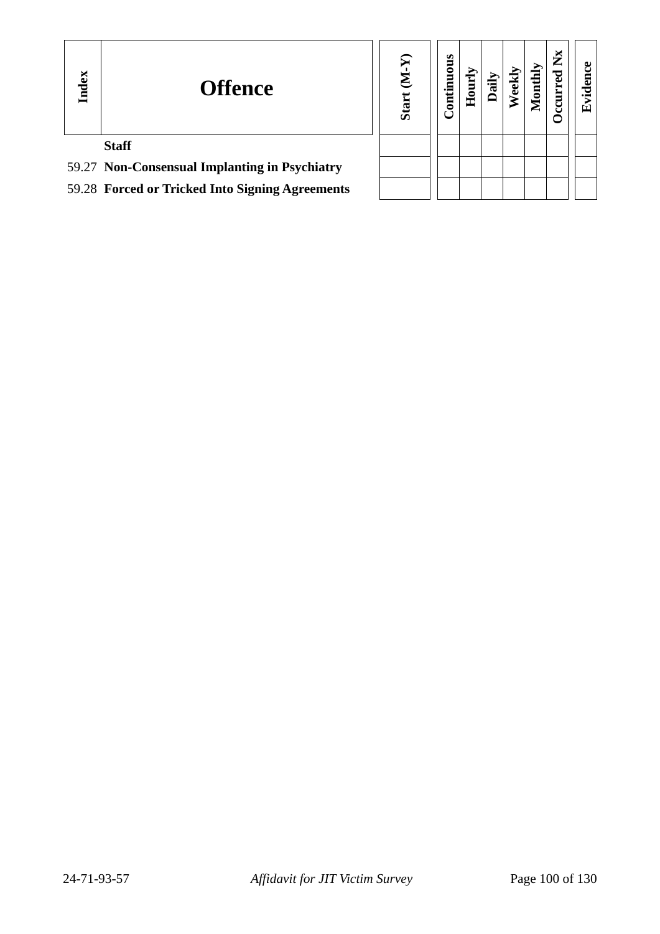| Index | <b>Offence</b>                                  | Σ<br><b>Start</b> | <b>Continuous</b> | Е<br>Е |  | thly<br>Ξ | ž | ω<br>$\bullet$<br>口 |
|-------|-------------------------------------------------|-------------------|-------------------|--------|--|-----------|---|---------------------|
|       | <b>Staff</b>                                    |                   |                   |        |  |           |   |                     |
|       | 59.27 Non-Consensual Implanting in Psychiatry   |                   |                   |        |  |           |   |                     |
|       | 59.28 Forced or Tricked Into Signing Agreements |                   |                   |        |  |           |   |                     |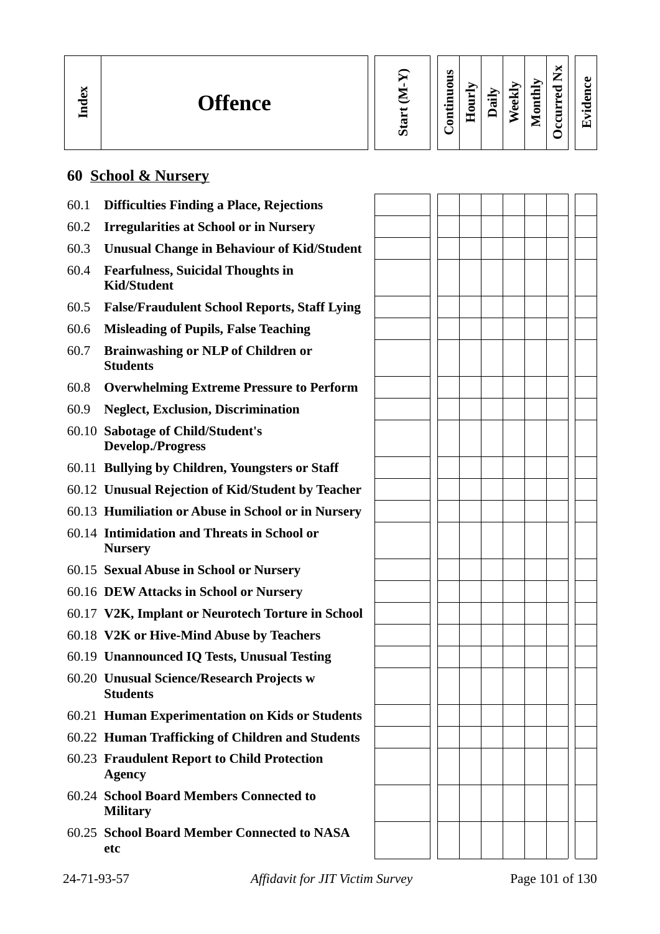| м<br>Ĝ<br><b>Offence</b><br>Ĕ | ပာ | S<br>Ξ<br>õ<br>Ē<br>2<br>⊶<br>؎<br>Ē | ÷<br>Ĕ<br>0<br>重 | $\in$<br>℡ | ರ<br>نه<br>ω | ⊵<br>÷<br>c<br>_<br>_ | —<br>_<br>∼<br>A ) | ЛJ<br>$\bullet$ |
|-------------------------------|----|--------------------------------------|------------------|------------|--------------|-----------------------|--------------------|-----------------|
|-------------------------------|----|--------------------------------------|------------------|------------|--------------|-----------------------|--------------------|-----------------|

# **60 School & Nursery**

| 60.1 | <b>Difficulties Finding a Place, Rejections</b>                |  |  |  |  |
|------|----------------------------------------------------------------|--|--|--|--|
| 60.2 | <b>Irregularities at School or in Nursery</b>                  |  |  |  |  |
| 60.3 | <b>Unusual Change in Behaviour of Kid/Student</b>              |  |  |  |  |
| 60.4 | <b>Fearfulness, Suicidal Thoughts in</b><br><b>Kid/Student</b> |  |  |  |  |
| 60.5 | <b>False/Fraudulent School Reports, Staff Lying</b>            |  |  |  |  |
| 60.6 | <b>Misleading of Pupils, False Teaching</b>                    |  |  |  |  |
| 60.7 | <b>Brainwashing or NLP of Children or</b><br><b>Students</b>   |  |  |  |  |
| 60.8 | <b>Overwhelming Extreme Pressure to Perform</b>                |  |  |  |  |
| 60.9 | <b>Neglect, Exclusion, Discrimination</b>                      |  |  |  |  |
|      | 60.10 Sabotage of Child/Student's<br><b>Develop./Progress</b>  |  |  |  |  |
|      | 60.11 Bullying by Children, Youngsters or Staff                |  |  |  |  |
|      | 60.12 Unusual Rejection of Kid/Student by Teacher              |  |  |  |  |
|      | 60.13 Humiliation or Abuse in School or in Nursery             |  |  |  |  |
|      | 60.14 Intimidation and Threats in School or<br><b>Nursery</b>  |  |  |  |  |
|      | 60.15 Sexual Abuse in School or Nursery                        |  |  |  |  |
|      | 60.16 DEW Attacks in School or Nursery                         |  |  |  |  |
|      | 60.17 V2K, Implant or Neurotech Torture in School              |  |  |  |  |
|      | 60.18 V2K or Hive-Mind Abuse by Teachers                       |  |  |  |  |
|      | 60.19 Unannounced IQ Tests, Unusual Testing                    |  |  |  |  |
|      | 60.20 Unusual Science/Research Projects w<br><b>Students</b>   |  |  |  |  |
|      | 60.21 Human Experimentation on Kids or Students                |  |  |  |  |
|      | 60.22 Human Trafficking of Children and Students               |  |  |  |  |
|      | 60.23 Fraudulent Report to Child Protection<br><b>Agency</b>   |  |  |  |  |
|      | 60.24 School Board Members Connected to<br><b>Military</b>     |  |  |  |  |
|      | 60.25 School Board Member Connected to NASA<br>etc             |  |  |  |  |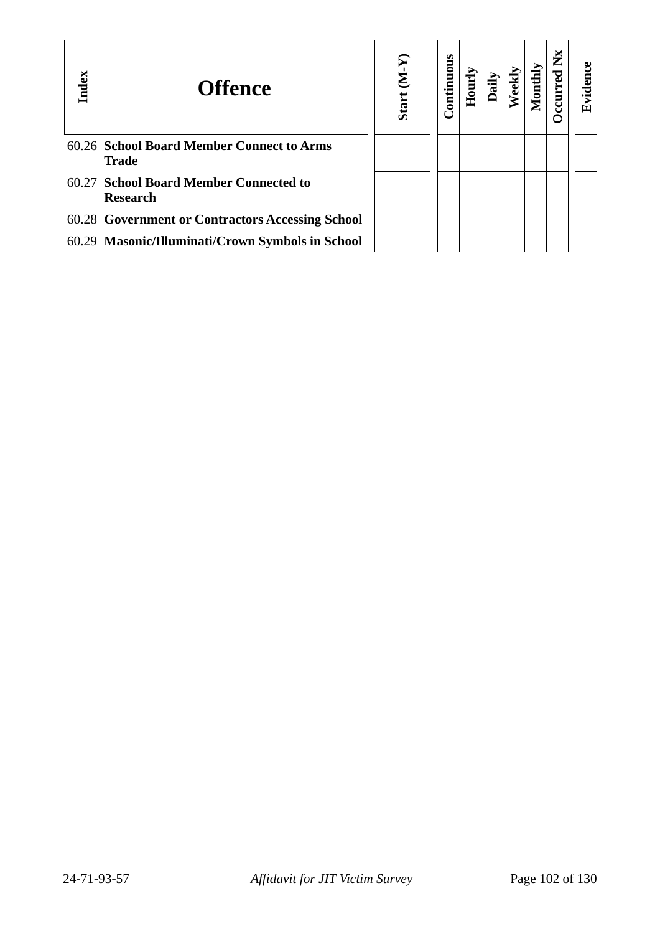| Index | <b>Offence</b>                                            | $(Y-N)$<br>Start | Continuous | Hourly |  | ž |  |
|-------|-----------------------------------------------------------|------------------|------------|--------|--|---|--|
|       | 60.26 School Board Member Connect to Arms<br><b>Trade</b> |                  |            |        |  |   |  |
|       | 60.27 School Board Member Connected to<br><b>Research</b> |                  |            |        |  |   |  |
|       | 60.28 Government or Contractors Accessing School          |                  |            |        |  |   |  |
|       | 60.29 Masonic/Illuminati/Crown Symbols in School          |                  |            |        |  |   |  |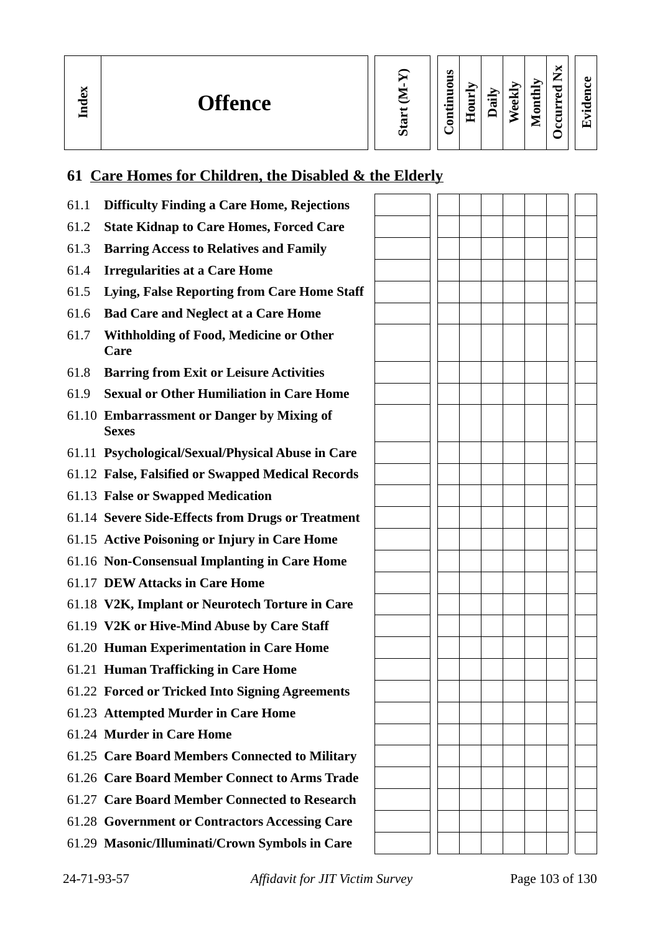**In dex**

| ⋝<br><b>Start</b> |
|-------------------|
|                   |

**Contin uous Hourly D We e kly aily Monthly**  **Oc c ur r e dEvid ence**

**Nx**

# **61 Care Homes for Children, the Disabled & the Elderly**

| 61.1 | <b>Difficulty Finding a Care Home, Rejections</b>          |  |  |  |  |
|------|------------------------------------------------------------|--|--|--|--|
| 61.2 | <b>State Kidnap to Care Homes, Forced Care</b>             |  |  |  |  |
| 61.3 | <b>Barring Access to Relatives and Family</b>              |  |  |  |  |
| 61.4 | <b>Irregularities at a Care Home</b>                       |  |  |  |  |
| 61.5 | Lying, False Reporting from Care Home Staff                |  |  |  |  |
| 61.6 | <b>Bad Care and Neglect at a Care Home</b>                 |  |  |  |  |
| 61.7 | <b>Withholding of Food, Medicine or Other</b><br>Care      |  |  |  |  |
| 61.8 | <b>Barring from Exit or Leisure Activities</b>             |  |  |  |  |
| 61.9 | <b>Sexual or Other Humiliation in Care Home</b>            |  |  |  |  |
|      | 61.10 Embarrassment or Danger by Mixing of<br><b>Sexes</b> |  |  |  |  |
|      | 61.11 Psychological/Sexual/Physical Abuse in Care          |  |  |  |  |
|      | 61.12 False, Falsified or Swapped Medical Records          |  |  |  |  |
|      | 61.13 False or Swapped Medication                          |  |  |  |  |
|      | 61.14 Severe Side-Effects from Drugs or Treatment          |  |  |  |  |
|      | 61.15 Active Poisoning or Injury in Care Home              |  |  |  |  |
|      | 61.16 Non-Consensual Implanting in Care Home               |  |  |  |  |
|      | 61.17 DEW Attacks in Care Home                             |  |  |  |  |
|      | 61.18 V2K, Implant or Neurotech Torture in Care            |  |  |  |  |
|      | 61.19 V2K or Hive-Mind Abuse by Care Staff                 |  |  |  |  |
|      | 61.20 Human Experimentation in Care Home                   |  |  |  |  |
|      | 61.21 Human Trafficking in Care Home                       |  |  |  |  |
|      | 61.22 Forced or Tricked Into Signing Agreements            |  |  |  |  |
|      | 61.23 Attempted Murder in Care Home                        |  |  |  |  |
|      | 61.24 Murder in Care Home                                  |  |  |  |  |
|      | 61.25 Care Board Members Connected to Military             |  |  |  |  |
|      | 61.26 Care Board Member Connect to Arms Trade              |  |  |  |  |
|      | 61.27 Care Board Member Connected to Research              |  |  |  |  |
|      | 61.28 Government or Contractors Accessing Care             |  |  |  |  |
|      | 61.29 Masonic/Illuminati/Crown Symbols in Care             |  |  |  |  |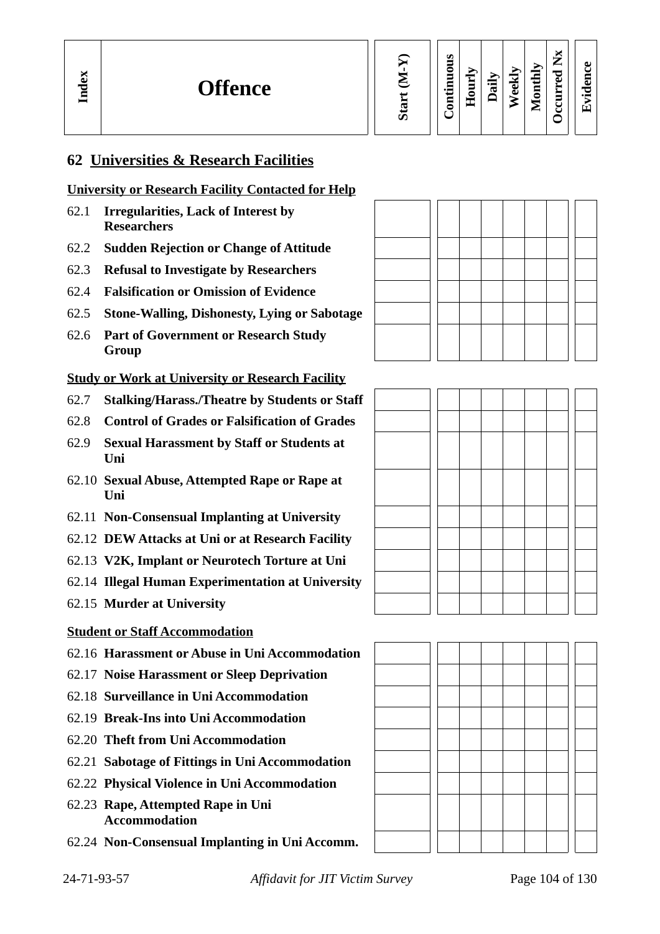**Evid ence**

**Occurred**

**Nx**

# **62 Universities & Research Facilities**

#### **University or Research Facility Contacted for Help**

- 62.1 **Irregularities, Lack of Interest by Researchers**
- 62.2 **Sudden Rejection or Change of Attitude**
- 62.3 **Refusal to Investigate by Researchers**
- 62.4 **Falsification or Omission of Evidence**
- 62.5 **Stone-Walling, Dishonesty, Lying or Sabotage**
- 62.6 **Part of Government or Research Study Group**

#### **Study or Work at University or Research Facility**

- 62.7 **Stalking/Harass./Theatre by Students or Staff**
- 62.8 **Control of Grades or Falsification of Grades**
- 62.9 **Sexual Harassment by Staff or Students at Uni**
- 62.10 **Sexual Abuse, Attempted Rape or Rape at Uni**
- 62.11 **Non-Consensual Implanting at University**
- 62.12 **DEW Attacks at Uni or at Research Facility**
- 62.13 **V2K, Implant or Neurotech Torture at Uni**
- 62.14 **Illegal Human Experimentation at University**
- 62.15 **Murder at University**

#### **Student or Staff Accommodation**

- 62.16 **Harassment or Abuse in Uni Accommodation**
- 62.17 **Noise Harassment or Sleep Deprivation**
- 62.18 **Surveillance in Uni Accommodation**
- 62.19 **Break-Ins into Uni Accommodation**
- 62.20 **Theft from Uni Accommodation**
- 62.21 **Sabotage of Fittings in Uni Accommodation**
- 62.22 **Physical Violence in Uni Accommodation**
- 62.23 **Rape, Attempted Rape in Uni Accommodation**
- 62.24 **Non-Consensual Implanting in Uni Accomm.**





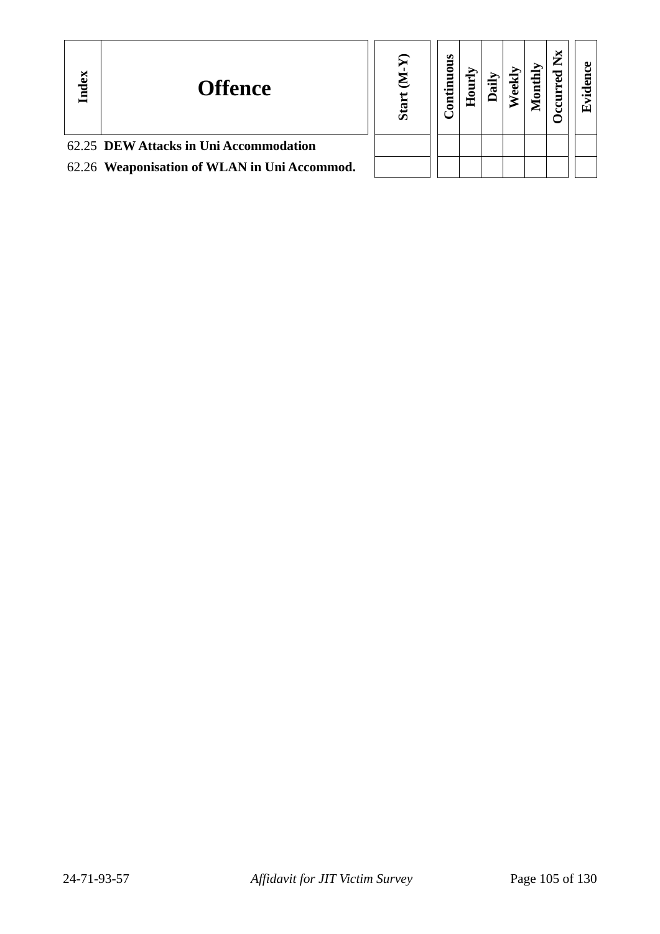| Index | <b>Offence</b>                               | ശ് | ontinuous | ⊂<br>Ě | ъ | $\mathbf{d}\mathbf{h}$<br>Ē | Œ |
|-------|----------------------------------------------|----|-----------|--------|---|-----------------------------|---|
|       | 62.25 DEW Attacks in Uni Accommodation       |    |           |        |   |                             |   |
|       | 62.26 Weaponisation of WLAN in Uni Accommod. |    |           |        |   |                             |   |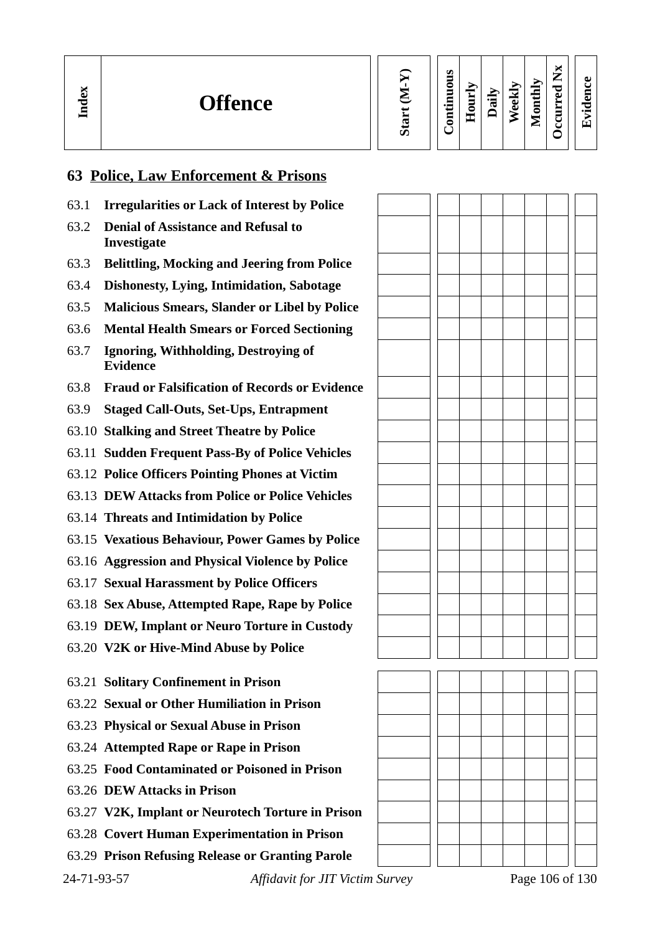| ěX<br>ਢ | <b>Offence</b> |  | S<br>c<br>-<br>$\bullet$ $\blacksquare$<br>┍<br>_<br>0 | -<br>-<br>-<br>-<br>− | ℡ | M<br>نه<br>Ō | Δ<br>€<br>Ē<br>÷<br>∸ | ₩<br>$\sim$<br>۰,<br>−<br>≂<br>A)<br>_<br>ٮ | $\omega$<br>Ξ<br>c<br>$\overline{\phantom{0}}$ |
|---------|----------------|--|--------------------------------------------------------|-----------------------|---|--------------|-----------------------|---------------------------------------------|------------------------------------------------|
|---------|----------------|--|--------------------------------------------------------|-----------------------|---|--------------|-----------------------|---------------------------------------------|------------------------------------------------|

#### **63 Police, Law Enforcement & Prisons**

- 63.1 **Irregularities or Lack of Interest by Police**
- 63.2 **Denial of Assistance and Refusal to Investigate**
- 63.3 **Belittling, Mocking and Jeering from Police**
- 63.4 **Dishonesty, Lying, Intimidation, Sabotage**
- 63.5 **Malicious Smears, Slander or Libel by Police**
- 63.6 **Mental Health Smears or Forced Sectioning**
- 63.7 **Ignoring, Withholding, Destroying of Evidence**
- 63.8 **Fraud or Falsification of Records or Evidence**
- 63.9 **Staged Call-Outs, Set-Ups, Entrapment**
- 63.10 **Stalking and Street Theatre by Police**
- 63.11 **Sudden Frequent Pass-By of Police Vehicles**
- 63.12 **Police Officers Pointing Phones at Victim**
- 63.13 **DEW Attacks from Police or Police Vehicles**
- 63.14 **Threats and Intimidation by Police**
- 63.15 **Vexatious Behaviour, Power Games by Police**
- 63.16 **Aggression and Physical Violence by Police**
- 63.17 **Sexual Harassment by Police Officers**
- 63.18 **Sex Abuse, Attempted Rape, Rape by Police**
- 63.19 **DEW, Implant or Neuro Torture in Custody**
- 63.20 **V2K or Hive-Mind Abuse by Police**

63.21 **Solitary Confinement in Prison**

- 63.22 **Sexual or Other Humiliation in Prison**
- 63.23 **Physical or Sexual Abuse in Prison**
- 63.24 **Attempted Rape or Rape in Prison**
- 63.25 **Food Contaminated or Poisoned in Prison**
- 63.26 **DEW Attacks in Prison**
- 63.27 **V2K, Implant or Neurotech Torture in Prison**
- 63.28 **Covert Human Experimentation in Prison**
- 63.29 **Prison Refusing Release or Granting Parole**



24-71-93-57 *Affidavit for JIT Victim Survey* Page 106 of 130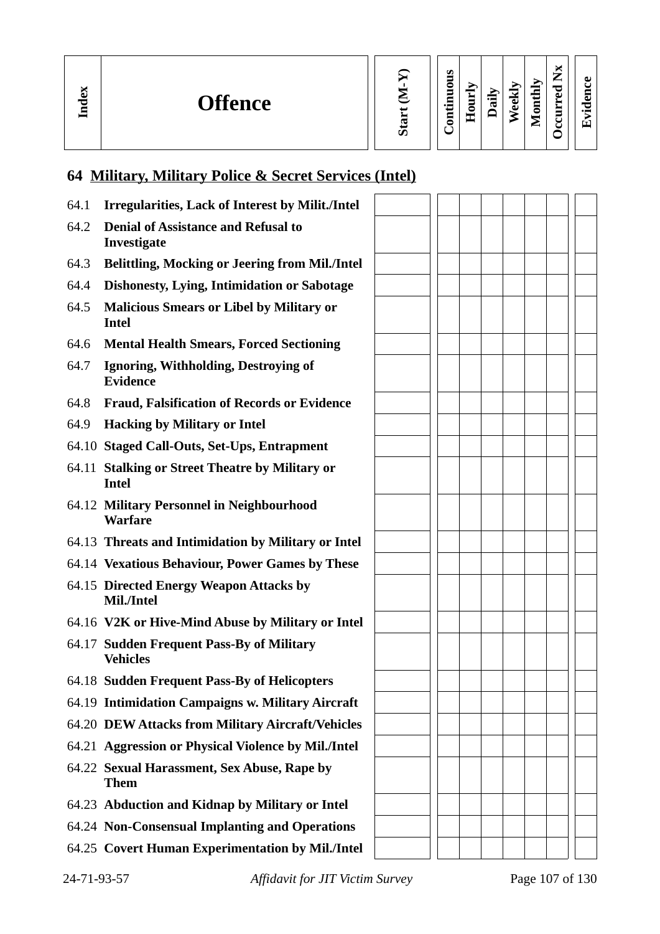**In dex**

| È<br>Sta |
|----------|
|          |

#### **Contin uous Hourly**  $\mathbf{D}$ **aily We e kly Monthly**

 **Oc c ur r e dEvid ence**

**Nx**

# **64 Military, Military Police & Secret Services (Intel)**

| <b>Irregularities, Lack of Interest by Milit./Intel</b><br>64.1         |                                                       |  |  |  |  |
|-------------------------------------------------------------------------|-------------------------------------------------------|--|--|--|--|
| <b>Denial of Assistance and Refusal to</b><br>64.2<br>Investigate       |                                                       |  |  |  |  |
| 64.3                                                                    | <b>Belittling, Mocking or Jeering from Mil./Intel</b> |  |  |  |  |
| <b>Dishonesty, Lying, Intimidation or Sabotage</b><br>64.4              |                                                       |  |  |  |  |
| 64.5<br><b>Malicious Smears or Libel by Military or</b><br><b>Intel</b> |                                                       |  |  |  |  |
| 64.6<br><b>Mental Health Smears, Forced Sectioning</b>                  |                                                       |  |  |  |  |
| 64.7<br>Ignoring, Withholding, Destroying of<br><b>Evidence</b>         |                                                       |  |  |  |  |
| 64.8<br><b>Fraud, Falsification of Records or Evidence</b>              |                                                       |  |  |  |  |
| <b>Hacking by Military or Intel</b><br>64.9                             |                                                       |  |  |  |  |
| 64.10 Staged Call-Outs, Set-Ups, Entrapment                             |                                                       |  |  |  |  |
| 64.11 Stalking or Street Theatre by Military or<br><b>Intel</b>         |                                                       |  |  |  |  |
| 64.12 Military Personnel in Neighbourhood<br><b>Warfare</b>             |                                                       |  |  |  |  |
| 64.13 Threats and Intimidation by Military or Intel                     |                                                       |  |  |  |  |
| 64.14 Vexatious Behaviour, Power Games by These                         |                                                       |  |  |  |  |
| 64.15 Directed Energy Weapon Attacks by<br>Mil./Intel                   |                                                       |  |  |  |  |
| 64.16 V2K or Hive-Mind Abuse by Military or Intel                       |                                                       |  |  |  |  |
| 64.17 Sudden Frequent Pass-By of Military<br><b>Vehicles</b>            |                                                       |  |  |  |  |
| 64.18 Sudden Frequent Pass-By of Helicopters                            |                                                       |  |  |  |  |
| 64.19 Intimidation Campaigns w. Military Aircraft                       |                                                       |  |  |  |  |
| 64.20 DEW Attacks from Military Aircraft/Vehicles                       |                                                       |  |  |  |  |
| 64.21 Aggression or Physical Violence by Mil./Intel                     |                                                       |  |  |  |  |
| 64.22 Sexual Harassment, Sex Abuse, Rape by<br><b>Them</b>              |                                                       |  |  |  |  |
| 64.23 Abduction and Kidnap by Military or Intel                         |                                                       |  |  |  |  |
| 64.24 Non-Consensual Implanting and Operations                          |                                                       |  |  |  |  |
| 64.25 Covert Human Experimentation by Mil./Intel                        |                                                       |  |  |  |  |

24-71-93-57 *Affidavit for JIT Victim Survey* Page 107 of 130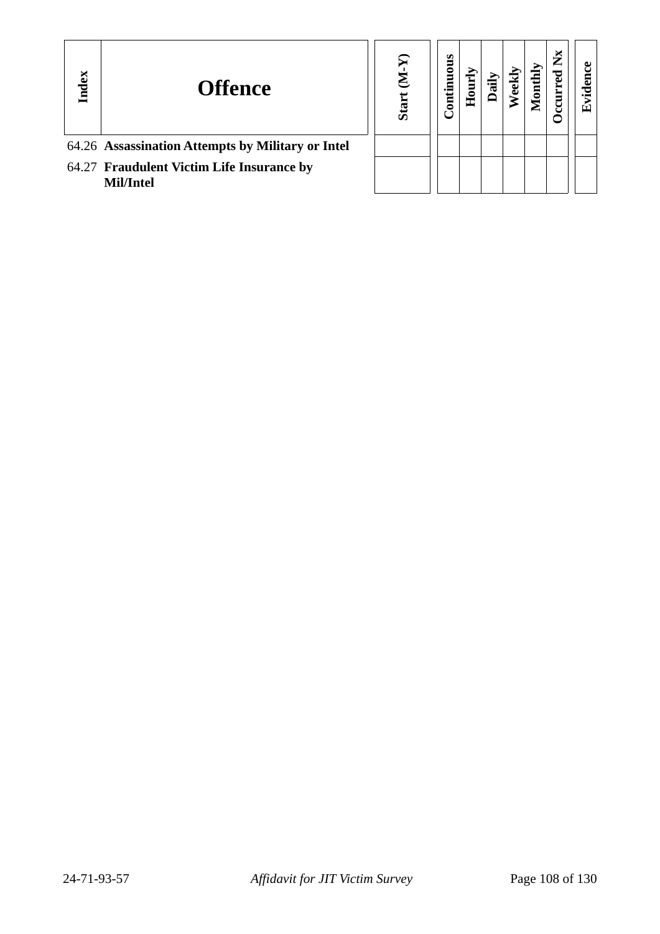| Index | <b>Offence</b>                                         | ā<br>Ō, | ontinuous | 0<br>Ě |  | ► |  |
|-------|--------------------------------------------------------|---------|-----------|--------|--|---|--|
|       | 64.26 Assassination Attempts by Military or Intel      |         |           |        |  |   |  |
|       | 64.27 Fraudulent Victim Life Insurance by<br>Mil/Intel |         |           |        |  |   |  |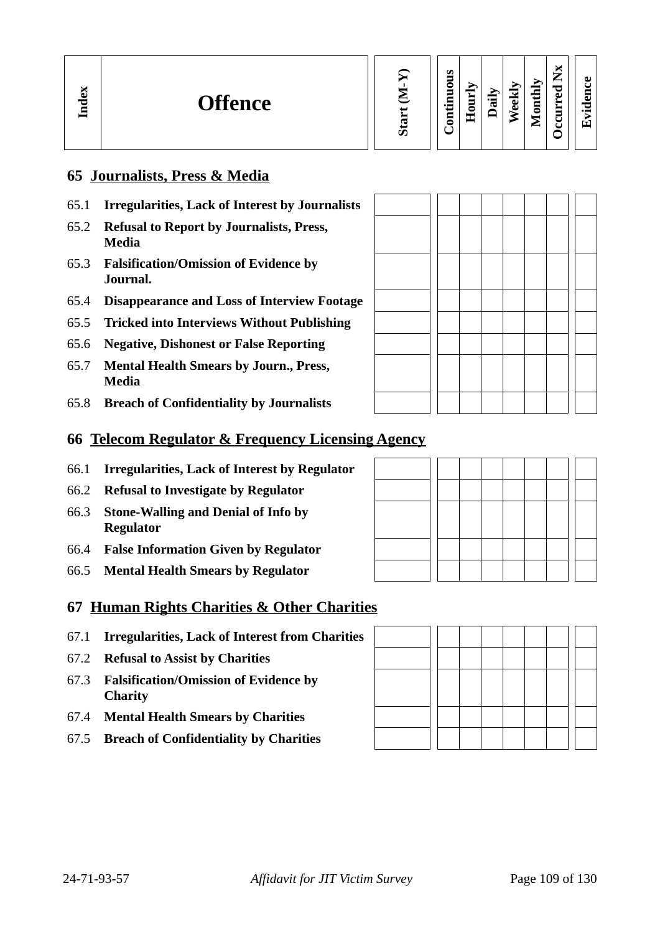| м<br>Đ<br><b>Offence</b><br>Lnd | S | ဖာ<br>-<br>-<br>thly<br>◓<br>↴<br>-<br>Ĕ<br>ಕ<br>⊏<br>$\cdot$ $-$<br>Ē<br>≂<br>Õ<br>0<br>5<br>$\blacksquare$<br>┯<br>$-1$<br>► | ы<br>-<br>ഄ<br>⊷<br>c<br>P<br>□<br>ω<br>نە<br>宝<br>_<br>$\bullet$ $\blacksquare$<br>-<br>◡<br><u>r,</u><br>u |
|---------------------------------|---|--------------------------------------------------------------------------------------------------------------------------------|--------------------------------------------------------------------------------------------------------------|
|---------------------------------|---|--------------------------------------------------------------------------------------------------------------------------------|--------------------------------------------------------------------------------------------------------------|

### **65 Journalists, Press & Media**

- 65.1 **Irregularities, Lack of Interest by Journalists**
- 65.2 **Refusal to Report by Journalists, Press, Media**
- 65.3 **Falsification/Omission of Evidence by Journal.**
- 65.4 **Disappearance and Loss of Interview Footage**
- 65.5 **Tricked into Interviews Without Publishing**
- 65.6 **Negative, Dishonest or False Reporting**
- 65.7 **Mental Health Smears by Journ., Press, Media**
- 65.8 **Breach of Confidentiality by Journalists**

#### **66 Telecom Regulator & Frequency Licensing Agency**

- 66.1 **Irregularities, Lack of Interest by Regulator**
- 66.2 **Refusal to Investigate by Regulator**
- 66.3 **Stone-Walling and Denial of Info by Regulator**
- 66.4 **False Information Given by Regulator**
- 66.5 **Mental Health Smears by Regulator**

#### **67 Human Rights Charities & Other Charities**

- 67.1 **Irregularities, Lack of Interest from Charities**
- 67.2 **Refusal to Assist by Charities**
- 67.3 **Falsification/Omission of Evidence by Charity**
- 67.4 **Mental Health Smears by Charities**
- 67.5 **Breach of Confidentiality by Charities**

| the contract of the contract of the contract of |  |  |  |  |  |
|-------------------------------------------------|--|--|--|--|--|
|                                                 |  |  |  |  |  |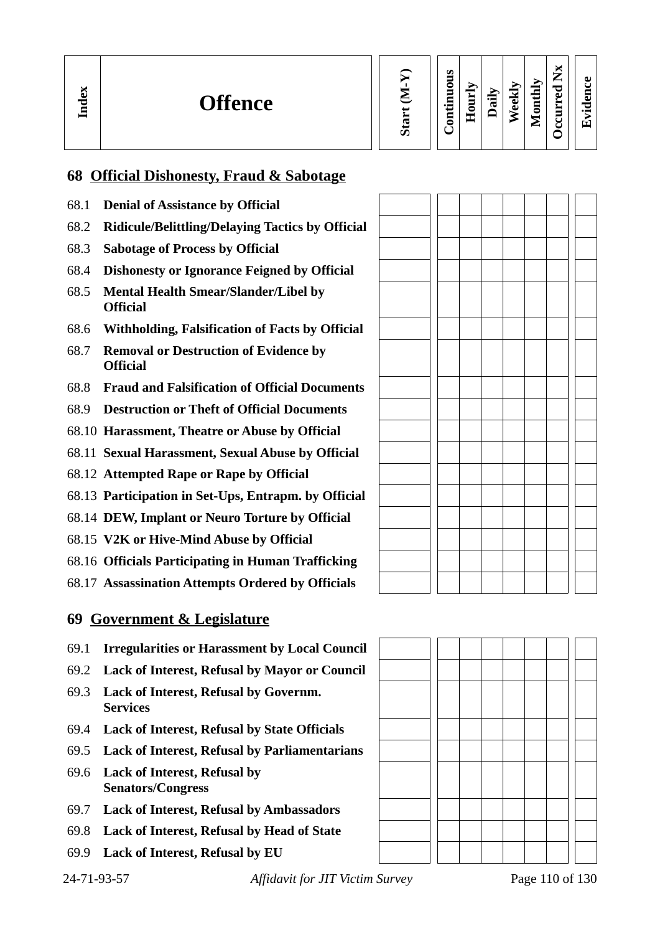| ă<br><b>Offence</b><br>Lnd | ⌒<br>ທ | m<br>0<br>Ξ<br>=<br>U<br>$\overline{\phantom{0}}$<br>-<br>5 | —<br>Ĕ<br>8<br>−<br>سلسل | €<br>æ | ₩<br>ಕ<br>ω | thly<br>ã<br>-<br>⋍ | ∼<br>−<br>_<br>P<br>ല | пı<br>$\bullet$ |
|----------------------------|--------|-------------------------------------------------------------|--------------------------|--------|-------------|---------------------|-----------------------|-----------------|
|----------------------------|--------|-------------------------------------------------------------|--------------------------|--------|-------------|---------------------|-----------------------|-----------------|

### **68 Official Dishonesty, Fraud & Sabotage**

- 68.1 **Denial of Assistance by Official**
- 68.2 **Ridicule/Belittling/Delaying Tactics by Official**
- 68.3 **Sabotage of Process by Official**
- 68.4 **Dishonesty or Ignorance Feigned by Official**
- 68.5 **Mental Health Smear/Slander/Libel by Official**
- 68.6 **Withholding, Falsification of Facts by Official**
- 68.7 **Removal or Destruction of Evidence by Official**
- 68.8 **Fraud and Falsification of Official Documents**
- 68.9 **Destruction or Theft of Official Documents**
- 68.10 **Harassment, Theatre or Abuse by Official**
- 68.11 **Sexual Harassment, Sexual Abuse by Official**
- 68.12 **Attempted Rape or Rape by Official**
- 68.13 **Participation in Set-Ups, Entrapm. by Official**
- 68.14 **DEW, Implant or Neuro Torture by Official**
- 68.15 **V2K or Hive-Mind Abuse by Official**
- 68.16 **Officials Participating in Human Trafficking**
- 68.17 **Assassination Attempts Ordered by Officials**

#### **69 Government & Legislature**

- 69.1 **Irregularities or Harassment by Local Council**
- 69.2 **Lack of Interest, Refusal by Mayor or Council**
- 69.3 **Lack of Interest, Refusal by Governm. Services**
- 69.4 **Lack of Interest, Refusal by State Officials**
- 69.5 **Lack of Interest, Refusal by Parliamentarians**
- 69.6 **Lack of Interest, Refusal by Senators/Congress**
- 69.7 **Lack of Interest, Refusal by Ambassadors**
- 69.8 **Lack of Interest, Refusal by Head of State**
- 69.9 **Lack of Interest, Refusal by EU**

24-71-93-57 *Affidavit for JIT Victim Survey* Page 110 of 130

ת ד

ח ר

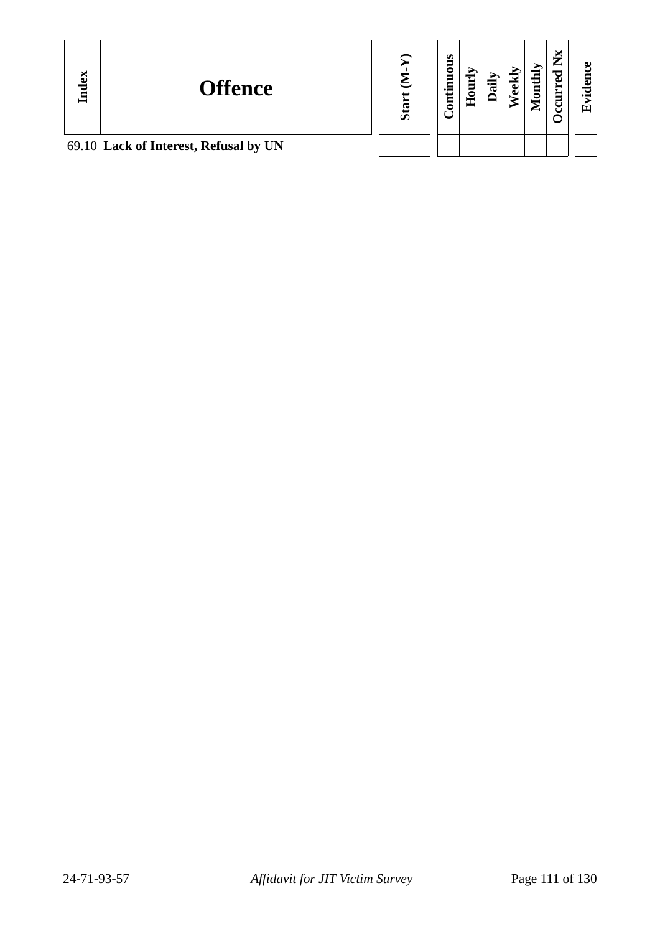| Index | <b>Offence</b>                        | $\Omega$<br>ທັ | s<br>킁<br>5 | ◓<br>œ | ੶ਜ਼ | نه<br>ڡ | ΔŅ<br>$\frac{1}{2}$ | $\overline{\phantom{a}}$<br>ᇰ<br>ω | ല<br>↽<br>$\bullet$ $\blacksquare$<br>Eтì |
|-------|---------------------------------------|----------------|-------------|--------|-----|---------|---------------------|------------------------------------|-------------------------------------------|
|       | 69.10 Lack of Interest, Refusal by UN |                |             |        |     |         |                     |                                    |                                           |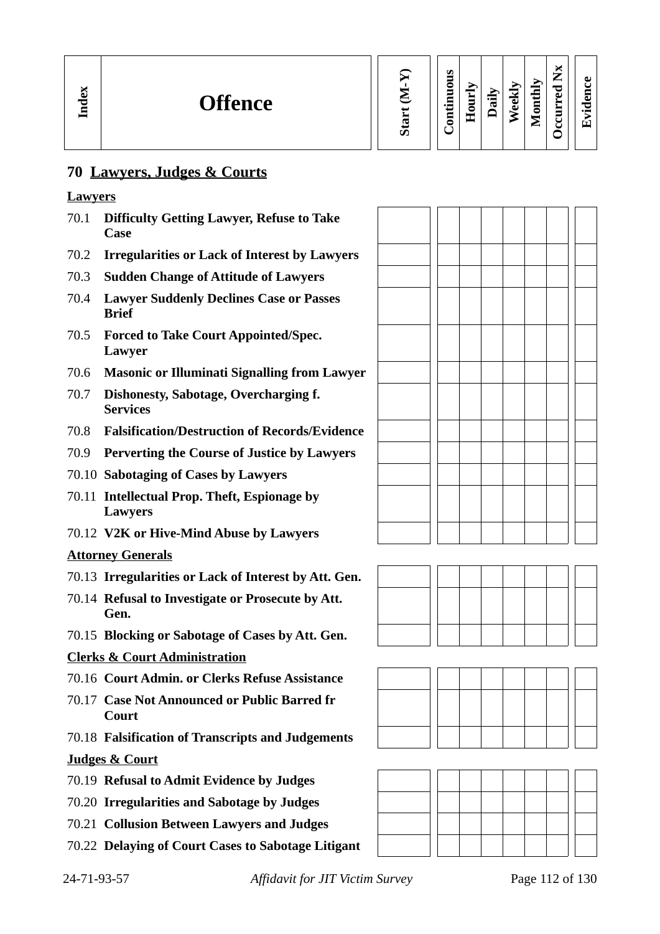#### **70 Lawyers, Judges & Courts**

#### **Lawyers**

- 70.1 **Difficulty Getting Lawyer, Refuse to Take Case**
- 70.2 **Irregularities or Lack of Interest by Lawyers**
- 70.3 **Sudden Change of Attitude of Lawyers**
- 70.4 **Lawyer Suddenly Declines Case or Passes Brief**
- 70.5 **Forced to Take Court Appointed/Spec. Lawyer**
- 70.6 **Masonic or Illuminati Signalling from Lawyer**
- 70.7 **Dishonesty, Sabotage, Overcharging f. Services**
- 70.8 **Falsification/Destruction of Records/Evidence**
- 70.9 **Perverting the Course of Justice by Lawyers**
- 70.10 **Sabotaging of Cases by Lawyers**
- 70.11 **Intellectual Prop. Theft, Espionage by Lawyers**
- 70.12 **V2K or Hive-Mind Abuse by Lawyers**

#### **Attorney Generals**

- 70.13 **Irregularities or Lack of Interest by Att. Gen.**
- 70.14 **Refusal to Investigate or Prosecute by Att. Gen.**
- 70.15 **Blocking or Sabotage of Cases by Att. Gen.**

#### **Clerks & Court Administration**

- 70.16 **Court Admin. or Clerks Refuse Assistance**
- 70.17 **Case Not Announced or Public Barred fr Court**
- 70.18 **Falsification of Transcripts and Judgements**

#### **Judges & Court**

- 70.19 **Refusal to Admit Evidence by Judges**
- 70.20 **Irregularities and Sabotage by Judges**
- 70.21 **Collusion Between Lawyers and Judges**
- 70.22 **Delaying of Court Cases to Sabotage Litigant**





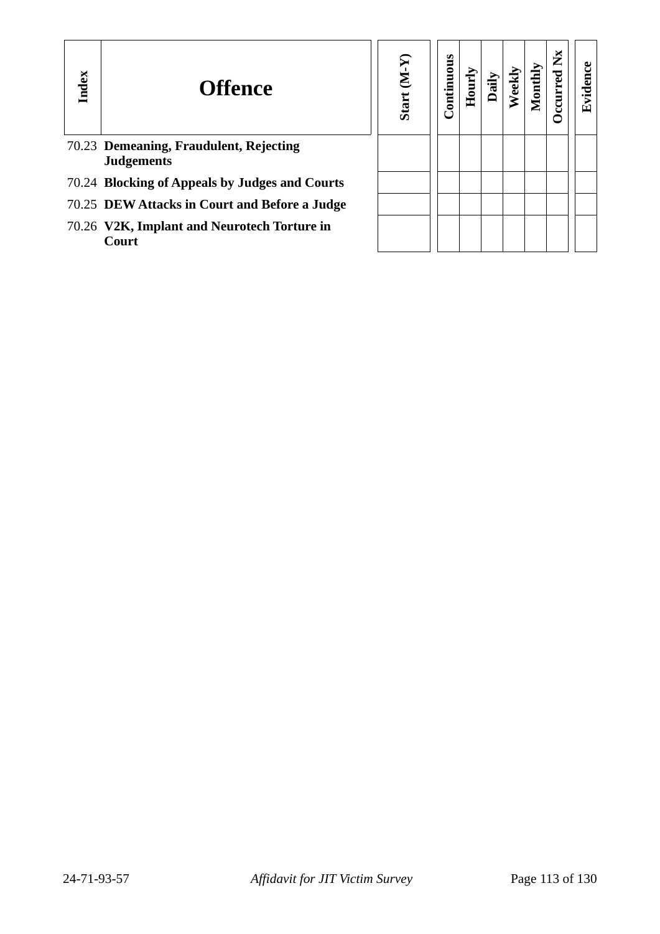| Index | <b>Offence</b>                                              | $(\mathbf{M}\text{-}\mathbf{N})$<br><b>Start</b> | uous<br>Contir | Hou | ia<br>∩ | <b>Veel</b> | Montl | ž | E<br>t<br>$\cdot$ $\,$<br>凹 |
|-------|-------------------------------------------------------------|--------------------------------------------------|----------------|-----|---------|-------------|-------|---|-----------------------------|
|       | 70.23 Demeaning, Fraudulent, Rejecting<br><b>Judgements</b> |                                                  |                |     |         |             |       |   |                             |
|       | 70.24 Blocking of Appeals by Judges and Courts              |                                                  |                |     |         |             |       |   |                             |
|       | 70.25 DEW Attacks in Court and Before a Judge               |                                                  |                |     |         |             |       |   |                             |
|       | 70.26 V2K, Implant and Neurotech Torture in<br>Court        |                                                  |                |     |         |             |       |   |                             |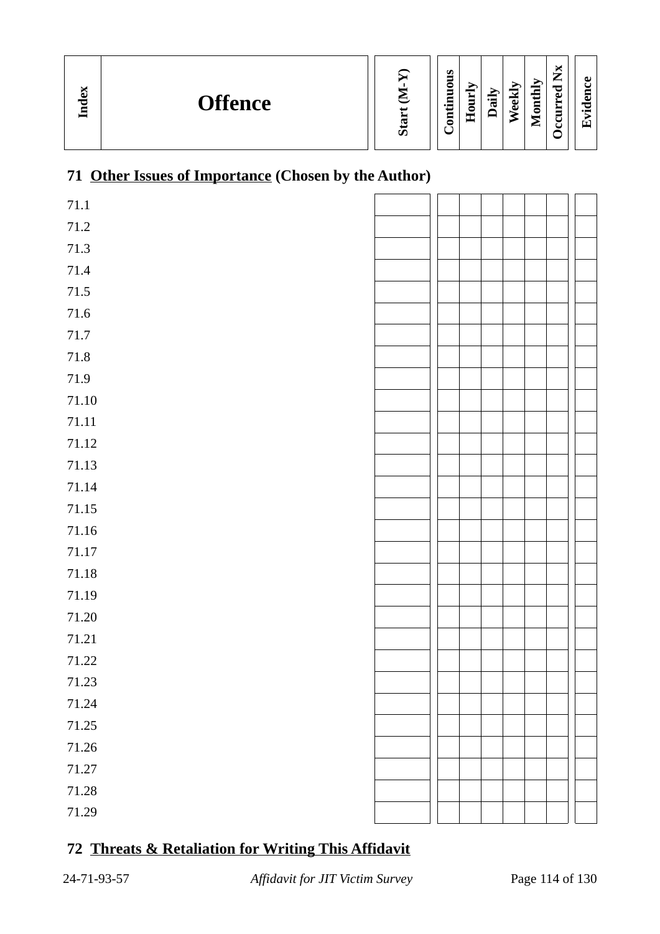| м<br>Index<br><b>Offence</b> |  | ы<br>u<br>►<br>ച<br>∊<br>▬<br>പ<br>ω<br>$\cdot$ $\blacksquare$<br>نه<br>-<br>℡<br><br>ه<br>-<br>0<br>$\cdot$ $\,$<br>-<br>E<br>=<br>− |
|------------------------------|--|---------------------------------------------------------------------------------------------------------------------------------------|
|------------------------------|--|---------------------------------------------------------------------------------------------------------------------------------------|

## **71 Other Issues of Importance (Chosen by the Author)**

| $71.1\,$  |  |  |  |  |
|-----------|--|--|--|--|
| $71.2\,$  |  |  |  |  |
| $71.3\,$  |  |  |  |  |
| $71.4\,$  |  |  |  |  |
| $71.5\,$  |  |  |  |  |
| $71.6\,$  |  |  |  |  |
| $71.7\,$  |  |  |  |  |
| $71.8\,$  |  |  |  |  |
| $71.9\,$  |  |  |  |  |
| $71.10\,$ |  |  |  |  |
| 71.11     |  |  |  |  |
| $71.12\,$ |  |  |  |  |
| 71.13     |  |  |  |  |
| 71.14     |  |  |  |  |
| 71.15     |  |  |  |  |
| $71.16\,$ |  |  |  |  |
| $71.17\,$ |  |  |  |  |
| $71.18\,$ |  |  |  |  |
| 71.19     |  |  |  |  |
| $71.20\,$ |  |  |  |  |
| 71.21     |  |  |  |  |
| 71.22     |  |  |  |  |
| 71.23     |  |  |  |  |
| 71.24     |  |  |  |  |
| 71.25     |  |  |  |  |
| $71.26\,$ |  |  |  |  |
| $71.27\,$ |  |  |  |  |
| 71.28     |  |  |  |  |
| 71.29     |  |  |  |  |
|           |  |  |  |  |

## **72 Threats & Retaliation for Writing This Affidavit**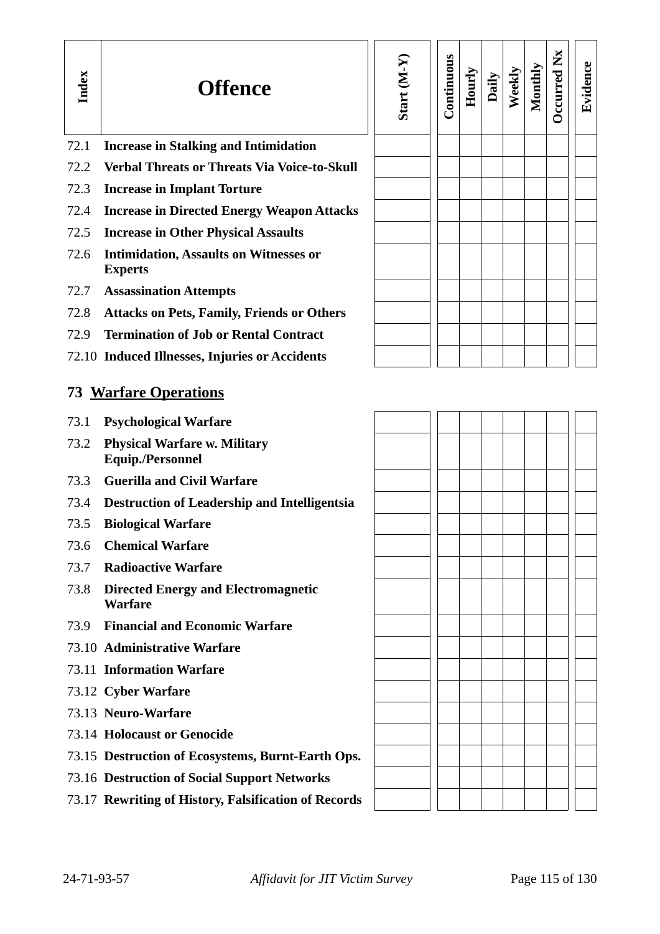| Index | <b>Offence</b>                                                  | Start (M-Y) | Continuous | Hourly | Daily | Weekly | Monthly | Occurred Nx | Evidence |
|-------|-----------------------------------------------------------------|-------------|------------|--------|-------|--------|---------|-------------|----------|
| 72.1  | <b>Increase in Stalking and Intimidation</b>                    |             |            |        |       |        |         |             |          |
| 72.2  | <b>Verbal Threats or Threats Via Voice-to-Skull</b>             |             |            |        |       |        |         |             |          |
| 72.3  | <b>Increase in Implant Torture</b>                              |             |            |        |       |        |         |             |          |
| 72.4  | <b>Increase in Directed Energy Weapon Attacks</b>               |             |            |        |       |        |         |             |          |
| 72.5  | <b>Increase in Other Physical Assaults</b>                      |             |            |        |       |        |         |             |          |
| 72.6  | <b>Intimidation, Assaults on Witnesses or</b><br><b>Experts</b> |             |            |        |       |        |         |             |          |
| 72.7  | <b>Assassination Attempts</b>                                   |             |            |        |       |        |         |             |          |
| 72.8  | <b>Attacks on Pets, Family, Friends or Others</b>               |             |            |        |       |        |         |             |          |
| 72.9  | <b>Termination of Job or Rental Contract</b>                    |             |            |        |       |        |         |             |          |
|       | 72.10 Induced Illnesses, Injuries or Accidents                  |             |            |        |       |        |         |             |          |
|       | 73 Warfare Operations                                           |             |            |        |       |        |         |             |          |
| 73.1  | <b>Psychological Warfare</b>                                    |             |            |        |       |        |         |             |          |
| 73.2  | <b>Physical Warfare w. Military</b><br><b>Equip./Personnel</b>  |             |            |        |       |        |         |             |          |
| 73.3  | <b>Guerilla and Civil Warfare</b>                               |             |            |        |       |        |         |             |          |
| 73.4  | <b>Destruction of Leadership and Intelligentsia</b>             |             |            |        |       |        |         |             |          |
| 73.5  | <b>Biological Warfare</b>                                       |             |            |        |       |        |         |             |          |
| 73.6  | <b>Chemical Warfare</b>                                         |             |            |        |       |        |         |             |          |
| 73.7  | <b>Radioactive Warfare</b>                                      |             |            |        |       |        |         |             |          |
| 73.8  | <b>Directed Energy and Electromagnetic</b><br><b>Warfare</b>    |             |            |        |       |        |         |             |          |
| 73.9  | <b>Financial and Economic Warfare</b>                           |             |            |        |       |        |         |             |          |
|       | 73.10 Administrative Warfare                                    |             |            |        |       |        |         |             |          |
|       | 73.11 Information Warfare                                       |             |            |        |       |        |         |             |          |
|       | 73.12 Cyber Warfare                                             |             |            |        |       |        |         |             |          |
|       | 73.13 Neuro-Warfare                                             |             |            |        |       |        |         |             |          |
|       | 73.14 Holocaust or Genocide                                     |             |            |        |       |        |         |             |          |
|       | 73.15 Destruction of Ecosystems, Burnt-Earth Ops.               |             |            |        |       |        |         |             |          |
|       | 73.16 Destruction of Social Support Networks                    |             |            |        |       |        |         |             |          |
|       | 73.17 Rewriting of History, Falsification of Records            |             |            |        |       |        |         |             |          |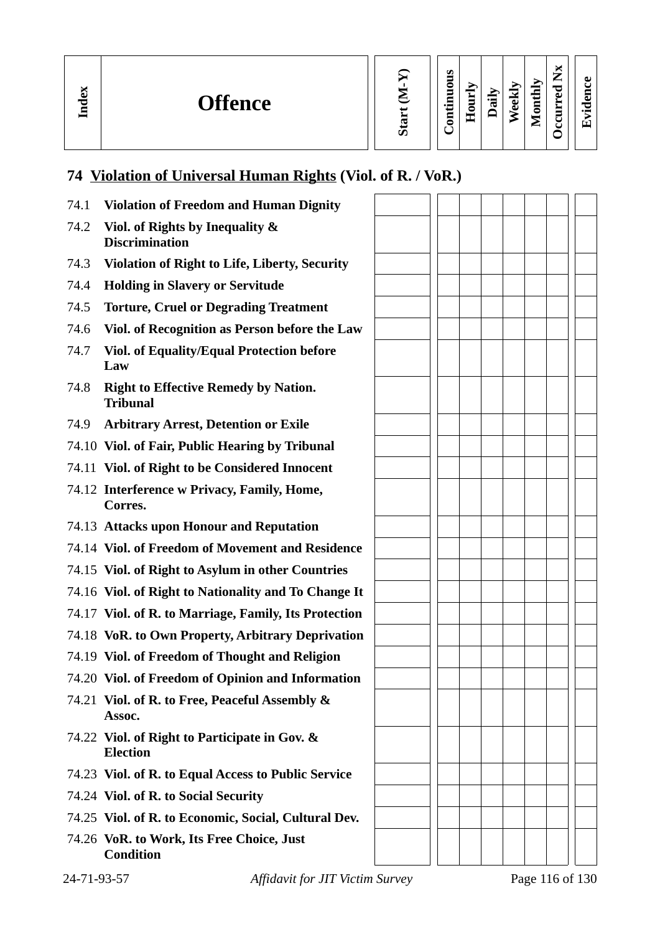**In dex**

**We e kly**

# **74 Violation of Universal Human Rights (Viol. of R. / VoR.)**

| 74.1 | <b>Violation of Freedom and Human Dignity</b>                    |  |  |  |  |
|------|------------------------------------------------------------------|--|--|--|--|
| 74.2 | Viol. of Rights by Inequality &<br><b>Discrimination</b>         |  |  |  |  |
| 74.3 | Violation of Right to Life, Liberty, Security                    |  |  |  |  |
| 74.4 | <b>Holding in Slavery or Servitude</b>                           |  |  |  |  |
| 74.5 | <b>Torture, Cruel or Degrading Treatment</b>                     |  |  |  |  |
| 74.6 | Viol. of Recognition as Person before the Law                    |  |  |  |  |
| 74.7 | <b>Viol. of Equality/Equal Protection before</b><br>Law          |  |  |  |  |
| 74.8 | <b>Right to Effective Remedy by Nation.</b><br><b>Tribunal</b>   |  |  |  |  |
| 74.9 | <b>Arbitrary Arrest, Detention or Exile</b>                      |  |  |  |  |
|      | 74.10 Viol. of Fair, Public Hearing by Tribunal                  |  |  |  |  |
|      | 74.11 Viol. of Right to be Considered Innocent                   |  |  |  |  |
|      | 74.12 Interference w Privacy, Family, Home,<br>Corres.           |  |  |  |  |
|      | 74.13 Attacks upon Honour and Reputation                         |  |  |  |  |
|      | 74.14 Viol. of Freedom of Movement and Residence                 |  |  |  |  |
|      | 74.15 Viol. of Right to Asylum in other Countries                |  |  |  |  |
|      | 74.16 Viol. of Right to Nationality and To Change It             |  |  |  |  |
|      | 74.17 Viol. of R. to Marriage, Family, Its Protection            |  |  |  |  |
|      | 74.18 VoR. to Own Property, Arbitrary Deprivation                |  |  |  |  |
|      | 74.19 Viol. of Freedom of Thought and Religion                   |  |  |  |  |
|      | 74.20 Viol. of Freedom of Opinion and Information                |  |  |  |  |
|      | 74.21 Viol. of R. to Free, Peaceful Assembly &<br>Assoc.         |  |  |  |  |
|      | 74.22 Viol. of Right to Participate in Gov. &<br><b>Election</b> |  |  |  |  |
|      | 74.23 Viol. of R. to Equal Access to Public Service              |  |  |  |  |
|      | 74.24 Viol. of R. to Social Security                             |  |  |  |  |
|      | 74.25 Viol. of R. to Economic, Social, Cultural Dev.             |  |  |  |  |
|      | 74.26 VoR. to Work, Its Free Choice, Just<br><b>Condition</b>    |  |  |  |  |

24-71-93-57 *Affidavit for JIT Victim Survey* Page 116 of 130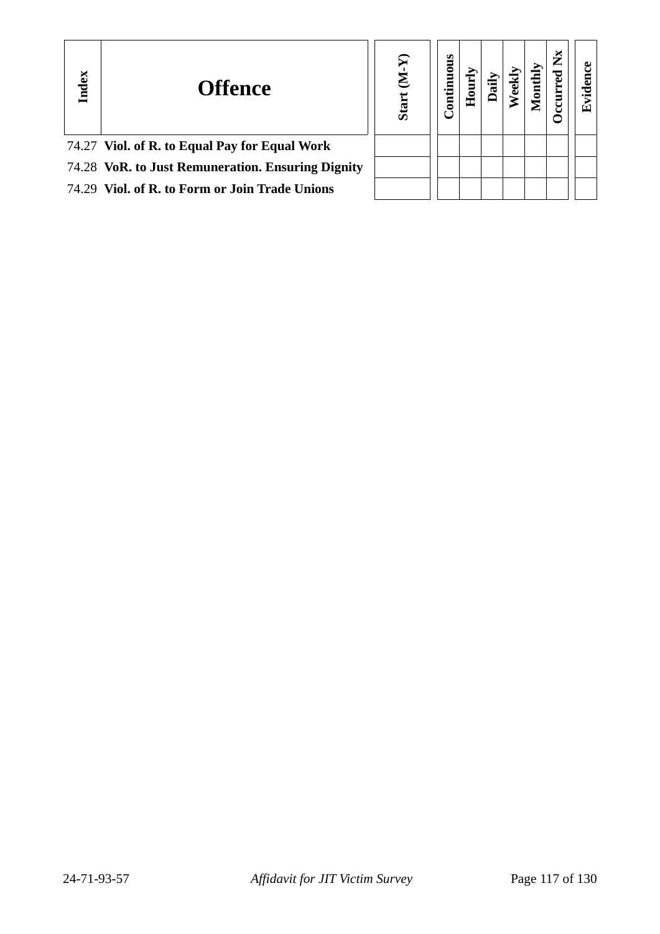| Index | <b>Offence</b>                                    | Σ<br>Star | nuous<br>Ē | Ì |  | ž |  |
|-------|---------------------------------------------------|-----------|------------|---|--|---|--|
|       | 74.27 Viol. of R. to Equal Pay for Equal Work     |           |            |   |  |   |  |
|       | 74.28 VoR. to Just Remuneration. Ensuring Dignity |           |            |   |  |   |  |
|       | 74.29 Viol. of R. to Form or Join Trade Unions    |           |            |   |  |   |  |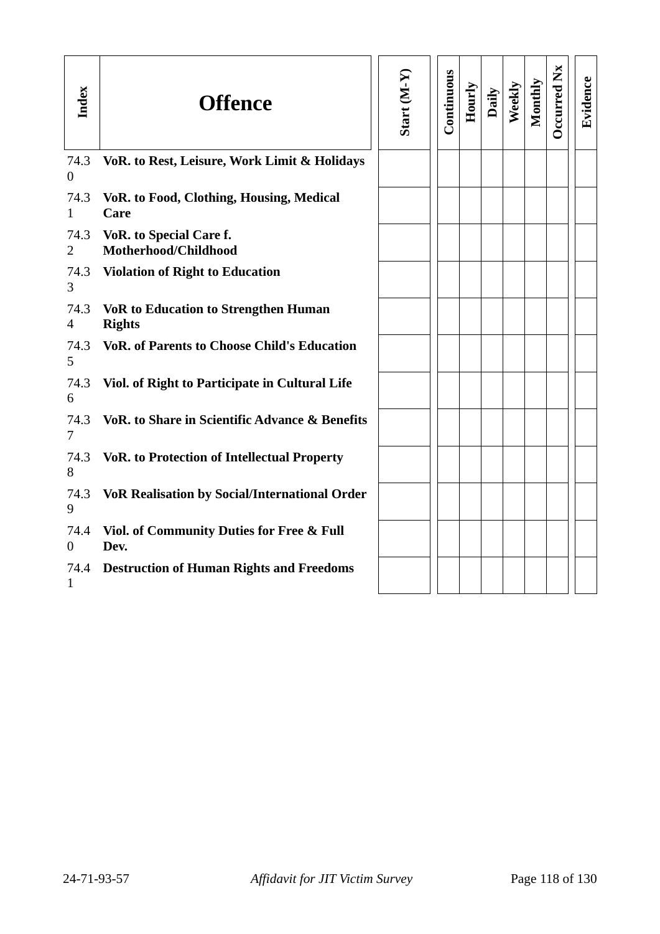| Index                  | <b>Offence</b>                                               | Start $(M-Y)$ | Continuous | Hourly | Daily | Weekly | Monthly | Occurred Nx | Evidence |
|------------------------|--------------------------------------------------------------|---------------|------------|--------|-------|--------|---------|-------------|----------|
| 74.3<br>$\theta$       | VoR. to Rest, Leisure, Work Limit & Holidays                 |               |            |        |       |        |         |             |          |
| 74.3<br>1              | <b>VoR. to Food, Clothing, Housing, Medical</b><br>Care      |               |            |        |       |        |         |             |          |
| 74.3<br>$\overline{2}$ | <b>VoR. to Special Care f.</b><br>Motherhood/Childhood       |               |            |        |       |        |         |             |          |
| 74.3<br>3              | <b>Violation of Right to Education</b>                       |               |            |        |       |        |         |             |          |
| 74.3<br>$\overline{4}$ | <b>VoR to Education to Strengthen Human</b><br><b>Rights</b> |               |            |        |       |        |         |             |          |
| 74.3<br>5              | <b>VoR. of Parents to Choose Child's Education</b>           |               |            |        |       |        |         |             |          |
| 74.3<br>6              | Viol. of Right to Participate in Cultural Life               |               |            |        |       |        |         |             |          |
| 74.3<br>7              | <b>VoR. to Share in Scientific Advance &amp; Benefits</b>    |               |            |        |       |        |         |             |          |
| 74.3<br>8              | <b>VoR. to Protection of Intellectual Property</b>           |               |            |        |       |        |         |             |          |
| 74.3<br>9              | <b>VoR Realisation by Social/International Order</b>         |               |            |        |       |        |         |             |          |
| 74.4<br>$\overline{0}$ | <b>Viol. of Community Duties for Free &amp; Full</b><br>Dev. |               |            |        |       |        |         |             |          |
| 74.4<br>1              | <b>Destruction of Human Rights and Freedoms</b>              |               |            |        |       |        |         |             |          |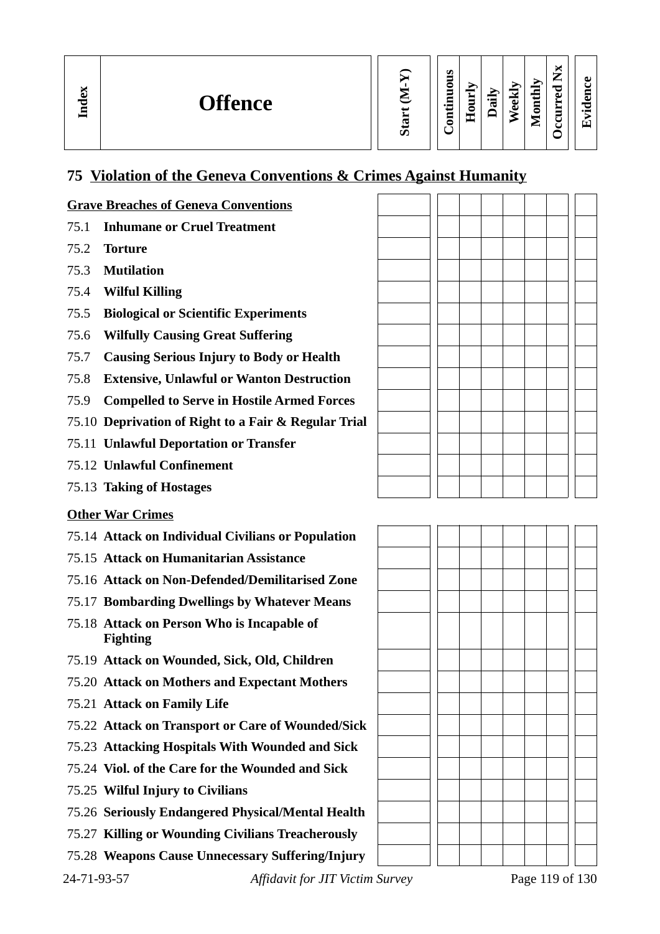| $\overline{\phantom{m}}$<br>Index<br><b>Offence</b><br>ပာ | M<br>s<br>۰,<br>മ<br>⊷<br>thly<br>◓<br>c J<br>≂<br>یہ<br>-<br>ω<br>Ξ<br>►<br>੶ਫ਼<br>ᇹ<br>نه<br>Ē<br>↽<br>ω<br>∼<br>$\bullet$ $\blacksquare$<br>−<br>Ξ.<br>$\blacksquare$<br>. .<br>◡<br>0<br>Œ<br>►<br>u |
|-----------------------------------------------------------|----------------------------------------------------------------------------------------------------------------------------------------------------------------------------------------------------------|
|-----------------------------------------------------------|----------------------------------------------------------------------------------------------------------------------------------------------------------------------------------------------------------|

### **75 Violation of the Geneva Conventions & Crimes Against Humanity**

#### **Grave Breaches of Geneva Conventions**

- 75.1 **Inhumane or Cruel Treatment**
- 75.2 **Torture**
- 75.3 **Mutilation**
- 75.4 **Wilful Killing**
- 75.5 **Biological or Scientific Experiments**
- 75.6 **Wilfully Causing Great Suffering**
- 75.7 **Causing Serious Injury to Body or Health**
- 75.8 **Extensive, Unlawful or Wanton Destruction**
- 75.9 **Compelled to Serve in Hostile Armed Forces**
- 75.10 **Deprivation of Right to a Fair & Regular Trial**
- 75.11 **Unlawful Deportation or Transfer**
- 75.12 **Unlawful Confinement**
- 75.13 **Taking of Hostages**

#### **Other War Crimes**

- 75.14 **Attack on Individual Civilians or Population**
- 75.15 **Attack on Humanitarian Assistance**
- 75.16 **Attack on Non-Defended/Demilitarised Zone**
- 75.17 **Bombarding Dwellings by Whatever Means**
- 75.18 **Attack on Person Who is Incapable of Fighting**
- 75.19 **Attack on Wounded, Sick, Old, Children**
- 75.20 **Attack on Mothers and Expectant Mothers**
- 75.21 **Attack on Family Life**
- 75.22 **Attack on Transport or Care of Wounded/Sick**
- 75.23 **Attacking Hospitals With Wounded and Sick**
- 75.24 **Viol. of the Care for the Wounded and Sick**
- 75.25 **Wilful Injury to Civilians**
- 75.26 **Seriously Endangered Physical/Mental Health**
- 75.27 **Killing or Wounding Civilians Treacherously**
- 75.28 **Weapons Cause Unnecessary Suffering/Injury**

24-71-93-57 *Affidavit for JIT Victim Survey* Page 119 of 130

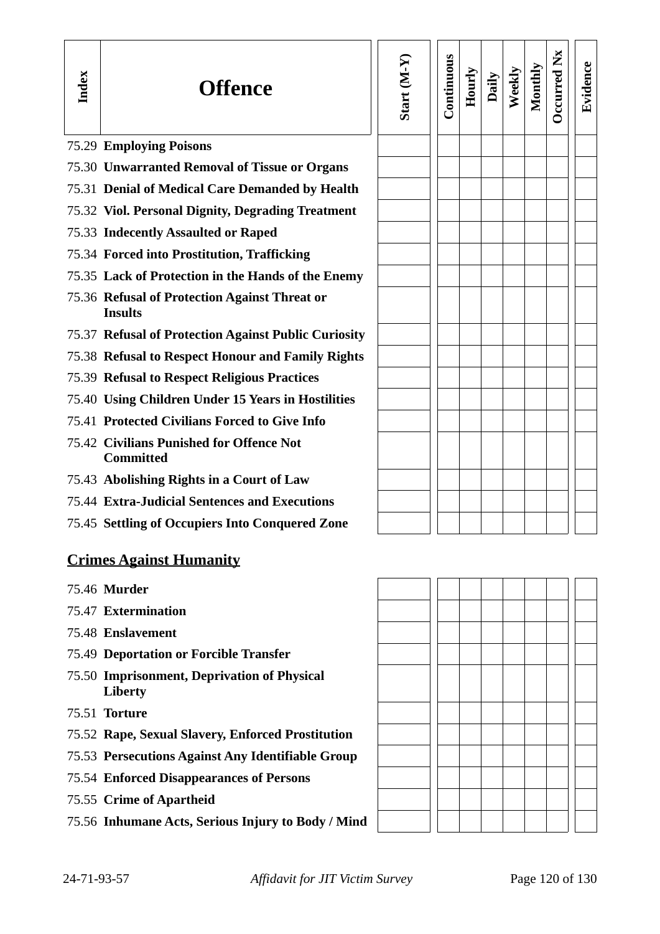| Index | <b>Offence</b>                                                  | Start (M-Y) | Continuous | Hourly | Daily | Weekly | Monthly | <b>Dccurred Nx</b> | Evidence |
|-------|-----------------------------------------------------------------|-------------|------------|--------|-------|--------|---------|--------------------|----------|
|       | 75.29 Employing Poisons                                         |             |            |        |       |        |         |                    |          |
|       | 75.30 Unwarranted Removal of Tissue or Organs                   |             |            |        |       |        |         |                    |          |
|       | 75.31 Denial of Medical Care Demanded by Health                 |             |            |        |       |        |         |                    |          |
|       | 75.32 Viol. Personal Dignity, Degrading Treatment               |             |            |        |       |        |         |                    |          |
|       | 75.33 Indecently Assaulted or Raped                             |             |            |        |       |        |         |                    |          |
|       | 75.34 Forced into Prostitution, Trafficking                     |             |            |        |       |        |         |                    |          |
|       | 75.35 Lack of Protection in the Hands of the Enemy              |             |            |        |       |        |         |                    |          |
|       | 75.36 Refusal of Protection Against Threat or<br><b>Insults</b> |             |            |        |       |        |         |                    |          |
|       | 75.37 Refusal of Protection Against Public Curiosity            |             |            |        |       |        |         |                    |          |
|       | 75.38 Refusal to Respect Honour and Family Rights               |             |            |        |       |        |         |                    |          |
|       | 75.39 Refusal to Respect Religious Practices                    |             |            |        |       |        |         |                    |          |
|       | 75.40 Using Children Under 15 Years in Hostilities              |             |            |        |       |        |         |                    |          |
|       | 75.41 Protected Civilians Forced to Give Info                   |             |            |        |       |        |         |                    |          |
|       | 75.42 Civilians Punished for Offence Not<br><b>Committed</b>    |             |            |        |       |        |         |                    |          |
|       | 75.43 Abolishing Rights in a Court of Law                       |             |            |        |       |        |         |                    |          |
|       | 75.44 Extra-Judicial Sentences and Executions                   |             |            |        |       |        |         |                    |          |
|       | 75.45 Settling of Occupiers Into Conquered Zone                 |             |            |        |       |        |         |                    |          |
|       | <b>Crimes Against Humanity</b><br>75.46 Murder                  |             |            |        |       |        |         |                    |          |
|       |                                                                 |             |            |        |       |        |         |                    |          |

- 75.47 **Extermination**
- 75.48 **Enslavement**
- 75.49 **Deportation or Forcible Transfer**
- 75.50 **Imprisonment, Deprivation of Physical Liberty**
- 75.51 **Torture**
- 75.52 **Rape, Sexual Slavery, Enforced Prostitution**
- 75.53 **Persecutions Against Any Identifiable Group**
- 75.54 **Enforced Disappearances of Persons**
- 75.55 **Crime of Apartheid**
- 75.56 **Inhumane Acts, Serious Injury to Body / Mind**

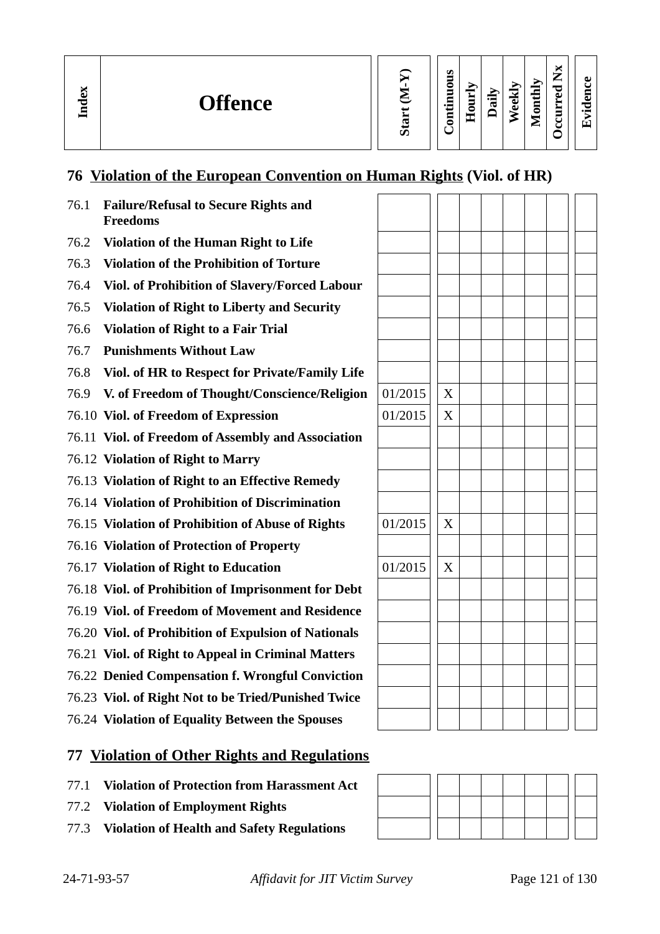**In dex**

**Evid ence**

### **76 Violation of the European Convention on Human Rights (Viol. of HR)**

| 76.1 | <b>Failure/Refusal to Secure Rights and</b><br><b>Freedoms</b> |         |   |  |  |  |
|------|----------------------------------------------------------------|---------|---|--|--|--|
| 76.2 | <b>Violation of the Human Right to Life</b>                    |         |   |  |  |  |
| 76.3 | <b>Violation of the Prohibition of Torture</b>                 |         |   |  |  |  |
| 76.4 | Viol. of Prohibition of Slavery/Forced Labour                  |         |   |  |  |  |
| 76.5 | <b>Violation of Right to Liberty and Security</b>              |         |   |  |  |  |
| 76.6 | <b>Violation of Right to a Fair Trial</b>                      |         |   |  |  |  |
| 76.7 | <b>Punishments Without Law</b>                                 |         |   |  |  |  |
| 76.8 | Viol. of HR to Respect for Private/Family Life                 |         |   |  |  |  |
| 76.9 | V. of Freedom of Thought/Conscience/Religion                   | 01/2015 | X |  |  |  |
|      | 76.10 Viol. of Freedom of Expression                           | 01/2015 | X |  |  |  |
|      | 76.11 Viol. of Freedom of Assembly and Association             |         |   |  |  |  |
|      | 76.12 Violation of Right to Marry                              |         |   |  |  |  |
|      | 76.13 Violation of Right to an Effective Remedy                |         |   |  |  |  |
|      | 76.14 Violation of Prohibition of Discrimination               |         |   |  |  |  |
|      | 76.15 Violation of Prohibition of Abuse of Rights              | 01/2015 | X |  |  |  |
|      | 76.16 Violation of Protection of Property                      |         |   |  |  |  |
|      | 76.17 Violation of Right to Education                          | 01/2015 | X |  |  |  |
|      | 76.18 Viol. of Prohibition of Imprisonment for Debt            |         |   |  |  |  |
|      | 76.19 Viol. of Freedom of Movement and Residence               |         |   |  |  |  |
|      | 76.20 Viol. of Prohibition of Expulsion of Nationals           |         |   |  |  |  |
|      | 76.21 Viol. of Right to Appeal in Criminal Matters             |         |   |  |  |  |
|      | 76.22 Denied Compensation f. Wrongful Conviction               |         |   |  |  |  |
|      | 76.23 Viol. of Right Not to be Tried/Punished Twice            |         |   |  |  |  |
|      | 76.24 Violation of Equality Between the Spouses                |         |   |  |  |  |

### **77 Violation of Other Rights and Regulations**

- 77.1 **Violation of Protection from Harassment Act**
- 77.2 **Violation of Employment Rights**
- 77.3 **Violation of Health and Safety Regulations**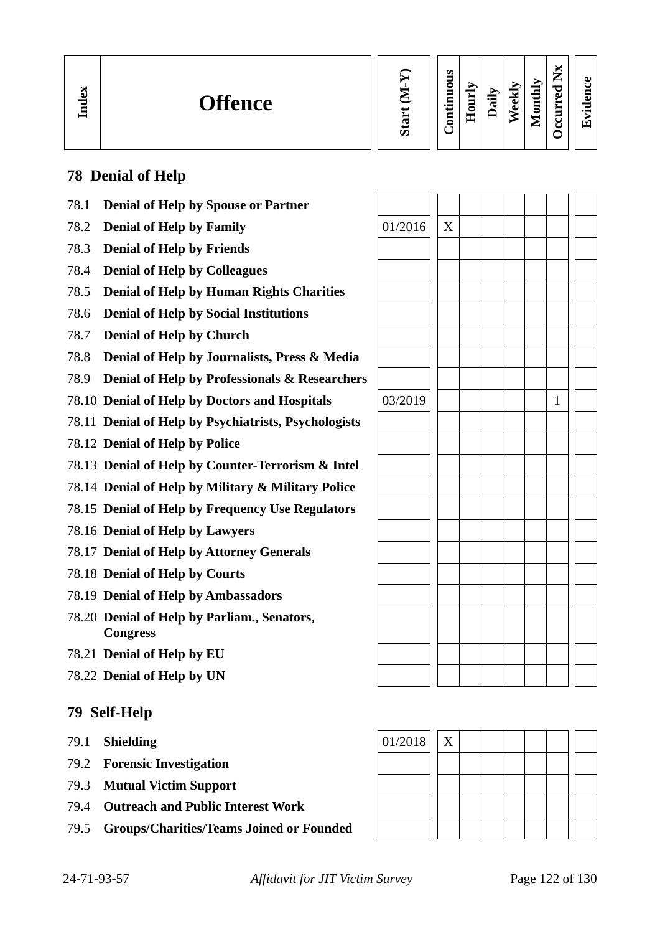

#### **Contin uous Hourly D We ekly aily Monthly OccurredNx**

**Evid ence**

### **78 Denial of Help**

**In dex**

- 78.1 **Denial of Help by Spouse or Partner**
- **78.2 Denial of Help by Family**  $\vert$  01/2016  $\vert$  X
- 78.3 **Denial of Help by Friends**
- 78.4 **Denial of Help by Colleagues**
- 78.5 **Denial of Help by Human Rights Charities**
- 78.6 **Denial of Help by Social Institutions**
- 78.7 **Denial of Help by Church**
- 78.8 **Denial of Help by Journalists, Press & Media**
- 78.9 **Denial of Help by Professionals & Researchers**
- 78.10 **Denial of Help by Doctors and Hospitals**
- 78.11 **Denial of Help by Psychiatrists, Psychologists**
- 78.12 **Denial of Help by Police**
- 78.13 **Denial of Help by Counter-Terrorism & Intel**
- 78.14 **Denial of Help by Military & Military Police**
- 78.15 **Denial of Help by Frequency Use Regulators**
- 78.16 **Denial of Help by Lawyers**
- 78.17 **Denial of Help by Attorney Generals**
- 78.18 **Denial of Help by Courts**
- 78.19 **Denial of Help by Ambassadors**
- 78.20 **Denial of Help by Parliam., Senators, Congress**
- 78.21 **Denial of Help by EU**
- 78.22 **Denial of Help by UN**

#### **79 Self-Help**

- 79.1 **Shielding**
- 79.2 **Forensic Investigation**
- 79.3 **Mutual Victim Support**
- 79.4 **Outreach and Public Interest Work**
- 79.5 **Groups/Charities/Teams Joined or Founded**

| 03/2019 |  |  | $\mathbf 1$ |  |
|---------|--|--|-------------|--|
|         |  |  |             |  |
|         |  |  |             |  |
|         |  |  |             |  |
|         |  |  |             |  |
|         |  |  |             |  |
|         |  |  |             |  |
|         |  |  |             |  |
|         |  |  |             |  |
|         |  |  |             |  |
|         |  |  |             |  |
|         |  |  |             |  |
|         |  |  |             |  |
|         |  |  |             |  |

| $ 01/2018 $ X |  |  |  |  |  |
|---------------|--|--|--|--|--|
|               |  |  |  |  |  |
|               |  |  |  |  |  |
|               |  |  |  |  |  |
|               |  |  |  |  |  |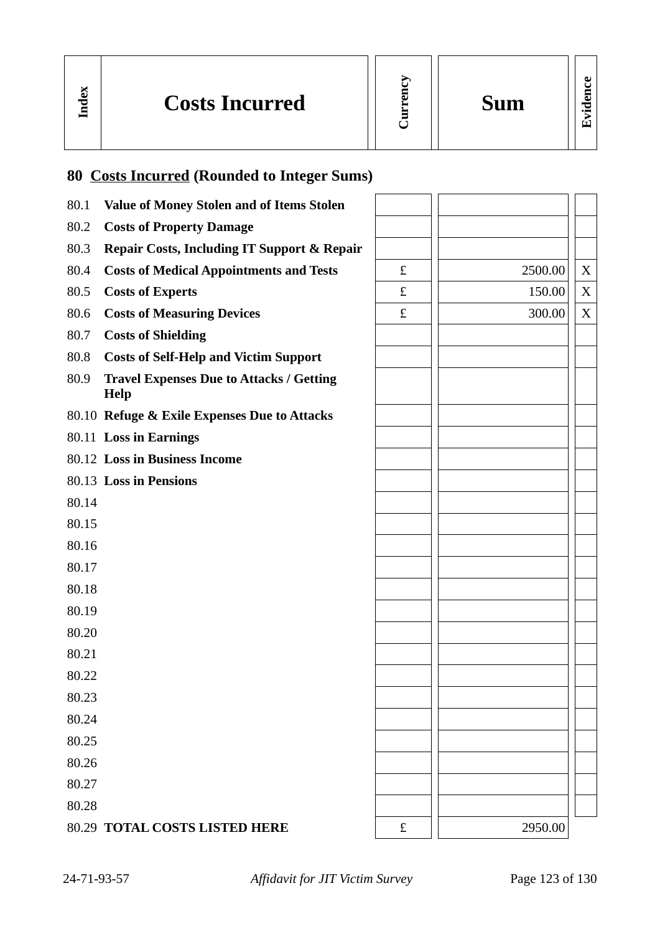| É<br>-<br>a.<br>a |  |
|-------------------|--|
|                   |  |

**Evid ence**

|       | <b>80 Costs Incurred (Rounded to Integer Sums)</b>             |   |         |   |
|-------|----------------------------------------------------------------|---|---------|---|
| 80.1  | <b>Value of Money Stolen and of Items Stolen</b>               |   |         |   |
| 80.2  | <b>Costs of Property Damage</b>                                |   |         |   |
| 80.3  | <b>Repair Costs, Including IT Support &amp; Repair</b>         |   |         |   |
| 80.4  | <b>Costs of Medical Appointments and Tests</b>                 | £ | 2500.00 | X |
| 80.5  | <b>Costs of Experts</b>                                        | £ | 150.00  | X |
| 80.6  | <b>Costs of Measuring Devices</b>                              | £ | 300.00  | X |
| 80.7  | <b>Costs of Shielding</b>                                      |   |         |   |
| 80.8  | <b>Costs of Self-Help and Victim Support</b>                   |   |         |   |
| 80.9  | <b>Travel Expenses Due to Attacks / Getting</b><br><b>Help</b> |   |         |   |
|       | 80.10 Refuge & Exile Expenses Due to Attacks                   |   |         |   |
|       | 80.11 Loss in Earnings                                         |   |         |   |
|       | 80.12 Loss in Business Income                                  |   |         |   |
|       | 80.13 Loss in Pensions                                         |   |         |   |
| 80.14 |                                                                |   |         |   |
| 80.15 |                                                                |   |         |   |
| 80.16 |                                                                |   |         |   |
| 80.17 |                                                                |   |         |   |
| 80.18 |                                                                |   |         |   |
| 80.19 |                                                                |   |         |   |
| 80.20 |                                                                |   |         |   |
| 80.21 |                                                                |   |         |   |
| 80.22 |                                                                |   |         |   |
| 80.23 |                                                                |   |         |   |
| 80.24 |                                                                |   |         |   |
| 80.25 |                                                                |   |         |   |
| 80.26 |                                                                |   |         |   |
| 80.27 |                                                                |   |         |   |
| 80.28 |                                                                |   |         |   |
|       | 80.29 TOTAL COSTS LISTED HERE                                  | £ | 2950.00 |   |

**In dex**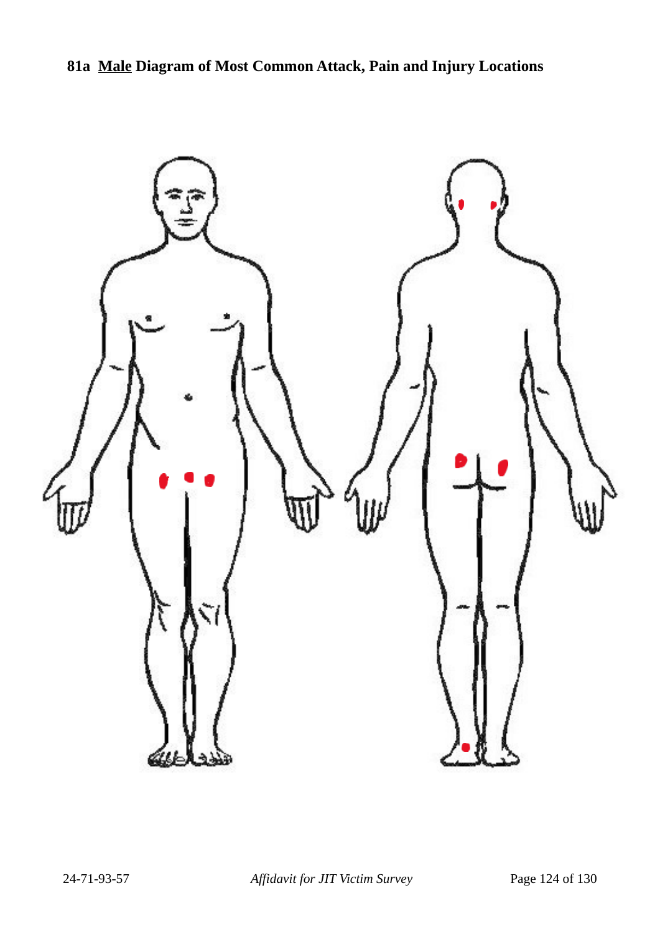

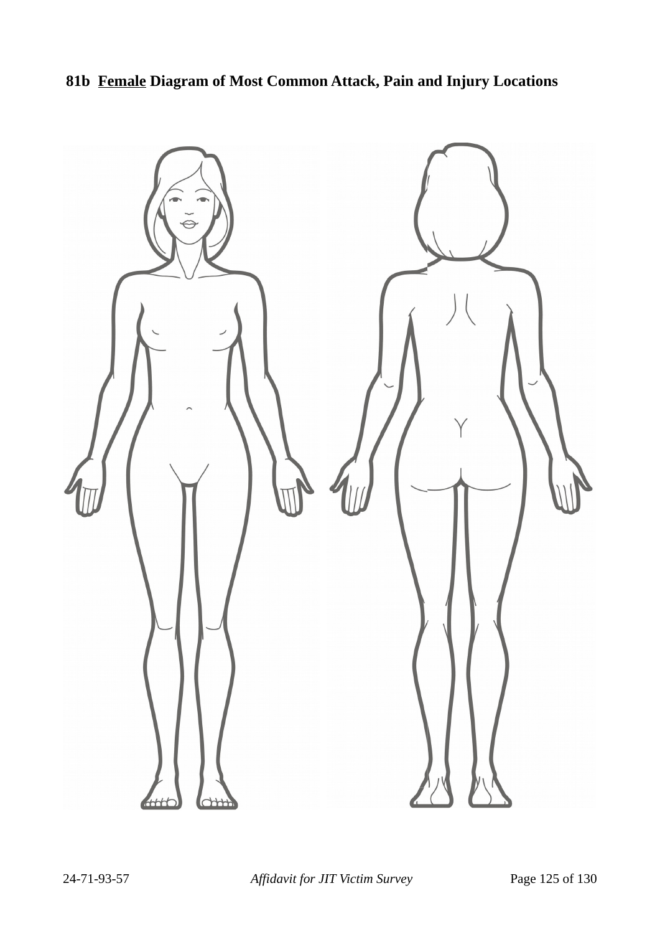## **81b Female Diagram of Most Common Attack, Pain and Injury Locations**

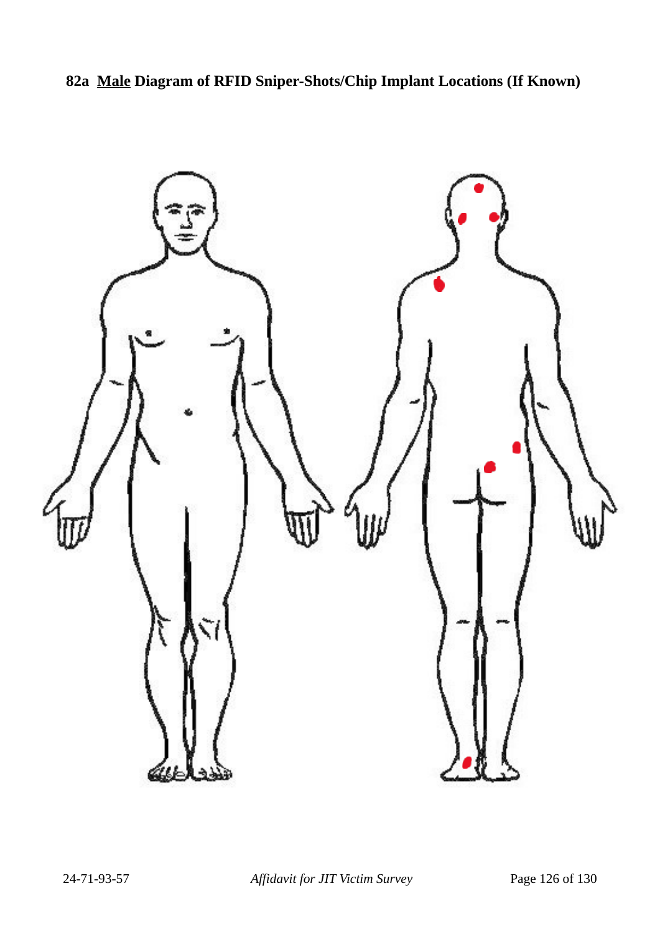**82a Male Diagram of RFID Sniper-Shots/Chip Implant Locations (If Known)**

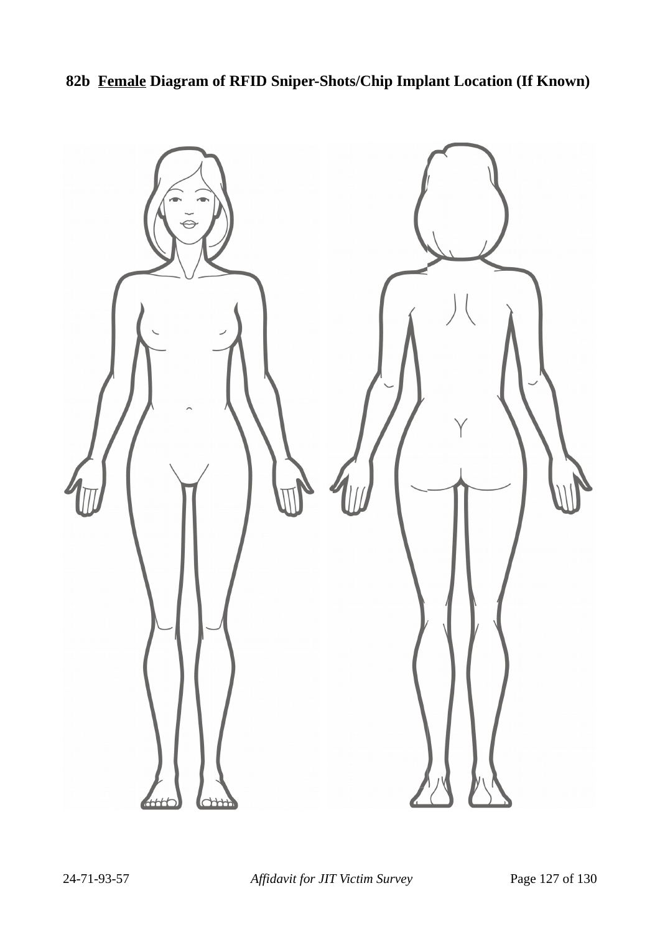**82b Female Diagram of RFID Sniper-Shots/Chip Implant Location (If Known)**